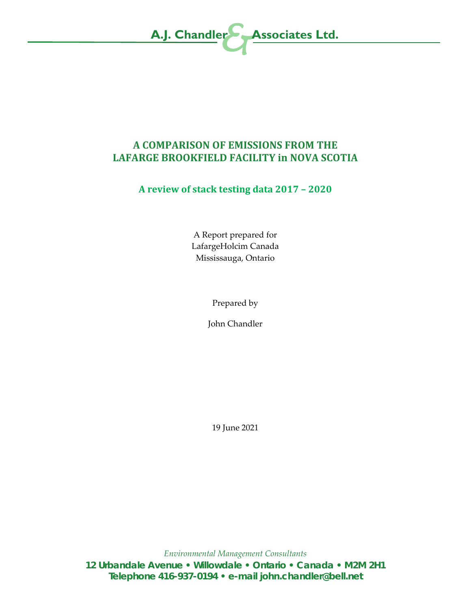

# **A COMPARISON OF EMISSIONS FROM THE LAFARGE BROOKFIELD FACILITY in NOVA SCOTIA**

# **A review of stack testing data 2017 – 2020**

A Report prepared for LafargeHolcim Canada Mississauga, Ontario

Prepared by

John Chandler

19 June 2021

*Environmental Management Consultants* **12 Urbandale Avenue • Willowdale • Ontario • Canada • M2M 2H1 Telephone 416-937-0194 • e-mail john.chandler@bell.net**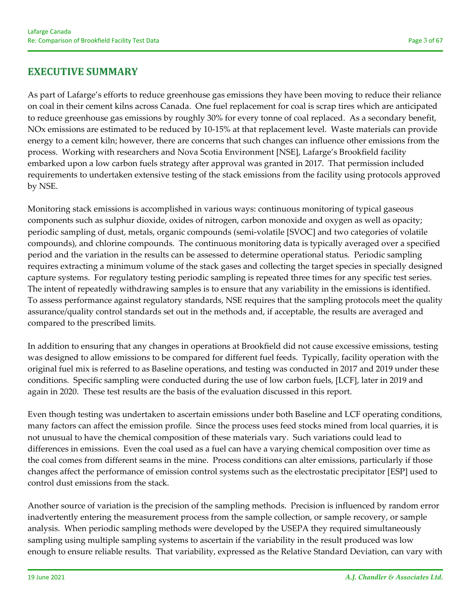# **EXECUTIVE SUMMARY**

As part of Lafarge's efforts to reduce greenhouse gas emissions they have been moving to reduce their reliance on coal in their cement kilns across Canada. One fuel replacement for coal is scrap tires which are anticipated to reduce greenhouse gas emissions by roughly 30% for every tonne of coal replaced. As a secondary benefit, NOx emissions are estimated to be reduced by 10‐15% at that replacement level. Waste materials can provide energy to a cement kiln; however, there are concerns that such changes can influence other emissions from the process. Working with researchers and Nova Scotia Environment [NSE], Lafarge's Brookfield facility embarked upon a low carbon fuels strategy after approval was granted in 2017. That permission included requirements to undertaken extensive testing of the stack emissions from the facility using protocols approved by NSE.

Monitoring stack emissions is accomplished in various ways: continuous monitoring of typical gaseous components such as sulphur dioxide, oxides of nitrogen, carbon monoxide and oxygen as well as opacity; periodic sampling of dust, metals, organic compounds (semi‐volatile [SVOC] and two categories of volatile compounds), and chlorine compounds. The continuous monitoring data is typically averaged over a specified period and the variation in the results can be assessed to determine operational status. Periodic sampling requires extracting a minimum volume of the stack gases and collecting the target species in specially designed capture systems. For regulatory testing periodic sampling is repeated three times for any specific test series. The intent of repeatedly withdrawing samples is to ensure that any variability in the emissions is identified. To assess performance against regulatory standards, NSE requires that the sampling protocols meet the quality assurance/quality control standards set out in the methods and, if acceptable, the results are averaged and compared to the prescribed limits.

In addition to ensuring that any changes in operations at Brookfield did not cause excessive emissions, testing was designed to allow emissions to be compared for different fuel feeds. Typically, facility operation with the original fuel mix is referred to as Baseline operations, and testing was conducted in 2017 and 2019 under these conditions. Specific sampling were conducted during the use of low carbon fuels, [LCF], later in 2019 and again in 2020. These test results are the basis of the evaluation discussed in this report.

Even though testing was undertaken to ascertain emissions under both Baseline and LCF operating conditions, many factors can affect the emission profile. Since the process uses feed stocks mined from local quarries, it is not unusual to have the chemical composition of these materials vary. Such variations could lead to differences in emissions. Even the coal used as a fuel can have a varying chemical composition over time as the coal comes from different seams in the mine. Process conditions can alter emissions, particularly if those changes affect the performance of emission control systems such as the electrostatic precipitator [ESP] used to control dust emissions from the stack.

Another source of variation is the precision of the sampling methods. Precision is influenced by random error inadvertently entering the measurement process from the sample collection, or sample recovery, or sample analysis. When periodic sampling methods were developed by the USEPA they required simultaneously sampling using multiple sampling systems to ascertain if the variability in the result produced was low enough to ensure reliable results. That variability, expressed as the Relative Standard Deviation, can vary with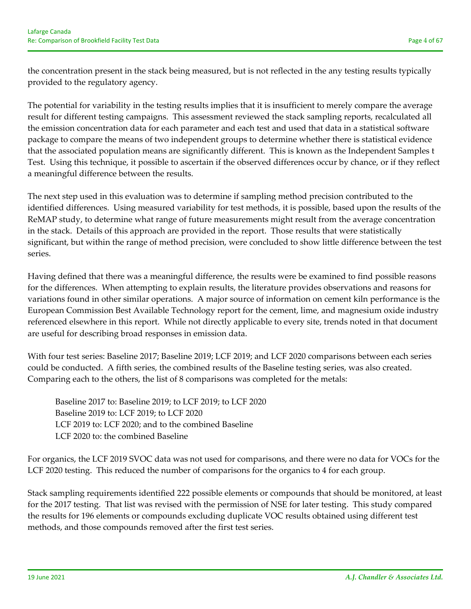the concentration present in the stack being measured, but is not reflected in the any testing results typically provided to the regulatory agency.

The potential for variability in the testing results implies that it is insufficient to merely compare the average result for different testing campaigns. This assessment reviewed the stack sampling reports, recalculated all the emission concentration data for each parameter and each test and used that data in a statistical software package to compare the means of two independent groups to determine whether there is statistical evidence that the associated population means are significantly different. This is known as the Independent Samples t Test. Using this technique, it possible to ascertain if the observed differences occur by chance, or if they reflect a meaningful difference between the results.

The next step used in this evaluation was to determine if sampling method precision contributed to the identified differences. Using measured variability for test methods, it is possible, based upon the results of the ReMAP study, to determine what range of future measurements might result from the average concentration in the stack. Details of this approach are provided in the report. Those results that were statistically significant, but within the range of method precision, were concluded to show little difference between the test series.

Having defined that there was a meaningful difference, the results were be examined to find possible reasons for the differences. When attempting to explain results, the literature provides observations and reasons for variations found in other similar operations. A major source of information on cement kiln performance is the European Commission Best Available Technology report for the cement, lime, and magnesium oxide industry referenced elsewhere in this report. While not directly applicable to every site, trends noted in that document are useful for describing broad responses in emission data.

With four test series: Baseline 2017; Baseline 2019; LCF 2019; and LCF 2020 comparisons between each series could be conducted. A fifth series, the combined results of the Baseline testing series, was also created. Comparing each to the others, the list of 8 comparisons was completed for the metals:

Baseline 2017 to: Baseline 2019; to LCF 2019; to LCF 2020 Baseline 2019 to: LCF 2019; to LCF 2020 LCF 2019 to: LCF 2020; and to the combined Baseline LCF 2020 to: the combined Baseline

For organics, the LCF 2019 SVOC data was not used for comparisons, and there were no data for VOCs for the LCF 2020 testing. This reduced the number of comparisons for the organics to 4 for each group.

Stack sampling requirements identified 222 possible elements or compounds that should be monitored, at least for the 2017 testing. That list was revised with the permission of NSE for later testing. This study compared the results for 196 elements or compounds excluding duplicate VOC results obtained using different test methods, and those compounds removed after the first test series.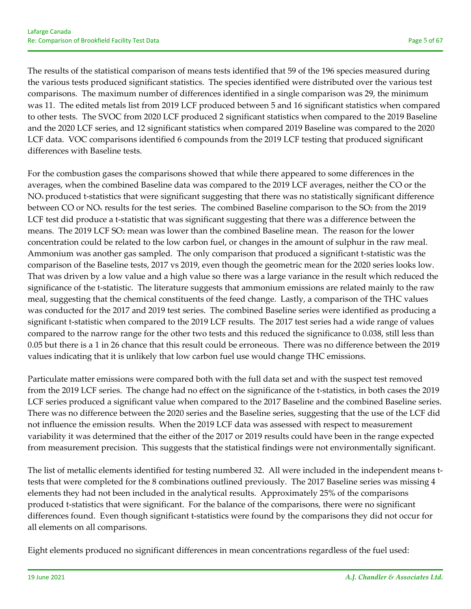The results of the statistical comparison of means tests identified that 59 of the 196 species measured during the various tests produced significant statistics. The species identified were distributed over the various test comparisons. The maximum number of differences identified in a single comparison was 29, the minimum was 11. The edited metals list from 2019 LCF produced between 5 and 16 significant statistics when compared to other tests. The SVOC from 2020 LCF produced 2 significant statistics when compared to the 2019 Baseline and the 2020 LCF series, and 12 significant statistics when compared 2019 Baseline was compared to the 2020 LCF data. VOC comparisons identified 6 compounds from the 2019 LCF testing that produced significant differences with Baseline tests.

For the combustion gases the comparisons showed that while there appeared to some differences in the averages, when the combined Baseline data was compared to the 2019 LCF averages, neither the CO or the NO<sub>x</sub> produced t-statistics that were significant suggesting that there was no statistically significant difference between CO or  $NO<sub>x</sub>$  results for the test series. The combined Baseline comparison to the  $SO<sub>2</sub>$  from the 2019 LCF test did produce a t-statistic that was significant suggesting that there was a difference between the means. The 2019 LCF SO2 mean was lower than the combined Baseline mean. The reason for the lower concentration could be related to the low carbon fuel, or changes in the amount of sulphur in the raw meal. Ammonium was another gas sampled. The only comparison that produced a significant t-statistic was the comparison of the Baseline tests, 2017 vs 2019, even though the geometric mean for the 2020 series looks low. That was driven by a low value and a high value so there was a large variance in the result which reduced the significance of the t-statistic. The literature suggests that ammonium emissions are related mainly to the raw meal, suggesting that the chemical constituents of the feed change. Lastly, a comparison of the THC values was conducted for the 2017 and 2019 test series. The combined Baseline series were identified as producing a significant t-statistic when compared to the 2019 LCF results. The 2017 test series had a wide range of values compared to the narrow range for the other two tests and this reduced the significance to 0.038, still less than 0.05 but there is a 1 in 26 chance that this result could be erroneous. There was no difference between the 2019 values indicating that it is unlikely that low carbon fuel use would change THC emissions.

Particulate matter emissions were compared both with the full data set and with the suspect test removed from the 2019 LCF series. The change had no effect on the significance of the t-statistics, in both cases the 2019 LCF series produced a significant value when compared to the 2017 Baseline and the combined Baseline series. There was no difference between the 2020 series and the Baseline series, suggesting that the use of the LCF did not influence the emission results. When the 2019 LCF data was assessed with respect to measurement variability it was determined that the either of the 2017 or 2019 results could have been in the range expected from measurement precision. This suggests that the statistical findings were not environmentally significant.

The list of metallic elements identified for testing numbered 32. All were included in the independent means ttests that were completed for the 8 combinations outlined previously. The 2017 Baseline series was missing 4 elements they had not been included in the analytical results. Approximately 25% of the comparisons produced t-statistics that were significant. For the balance of the comparisons, there were no significant differences found. Even though significant t‐statistics were found by the comparisons they did not occur for all elements on all comparisons.

Eight elements produced no significant differences in mean concentrations regardless of the fuel used: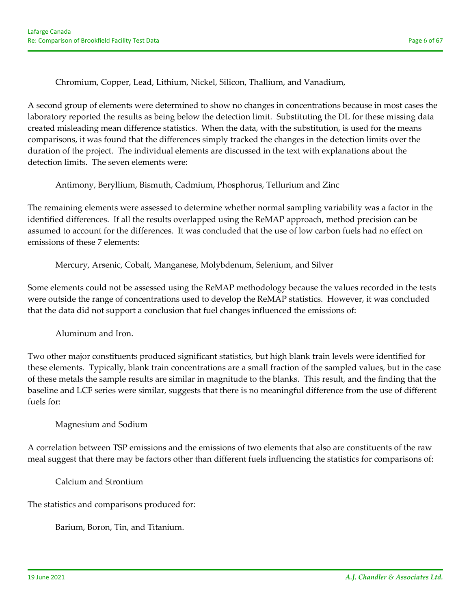Chromium, Copper, Lead, Lithium, Nickel, Silicon, Thallium, and Vanadium,

A second group of elements were determined to show no changes in concentrations because in most cases the laboratory reported the results as being below the detection limit. Substituting the DL for these missing data created misleading mean difference statistics. When the data, with the substitution, is used for the means comparisons, it was found that the differences simply tracked the changes in the detection limits over the duration of the project. The individual elements are discussed in the text with explanations about the detection limits. The seven elements were:

Antimony, Beryllium, Bismuth, Cadmium, Phosphorus, Tellurium and Zinc

The remaining elements were assessed to determine whether normal sampling variability was a factor in the identified differences. If all the results overlapped using the ReMAP approach, method precision can be assumed to account for the differences. It was concluded that the use of low carbon fuels had no effect on emissions of these 7 elements:

Mercury, Arsenic, Cobalt, Manganese, Molybdenum, Selenium, and Silver

Some elements could not be assessed using the ReMAP methodology because the values recorded in the tests were outside the range of concentrations used to develop the ReMAP statistics. However, it was concluded that the data did not support a conclusion that fuel changes influenced the emissions of:

Aluminum and Iron.

Two other major constituents produced significant statistics, but high blank train levels were identified for these elements. Typically, blank train concentrations are a small fraction of the sampled values, but in the case of these metals the sample results are similar in magnitude to the blanks. This result, and the finding that the baseline and LCF series were similar, suggests that there is no meaningful difference from the use of different fuels for:

#### Magnesium and Sodium

A correlation between TSP emissions and the emissions of two elements that also are constituents of the raw meal suggest that there may be factors other than different fuels influencing the statistics for comparisons of:

Calcium and Strontium

The statistics and comparisons produced for:

Barium, Boron, Tin, and Titanium.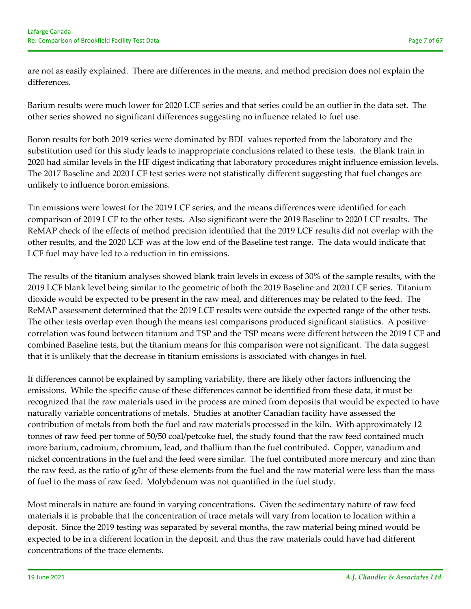are not as easily explained. There are differences in the means, and method precision does not explain the differences.

Barium results were much lower for 2020 LCF series and that series could be an outlier in the data set. The other series showed no significant differences suggesting no influence related to fuel use.

Boron results for both 2019 series were dominated by BDL values reported from the laboratory and the substitution used for this study leads to inappropriate conclusions related to these tests. the Blank train in 2020 had similar levels in the HF digest indicating that laboratory procedures might influence emission levels. The 2017 Baseline and 2020 LCF test series were not statistically different suggesting that fuel changes are unlikely to influence boron emissions.

Tin emissions were lowest for the 2019 LCF series, and the means differences were identified for each comparison of 2019 LCF to the other tests. Also significant were the 2019 Baseline to 2020 LCF results. The ReMAP check of the effects of method precision identified that the 2019 LCF results did not overlap with the other results, and the 2020 LCF was at the low end of the Baseline test range. The data would indicate that LCF fuel may have led to a reduction in tin emissions.

The results of the titanium analyses showed blank train levels in excess of 30% of the sample results, with the 2019 LCF blank level being similar to the geometric of both the 2019 Baseline and 2020 LCF series. Titanium dioxide would be expected to be present in the raw meal, and differences may be related to the feed. The ReMAP assessment determined that the 2019 LCF results were outside the expected range of the other tests. The other tests overlap even though the means test comparisons produced significant statistics. A positive correlation was found between titanium and TSP and the TSP means were different between the 2019 LCF and combined Baseline tests, but the titanium means for this comparison were not significant. The data suggest that it is unlikely that the decrease in titanium emissions is associated with changes in fuel.

If differences cannot be explained by sampling variability, there are likely other factors influencing the emissions. While the specific cause of these differences cannot be identified from these data, it must be recognized that the raw materials used in the process are mined from deposits that would be expected to have naturally variable concentrations of metals. Studies at another Canadian facility have assessed the contribution of metals from both the fuel and raw materials processed in the kiln. With approximately 12 tonnes of raw feed per tonne of 50/50 coal/petcoke fuel, the study found that the raw feed contained much more barium, cadmium, chromium, lead, and thallium than the fuel contributed. Copper, vanadium and nickel concentrations in the fuel and the feed were similar. The fuel contributed more mercury and zinc than the raw feed, as the ratio of g/hr of these elements from the fuel and the raw material were less than the mass of fuel to the mass of raw feed. Molybdenum was not quantified in the fuel study.

Most minerals in nature are found in varying concentrations. Given the sedimentary nature of raw feed materials it is probable that the concentration of trace metals will vary from location to location within a deposit. Since the 2019 testing was separated by several months, the raw material being mined would be expected to be in a different location in the deposit, and thus the raw materials could have had different concentrations of the trace elements.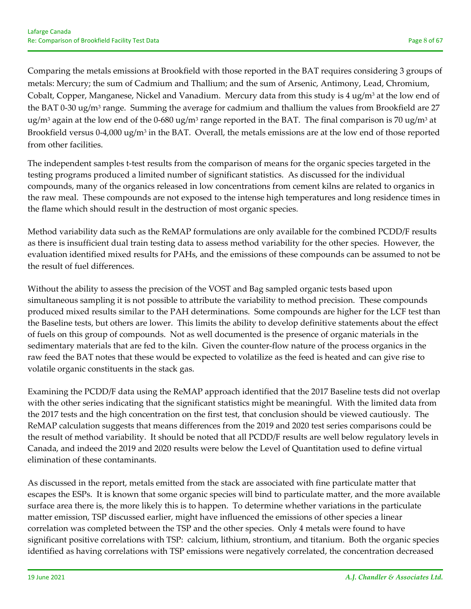Comparing the metals emissions at Brookfield with those reported in the BAT requires considering 3 groups of metals: Mercury; the sum of Cadmium and Thallium; and the sum of Arsenic, Antimony, Lead, Chromium, Cobalt, Copper, Manganese, Nickel and Vanadium. Mercury data from this study is  $4 \text{ ug/m}^3$  at the low end of the BAT 0-30 ug/m<sup>3</sup> range. Summing the average for cadmium and thallium the values from Brookfield are 27 ug/m<sup>3</sup> again at the low end of the 0-680 ug/m<sup>3</sup> range reported in the BAT. The final comparison is 70 ug/m<sup>3</sup> at Brookfield versus 0-4,000 ug/m<sup>3</sup> in the BAT. Overall, the metals emissions are at the low end of those reported from other facilities.

The independent samples t-test results from the comparison of means for the organic species targeted in the testing programs produced a limited number of significant statistics. As discussed for the individual compounds, many of the organics released in low concentrations from cement kilns are related to organics in the raw meal. These compounds are not exposed to the intense high temperatures and long residence times in the flame which should result in the destruction of most organic species.

Method variability data such as the ReMAP formulations are only available for the combined PCDD/F results as there is insufficient dual train testing data to assess method variability for the other species. However, the evaluation identified mixed results for PAHs, and the emissions of these compounds can be assumed to not be the result of fuel differences.

Without the ability to assess the precision of the VOST and Bag sampled organic tests based upon simultaneous sampling it is not possible to attribute the variability to method precision. These compounds produced mixed results similar to the PAH determinations. Some compounds are higher for the LCF test than the Baseline tests, but others are lower. This limits the ability to develop definitive statements about the effect of fuels on this group of compounds. Not as well documented is the presence of organic materials in the sedimentary materials that are fed to the kiln. Given the counter‐flow nature of the process organics in the raw feed the BAT notes that these would be expected to volatilize as the feed is heated and can give rise to volatile organic constituents in the stack gas.

Examining the PCDD/F data using the ReMAP approach identified that the 2017 Baseline tests did not overlap with the other series indicating that the significant statistics might be meaningful. With the limited data from the 2017 tests and the high concentration on the first test, that conclusion should be viewed cautiously. The ReMAP calculation suggests that means differences from the 2019 and 2020 test series comparisons could be the result of method variability. It should be noted that all PCDD/F results are well below regulatory levels in Canada, and indeed the 2019 and 2020 results were below the Level of Quantitation used to define virtual elimination of these contaminants.

As discussed in the report, metals emitted from the stack are associated with fine particulate matter that escapes the ESPs. It is known that some organic species will bind to particulate matter, and the more available surface area there is, the more likely this is to happen. To determine whether variations in the particulate matter emission, TSP discussed earlier, might have influenced the emissions of other species a linear correlation was completed between the TSP and the other species. Only 4 metals were found to have significant positive correlations with TSP: calcium, lithium, strontium, and titanium. Both the organic species identified as having correlations with TSP emissions were negatively correlated, the concentration decreased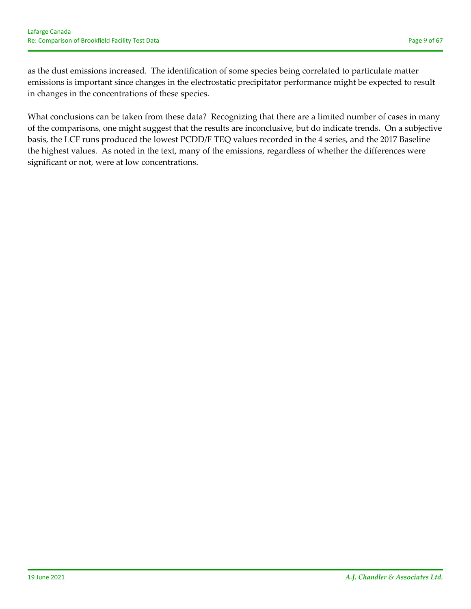as the dust emissions increased. The identification of some species being correlated to particulate matter emissions is important since changes in the electrostatic precipitator performance might be expected to result in changes in the concentrations of these species.

What conclusions can be taken from these data? Recognizing that there are a limited number of cases in many of the comparisons, one might suggest that the results are inconclusive, but do indicate trends. On a subjective basis, the LCF runs produced the lowest PCDD/F TEQ values recorded in the 4 series, and the 2017 Baseline the highest values. As noted in the text, many of the emissions, regardless of whether the differences were significant or not, were at low concentrations.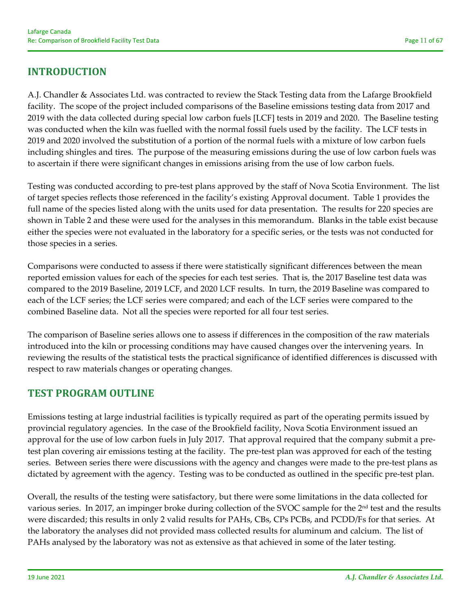# **INTRODUCTION**

A.J. Chandler & Associates Ltd. was contracted to review the Stack Testing data from the Lafarge Brookfield facility. The scope of the project included comparisons of the Baseline emissions testing data from 2017 and 2019 with the data collected during special low carbon fuels [LCF] tests in 2019 and 2020. The Baseline testing was conducted when the kiln was fuelled with the normal fossil fuels used by the facility. The LCF tests in 2019 and 2020 involved the substitution of a portion of the normal fuels with a mixture of low carbon fuels including shingles and tires. The purpose of the measuring emissions during the use of low carbon fuels was to ascertain if there were significant changes in emissions arising from the use of low carbon fuels.

Testing was conducted according to pre‐test plans approved by the staff of Nova Scotia Environment. The list of target species reflects those referenced in the facility's existing Approval document. Table 1 provides the full name of the species listed along with the units used for data presentation. The results for 220 species are shown in Table 2 and these were used for the analyses in this memorandum. Blanks in the table exist because either the species were not evaluated in the laboratory for a specific series, or the tests was not conducted for those species in a series.

Comparisons were conducted to assess if there were statistically significant differences between the mean reported emission values for each of the species for each test series. That is, the 2017 Baseline test data was compared to the 2019 Baseline, 2019 LCF, and 2020 LCF results. In turn, the 2019 Baseline was compared to each of the LCF series; the LCF series were compared; and each of the LCF series were compared to the combined Baseline data. Not all the species were reported for all four test series.

The comparison of Baseline series allows one to assess if differences in the composition of the raw materials introduced into the kiln or processing conditions may have caused changes over the intervening years. In reviewing the results of the statistical tests the practical significance of identified differences is discussed with respect to raw materials changes or operating changes.

# **TEST PROGRAM OUTLINE**

Emissions testing at large industrial facilities is typically required as part of the operating permits issued by provincial regulatory agencies. In the case of the Brookfield facility, Nova Scotia Environment issued an approval for the use of low carbon fuels in July 2017. That approval required that the company submit a pretest plan covering air emissions testing at the facility. The pre‐test plan was approved for each of the testing series. Between series there were discussions with the agency and changes were made to the pre-test plans as dictated by agreement with the agency. Testing was to be conducted as outlined in the specific pre‐test plan.

Overall, the results of the testing were satisfactory, but there were some limitations in the data collected for various series. In 2017, an impinger broke during collection of the SVOC sample for the 2<sup>nd</sup> test and the results were discarded; this results in only 2 valid results for PAHs, CBs, CPs PCBs, and PCDD/Fs for that series. At the laboratory the analyses did not provided mass collected results for aluminum and calcium. The list of PAHs analysed by the laboratory was not as extensive as that achieved in some of the later testing.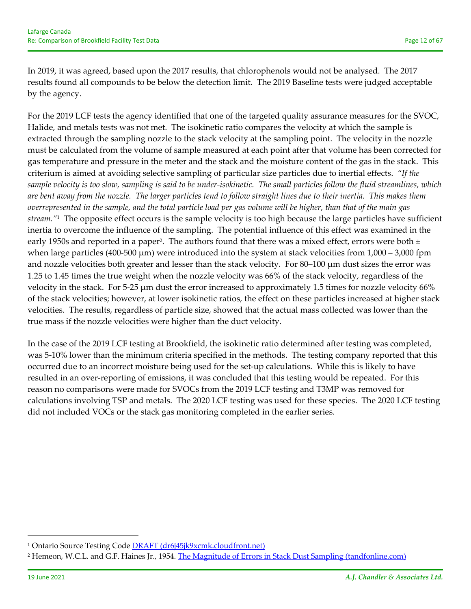In 2019, it was agreed, based upon the 2017 results, that chlorophenols would not be analysed. The 2017 results found all compounds to be below the detection limit. The 2019 Baseline tests were judged acceptable by the agency.

For the 2019 LCF tests the agency identified that one of the targeted quality assurance measures for the SVOC, Halide, and metals tests was not met. The isokinetic ratio compares the velocity at which the sample is extracted through the sampling nozzle to the stack velocity at the sampling point. The velocity in the nozzle must be calculated from the volume of sample measured at each point after that volume has been corrected for gas temperature and pressure in the meter and the stack and the moisture content of the gas in the stack. This criterium is aimed at avoiding selective sampling of particular size particles due to inertial effects. *"If the* sample velocity is too slow, sampling is said to be under-isokinetic. The small particles follow the fluid streamlines, which are bent away from the nozzle. The larger particles tend to follow straight lines due to their inertia. This makes them overrepresented in the sample, and the total particle load per gas volume will be higher, than that of the main gas *stream."*<sup>1</sup> The opposite effect occurs is the sample velocity is too high because the large particles have sufficient inertia to overcome the influence of the sampling. The potential influence of this effect was examined in the early 1950s and reported in a paper<sup>2</sup>. The authors found that there was a mixed effect, errors were both  $\pm$ when large particles (400-500 μm) were introduced into the system at stack velocities from 1,000 – 3,000 fpm and nozzle velocities both greater and lesser than the stack velocity. For 80–100 μm dust sizes the error was 1.25 to 1.45 times the true weight when the nozzle velocity was 66% of the stack velocity, regardless of the velocity in the stack. For 5‐25 μm dust the error increased to approximately 1.5 times for nozzle velocity 66% of the stack velocities; however, at lower isokinetic ratios, the effect on these particles increased at higher stack velocities. The results, regardless of particle size, showed that the actual mass collected was lower than the true mass if the nozzle velocities were higher than the duct velocity.

In the case of the 2019 LCF testing at Brookfield, the isokinetic ratio determined after testing was completed, was 5-10% lower than the minimum criteria specified in the methods. The testing company reported that this occurred due to an incorrect moisture being used for the set‐up calculations. While this is likely to have resulted in an over-reporting of emissions, it was concluded that this testing would be repeated. For this reason no comparisons were made for SVOCs from the 2019 LCF testing and T3MP was removed for calculations involving TSP and metals. The 2020 LCF testing was used for these species. The 2020 LCF testing did not included VOCs or the stack gas monitoring completed in the earlier series.

<sup>&</sup>lt;sup>1</sup> Ontario Source Testing Code **DRAFT** (dr6j45jk9xcmk.cloudfront.net)

<sup>&</sup>lt;sup>2</sup> Hemeon, W.C.L. and G.F. Haines Jr., 1954. The Magnitude of Errors in Stack Dust Sampling (tandfonline.com)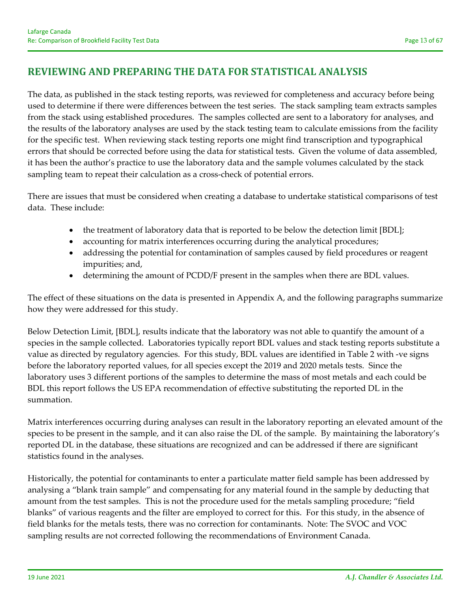# **REVIEWING AND PREPARING THE DATA FOR STATISTICAL ANALYSIS**

The data, as published in the stack testing reports, was reviewed for completeness and accuracy before being used to determine if there were differences between the test series. The stack sampling team extracts samples from the stack using established procedures. The samples collected are sent to a laboratory for analyses, and the results of the laboratory analyses are used by the stack testing team to calculate emissions from the facility for the specific test. When reviewing stack testing reports one might find transcription and typographical errors that should be corrected before using the data for statistical tests. Given the volume of data assembled, it has been the author's practice to use the laboratory data and the sample volumes calculated by the stack sampling team to repeat their calculation as a cross-check of potential errors.

There are issues that must be considered when creating a database to undertake statistical comparisons of test data. These include:

- the treatment of laboratory data that is reported to be below the detection limit [BDL];
- accounting for matrix interferences occurring during the analytical procedures;
- addressing the potential for contamination of samples caused by field procedures or reagent impurities; and,
- determining the amount of PCDD/F present in the samples when there are BDL values.

The effect of these situations on the data is presented in Appendix A, and the following paragraphs summarize how they were addressed for this study.

Below Detection Limit, [BDL], results indicate that the laboratory was not able to quantify the amount of a species in the sample collected. Laboratories typically report BDL values and stack testing reports substitute a value as directed by regulatory agencies. For this study, BDL values are identified in Table 2 with ‐ve signs before the laboratory reported values, for all species except the 2019 and 2020 metals tests. Since the laboratory uses 3 different portions of the samples to determine the mass of most metals and each could be BDL this report follows the US EPA recommendation of effective substituting the reported DL in the summation.

Matrix interferences occurring during analyses can result in the laboratory reporting an elevated amount of the species to be present in the sample, and it can also raise the DL of the sample. By maintaining the laboratory's reported DL in the database, these situations are recognized and can be addressed if there are significant statistics found in the analyses.

Historically, the potential for contaminants to enter a particulate matter field sample has been addressed by analysing a "blank train sample" and compensating for any material found in the sample by deducting that amount from the test samples. This is not the procedure used for the metals sampling procedure; "field blanks" of various reagents and the filter are employed to correct for this. For this study, in the absence of field blanks for the metals tests, there was no correction for contaminants. Note: The SVOC and VOC sampling results are not corrected following the recommendations of Environment Canada.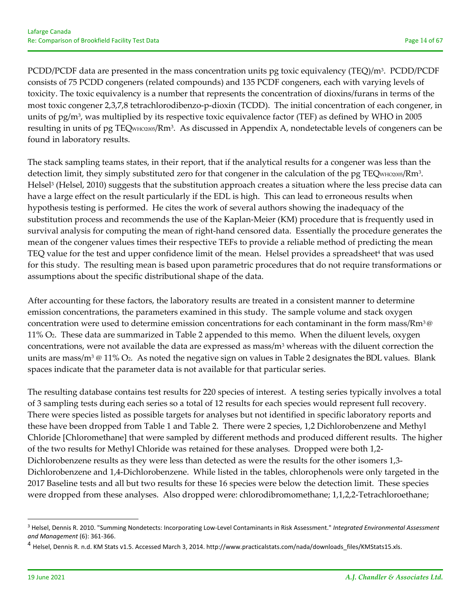PCDD/PCDF data are presented in the mass concentration units pg toxic equivalency (TEQ)/m<sup>3</sup>. PCDD/PCDF consists of 75 PCDD congeners (related compounds) and 135 PCDF congeners, each with varying levels of toxicity. The toxic equivalency is a number that represents the concentration of dioxins/furans in terms of the most toxic congener 2,3,7,8 tetrachlorodibenzo‐p‐dioxin (TCDD). The initial concentration of each congener, in units of  $pg/m<sup>3</sup>$ , was multiplied by its respective toxic equivalence factor (TEF) as defined by WHO in 2005 resulting in units of pg TEQWHO2005/Rm3. As discussed in Appendix A, nondetectable levels of congeners can be found in laboratory results.

The stack sampling teams states, in their report, that if the analytical results for a congener was less than the detection limit, they simply substituted zero for that congener in the calculation of the pg  $TEQ_{WHO2005}/Rm<sup>3</sup>$ . Helsel<sup>3</sup> (Helsel, 2010) suggests that the substitution approach creates a situation where the less precise data can have a large effect on the result particularly if the EDL is high. This can lead to erroneous results when hypothesis testing is performed. He cites the work of several authors showing the inadequacy of the substitution process and recommends the use of the Kaplan‐Meier (KM) procedure that is frequently used in survival analysis for computing the mean of right-hand censored data. Essentially the procedure generates the mean of the congener values times their respective TEFs to provide a reliable method of predicting the mean TEQ value for the test and upper confidence limit of the mean. Helsel provides a spreadsheet<sup>4</sup> that was used for this study. The resulting mean is based upon parametric procedures that do not require transformations or assumptions about the specific distributional shape of the data.

After accounting for these factors, the laboratory results are treated in a consistent manner to determine emission concentrations, the parameters examined in this study. The sample volume and stack oxygen concentration were used to determine emission concentrations for each contaminant in the form mass/Rm3@ 11% O2. These data are summarized in Table 2 appended to this memo. When the diluent levels, oxygen concentrations, were not available the data are expressed as mass/m3 whereas with the diluent correction the units are mass/m<sup>3</sup>  $@ 11\%$  O<sub>2</sub>. As noted the negative sign on values in Table 2 designates the BDL values. Blank spaces indicate that the parameter data is not available for that particular series.

The resulting database contains test results for 220 species of interest. A testing series typically involves a total of 3 sampling tests during each series so a total of 12 results for each species would represent full recovery. There were species listed as possible targets for analyses but not identified in specific laboratory reports and these have been dropped from Table 1 and Table 2. There were 2 species, 1,2 Dichlorobenzene and Methyl Chloride [Chloromethane] that were sampled by different methods and produced different results. The higher of the two results for Methyl Chloride was retained for these analyses. Dropped were both 1,2‐ Dichlorobenzene results as they were less than detected as were the results for the other isomers 1,3-Dichlorobenzene and 1,4‐Dichlorobenzene. While listed in the tables, chlorophenols were only targeted in the 2017 Baseline tests and all but two results for these 16 species were below the detection limit. These species were dropped from these analyses. Also dropped were: chlorodibromomethane; 1,1,2,2-Tetrachloroethane;

<sup>3</sup> Helsel, Dennis R. 2010. "Summing Nondetects: Incorporating Low‐Level Contaminants in Risk Assessment." *Integrated Environmental Assessment and Management* (6): 361‐366.

<sup>&</sup>lt;sup>4</sup> Helsel, Dennis R. n.d. KM Stats v1.5. Accessed March 3, 2014. http://www.practicalstats.com/nada/downloads\_files/KMStats15.xls.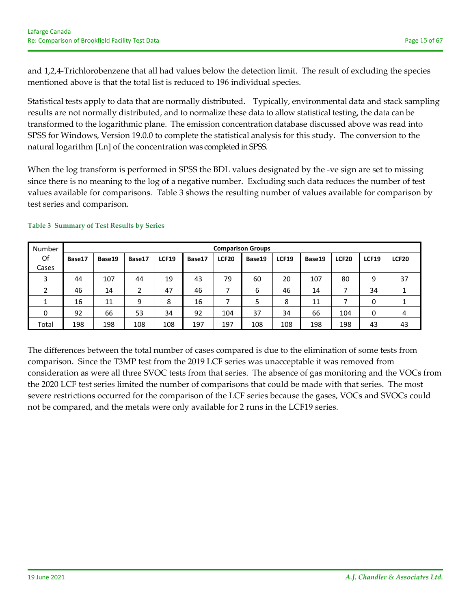and 1,2,4‐Trichlorobenzene that all had values below the detection limit. The result of excluding the species mentioned above is that the total list is reduced to 196 individual species.

Statistical tests apply to data that are normally distributed. Typically, environmental data and stack sampling results are not normally distributed, and to normalize these data to allow statistical testing, the data can be transformed to the logarithmic plane. The emission concentration database discussed above was read into SPSS for Windows, Version 19.0.0 to complete the statistical analysis for this study. The conversion to the natural logarithm [Ln] of the concentration was completed in SPSS.

When the log transform is performed in SPSS the BDL values designated by the -ve sign are set to missing since there is no meaning to the log of a negative number. Excluding such data reduces the number of test values available for comparisons. Table 3 shows the resulting number of values available for comparison by test series and comparison.

| Number |        | <b>Comparison Groups</b> |        |              |        |              |        |              |        |              |              |              |
|--------|--------|--------------------------|--------|--------------|--------|--------------|--------|--------------|--------|--------------|--------------|--------------|
| Of     | Base17 | Base19                   | Base17 | <b>LCF19</b> | Base17 | <b>LCF20</b> | Base19 | <b>LCF19</b> | Base19 | <b>LCF20</b> | <b>LCF19</b> | <b>LCF20</b> |
| Cases  |        |                          |        |              |        |              |        |              |        |              |              |              |
| 3      | 44     | 107                      | 44     | 19           | 43     | 79           | 60     | 20           | 107    | 80           | 9            | 37           |
| 2      | 46     | 14                       | 2      | 47           | 46     |              | 6      | 46           | 14     |              | 34           |              |
|        | 16     | 11                       | 9      | 8            | 16     |              | 5      | 8            | 11     | ⇁            | 0            |              |
| 0      | 92     | 66                       | 53     | 34           | 92     | 104          | 37     | 34           | 66     | 104          | 0            | 4            |
| Total  | 198    | 198                      | 108    | 108          | 197    | 197          | 108    | 108          | 198    | 198          | 43           | 43           |

#### **Table 3 Summary of Test Results by Series**

The differences between the total number of cases compared is due to the elimination of some tests from comparison. Since the T3MP test from the 2019 LCF series was unacceptable it was removed from consideration as were all three SVOC tests from that series. The absence of gas monitoring and the VOCs from the 2020 LCF test series limited the number of comparisons that could be made with that series. The most severe restrictions occurred for the comparison of the LCF series because the gases, VOCs and SVOCs could not be compared, and the metals were only available for 2 runs in the LCF19 series.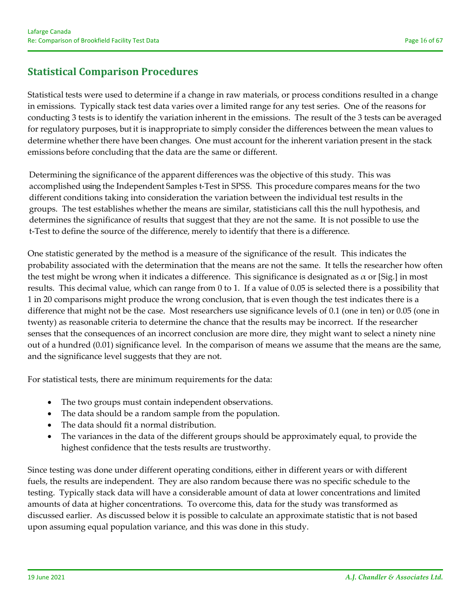# **Statistical Comparison Procedures**

Statistical tests were used to determine if a change in raw materials, or process conditions resulted in a change in emissions. Typically stack test data varies over a limited range for any test series. One of the reasons for conducting 3 tests is to identify the variation inherent in the emissions. The result of the 3 tests can be averaged for regulatory purposes, but it is inappropriate to simply consider the differences between the mean values to determine whether there have been changes. One must account for the inherent variation present in the stack emissions before concluding that the data are the same or different.

Determining the significance of the apparent differences was the objective of this study. This was accomplished using the Independent Samples t‐Test in SPSS. This procedure compares means for the two different conditions taking into consideration the variation between the individual test results in the groups. The test establishes whether the means are similar, statisticians call this the null hypothesis, and determines the significance of results that suggest that they are not the same. It is not possible to use the t-Test to define the source of the difference, merely to identify that there is a difference.

One statistic generated by the method is a measure of the significance of the result. This indicates the probability associated with the determination that the means are not the same. It tells the researcher how often the test might be wrong when it indicates a difference. This significance is designated as  $\alpha$  or [Sig.] in most results. This decimal value, which can range from 0 to 1. If a value of 0.05 is selected there is a possibility that 1 in 20 comparisons might produce the wrong conclusion, that is even though the test indicates there is a difference that might not be the case. Most researchers use significance levels of 0.1 (one in ten) or 0.05 (one in twenty) as reasonable criteria to determine the chance that the results may be incorrect. If the researcher senses that the consequences of an incorrect conclusion are more dire, they might want to select a ninety nine out of a hundred (0.01) significance level. In the comparison of means we assume that the means are the same, and the significance level suggests that they are not.

For statistical tests, there are minimum requirements for the data:

- The two groups must contain independent observations.
- The data should be a random sample from the population.
- The data should fit a normal distribution.
- The variances in the data of the different groups should be approximately equal, to provide the highest confidence that the tests results are trustworthy.

Since testing was done under different operating conditions, either in different years or with different fuels, the results are independent. They are also random because there was no specific schedule to the testing. Typically stack data will have a considerable amount of data at lower concentrations and limited amounts of data at higher concentrations. To overcome this, data for the study was transformed as discussed earlier. As discussed below it is possible to calculate an approximate statistic that is not based upon assuming equal population variance, and this was done in this study.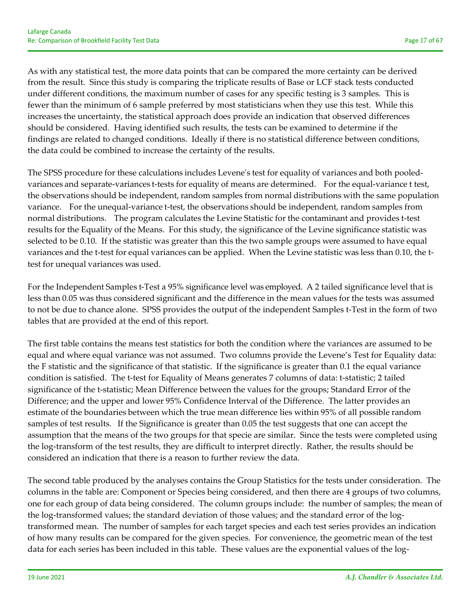As with any statistical test, the more data points that can be compared the more certainty can be derived from the result. Since this study is comparing the triplicate results of Base or LCF stack tests conducted under different conditions, the maximum number of cases for any specific testing is 3 samples. This is fewer than the minimum of 6 sample preferred by most statisticians when they use this test. While this increases the uncertainty, the statistical approach does provide an indication that observed differences should be considered. Having identified such results, the tests can be examined to determine if the findings are related to changed conditions. Ideally if there is no statistical difference between conditions, the data could be combined to increase the certainty of the results.

The SPSS procedure for these calculations includes Levene's test for equality of variances and both pooledvariances and separate-variances t-tests for equality of means are determined. For the equal-variance t test, the observations should be independent, random samples from normal distributions with the same population variance. For the unequal-variance t-test, the observations should be independent, random samples from normal distributions. The program calculates the Levine Statistic for the contaminant and provides t-test results for the Equality of the Means. For this study, the significance of the Levine significance statistic was selected to be 0.10. If the statistic was greater than this the two sample groups were assumed to have equal variances and the t-test for equal variances can be applied. When the Levine statistic was less than 0.10, the ttest for unequal variances was used.

For the Independent Samples t‐Test a 95% significance level was employed. A 2 tailed significance level that is less than 0.05 was thus considered significant and the difference in the mean values for the tests was assumed to not be due to chance alone. SPSS provides the output of the independent Samples t‐Test in the form of two tables that are provided at the end of this report.

The first table contains the means test statistics for both the condition where the variances are assumed to be equal and where equal variance was not assumed. Two columns provide the Levene's Test for Equality data: the F statistic and the significance of that statistic. If the significance is greater than 0.1 the equal variance condition is satisfied. The t-test for Equality of Means generates 7 columns of data: t-statistic; 2 tailed significance of the t-statistic; Mean Difference between the values for the groups; Standard Error of the Difference; and the upper and lower 95% Confidence Interval of the Difference. The latter provides an estimate of the boundaries between which the true mean difference lies within 95% of all possible random samples of test results. If the Significance is greater than 0.05 the test suggests that one can accept the assumption that the means of the two groups for that specie are similar. Since the tests were completed using the log‐transform of the test results, they are difficult to interpret directly. Rather, the results should be considered an indication that there is a reason to further review the data.

The second table produced by the analyses contains the Group Statistics for the tests under consideration. The columns in the table are: Component or Species being considered, and then there are 4 groups of two columns, one for each group of data being considered. The column groups include: the number of samples; the mean of the log-transformed values; the standard deviation of those values; and the standard error of the logtransformed mean. The number of samples for each target species and each test series provides an indication of how many results can be compared for the given species. For convenience, the geometric mean of the test data for each series has been included in this table. These values are the exponential values of the log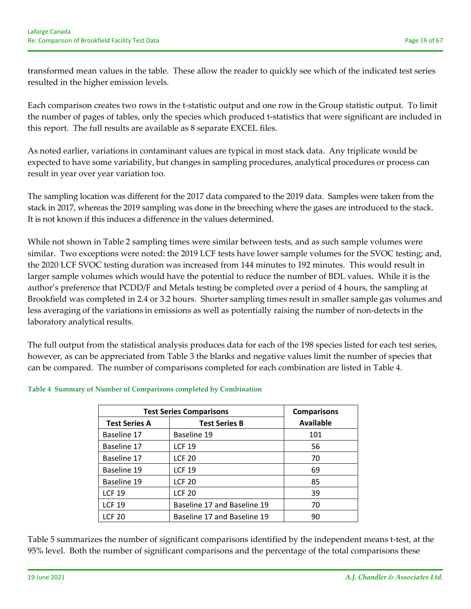transformed mean values in the table. These allow the reader to quickly see which of the indicated test series resulted in the higher emission levels.

Each comparison creates two rows in the t‐statistic output and one row in the Group statistic output. To limit the number of pages of tables, only the species which produced t‐statistics that were significant are included in this report. The full results are available as 8 separate EXCEL files.

As noted earlier, variations in contaminant values are typical in most stack data. Any triplicate would be expected to have some variability, but changes in sampling procedures, analytical procedures or process can result in year over year variation too.

The sampling location was different for the 2017 data compared to the 2019 data. Samples were taken from the stack in 2017, whereas the 2019 sampling was done in the breeching where the gases are introduced to the stack. It is not known if this induces a difference in the values determined.

While not shown in Table 2 sampling times were similar between tests, and as such sample volumes were similar. Two exceptions were noted: the 2019 LCF tests have lower sample volumes for the SVOC testing; and, the 2020 LCF SVOC testing duration was increased from 144 minutes to 192 minutes. This would result in larger sample volumes which would have the potential to reduce the number of BDL values. While it is the author's preference that PCDD/F and Metals testing be completed over a period of 4 hours, the sampling at Brookfield was completed in 2.4 or 3.2 hours. Shorter sampling times result in smaller sample gas volumes and less averaging of the variations in emissions as well as potentially raising the number of non‐detects in the laboratory analytical results.

The full output from the statistical analysis produces data for each of the 198 species listed for each test series, however, as can be appreciated from Table 3 the blanks and negative values limit the number of species that can be compared. The number of comparisons completed for each combination are listed in Table 4.

|                      | <b>Test Series Comparisons</b> |                  |  |  |  |
|----------------------|--------------------------------|------------------|--|--|--|
| <b>Test Series A</b> | <b>Test Series B</b>           | <b>Available</b> |  |  |  |
| Baseline 17          | Baseline 19                    | 101              |  |  |  |
| Baseline 17          | <b>LCF 19</b>                  | 56               |  |  |  |
| Baseline 17          | <b>LCF 20</b>                  | 70               |  |  |  |
| Baseline 19          | <b>LCF 19</b>                  | 69               |  |  |  |
| Baseline 19          | <b>LCF 20</b>                  | 85               |  |  |  |
| <b>LCF 19</b>        | <b>LCF 20</b>                  | 39               |  |  |  |
| <b>LCF 19</b>        | Baseline 17 and Baseline 19    |                  |  |  |  |
| <b>LCF 20</b>        | Baseline 17 and Baseline 19    | 90               |  |  |  |

#### **Table 4 Summary of Number of Comparisons completed by Combination**

Table 5 summarizes the number of significant comparisons identified by the independent means t-test, at the 95% level. Both the number of significant comparisons and the percentage of the total comparisons these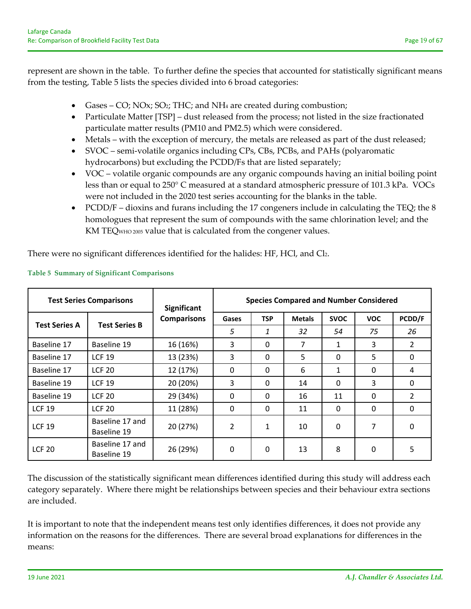represent are shown in the table. To further define the species that accounted for statistically significant means from the testing, Table 5 lists the species divided into 6 broad categories:

- Gases CO; NOx; SO<sub>2</sub>; THC; and NH<sub>4</sub> are created during combustion;
- Particulate Matter [TSP] dust released from the process; not listed in the size fractionated particulate matter results (PM10 and PM2.5) which were considered.
- Metals with the exception of mercury, the metals are released as part of the dust released;
- SVOC semi-volatile organics including CPs, CBs, PCBs, and PAHs (polyaromatic hydrocarbons) but excluding the PCDD/Fs that are listed separately;
- VOC volatile organic compounds are any organic compounds having an initial boiling point less than or equal to 250° C measured at a standard atmospheric pressure of 101.3 kPa. VOCs were not included in the 2020 test series accounting for the blanks in the table.
- PCDD/F dioxins and furans including the 17 congeners include in calculating the TEQ; the 8 homologues that represent the sum of compounds with the same chlorination level; and the KM TEQWHO <sup>2005</sup> value that is calculated from the congener values.

There were no significant differences identified for the halides: HF, HCl, and Cl2.

| <b>Test Series Comparisons</b> |                                | <b>Significant</b> | <b>Species Compared and Number Considered</b> |              |               |              |              |                |  |
|--------------------------------|--------------------------------|--------------------|-----------------------------------------------|--------------|---------------|--------------|--------------|----------------|--|
|                                | <b>Test Series B</b>           | <b>Comparisons</b> | Gases                                         | <b>TSP</b>   | <b>Metals</b> | <b>SVOC</b>  | <b>VOC</b>   | PCDD/F         |  |
| <b>Test Series A</b>           |                                |                    | 5                                             | 1            | 32            | 54           | 75           | 26             |  |
| Baseline 17                    | Baseline 19                    | 16 (16%)           | 3                                             | 0            | 7             | 1            | 3            | 2              |  |
| Baseline 17                    | <b>LCF 19</b>                  | 13 (23%)           | 3                                             | $\mathbf{0}$ | 5             | $\Omega$     | 5            | $\mathbf{0}$   |  |
| Baseline 17                    | <b>LCF 20</b>                  | 12 (17%)           | 0                                             | 0            | 6             | 1            | $\mathbf{0}$ | 4              |  |
| Baseline 19                    | <b>LCF 19</b>                  | 20 (20%)           | 3                                             | 0            | 14            | $\mathbf{0}$ | 3            | $\mathbf{0}$   |  |
| Baseline 19                    | <b>LCF 20</b>                  | 29 (34%)           | $\Omega$                                      | $\Omega$     | 16            | 11           | $\Omega$     | $\overline{2}$ |  |
| <b>LCF 19</b>                  | <b>LCF 20</b>                  | 11 (28%)           | $\mathbf{0}$                                  | 0            | 11            | $\mathbf{0}$ | $\Omega$     | $\mathbf{0}$   |  |
| <b>LCF 19</b>                  | Baseline 17 and<br>Baseline 19 | 20 (27%)           | $\overline{2}$                                | $\mathbf{1}$ | 10            | $\mathbf{0}$ | 7            | $\mathbf{0}$   |  |
| <b>LCF 20</b>                  | Baseline 17 and<br>Baseline 19 | 26 (29%)           | 0                                             | 0            | 13            | 8            | 0            | 5              |  |

#### **Table 5 Summary of Significant Comparisons**

The discussion of the statistically significant mean differences identified during this study will address each category separately. Where there might be relationships between species and their behaviour extra sections are included.

It is important to note that the independent means test only identifies differences, it does not provide any information on the reasons for the differences. There are several broad explanations for differences in the means: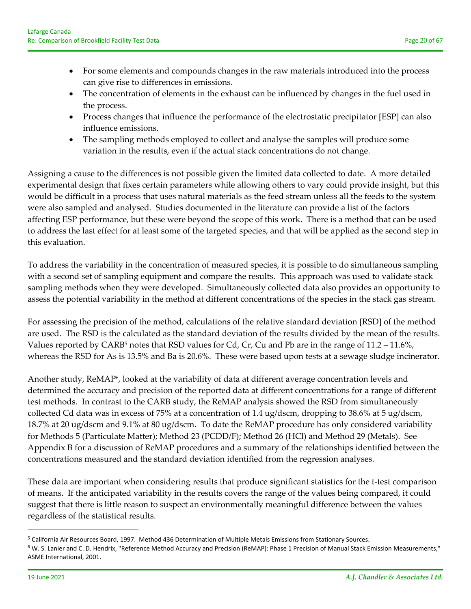- For some elements and compounds changes in the raw materials introduced into the process can give rise to differences in emissions.
- The concentration of elements in the exhaust can be influenced by changes in the fuel used in the process.
- Process changes that influence the performance of the electrostatic precipitator [ESP] can also influence emissions.
- The sampling methods employed to collect and analyse the samples will produce some variation in the results, even if the actual stack concentrations do not change.

Assigning a cause to the differences is not possible given the limited data collected to date. A more detailed experimental design that fixes certain parameters while allowing others to vary could provide insight, but this would be difficult in a process that uses natural materials as the feed stream unless all the feeds to the system were also sampled and analysed. Studies documented in the literature can provide a list of the factors affecting ESP performance, but these were beyond the scope of this work. There is a method that can be used to address the last effect for at least some of the targeted species, and that will be applied as the second step in this evaluation.

To address the variability in the concentration of measured species, it is possible to do simultaneous sampling with a second set of sampling equipment and compare the results. This approach was used to validate stack sampling methods when they were developed. Simultaneously collected data also provides an opportunity to assess the potential variability in the method at different concentrations of the species in the stack gas stream.

For assessing the precision of the method, calculations of the relative standard deviation [RSD] of the method are used. The RSD is the calculated as the standard deviation of the results divided by the mean of the results. Values reported by CARB<sup>5</sup> notes that RSD values for Cd, Cr, Cu and Pb are in the range of  $11.2 - 11.6\%$ , whereas the RSD for As is 13.5% and Ba is 20.6%. These were based upon tests at a sewage sludge incinerator.

Another study, ReMAP<sup>6</sup>, looked at the variability of data at different average concentration levels and determined the accuracy and precision of the reported data at different concentrations for a range of different test methods. In contrast to the CARB study, the ReMAP analysis showed the RSD from simultaneously collected Cd data was in excess of 75% at a concentration of 1.4 ug/dscm, dropping to 38.6% at 5 ug/dscm, 18.7% at 20 ug/dscm and 9.1% at 80 ug/dscm. To date the ReMAP procedure has only considered variability for Methods 5 (Particulate Matter); Method 23 (PCDD/F); Method 26 (HCl) and Method 29 (Metals). See Appendix B for a discussion of ReMAP procedures and a summary of the relationships identified between the concentrations measured and the standard deviation identified from the regression analyses.

These data are important when considering results that produce significant statistics for the t-test comparison of means. If the anticipated variability in the results covers the range of the values being compared, it could suggest that there is little reason to suspect an environmentally meaningful difference between the values regardless of the statistical results.

<sup>5</sup> California Air Resources Board, 1997. Method 436 Determination of Multiple Metals Emissions from Stationary Sources.

<sup>6</sup> W. S. Lanier and C. D. Hendrix, "Reference Method Accuracy and Precision (ReMAP): Phase 1 Precision of Manual Stack Emission Measurements," ASME International, 2001.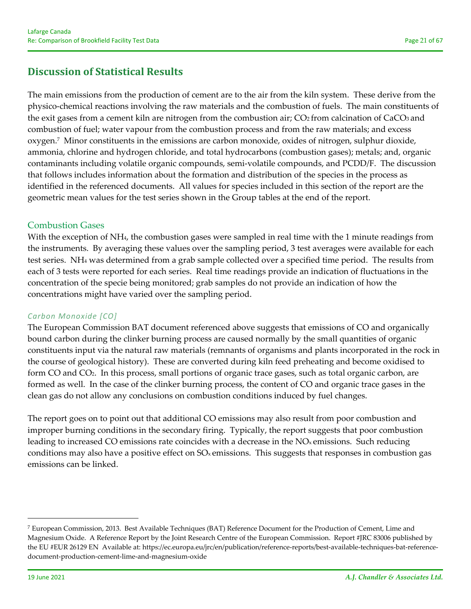# **Discussion of Statistical Results**

The main emissions from the production of cement are to the air from the kiln system. These derive from the physico‐chemical reactions involving the raw materials and the combustion of fuels. The main constituents of the exit gases from a cement kiln are nitrogen from the combustion air; CO2 from calcination of CaCO3 and combustion of fuel; water vapour from the combustion process and from the raw materials; and excess oxygen.7 Minor constituents in the emissions are carbon monoxide, oxides of nitrogen, sulphur dioxide, ammonia, chlorine and hydrogen chloride, and total hydrocarbons (combustion gases); metals; and, organic contaminants including volatile organic compounds, semi‐volatile compounds, and PCDD/F. The discussion that follows includes information about the formation and distribution of the species in the process as identified in the referenced documents. All values for species included in this section of the report are the geometric mean values for the test series shown in the Group tables at the end of the report.

## Combustion Gases

With the exception of NH<sub>4</sub>, the combustion gases were sampled in real time with the 1 minute readings from the instruments. By averaging these values over the sampling period, 3 test averages were available for each test series. NH4 was determined from a grab sample collected over a specified time period. The results from each of 3 tests were reported for each series. Real time readings provide an indication of fluctuations in the concentration of the specie being monitored; grab samples do not provide an indication of how the concentrations might have varied over the sampling period.

### *Carbon Monoxide [CO]*

The European Commission BAT document referenced above suggests that emissions of CO and organically bound carbon during the clinker burning process are caused normally by the small quantities of organic constituents input via the natural raw materials (remnants of organisms and plants incorporated in the rock in the course of geological history). These are converted during kiln feed preheating and become oxidised to form CO and CO2. In this process, small portions of organic trace gases, such as total organic carbon, are formed as well. In the case of the clinker burning process, the content of CO and organic trace gases in the clean gas do not allow any conclusions on combustion conditions induced by fuel changes.

The report goes on to point out that additional CO emissions may also result from poor combustion and improper burning conditions in the secondary firing. Typically, the report suggests that poor combustion leading to increased CO emissions rate coincides with a decrease in the NO<sub>x</sub> emissions. Such reducing conditions may also have a positive effect on SOx emissions. This suggests that responses in combustion gas emissions can be linked.

<sup>7</sup> European Commission, 2013. Best Available Techniques (BAT) Reference Document for the Production of Cement, Lime and Magnesium Oxide. A Reference Report by the Joint Research Centre of the European Commission. Report #JRC 83006 published by the EU #EUR 26129 EN Available at: https://ec.europa.eu/jrc/en/publication/reference-reports/best-available-techniques-bat-referencedocument‐production‐cement‐lime‐and‐magnesium‐oxide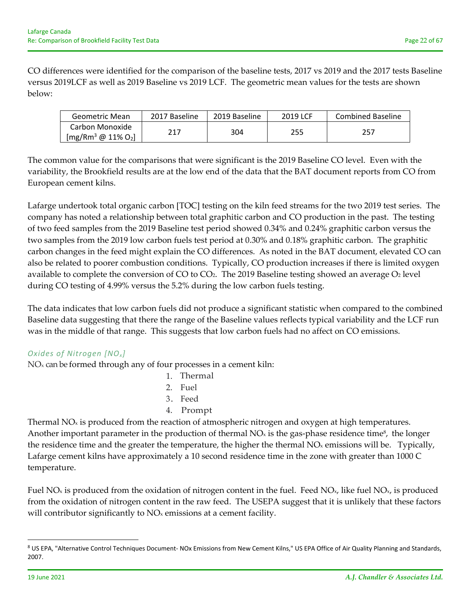CO differences were identified for the comparison of the baseline tests, 2017 vs 2019 and the 2017 tests Baseline versus 2019LCF as well as 2019 Baseline vs 2019 LCF. The geometric mean values for the tests are shown below:

| Geometric Mean      | 2017 Baseline | 2019 Baseline | 2019 LCF | <b>Combined Baseline</b> |
|---------------------|---------------|---------------|----------|--------------------------|
| Carbon Monoxide     | 217           | 304           | 255      | 257                      |
| $[mg/Rm3 @ 11% O2]$ |               |               |          |                          |

The common value for the comparisons that were significant is the 2019 Baseline CO level. Even with the variability, the Brookfield results are at the low end of the data that the BAT document reports from CO from European cement kilns.

Lafarge undertook total organic carbon [TOC] testing on the kiln feed streams for the two 2019 test series. The company has noted a relationship between total graphitic carbon and CO production in the past. The testing of two feed samples from the 2019 Baseline test period showed 0.34% and 0.24% graphitic carbon versus the two samples from the 2019 low carbon fuels test period at 0.30% and 0.18% graphitic carbon. The graphitic carbon changes in the feed might explain the CO differences. As noted in the BAT document, elevated CO can also be related to poorer combustion conditions. Typically, CO production increases if there is limited oxygen available to complete the conversion of CO to CO<sub>2</sub>. The 2019 Baseline testing showed an average O<sub>2</sub> level during CO testing of 4.99% versus the 5.2% during the low carbon fuels testing.

The data indicates that low carbon fuels did not produce a significant statistic when compared to the combined Baseline data suggesting that there the range of the Baseline values reflects typical variability and the LCF run was in the middle of that range. This suggests that low carbon fuels had no affect on CO emissions.

# *Oxides of Nitrogen [NO<sub>x</sub>]*

NO<sub>x</sub> can be formed through any of four processes in a cement kiln:

- 1. Thermal
- $2.$  Fuel
- 3. Feed
- 4. Prompt

Thermal  $NO<sub>x</sub>$  is produced from the reaction of atmospheric nitrogen and oxygen at high temperatures. Another important parameter in the production of thermal  $NO<sub>x</sub>$  is the gas-phase residence time<sup>8</sup>, the longer the residence time and the greater the temperature, the higher the thermal  $NO<sub>x</sub>$  emissions will be. Typically, Lafarge cement kilns have approximately a 10 second residence time in the zone with greater than 1000 C temperature.

Fuel NO<sub>x</sub> is produced from the oxidation of nitrogen content in the fuel. Feed NO<sub>x</sub>, like fuel NO<sub>x</sub>, is produced from the oxidation of nitrogen content in the raw feed. The USEPA suggest that it is unlikely that these factors will contributor significantly to  $NO<sub>x</sub>$  emissions at a cement facility.

<sup>8</sup> US EPA, "Alternative Control Techniques Document- NOx Emissions from New Cement Kilns," US EPA Office of Air Quality Planning and Standards, 2007.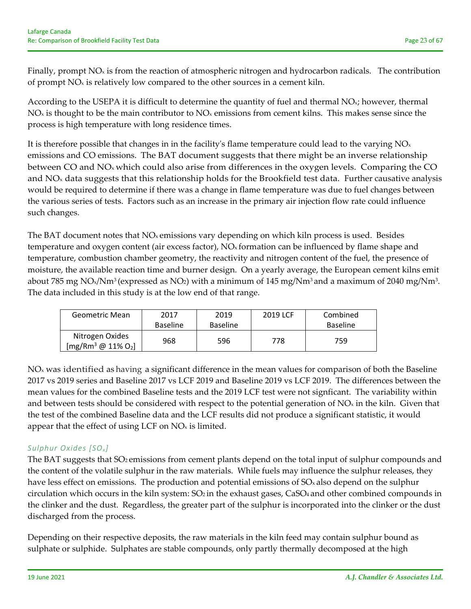Finally, prompt  $NO<sub>x</sub>$  is from the reaction of atmospheric nitrogen and hydrocarbon radicals. The contribution of prompt  $NO<sub>x</sub>$  is relatively low compared to the other sources in a cement kiln.

According to the USEPA it is difficult to determine the quantity of fuel and thermal  $NO<sub>x</sub>$ ; however, thermal  $NO<sub>x</sub>$  is thought to be the main contributor to  $NO<sub>x</sub>$  emissions from cement kilns. This makes sense since the process is high temperature with long residence times.

It is therefore possible that changes in in the facility's flame temperature could lead to the varying  $NO<sub>x</sub>$ emissions and CO emissions. The BAT document suggests that there might be an inverse relationship between CO and NO<sub>x</sub> which could also arise from differences in the oxygen levels. Comparing the CO and  $NO<sub>x</sub>$  data suggests that this relationship holds for the Brookfield test data. Further causative analysis would be required to determine if there was a change in flame temperature was due to fuel changes between the various series of tests. Factors such as an increase in the primary air injection flow rate could influence such changes.

The BAT document notes that  $NO<sub>x</sub>$  emissions vary depending on which kiln process is used. Besides temperature and oxygen content (air excess factor),  $NO<sub>x</sub>$  formation can be influenced by flame shape and temperature, combustion chamber geometry, the reactivity and nitrogen content of the fuel, the presence of moisture, the available reaction time and burner design. On a yearly average, the European cement kilns emit about 785 mg NO<sub>x</sub>/Nm<sup>3</sup> (expressed as NO<sub>2</sub>) with a minimum of 145 mg/Nm<sup>3</sup> and a maximum of 2040 mg/Nm<sup>3</sup>. The data included in this study is at the low end of that range.

| <b>Geometric Mean</b>                         | 2017<br><b>Baseline</b> | 2019<br><b>Baseline</b> | 2019 LCF | Combined<br>Baseline |
|-----------------------------------------------|-------------------------|-------------------------|----------|----------------------|
| Nitrogen Oxides<br>$[mg/Rm^3 \ @ \ 11\% O_2]$ | 968                     | 596                     | 778      | 759                  |

 $NO<sub>x</sub>$  was identified as having a significant difference in the mean values for comparison of both the Baseline 2017 vs 2019 series and Baseline 2017 vs LCF 2019 and Baseline 2019 vs LCF 2019. The differences between the mean values for the combined Baseline tests and the 2019 LCF test were not signficant. The variability within and between tests should be considered with respect to the potential generation of  $NO_x$  in the kiln. Given that the test of the combined Baseline data and the LCF results did not produce a significant statistic, it would appear that the effect of using LCF on  $NO<sub>x</sub>$  is limited.

# *Sulphur Oxides [SO<sub>x</sub>]*

The BAT suggests that SO<sub>2</sub> emissions from cement plants depend on the total input of sulphur compounds and the content of the volatile sulphur in the raw materials. While fuels may influence the sulphur releases, they have less effect on emissions. The production and potential emissions of  $SO<sub>x</sub>$  also depend on the sulphur circulation which occurs in the kiln system: SO<sub>2</sub> in the exhaust gases, CaSO<sub>4</sub> and other combined compounds in the clinker and the dust. Regardless, the greater part of the sulphur is incorporated into the clinker or the dust discharged from the process.

Depending on their respective deposits, the raw materials in the kiln feed may contain sulphur bound as sulphate or sulphide. Sulphates are stable compounds, only partly thermally decomposed at the high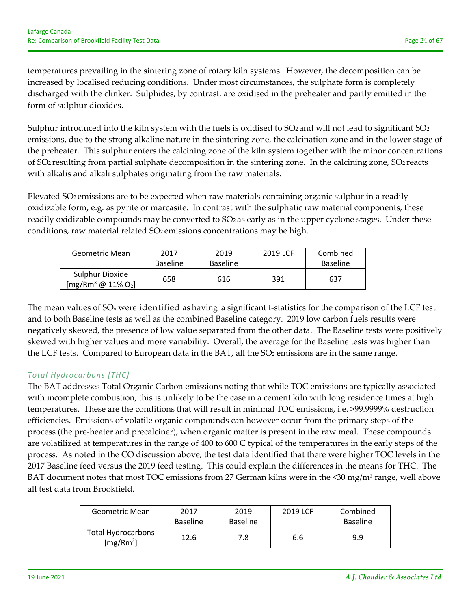temperatures prevailing in the sintering zone of rotary kiln systems. However, the decomposition can be increased by localised reducing conditions. Under most circumstances, the sulphate form is completely discharged with the clinker. Sulphides, by contrast, are oxidised in the preheater and partly emitted in the form of sulphur dioxides.

Sulphur introduced into the kiln system with the fuels is oxidised to  $SO<sub>2</sub>$  and will not lead to significant  $SO<sub>2</sub>$ emissions, due to the strong alkaline nature in the sintering zone, the calcination zone and in the lower stage of the preheater. This sulphur enters the calcining zone of the kiln system together with the minor concentrations of SO2 resulting from partial sulphate decomposition in the sintering zone. In the calcining zone, SO2 reacts with alkalis and alkali sulphates originating from the raw materials.

Elevated SO2 emissions are to be expected when raw materials containing organic sulphur in a readily oxidizable form, e.g. as pyrite or marcasite. In contrast with the sulphatic raw material components, these readily oxidizable compounds may be converted to SO<sub>2</sub> as early as in the upper cyclone stages. Under these conditions, raw material related SO2 emissions concentrations may be high.

| Geometric Mean                         | 2017<br><b>Baseline</b> | 2019<br><b>Baseline</b> | 2019 LCF | Combined<br>Baseline |
|----------------------------------------|-------------------------|-------------------------|----------|----------------------|
| Sulphur Dioxide<br>$[mg/Rm3 @ 11% O2]$ | 658                     | 616                     | 391      | 637                  |

The mean values of SO<sub>x</sub> were identified as having a significant t-statistics for the comparison of the LCF test and to both Baseline tests as well as the combined Baseline category. 2019 low carbon fuels results were negatively skewed, the presence of low value separated from the other data. The Baseline tests were positively skewed with higher values and more variability. Overall, the average for the Baseline tests was higher than the LCF tests. Compared to European data in the BAT, all the  $SO<sub>2</sub>$  emissions are in the same range.

### *Total Hydrocarbons [THC]*

The BAT addresses Total Organic Carbon emissions noting that while TOC emissions are typically associated with incomplete combustion, this is unlikely to be the case in a cement kiln with long residence times at high temperatures. These are the conditions that will result in minimal TOC emissions, i.e. >99.9999% destruction efficiencies. Emissions of volatile organic compounds can however occur from the primary steps of the process (the pre‐heater and precalciner), when organic matter is present in the raw meal. These compounds are volatilized at temperatures in the range of 400 to 600 C typical of the temperatures in the early steps of the process. As noted in the CO discussion above, the test data identified that there were higher TOC levels in the 2017 Baseline feed versus the 2019 feed testing. This could explain the differences in the means for THC. The BAT document notes that most TOC emissions from 27 German kilns were in the <30 mg/m<sup>3</sup> range, well above all test data from Brookfield.

| Geometric Mean                                     | 2017<br><b>Baseline</b> | 2019<br><b>Baseline</b> | 2019 LCF | Combined<br><b>Baseline</b> |
|----------------------------------------------------|-------------------------|-------------------------|----------|-----------------------------|
| <b>Total Hydrocarbons</b><br>[mg/Rm <sup>3</sup> ] | 12.6                    | 7.8                     | 6.6      | 9.9                         |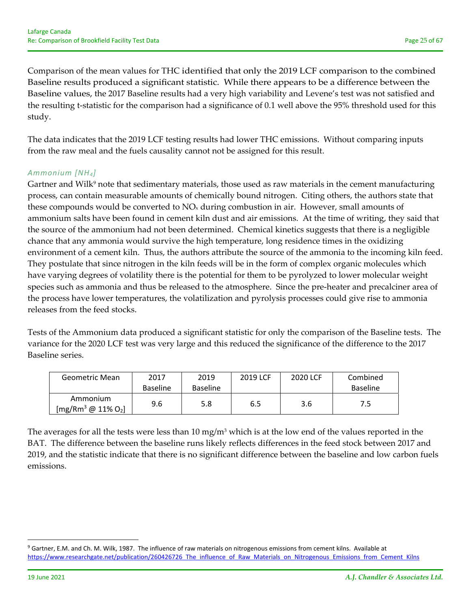Comparison of the mean values for THC identified that only the 2019 LCF comparison to the combined Baseline results produced a significant statistic. While there appears to be a difference between the Baseline values, the 2017 Baseline results had a very high variability and Levene's test was not satisfied and the resulting t-statistic for the comparison had a significance of 0.1 well above the 95% threshold used for this study.

The data indicates that the 2019 LCF testing results had lower THC emissions. Without comparing inputs from the raw meal and the fuels causality cannot not be assigned for this result.

## *Ammonium [NH4]*

Gartner and Wilk<sup>9</sup> note that sedimentary materials, those used as raw materials in the cement manufacturing process, can contain measurable amounts of chemically bound nitrogen. Citing others, the authors state that these compounds would be converted to  $NO<sub>x</sub>$  during combustion in air. However, small amounts of ammonium salts have been found in cement kiln dust and air emissions. At the time of writing, they said that the source of the ammonium had not been determined. Chemical kinetics suggests that there is a negligible chance that any ammonia would survive the high temperature, long residence times in the oxidizing environment of a cement kiln. Thus, the authors attribute the source of the ammonia to the incoming kiln feed. They postulate that since nitrogen in the kiln feeds will be in the form of complex organic molecules which have varying degrees of volatility there is the potential for them to be pyrolyzed to lower molecular weight species such as ammonia and thus be released to the atmosphere. Since the pre-heater and precalciner area of the process have lower temperatures, the volatilization and pyrolysis processes could give rise to ammonia releases from the feed stocks.

Tests of the Ammonium data produced a significant statistic for only the comparison of the Baseline tests. The variance for the 2020 LCF test was very large and this reduced the significance of the difference to the 2017 Baseline series.

| Geometric Mean                  | 2017            | 2019            | 2019 LCF | 2020 LCF | Combined        |
|---------------------------------|-----------------|-----------------|----------|----------|-----------------|
|                                 | <b>Baseline</b> | <b>Baseline</b> |          |          | <b>Baseline</b> |
| Ammonium<br>$[mg/Rm3 @ 11% O2]$ | 9.6             | 5.8             | 6.5      | 3.6      | 7.5             |

The averages for all the tests were less than 10 mg/m<sup>3</sup> which is at the low end of the values reported in the BAT. The difference between the baseline runs likely reflects differences in the feed stock between 2017 and 2019, and the statistic indicate that there is no significant difference between the baseline and low carbon fuels emissions.

<sup>&</sup>lt;sup>9</sup> Gartner, E.M. and Ch. M. Wilk, 1987. The influence of raw materials on nitrogenous emissions from cement kilns. Available at https://www.researchgate.net/publication/260426726 The influence of Raw Materials on Nitrogenous Emissions from Cement Kilns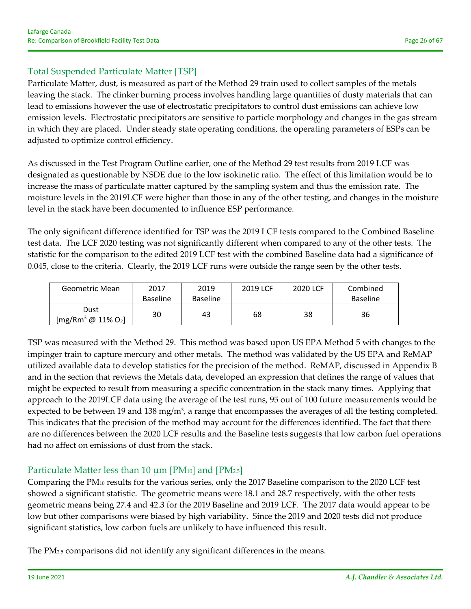# Total Suspended Particulate Matter [TSP]

Particulate Matter, dust, is measured as part of the Method 29 train used to collect samples of the metals leaving the stack. The clinker burning process involves handling large quantities of dusty materials that can lead to emissions however the use of electrostatic precipitators to control dust emissions can achieve low emission levels. Electrostatic precipitators are sensitive to particle morphology and changes in the gas stream in which they are placed. Under steady state operating conditions, the operating parameters of ESPs can be adjusted to optimize control efficiency.

As discussed in the Test Program Outline earlier, one of the Method 29 test results from 2019 LCF was designated as questionable by NSDE due to the low isokinetic ratio. The effect of this limitation would be to increase the mass of particulate matter captured by the sampling system and thus the emission rate. The moisture levels in the 2019LCF were higher than those in any of the other testing, and changes in the moisture level in the stack have been documented to influence ESP performance.

The only significant difference identified for TSP was the 2019 LCF tests compared to the Combined Baseline test data. The LCF 2020 testing was not significantly different when compared to any of the other tests. The statistic for the comparison to the edited 2019 LCF test with the combined Baseline data had a significance of 0.045, close to the criteria. Clearly, the 2019 LCF runs were outside the range seen by the other tests.

| Geometric Mean                | 2017            | 2019            | 2019 LCF | 2020 LCF | Combined        |
|-------------------------------|-----------------|-----------------|----------|----------|-----------------|
|                               | <b>Baseline</b> | <b>Baseline</b> |          |          | <b>Baseline</b> |
| Dust<br>[mg/Rm $^3$ @ 11% O2] | 30              | 43              | 68       | 38       | 36              |

TSP was measured with the Method 29. This method was based upon US EPA Method 5 with changes to the impinger train to capture mercury and other metals. The method was validated by the US EPA and ReMAP utilized available data to develop statistics for the precision of the method. ReMAP, discussed in Appendix B and in the section that reviews the Metals data, developed an expression that defines the range of values that might be expected to result from measuring a specific concentration in the stack many times. Applying that approach to the 2019LCF data using the average of the test runs, 95 out of 100 future measurements would be expected to be between 19 and 138 mg/m<sup>3</sup>, a range that encompasses the averages of all the testing completed. This indicates that the precision of the method may account for the differences identified. The fact that there are no differences between the 2020 LCF results and the Baseline tests suggests that low carbon fuel operations had no affect on emissions of dust from the stack.

# Particulate Matter less than 10  $\mu$ m [PM<sub>10</sub>] and [PM<sub>2.5</sub>]

Comparing the PM10 results for the various series, only the 2017 Baseline comparison to the 2020 LCF test showed a significant statistic. The geometric means were 18.1 and 28.7 respectively, with the other tests geometric means being 27.4 and 42.3 for the 2019 Baseline and 2019 LCF. The 2017 data would appear to be low but other comparisons were biased by high variability. Since the 2019 and 2020 tests did not produce significant statistics, low carbon fuels are unlikely to have influenced this result.

The PM2.5 comparisons did not identify any significant differences in the means.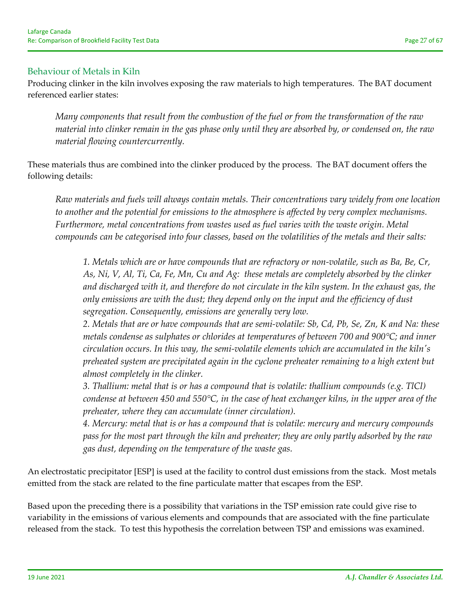## Behaviour of Metals in Kiln

Producing clinker in the kiln involves exposing the raw materials to high temperatures. The BAT document referenced earlier states:

*Many components that result from the combustion of the fuel or from the transformation of the raw* material into clinker remain in the gas phase only until they are absorbed by, or condensed on, the raw *material flowing countercurrently.* 

These materials thus are combined into the clinker produced by the process. The BAT document offers the following details:

*Raw materials and fuels will always contain metals. Their concentrations vary widely from one location to another and the potential for emissions to the atmosphere is affected by very complex mechanisms. Furthermore, metal concentrations from wastes used as fuel varies with the waste origin. Metal compounds can be categorised into four classes, based on the volatilities of the metals and their salts:*

1. Metals which are or have compounds that are refractory or non-volatile, such as Ba, Be, Cr, As, Ni, V, Al, Ti, Ca, Fe, Mn, Cu and Ag: these metals are completely absorbed by the clinker *and discharged with it, and therefore do not circulate in the kiln system. In the exhaust gas, the only emissions are with the dust; they depend only on the input and the efficiency of dust segregation. Consequently, emissions are generally very low.*

2. Metals that are or have compounds that are semi-volatile: Sb, Cd, Pb, Se, Zn, K and Na: these *metals condense as sulphates or chlorides at temperatures of between 700 and 900°C; and inner circulation occurs. In this way, the semi‐volatile elements which are accumulated in the kilnʹs preheated system are precipitated again in the cyclone preheater remaining to a high extent but almost completely in the clinker.*

*3. Thallium: metal that is or has a compound that is volatile: thallium compounds (e.g. TlCl)* condense at between 450 and 550 $^{\circ}$ C, in the case of heat exchanger kilns, in the upper area of the *preheater, where they can accumulate (inner circulation).*

*4. Mercury: metal that is or has a compound that is volatile: mercury and mercury compounds pass for the most part through the kiln and preheater; they are only partly adsorbed by the raw gas dust, depending on the temperature of the waste gas.*

An electrostatic precipitator [ESP] is used at the facility to control dust emissions from the stack. Most metals emitted from the stack are related to the fine particulate matter that escapes from the ESP.

Based upon the preceding there is a possibility that variations in the TSP emission rate could give rise to variability in the emissions of various elements and compounds that are associated with the fine particulate released from the stack. To test this hypothesis the correlation between TSP and emissions was examined.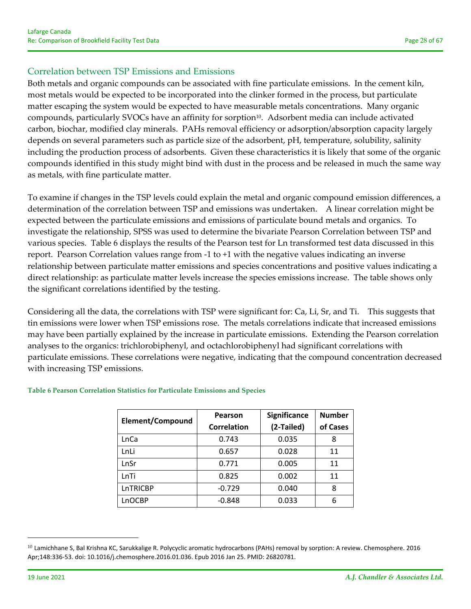# Correlation between TSP Emissions and Emissions

Both metals and organic compounds can be associated with fine particulate emissions. In the cement kiln, most metals would be expected to be incorporated into the clinker formed in the process, but particulate matter escaping the system would be expected to have measurable metals concentrations. Many organic compounds, particularly SVOCs have an affinity for sorption<sup>10</sup>. Adsorbent media can include activated carbon, biochar, modified clay minerals. PAHs removal efficiency or adsorption/absorption capacity largely depends on several parameters such as particle size of the adsorbent, pH, temperature, solubility, salinity including the production process of adsorbents. Given these characteristics it is likely that some of the organic compounds identified in this study might bind with dust in the process and be released in much the same way as metals, with fine particulate matter.

To examine if changes in the TSP levels could explain the metal and organic compound emission differences, a determination of the correlation between TSP and emissions was undertaken. A linear correlation might be expected between the particulate emissions and emissions of particulate bound metals and organics. To investigate the relationship, SPSS was used to determine the bivariate Pearson Correlation between TSP and various species. Table 6 displays the results of the Pearson test for Ln transformed test data discussed in this report. Pearson Correlation values range from ‐1 to +1 with the negative values indicating an inverse relationship between particulate matter emissions and species concentrations and positive values indicating a direct relationship: as particulate matter levels increase the species emissions increase. The table shows only the significant correlations identified by the testing.

Considering all the data, the correlations with TSP were significant for: Ca, Li, Sr, and Ti. This suggests that tin emissions were lower when TSP emissions rose. The metals correlations indicate that increased emissions may have been partially explained by the increase in particulate emissions. Extending the Pearson correlation analyses to the organics: trichlorobiphenyl, and octachlorobiphenyl had significant correlations with particulate emissions. These correlations were negative, indicating that the compound concentration decreased with increasing TSP emissions.

|                  | Pearson            | Significance | <b>Number</b> |
|------------------|--------------------|--------------|---------------|
| Element/Compound | <b>Correlation</b> | (2-Tailed)   | of Cases      |
| <b>LnCa</b>      | 0.743              | 0.035        | 8             |
| LnLi             | 0.657              | 0.028        | 11            |
| LnSr             | 0.771              | 0.005        | 11            |
| LnTi             | 0.825              | 0.002        | 11            |
| LnTRICBP         | $-0.729$           | 0.040        | 8             |
| LnOCBP           | $-0.848$           | 0.033        | 6             |

#### **Table 6 Pearson Correlation Statistics for Particulate Emissions and Species**

 $^{10}$  Lamichhane S, Bal Krishna KC, Sarukkalige R. Polycyclic aromatic hydrocarbons (PAHs) removal by sorption: A review. Chemosphere. 2016 Apr;148:336‐53. doi: 10.1016/j.chemosphere.2016.01.036. Epub 2016 Jan 25. PMID: 26820781.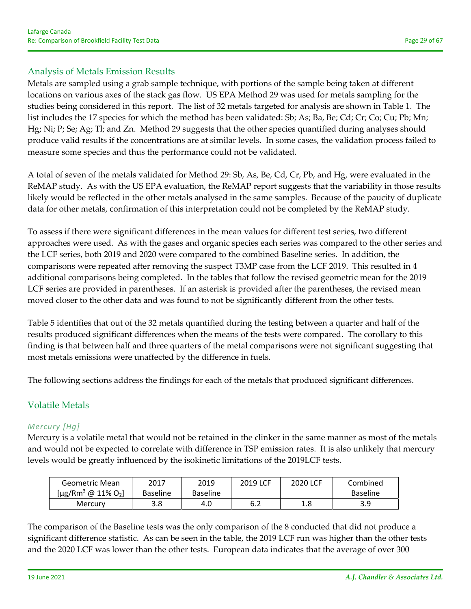# Analysis of Metals Emission Results

Metals are sampled using a grab sample technique, with portions of the sample being taken at different locations on various axes of the stack gas flow. US EPA Method 29 was used for metals sampling for the studies being considered in this report. The list of 32 metals targeted for analysis are shown in Table 1. The list includes the 17 species for which the method has been validated: Sb; As; Ba, Be; Cd; Cr; Co; Cu; Pb; Mn; Hg; Ni; P; Se; Ag; Tl; and Zn. Method 29 suggests that the other species quantified during analyses should produce valid results if the concentrations are at similar levels. In some cases, the validation process failed to measure some species and thus the performance could not be validated.

A total of seven of the metals validated for Method 29: Sb, As, Be, Cd, Cr, Pb, and Hg, were evaluated in the ReMAP study. As with the US EPA evaluation, the ReMAP report suggests that the variability in those results likely would be reflected in the other metals analysed in the same samples. Because of the paucity of duplicate data for other metals, confirmation of this interpretation could not be completed by the ReMAP study.

To assess if there were significant differences in the mean values for different test series, two different approaches were used. As with the gases and organic species each series was compared to the other series and the LCF series, both 2019 and 2020 were compared to the combined Baseline series. In addition, the comparisons were repeated after removing the suspect T3MP case from the LCF 2019. This resulted in 4 additional comparisons being completed. In the tables that follow the revised geometric mean for the 2019 LCF series are provided in parentheses. If an asterisk is provided after the parentheses, the revised mean moved closer to the other data and was found to not be significantly different from the other tests.

Table 5 identifies that out of the 32 metals quantified during the testing between a quarter and half of the results produced significant differences when the means of the tests were compared. The corollary to this finding is that between half and three quarters of the metal comparisons were not significant suggesting that most metals emissions were unaffected by the difference in fuels.

The following sections address the findings for each of the metals that produced significant differences.

# Volatile Metals

# *Mercury [Hg]*

Mercury is a volatile metal that would not be retained in the clinker in the same manner as most of the metals and would not be expected to correlate with difference in TSP emission rates. It is also unlikely that mercury levels would be greatly influenced by the isokinetic limitations of the 2019LCF tests.

| Geometric Mean                             | 2017            | 2019            | 2019 LCF | 2020 LCF   | Combined        |
|--------------------------------------------|-----------------|-----------------|----------|------------|-----------------|
| [µg/Rm <sup>3</sup> @ 11% O <sub>2</sub> ] | <b>Baseline</b> | <b>Baseline</b> |          |            | <b>Baseline</b> |
| Mercury                                    | 3.8             | 4.0             | 6.2      | 1 Q<br>T.O | 3.9             |

The comparison of the Baseline tests was the only comparison of the 8 conducted that did not produce a significant difference statistic. As can be seen in the table, the 2019 LCF run was higher than the other tests and the 2020 LCF was lower than the other tests. European data indicates that the average of over 300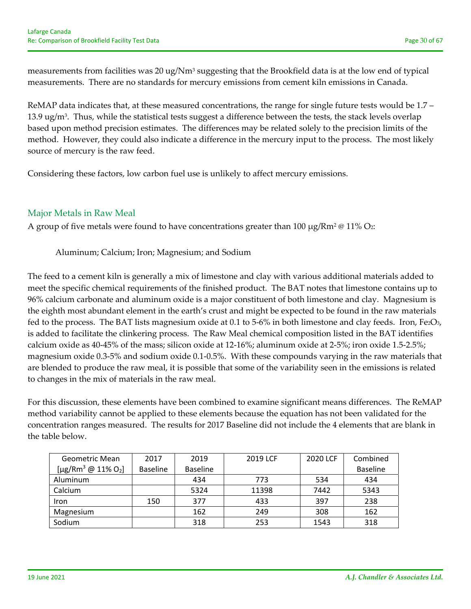measurements from facilities was 20 ug/Nm<sup>3</sup> suggesting that the Brookfield data is at the low end of typical measurements. There are no standards for mercury emissions from cement kiln emissions in Canada.

ReMAP data indicates that, at these measured concentrations, the range for single future tests would be 1.7 – 13.9 ug/m<sup>3</sup>. Thus, while the statistical tests suggest a difference between the tests, the stack levels overlap based upon method precision estimates. The differences may be related solely to the precision limits of the method. However, they could also indicate a difference in the mercury input to the process. The most likely source of mercury is the raw feed.

Considering these factors, low carbon fuel use is unlikely to affect mercury emissions.

# Major Metals in Raw Meal

A group of five metals were found to have concentrations greater than 100  $\mu$ g/Rm<sup>2</sup> @ 11% O<sub>2</sub>:

Aluminum; Calcium; Iron; Magnesium; and Sodium

The feed to a cement kiln is generally a mix of limestone and clay with various additional materials added to meet the specific chemical requirements of the finished product. The BAT notes that limestone contains up to 96% calcium carbonate and aluminum oxide is a major constituent of both limestone and clay. Magnesium is the eighth most abundant element in the earth's crust and might be expected to be found in the raw materials fed to the process. The BAT lists magnesium oxide at 0.1 to 5-6% in both limestone and clay feeds. Iron, Fe2O<sub>3</sub>, is added to facilitate the clinkering process. The Raw Meal chemical composition listed in the BAT identifies calcium oxide as 40‐45% of the mass; silicon oxide at 12‐16%; aluminum oxide at 2‐5%; iron oxide 1.5‐2.5%; magnesium oxide 0.3‐5% and sodium oxide 0.1‐0.5%. With these compounds varying in the raw materials that are blended to produce the raw meal, it is possible that some of the variability seen in the emissions is related to changes in the mix of materials in the raw meal.

For this discussion, these elements have been combined to examine significant means differences. The ReMAP method variability cannot be applied to these elements because the equation has not been validated for the concentration ranges measured. The results for 2017 Baseline did not include the 4 elements that are blank in the table below.

| Geometric Mean                             | 2017            | 2019            | 2019 LCF | 2020 LCF | Combined        |
|--------------------------------------------|-----------------|-----------------|----------|----------|-----------------|
| [µg/Rm <sup>3</sup> @ 11% O <sub>2</sub> ] | <b>Baseline</b> | <b>Baseline</b> |          |          | <b>Baseline</b> |
| Aluminum                                   |                 | 434             | 773      | 534      | 434             |
| Calcium                                    |                 | 5324            | 11398    | 7442     | 5343            |
| Iron                                       | 150             | 377             | 433      | 397      | 238             |
| Magnesium                                  |                 | 162             | 249      | 308      | 162             |
| Sodium                                     |                 | 318             | 253      | 1543     | 318             |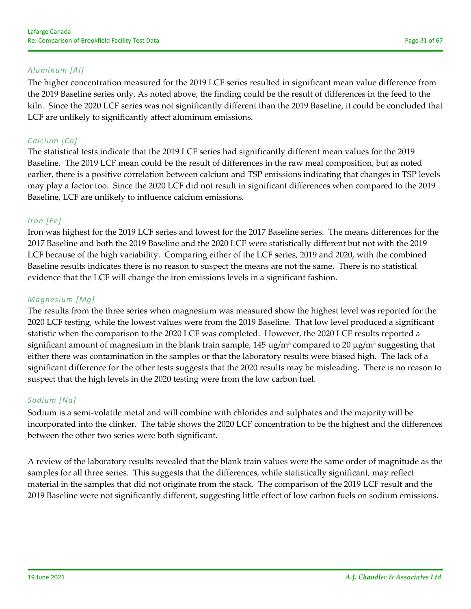### *Aluminum [Al]*

The higher concentration measured for the 2019 LCF series resulted in significant mean value difference from the 2019 Baseline series only. As noted above, the finding could be the result of differences in the feed to the kiln. Since the 2020 LCF series was not significantly different than the 2019 Baseline, it could be concluded that LCF are unlikely to significantly affect aluminum emissions.

## *Calcium [Ca]*

The statistical tests indicate that the 2019 LCF series had significantly different mean values for the 2019 Baseline. The 2019 LCF mean could be the result of differences in the raw meal composition, but as noted earlier, there is a positive correlation between calcium and TSP emissions indicating that changes in TSP levels may play a factor too. Since the 2020 LCF did not result in significant differences when compared to the 2019 Baseline, LCF are unlikely to influence calcium emissions.

#### *Iron [Fe]*

Iron was highest for the 2019 LCF series and lowest for the 2017 Baseline series. The means differences for the 2017 Baseline and both the 2019 Baseline and the 2020 LCF were statistically different but not with the 2019 LCF because of the high variability. Comparing either of the LCF series, 2019 and 2020, with the combined Baseline results indicates there is no reason to suspect the means are not the same. There is no statistical evidence that the LCF will change the iron emissions levels in a significant fashion.

#### *Magnesium [Mg]*

The results from the three series when magnesium was measured show the highest level was reported for the 2020 LCF testing, while the lowest values were from the 2019 Baseline. That low level produced a significant statistic when the comparison to the 2020 LCF was completed. However, the 2020 LCF results reported a significant amount of magnesium in the blank train sample,  $145 \mu g/m^3$  compared to 20  $\mu g/m^3$  suggesting that either there was contamination in the samples or that the laboratory results were biased high. The lack of a significant difference for the other tests suggests that the 2020 results may be misleading. There is no reason to suspect that the high levels in the 2020 testing were from the low carbon fuel.

### *Sodium [Na]*

Sodium is a semi‐volatile metal and will combine with chlorides and sulphates and the majority will be incorporated into the clinker. The table shows the 2020 LCF concentration to be the highest and the differences between the other two series were both significant.

A review of the laboratory results revealed that the blank train values were the same order of magnitude as the samples for all three series. This suggests that the differences, while statistically significant, may reflect material in the samples that did not originate from the stack. The comparison of the 2019 LCF result and the 2019 Baseline were not significantly different, suggesting little effect of low carbon fuels on sodium emissions.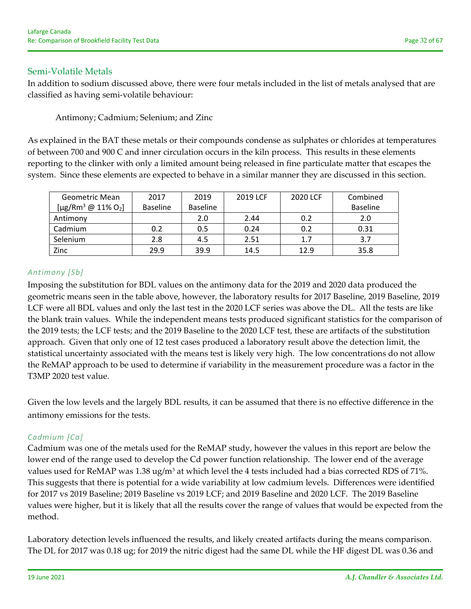# Semi‐Volatile Metals

In addition to sodium discussed above, there were four metals included in the list of metals analysed that are classified as having semi‐volatile behaviour:

Antimony; Cadmium; Selenium; and Zinc

As explained in the BAT these metals or their compounds condense as sulphates or chlorides at temperatures of between 700 and 900 C and inner circulation occurs in the kiln process. This results in these elements reporting to the clinker with only a limited amount being released in fine particulate matter that escapes the system. Since these elements are expected to behave in a similar manner they are discussed in this section.

| Geometric Mean                                   | 2017            | 2019            | 2019 LCF | 2020 LCF | Combined        |
|--------------------------------------------------|-----------------|-----------------|----------|----------|-----------------|
| [ $\mu$ g/Rm <sup>3</sup> @ 11% O <sub>2</sub> ] | <b>Baseline</b> | <b>Baseline</b> |          |          | <b>Baseline</b> |
| Antimony                                         |                 | 2.0             | 2.44     | 0.2      | 2.0             |
| Cadmium                                          | 0.2             | 0.5             | 0.24     | 0.2      | 0.31            |
| Selenium                                         | 2.8             | 4.5             | 2.51     | 1.7      | 3.7             |
| Zinc                                             | 29.9            | 39.9            | 14.5     | 12.9     | 35.8            |

# *Antimony [Sb]*

Imposing the substitution for BDL values on the antimony data for the 2019 and 2020 data produced the geometric means seen in the table above, however, the laboratory results for 2017 Baseline, 2019 Baseline, 2019 LCF were all BDL values and only the last test in the 2020 LCF series was above the DL. All the tests are like the blank train values. While the independent means tests produced significant statistics for the comparison of the 2019 tests; the LCF tests; and the 2019 Baseline to the 2020 LCF test, these are artifacts of the substitution approach. Given that only one of 12 test cases produced a laboratory result above the detection limit, the statistical uncertainty associated with the means test is likely very high. The low concentrations do not allow the ReMAP approach to be used to determine if variability in the measurement procedure was a factor in the T3MP 2020 test value.

Given the low levels and the largely BDL results, it can be assumed that there is no effective difference in the antimony emissions for the tests.

# *Cadmium [Ca]*

Cadmium was one of the metals used for the ReMAP study, however the values in this report are below the lower end of the range used to develop the Cd power function relationship. The lower end of the average values used for ReMAP was 1.38 ug/m<sup>3</sup> at which level the 4 tests included had a bias corrected RDS of 71%. This suggests that there is potential for a wide variability at low cadmium levels. Differences were identified for 2017 vs 2019 Baseline; 2019 Baseline vs 2019 LCF; and 2019 Baseline and 2020 LCF. The 2019 Baseline values were higher, but it is likely that all the results cover the range of values that would be expected from the method.

Laboratory detection levels influenced the results, and likely created artifacts during the means comparison. The DL for 2017 was 0.18 ug; for 2019 the nitric digest had the same DL while the HF digest DL was 0.36 and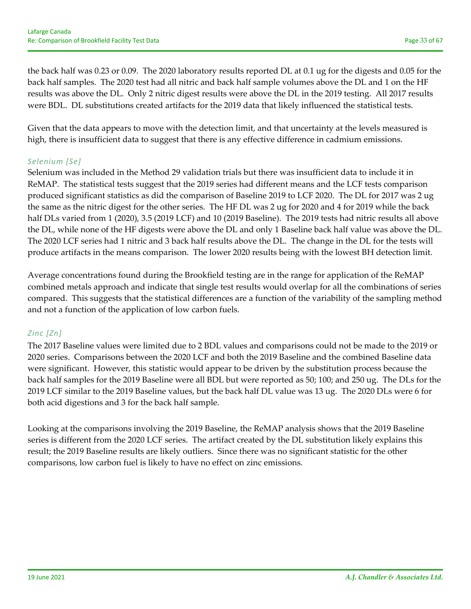the back half was 0.23 or 0.09. The 2020 laboratory results reported DL at 0.1 ug for the digests and 0.05 for the back half samples. The 2020 test had all nitric and back half sample volumes above the DL and 1 on the HF results was above the DL. Only 2 nitric digest results were above the DL in the 2019 testing. All 2017 results were BDL. DL substitutions created artifacts for the 2019 data that likely influenced the statistical tests.

Given that the data appears to move with the detection limit, and that uncertainty at the levels measured is high, there is insufficient data to suggest that there is any effective difference in cadmium emissions.

## *Selenium [Se]*

Selenium was included in the Method 29 validation trials but there was insufficient data to include it in ReMAP. The statistical tests suggest that the 2019 series had different means and the LCF tests comparison produced significant statistics as did the comparison of Baseline 2019 to LCF 2020. The DL for 2017 was 2 ug the same as the nitric digest for the other series. The HF DL was 2 ug for 2020 and 4 for 2019 while the back half DLs varied from 1 (2020), 3.5 (2019 LCF) and 10 (2019 Baseline). The 2019 tests had nitric results all above the DL, while none of the HF digests were above the DL and only 1 Baseline back half value was above the DL. The 2020 LCF series had 1 nitric and 3 back half results above the DL. The change in the DL for the tests will produce artifacts in the means comparison. The lower 2020 results being with the lowest BH detection limit.

Average concentrations found during the Brookfield testing are in the range for application of the ReMAP combined metals approach and indicate that single test results would overlap for all the combinations of series compared. This suggests that the statistical differences are a function of the variability of the sampling method and not a function of the application of low carbon fuels.

### *Zinc [Zn]*

The 2017 Baseline values were limited due to 2 BDL values and comparisons could not be made to the 2019 or 2020 series. Comparisons between the 2020 LCF and both the 2019 Baseline and the combined Baseline data were significant. However, this statistic would appear to be driven by the substitution process because the back half samples for the 2019 Baseline were all BDL but were reported as 50; 100; and 250 ug. The DLs for the 2019 LCF similar to the 2019 Baseline values, but the back half DL value was 13 ug. The 2020 DLs were 6 for both acid digestions and 3 for the back half sample.

Looking at the comparisons involving the 2019 Baseline, the ReMAP analysis shows that the 2019 Baseline series is different from the 2020 LCF series. The artifact created by the DL substitution likely explains this result; the 2019 Baseline results are likely outliers. Since there was no significant statistic for the other comparisons, low carbon fuel is likely to have no effect on zinc emissions.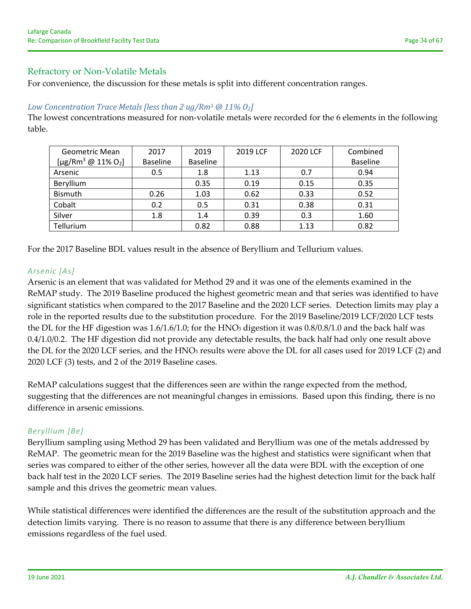#### Refractory or Non‐Volatile Metals

For convenience, the discussion for these metals is split into different concentration ranges.

#### *Low Concentration Trace Metals [less than 2 ug/Rm3 @ 11% O2]*

The lowest concentrations measured for non-volatile metals were recorded for the 6 elements in the following table.

| Geometric Mean                             | 2017            | 2019            | 2019 LCF | 2020 LCF | Combined        |
|--------------------------------------------|-----------------|-----------------|----------|----------|-----------------|
| [µg/Rm <sup>3</sup> @ 11% O <sub>2</sub> ] | <b>Baseline</b> | <b>Baseline</b> |          |          | <b>Baseline</b> |
| Arsenic                                    | 0.5             | 1.8             | 1.13     | 0.7      | 0.94            |
| Beryllium                                  |                 | 0.35            | 0.19     | 0.15     | 0.35            |
| <b>Bismuth</b>                             | 0.26            | 1.03            | 0.62     | 0.33     | 0.52            |
| Cobalt                                     | 0.2             | 0.5             | 0.31     | 0.38     | 0.31            |
| Silver                                     | 1.8             | 1.4             | 0.39     | 0.3      | 1.60            |
| Tellurium                                  |                 | 0.82            | 0.88     | 1.13     | 0.82            |

For the 2017 Baseline BDL values result in the absence of Beryllium and Tellurium values.

#### *Arsenic [As]*

Arsenic is an element that was validated for Method 29 and it was one of the elements examined in the ReMAP study. The 2019 Baseline produced the highest geometric mean and that series was identified to have significant statistics when compared to the 2017 Baseline and the 2020 LCF series. Detection limits may play a role in the reported results due to the substitution procedure. For the 2019 Baseline/2019 LCF/2020 LCF tests the DL for the HF digestion was  $1.6/1.6/1.0$ ; for the HNO<sub>3</sub> digestion it was  $0.8/0.8/1.0$  and the back half was 0.4/1.0/0.2. The HF digestion did not provide any detectable results, the back half had only one result above the DL for the 2020 LCF series, and the HNO<sub>3</sub> results were above the DL for all cases used for 2019 LCF (2) and 2020 LCF (3) tests, and 2 of the 2019 Baseline cases.

ReMAP calculations suggest that the differences seen are within the range expected from the method, suggesting that the differences are not meaningful changes in emissions. Based upon this finding, there is no difference in arsenic emissions.

#### *Beryllium [Be]*

Beryllium sampling using Method 29 has been validated and Beryllium was one of the metals addressed by ReMAP. The geometric mean for the 2019 Baseline was the highest and statistics were significant when that series was compared to either of the other series, however all the data were BDL with the exception of one back half test in the 2020 LCF series. The 2019 Baseline series had the highest detection limit for the back half sample and this drives the geometric mean values.

While statistical differences were identified the differences are the result of the substitution approach and the detection limits varying. There is no reason to assume that there is any difference between beryllium emissions regardless of the fuel used.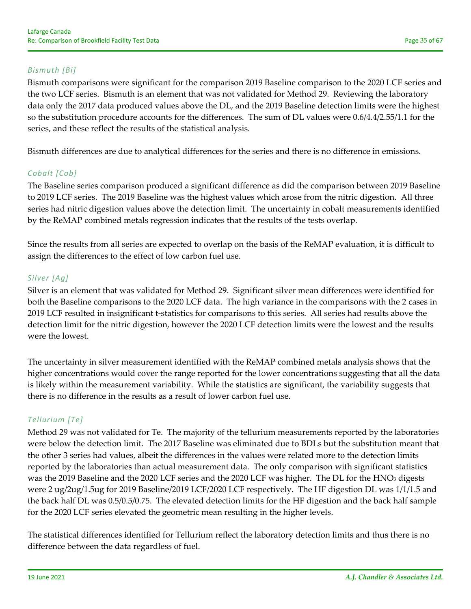## *Bismuth [Bi]*

Bismuth comparisons were significant for the comparison 2019 Baseline comparison to the 2020 LCF series and the two LCF series. Bismuth is an element that was not validated for Method 29. Reviewing the laboratory data only the 2017 data produced values above the DL, and the 2019 Baseline detection limits were the highest so the substitution procedure accounts for the differences. The sum of DL values were 0.6/4.4/2.55/1.1 for the series, and these reflect the results of the statistical analysis.

Bismuth differences are due to analytical differences for the series and there is no difference in emissions.

## *Cobalt [Cob]*

The Baseline series comparison produced a significant difference as did the comparison between 2019 Baseline to 2019 LCF series. The 2019 Baseline was the highest values which arose from the nitric digestion. All three series had nitric digestion values above the detection limit. The uncertainty in cobalt measurements identified by the ReMAP combined metals regression indicates that the results of the tests overlap.

Since the results from all series are expected to overlap on the basis of the ReMAP evaluation, it is difficult to assign the differences to the effect of low carbon fuel use.

### *Silver [Ag]*

Silver is an element that was validated for Method 29. Significant silver mean differences were identified for both the Baseline comparisons to the 2020 LCF data. The high variance in the comparisons with the 2 cases in 2019 LCF resulted in insignificant t‐statistics for comparisons to this series. All series had results above the detection limit for the nitric digestion, however the 2020 LCF detection limits were the lowest and the results were the lowest.

The uncertainty in silver measurement identified with the ReMAP combined metals analysis shows that the higher concentrations would cover the range reported for the lower concentrations suggesting that all the data is likely within the measurement variability. While the statistics are significant, the variability suggests that there is no difference in the results as a result of lower carbon fuel use.

### *Tellurium [Te]*

Method 29 was not validated for Te. The majority of the tellurium measurements reported by the laboratories were below the detection limit. The 2017 Baseline was eliminated due to BDLs but the substitution meant that the other 3 series had values, albeit the differences in the values were related more to the detection limits reported by the laboratories than actual measurement data. The only comparison with significant statistics was the 2019 Baseline and the 2020 LCF series and the 2020 LCF was higher. The DL for the HNO3 digests were 2 ug/2ug/1.5ug for 2019 Baseline/2019 LCF/2020 LCF respectively. The HF digestion DL was 1/1/1.5 and the back half DL was 0.5/0.5/0.75. The elevated detection limits for the HF digestion and the back half sample for the 2020 LCF series elevated the geometric mean resulting in the higher levels.

The statistical differences identified for Tellurium reflect the laboratory detection limits and thus there is no difference between the data regardless of fuel.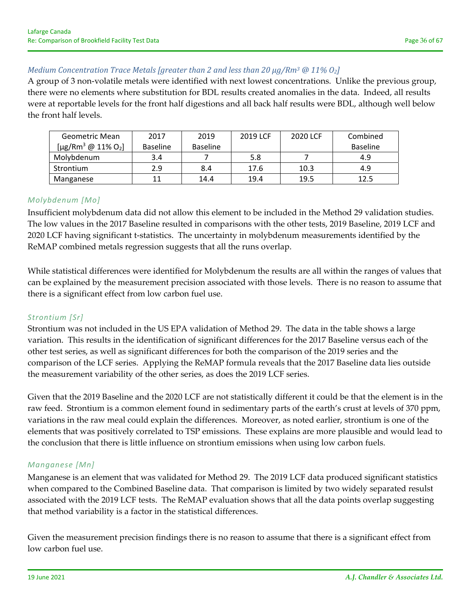## *Medium Concentration Trace Metals [greater than 2 and less than 20 µg/Rm3 @ 11% O2]*

A group of 3 non‐volatile metals were identified with next lowest concentrations. Unlike the previous group, there were no elements where substitution for BDL results created anomalies in the data. Indeed, all results were at reportable levels for the front half digestions and all back half results were BDL, although well below the front half levels.

| Geometric Mean                             | 2017            | 2019            | 2019 LCF | 2020 LCF | Combined        |
|--------------------------------------------|-----------------|-----------------|----------|----------|-----------------|
| [µg/Rm <sup>3</sup> @ 11% O <sub>2</sub> ] | <b>Baseline</b> | <b>Baseline</b> |          |          | <b>Baseline</b> |
| Molvbdenum                                 | 3.4             |                 | 5.8      |          | 4.9             |
| Strontium                                  | 2.9             | 8.4             | 17.6     | 10.3     | 4.9             |
| Manganese                                  |                 | 14.4            | 19.4     | 19.5     | 12.5            |

### *Molybdenum [Mo]*

Insufficient molybdenum data did not allow this element to be included in the Method 29 validation studies. The low values in the 2017 Baseline resulted in comparisons with the other tests, 2019 Baseline, 2019 LCF and 2020 LCF having significant t‐statistics. The uncertainty in molybdenum measurements identified by the ReMAP combined metals regression suggests that all the runs overlap.

While statistical differences were identified for Molybdenum the results are all within the ranges of values that can be explained by the measurement precision associated with those levels. There is no reason to assume that there is a significant effect from low carbon fuel use.

### *Strontium [Sr]*

Strontium was not included in the US EPA validation of Method 29. The data in the table shows a large variation. This results in the identification of significant differences for the 2017 Baseline versus each of the other test series, as well as significant differences for both the comparison of the 2019 series and the comparison of the LCF series. Applying the ReMAP formula reveals that the 2017 Baseline data lies outside the measurement variability of the other series, as does the 2019 LCF series.

Given that the 2019 Baseline and the 2020 LCF are not statistically different it could be that the element is in the raw feed. Strontium is a common element found in sedimentary parts of the earth's crust at levels of 370 ppm, variations in the raw meal could explain the differences. Moreover, as noted earlier, strontium is one of the elements that was positively correlated to TSP emissions. These explains are more plausible and would lead to the conclusion that there is little influence on strontium emissions when using low carbon fuels.

### *Manganese [Mn]*

Manganese is an element that was validated for Method 29. The 2019 LCF data produced significant statistics when compared to the Combined Baseline data. That comparison is limited by two widely separated resulst associated with the 2019 LCF tests. The ReMAP evaluation shows that all the data points overlap suggesting that method variability is a factor in the statistical differences.

Given the measurement precision findings there is no reason to assume that there is a significant effect from low carbon fuel use.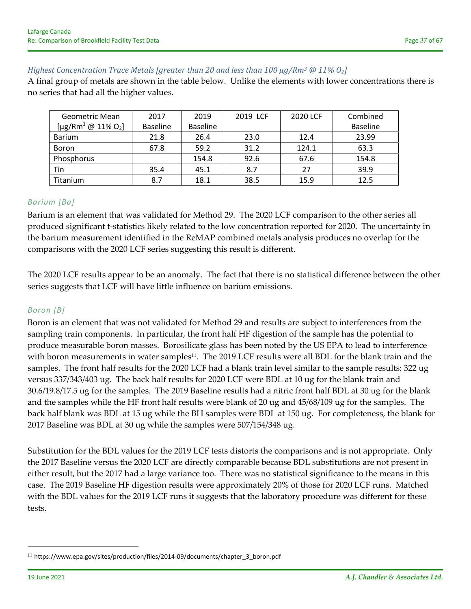## *Highest Concentration Trace Metals [greater than 20 and less than 100 µg/Rm3 @ 11% O2]*

A final group of metals are shown in the table below. Unlike the elements with lower concentrations there is no series that had all the higher values.

| Geometric Mean                                   | 2017            | 2019            | 2019 LCF | 2020 LCF | Combined        |
|--------------------------------------------------|-----------------|-----------------|----------|----------|-----------------|
| [ $\mu$ g/Rm <sup>3</sup> @ 11% O <sub>2</sub> ] | <b>Baseline</b> | <b>Baseline</b> |          |          | <b>Baseline</b> |
| <b>Barium</b>                                    | 21.8            | 26.4            | 23.0     | 12.4     | 23.99           |
| Boron                                            | 67.8            | 59.2            | 31.2     | 124.1    | 63.3            |
| Phosphorus                                       |                 | 154.8           | 92.6     | 67.6     | 154.8           |
| Tin                                              | 35.4<br>45.1    |                 | 8.7      | 27       | 39.9            |
| Titanium                                         | 8.7             | 18.1            | 38.5     | 15.9     | 12.5            |

#### *Barium [Ba]*

Barium is an element that was validated for Method 29. The 2020 LCF comparison to the other series all produced significant t‐statistics likely related to the low concentration reported for 2020. The uncertainty in the barium measurement identified in the ReMAP combined metals analysis produces no overlap for the comparisons with the 2020 LCF series suggesting this result is different.

The 2020 LCF results appear to be an anomaly. The fact that there is no statistical difference between the other series suggests that LCF will have little influence on barium emissions.

#### *Boron [B]*

Boron is an element that was not validated for Method 29 and results are subject to interferences from the sampling train components. In particular, the front half HF digestion of the sample has the potential to produce measurable boron masses. Borosilicate glass has been noted by the US EPA to lead to interference with boron measurements in water samples<sup>11</sup>. The 2019 LCF results were all BDL for the blank train and the samples. The front half results for the 2020 LCF had a blank train level similar to the sample results: 322 ug versus 337/343/403 ug. The back half results for 2020 LCF were BDL at 10 ug for the blank train and 30.6/19.8/17.5 ug for the samples. The 2019 Baseline results had a nitric front half BDL at 30 ug for the blank and the samples while the HF front half results were blank of 20 ug and 45/68/109 ug for the samples. The back half blank was BDL at 15 ug while the BH samples were BDL at 150 ug. For completeness, the blank for 2017 Baseline was BDL at 30 ug while the samples were 507/154/348 ug.

Substitution for the BDL values for the 2019 LCF tests distorts the comparisons and is not appropriate. Only the 2017 Baseline versus the 2020 LCF are directly comparable because BDL substitutions are not present in either result, but the 2017 had a large variance too. There was no statistical significance to the means in this case. The 2019 Baseline HF digestion results were approximately 20% of those for 2020 LCF runs. Matched with the BDL values for the 2019 LCF runs it suggests that the laboratory procedure was different for these tests.

<sup>11</sup> https://www.epa.gov/sites/production/files/2014‐09/documents/chapter\_3\_boron.pdf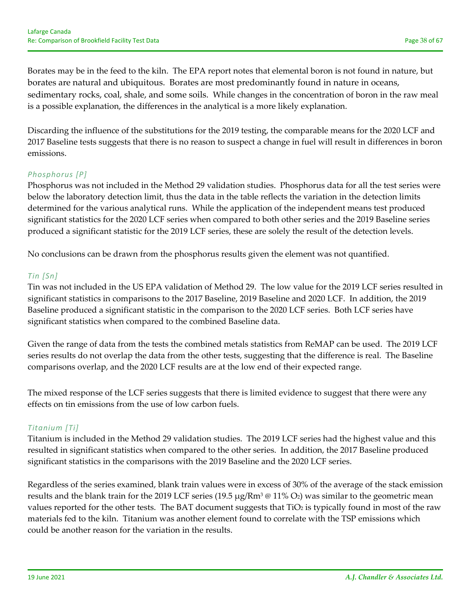Borates may be in the feed to the kiln. The EPA report notes that elemental boron is not found in nature, but borates are natural and ubiquitous. Borates are most predominantly found in nature in oceans, sedimentary rocks, coal, shale, and some soils. While changes in the concentration of boron in the raw meal is a possible explanation, the differences in the analytical is a more likely explanation.

Discarding the influence of the substitutions for the 2019 testing, the comparable means for the 2020 LCF and 2017 Baseline tests suggests that there is no reason to suspect a change in fuel will result in differences in boron emissions.

## *Phosphorus [P]*

Phosphorus was not included in the Method 29 validation studies. Phosphorus data for all the test series were below the laboratory detection limit, thus the data in the table reflects the variation in the detection limits determined for the various analytical runs. While the application of the independent means test produced significant statistics for the 2020 LCF series when compared to both other series and the 2019 Baseline series produced a significant statistic for the 2019 LCF series, these are solely the result of the detection levels.

No conclusions can be drawn from the phosphorus results given the element was not quantified.

## *Tin [Sn]*

Tin was not included in the US EPA validation of Method 29. The low value for the 2019 LCF series resulted in significant statistics in comparisons to the 2017 Baseline, 2019 Baseline and 2020 LCF. In addition, the 2019 Baseline produced a significant statistic in the comparison to the 2020 LCF series. Both LCF series have significant statistics when compared to the combined Baseline data.

Given the range of data from the tests the combined metals statistics from ReMAP can be used. The 2019 LCF series results do not overlap the data from the other tests, suggesting that the difference is real. The Baseline comparisons overlap, and the 2020 LCF results are at the low end of their expected range.

The mixed response of the LCF series suggests that there is limited evidence to suggest that there were any effects on tin emissions from the use of low carbon fuels.

## *Titanium [Ti]*

Titanium is included in the Method 29 validation studies. The 2019 LCF series had the highest value and this resulted in significant statistics when compared to the other series. In addition, the 2017 Baseline produced significant statistics in the comparisons with the 2019 Baseline and the 2020 LCF series.

Regardless of the series examined, blank train values were in excess of 30% of the average of the stack emission results and the blank train for the 2019 LCF series (19.5  $\mu$ g/Rm<sup>3</sup> @ 11% O<sub>2</sub>) was similar to the geometric mean values reported for the other tests. The BAT document suggests that TiO<sub>2</sub> is typically found in most of the raw materials fed to the kiln. Titanium was another element found to correlate with the TSP emissions which could be another reason for the variation in the results.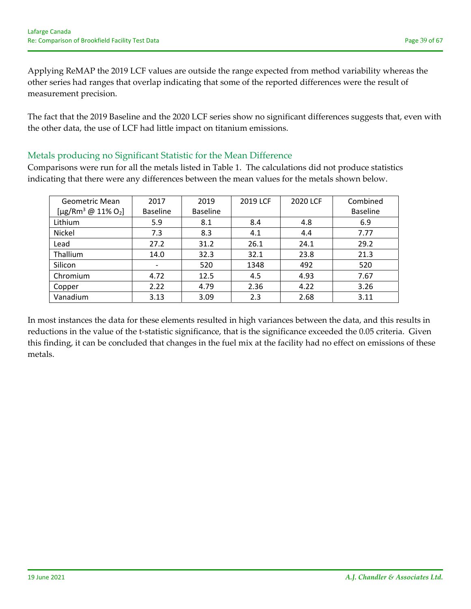Applying ReMAP the 2019 LCF values are outside the range expected from method variability whereas the other series had ranges that overlap indicating that some of the reported differences were the result of measurement precision.

The fact that the 2019 Baseline and the 2020 LCF series show no significant differences suggests that, even with the other data, the use of LCF had little impact on titanium emissions.

# Metals producing no Significant Statistic for the Mean Difference

Comparisons were run for all the metals listed in Table 1. The calculations did not produce statistics indicating that there were any differences between the mean values for the metals shown below.

| Geometric Mean<br>[µg/Rm <sup>3</sup> @ 11% O <sub>2</sub> ] | 2017<br><b>Baseline</b> | 2019<br><b>Baseline</b> | 2019 LCF | 2020 LCF | Combined<br><b>Baseline</b> |
|--------------------------------------------------------------|-------------------------|-------------------------|----------|----------|-----------------------------|
| Lithium                                                      | 5.9                     | 8.1                     | 8.4      | 4.8      | 6.9                         |
| Nickel                                                       | 7.3                     | 8.3                     | 4.1      | 4.4      | 7.77                        |
| Lead                                                         | 27.2                    | 31.2                    | 26.1     | 24.1     | 29.2                        |
| Thallium                                                     | 14.0                    | 32.3                    | 32.1     | 23.8     | 21.3                        |
| Silicon                                                      |                         | 520                     | 1348     | 492      | 520                         |
| Chromium                                                     | 4.72                    | 12.5                    | 4.5      | 4.93     | 7.67                        |
| Copper                                                       | 2.22                    | 4.79                    | 2.36     | 4.22     | 3.26                        |
| Vanadium                                                     | 3.13                    | 3.09                    | 2.3      | 2.68     | 3.11                        |

In most instances the data for these elements resulted in high variances between the data, and this results in reductions in the value of the t‐statistic significance, that is the significance exceeded the 0.05 criteria. Given this finding, it can be concluded that changes in the fuel mix at the facility had no effect on emissions of these metals.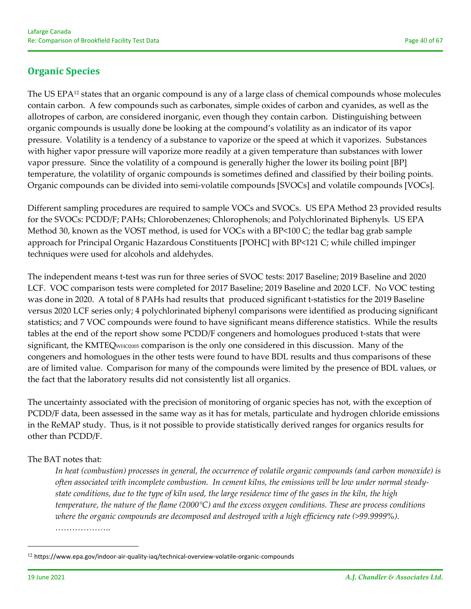# **Organic Species**

The US EPA<sup>12</sup> states that an organic compound is any of a large class of chemical compounds whose molecules contain carbon. A few compounds such as carbonates, simple oxides of carbon and cyanides, as well as the allotropes of carbon, are considered inorganic, even though they contain carbon. Distinguishing between organic compounds is usually done be looking at the compound's volatility as an indicator of its vapor pressure. Volatility is a tendency of a substance to vaporize or the speed at which it vaporizes. Substances with higher vapor pressure will vaporize more readily at a given temperature than substances with lower vapor pressure. Since the volatility of a compound is generally higher the lower its boiling point [BP] temperature, the volatility of organic compounds is sometimes defined and classified by their boiling points. Organic compounds can be divided into semi‐volatile compounds [SVOCs] and volatile compounds [VOCs].

Different sampling procedures are required to sample VOCs and SVOCs. US EPA Method 23 provided results for the SVOCs: PCDD/F; PAHs; Chlorobenzenes; Chlorophenols; and Polychlorinated Biphenyls. US EPA Method 30, known as the VOST method, is used for VOCs with a BP<100 C; the tedlar bag grab sample approach for Principal Organic Hazardous Constituents [POHC] with BP<121 C; while chilled impinger techniques were used for alcohols and aldehydes.

The independent means t‐test was run for three series of SVOC tests: 2017 Baseline; 2019 Baseline and 2020 LCF. VOC comparison tests were completed for 2017 Baseline; 2019 Baseline and 2020 LCF. No VOC testing was done in 2020. A total of 8 PAHs had results that produced significant t-statistics for the 2019 Baseline versus 2020 LCF series only; 4 polychlorinated biphenyl comparisons were identified as producing significant statistics; and 7 VOC compounds were found to have significant means difference statistics. While the results tables at the end of the report show some PCDD/F congeners and homologues produced t‐stats that were significant, the KMTEQ<sub>WHO2005</sub> comparison is the only one considered in this discussion. Many of the congeners and homologues in the other tests were found to have BDL results and thus comparisons of these are of limited value. Comparison for many of the compounds were limited by the presence of BDL values, or the fact that the laboratory results did not consistently list all organics.

The uncertainty associated with the precision of monitoring of organic species has not, with the exception of PCDD/F data, been assessed in the same way as it has for metals, particulate and hydrogen chloride emissions in the ReMAP study. Thus, is it not possible to provide statistically derived ranges for organics results for other than PCDD/F.

## The BAT notes that:

*In heat (combustion) processes in general, the occurrence of volatile organic compounds (and carbon monoxide) is* often associated with incomplete combustion. In cement kilns, the emissions will be low under normal steadystate conditions, due to the type of kiln used, the large residence time of the gases in the kiln, the high *temperature, the nature of the flame (2000°C) and the excess oxygen conditions. These are process conditions where the organic compounds are decomposed and destroyed with a high efficiency rate (>99.9999%). ………………..* 

<sup>12</sup> https://www.epa.gov/indoor‐air‐quality‐iaq/technical‐overview‐volatile‐organic‐compounds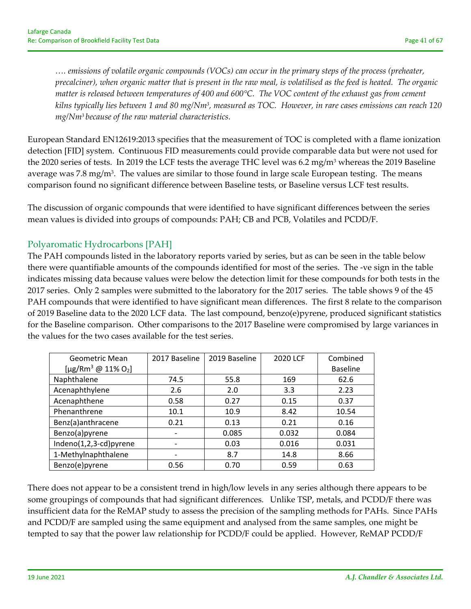... emissions of volatile organic compounds (VOCs) can occur in the primary steps of the process (preheater, precalciner), when organic matter that is present in the raw meal, is volatilised as the feed is heated. The organic matter is released between temperatures of 400 and  $600^{\circ}$ C. The VOC content of the exhaust gas from cement kilns typically lies between 1 and 80 mg/Nm<sup>3</sup>, measured as TOC. However, in rare cases emissions can reach 120 *mg/Nm3 because of the raw material characteristics.* 

European Standard EN12619:2013 specifies that the measurement of TOC is completed with a flame ionization detection [FID] system. Continuous FID measurements could provide comparable data but were not used for the 2020 series of tests. In 2019 the LCF tests the average THC level was 6.2 mg/m<sup>3</sup> whereas the 2019 Baseline average was 7.8 mg/m<sup>3</sup>. The values are similar to those found in large scale European testing. The means comparison found no significant difference between Baseline tests, or Baseline versus LCF test results.

The discussion of organic compounds that were identified to have significant differences between the series mean values is divided into groups of compounds: PAH; CB and PCB, Volatiles and PCDD/F.

# Polyaromatic Hydrocarbons [PAH]

The PAH compounds listed in the laboratory reports varied by series, but as can be seen in the table below there were quantifiable amounts of the compounds identified for most of the series. The ‐ve sign in the table indicates missing data because values were below the detection limit for these compounds for both tests in the 2017 series. Only 2 samples were submitted to the laboratory for the 2017 series. The table shows 9 of the 45 PAH compounds that were identified to have significant mean differences. The first 8 relate to the comparison of 2019 Baseline data to the 2020 LCF data. The last compound, benzo(e)pyrene, produced significant statistics for the Baseline comparison. Other comparisons to the 2017 Baseline were compromised by large variances in the values for the two cases available for the test series.

| <b>Geometric Mean</b><br>[µg/Rm <sup>3</sup> @ 11% O <sub>2</sub> ] | 2017 Baseline                | 2019 Baseline | 2020 LCF | Combined<br><b>Baseline</b> |
|---------------------------------------------------------------------|------------------------------|---------------|----------|-----------------------------|
| Naphthalene                                                         | 74.5                         | 55.8          | 169      | 62.6                        |
| Acenaphthylene                                                      | 2.6                          | 2.0           | 3.3      | 2.23                        |
| Acenaphthene                                                        | 0.58                         | 0.27          | 0.15     | 0.37                        |
| Phenanthrene                                                        | 10.1                         | 10.9          | 8.42     | 10.54                       |
| Benz(a)anthracene                                                   | 0.21                         | 0.13          | 0.21     | 0.16                        |
| Benzo(a)pyrene                                                      | $\qquad \qquad \blacksquare$ | 0.085         | 0.032    | 0.084                       |
| Indeno(1,2,3-cd)pyrene                                              |                              | 0.03          | 0.016    | 0.031                       |
| 1-Methylnaphthalene                                                 |                              | 8.7           | 14.8     | 8.66                        |
| Benzo(e)pyrene                                                      | 0.56                         | 0.70          | 0.59     | 0.63                        |

There does not appear to be a consistent trend in high/low levels in any series although there appears to be some groupings of compounds that had significant differences. Unlike TSP, metals, and PCDD/F there was insufficient data for the ReMAP study to assess the precision of the sampling methods for PAHs. Since PAHs and PCDD/F are sampled using the same equipment and analysed from the same samples, one might be tempted to say that the power law relationship for PCDD/F could be applied. However, ReMAP PCDD/F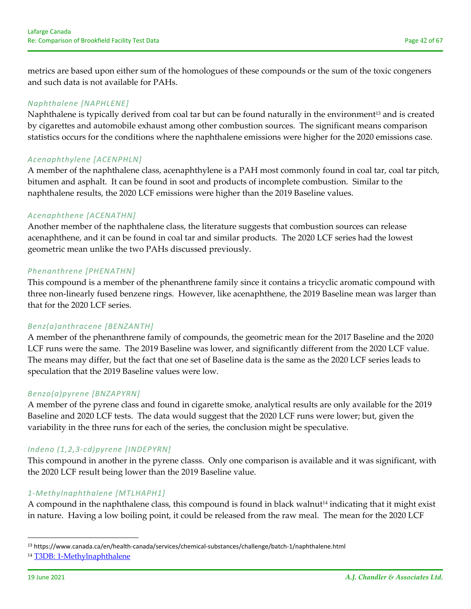metrics are based upon either sum of the homologues of these compounds or the sum of the toxic congeners and such data is not available for PAHs.

## *Naphthalene [NAPHLENE]*

Naphthalene is typically derived from coal tar but can be found naturally in the environment<sup>13</sup> and is created by cigarettes and automobile exhaust among other combustion sources. The significant means comparison statistics occurs for the conditions where the naphthalene emissions were higher for the 2020 emissions case.

### *Acenaphthylene [ACENPHLN]*

A member of the naphthalene class, acenaphthylene is a PAH most commonly found in coal tar, coal tar pitch, bitumen and asphalt. It can be found in soot and products of incomplete combustion. Similar to the naphthalene results, the 2020 LCF emissions were higher than the 2019 Baseline values.

## *Acenaphthene [ACENATHN]*

Another member of the naphthalene class, the literature suggests that combustion sources can release acenaphthene, and it can be found in coal tar and similar products. The 2020 LCF series had the lowest geometric mean unlike the two PAHs discussed previously.

### *Phenanthrene [PHENATHN]*

This compound is a member of the phenanthrene family since it contains a tricyclic aromatic compound with three non‐linearly fused benzene rings. However, like acenaphthene, the 2019 Baseline mean was larger than that for the 2020 LCF series.

## *Benz(a)anthracene [BENZANTH]*

A member of the phenanthrene family of compounds, the geometric mean for the 2017 Baseline and the 2020 LCF runs were the same. The 2019 Baseline was lower, and significantly different from the 2020 LCF value. The means may differ, but the fact that one set of Baseline data is the same as the 2020 LCF series leads to speculation that the 2019 Baseline values were low.

## *Benzo(a)pyrene [BNZAPYRN]*

A member of the pyrene class and found in cigarette smoke, analytical results are only available for the 2019 Baseline and 2020 LCF tests. The data would suggest that the 2020 LCF runs were lower; but, given the variability in the three runs for each of the series, the conclusion might be speculative.

## *Indeno (1,2,3‐cd)pyrene [INDEPYRN]*

This compound in another in the pyrene classs. Only one comparison is available and it was significant, with the 2020 LCF result being lower than the 2019 Baseline value.

### *1‐Methylnaphthalene [MTLHAPH1]*

A compound in the naphthalene class, this compound is found in black walnut<sup>14</sup> indicating that it might exist in nature. Having a low boiling point, it could be released from the raw meal. The mean for the 2020 LCF

<sup>13</sup> https://www.canada.ca/en/health‐canada/services/chemical‐substances/challenge/batch‐1/naphthalene.html <sup>14</sup> T3DB: 1‐Methylnaphthalene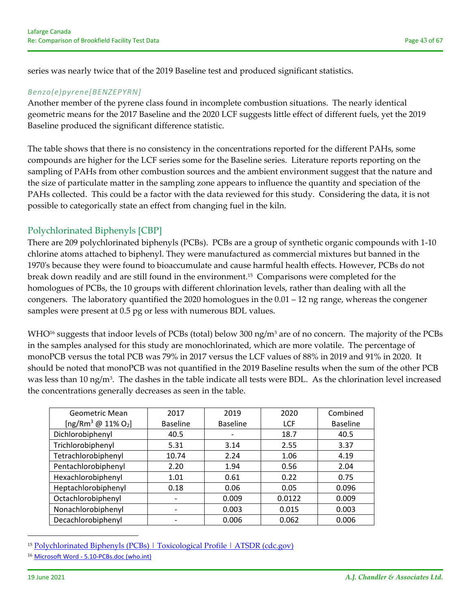series was nearly twice that of the 2019 Baseline test and produced significant statistics.

### *Benzo(e)pyrene[BENZEPYRN]*

Another member of the pyrene class found in incomplete combustion situations. The nearly identical geometric means for the 2017 Baseline and the 2020 LCF suggests little effect of different fuels, yet the 2019 Baseline produced the significant difference statistic.

The table shows that there is no consistency in the concentrations reported for the different PAHs, some compounds are higher for the LCF series some for the Baseline series. Literature reports reporting on the sampling of PAHs from other combustion sources and the ambient environment suggest that the nature and the size of particulate matter in the sampling zone appears to influence the quantity and speciation of the PAHs collected. This could be a factor with the data reviewed for this study. Considering the data, it is not possible to categorically state an effect from changing fuel in the kiln.

# Polychlorinated Biphenyls [CBP]

There are 209 polychlorinated biphenyls (PCBs). PCBs are a group of synthetic organic compounds with 1‐10 chlorine atoms attached to biphenyl. They were manufactured as commercial mixtures but banned in the 1970ʹs because they were found to bioaccumulate and cause harmful health effects. However, PCBs do not break down readily and are still found in the environment.15 Comparisons were completed for the homologues of PCBs, the 10 groups with different chlorination levels, rather than dealing with all the congeners. The laboratory quantified the 2020 homologues in the 0.01 – 12 ng range, whereas the congener samples were present at 0.5 pg or less with numerous BDL values.

WHO<sup>16</sup> suggests that indoor levels of PCBs (total) below 300 ng/m<sup>3</sup> are of no concern. The majority of the PCBs in the samples analysed for this study are monochlorinated, which are more volatile. The percentage of monoPCB versus the total PCB was 79% in 2017 versus the LCF values of 88% in 2019 and 91% in 2020. It should be noted that monoPCB was not quantified in the 2019 Baseline results when the sum of the other PCB was less than 10 ng/m<sup>3</sup>. The dashes in the table indicate all tests were BDL. As the chlorination level increased the concentrations generally decreases as seen in the table.

| <b>Geometric Mean</b>                      | 2017            | 2019            | 2020       | Combined        |
|--------------------------------------------|-----------------|-----------------|------------|-----------------|
| [ng/Rm <sup>3</sup> @ 11% O <sub>2</sub> ] | <b>Baseline</b> | <b>Baseline</b> | <b>LCF</b> | <b>Baseline</b> |
| Dichlorobiphenyl                           | 40.5            |                 | 18.7       | 40.5            |
| Trichlorobiphenyl                          | 5.31            | 3.14            | 2.55       | 3.37            |
| Tetrachlorobiphenyl                        | 10.74           | 2.24            | 1.06       | 4.19            |
| Pentachlorobiphenyl                        | 2.20            | 1.94            | 0.56       | 2.04            |
| Hexachlorobiphenyl                         | 1.01            | 0.61            | 0.22       | 0.75            |
| Heptachlorobiphenyl                        | 0.18            | 0.06            | 0.05       | 0.096           |
| Octachlorobiphenyl                         |                 | 0.009           | 0.0122     | 0.009           |
| Nonachlorobiphenyl                         |                 | 0.003           | 0.015      | 0.003           |
| Decachlorobiphenyl                         |                 | 0.006           | 0.062      | 0.006           |

<sup>&</sup>lt;sup>15</sup> Polychlorinated Biphenyls (PCBs) | Toxicological Profile | ATSDR (cdc.gov)

<sup>16</sup> Microsoft Word ‐ 5.10‐PCBs.doc (who.int)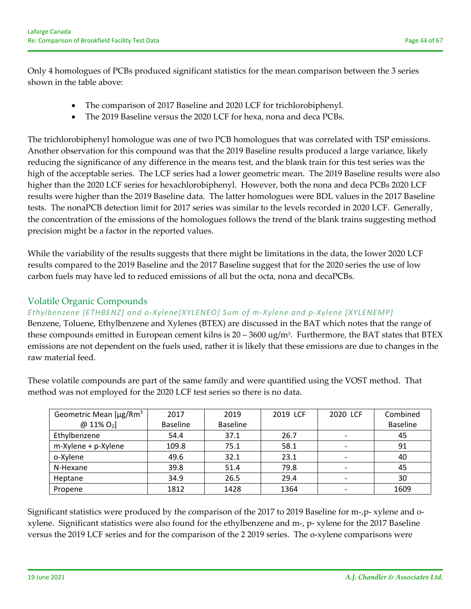Only 4 homologues of PCBs produced significant statistics for the mean comparison between the 3 series shown in the table above:

- The comparison of 2017 Baseline and 2020 LCF for trichlorobiphenyl.
- The 2019 Baseline versus the 2020 LCF for hexa, nona and deca PCBs.

The trichlorobiphenyl homologue was one of two PCB homologues that was correlated with TSP emissions. Another observation for this compound was that the 2019 Baseline results produced a large variance, likely reducing the significance of any difference in the means test, and the blank train for this test series was the high of the acceptable series. The LCF series had a lower geometric mean. The 2019 Baseline results were also higher than the 2020 LCF series for hexachlorobiphenyl. However, both the nona and deca PCBs 2020 LCF results were higher than the 2019 Baseline data. The latter homologues were BDL values in the 2017 Baseline tests. The nonaPCB detection limit for 2017 series was similar to the levels recorded in 2020 LCF. Generally, the concentration of the emissions of the homologues follows the trend of the blank trains suggesting method precision might be a factor in the reported values.

While the variability of the results suggests that there might be limitations in the data, the lower 2020 LCF results compared to the 2019 Baseline and the 2017 Baseline suggest that for the 2020 series the use of low carbon fuels may have led to reduced emissions of all but the octa, nona and decaPCBs.

# Volatile Organic Compounds

## *Ethylbenzene [ETHBENZ] and o‐Xylene[XYLENEO] Sum of m‐Xylene and p‐Xylene [XYLENEMP]*

Benzene, Toluene, Ethylbenzene and Xylenes (BTEX) are discussed in the BAT which notes that the range of these compounds emitted in European cement kilns is  $20 - 3600 \text{ ug/m}^3$ . Furthermore, the BAT states that BTEX emissions are not dependent on the fuels used, rather it is likely that these emissions are due to changes in the raw material feed.

These volatile compounds are part of the same family and were quantified using the VOST method. That method was not employed for the 2020 LCF test series so there is no data.

| Geometric Mean [µg/Rm <sup>3</sup> | 2017            | 2019            | 2019 LCF | 2020 LCF | Combined        |
|------------------------------------|-----------------|-----------------|----------|----------|-----------------|
| $[2011\% 0_2]$                     | <b>Baseline</b> | <b>Baseline</b> |          |          | <b>Baseline</b> |
| Ethylbenzene                       | 54.4            | 37.1            | 26.7     |          | 45              |
| m-Xylene + p-Xylene                | 109.8           | 75.1            | 58.1     |          | 91              |
| o-Xylene                           | 49.6            | 32.1            | 23.1     |          | 40              |
| N-Hexane                           | 39.8            | 51.4            | 79.8     |          | 45              |
| Heptane                            | 34.9            | 26.5            | 29.4     |          | 30              |
| Propene                            | 1812            | 1428            | 1364     |          | 1609            |

Significant statistics were produced by the comparison of the 2017 to 2019 Baseline for m-, p- xylene and oxylene. Significant statistics were also found for the ethylbenzene and m‐, p‐ xylene for the 2017 Baseline versus the 2019 LCF series and for the comparison of the 2 2019 series. The o-xylene comparisons were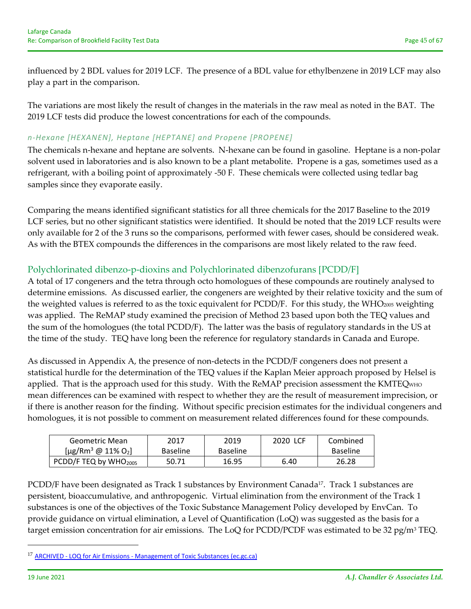influenced by 2 BDL values for 2019 LCF. The presence of a BDL value for ethylbenzene in 2019 LCF may also play a part in the comparison.

The variations are most likely the result of changes in the materials in the raw meal as noted in the BAT. The 2019 LCF tests did produce the lowest concentrations for each of the compounds.

## *n‐Hexane [HEXANEN], Heptane [HEPTANE] and Propene [PROPENE]*

The chemicals n-hexane and heptane are solvents. N-hexane can be found in gasoline. Heptane is a non-polar solvent used in laboratories and is also known to be a plant metabolite. Propene is a gas, sometimes used as a refrigerant, with a boiling point of approximately ‐50 F. These chemicals were collected using tedlar bag samples since they evaporate easily.

Comparing the means identified significant statistics for all three chemicals for the 2017 Baseline to the 2019 LCF series, but no other significant statistics were identified. It should be noted that the 2019 LCF results were only available for 2 of the 3 runs so the comparisons, performed with fewer cases, should be considered weak. As with the BTEX compounds the differences in the comparisons are most likely related to the raw feed.

# Polychlorinated dibenzo‐p‐dioxins and Polychlorinated dibenzofurans [PCDD/F]

A total of 17 congeners and the tetra through octo homologues of these compounds are routinely analysed to determine emissions. As discussed earlier, the congeners are weighted by their relative toxicity and the sum of the weighted values is referred to as the toxic equivalent for PCDD/F. For this study, the WHO2005 weighting was applied. The ReMAP study examined the precision of Method 23 based upon both the TEQ values and the sum of the homologues (the total PCDD/F). The latter was the basis of regulatory standards in the US at the time of the study. TEQ have long been the reference for regulatory standards in Canada and Europe.

As discussed in Appendix A, the presence of non-detects in the PCDD/F congeners does not present a statistical hurdle for the determination of the TEQ values if the Kaplan Meier approach proposed by Helsel is applied. That is the approach used for this study. With the ReMAP precision assessment the KMTEQWHO mean differences can be examined with respect to whether they are the result of measurement imprecision, or if there is another reason for the finding. Without specific precision estimates for the individual congeners and homologues, it is not possible to comment on measurement related differences found for these compounds.

| Geometric Mean                                   | 2017            | 2019            | 2020 LCF | Combined        |
|--------------------------------------------------|-----------------|-----------------|----------|-----------------|
| [ $\mu$ g/Rm <sup>3</sup> @ 11% O <sub>2</sub> ] | <b>Baseline</b> | <b>Baseline</b> |          | <b>Baseline</b> |
| PCDD/F TEQ by WHO2005                            | 50.71           | 16.95           | 6.40     | 26.28           |

PCDD/F have been designated as Track 1 substances by Environment Canada<sup>17</sup>. Track 1 substances are persistent, bioaccumulative, and anthropogenic. Virtual elimination from the environment of the Track 1 substances is one of the objectives of the Toxic Substance Management Policy developed by EnvCan. To provide guidance on virtual elimination, a Level of Quantification (LoQ) was suggested as the basis for a target emission concentration for air emissions. The LoQ for PCDD/PCDF was estimated to be 32 pg/m<sup>3</sup> TEQ.

<sup>17</sup> ARCHIVED - LOQ for Air Emissions - Management of Toxic Substances (ec.gc.ca)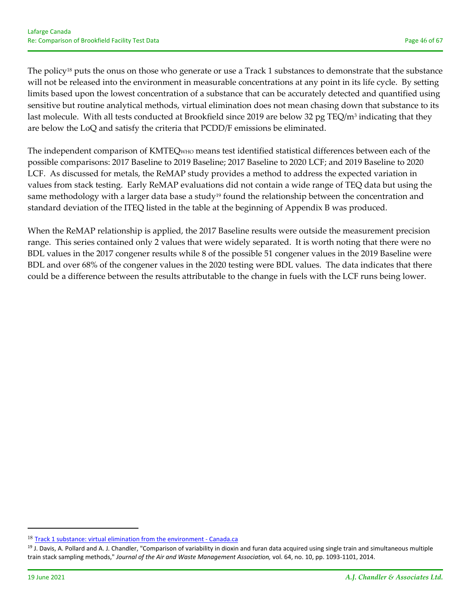The policy<sup>18</sup> puts the onus on those who generate or use a Track 1 substances to demonstrate that the substance will not be released into the environment in measurable concentrations at any point in its life cycle. By setting limits based upon the lowest concentration of a substance that can be accurately detected and quantified using sensitive but routine analytical methods, virtual elimination does not mean chasing down that substance to its last molecule. With all tests conducted at Brookfield since 2019 are below 32 pg TEQ/m<sup>3</sup> indicating that they are below the LoQ and satisfy the criteria that PCDD/F emissions be eliminated.

The independent comparison of KMTEQWHO means test identified statistical differences between each of the possible comparisons: 2017 Baseline to 2019 Baseline; 2017 Baseline to 2020 LCF; and 2019 Baseline to 2020 LCF. As discussed for metals, the ReMAP study provides a method to address the expected variation in values from stack testing. Early ReMAP evaluations did not contain a wide range of TEQ data but using the same methodology with a larger data base a study<sup>19</sup> found the relationship between the concentration and standard deviation of the ITEQ listed in the table at the beginning of Appendix B was produced.

When the ReMAP relationship is applied, the 2017 Baseline results were outside the measurement precision range. This series contained only 2 values that were widely separated. It is worth noting that there were no BDL values in the 2017 congener results while 8 of the possible 51 congener values in the 2019 Baseline were BDL and over 68% of the congener values in the 2020 testing were BDL values. The data indicates that there could be a difference between the results attributable to the change in fuels with the LCF runs being lower.

<sup>18</sup> Track 1 substance: virtual elimination from the environment - Canada.ca

<sup>&</sup>lt;sup>19</sup> J. Davis, A. Pollard and A. J. Chandler, "Comparison of variability in dioxin and furan data acquired using single train and simultaneous multiple train stack sampling methods," *Journal of the Air and Waste Management Association,* vol. 64, no. 10, pp. 1093‐1101, 2014.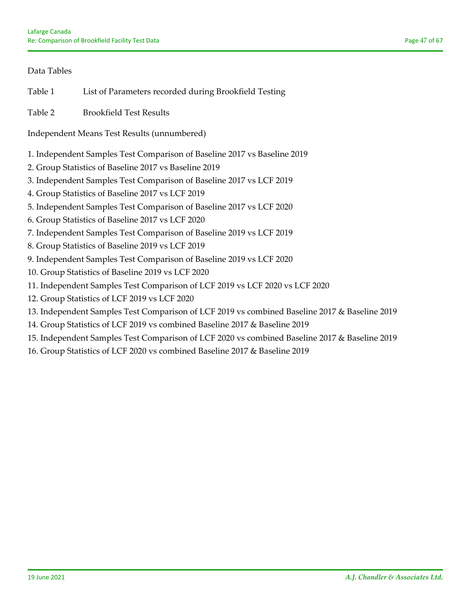## Data Tables

Table 1 List of Parameters recorded during Brookfield Testing

Table 2 Brookfield Test Results

Independent Means Test Results (unnumbered)

- 1. Independent Samples Test Comparison of Baseline 2017 vs Baseline 2019
- 2. Group Statistics of Baseline 2017 vs Baseline 2019
- 3. Independent Samples Test Comparison of Baseline 2017 vs LCF 2019
- 4. Group Statistics of Baseline 2017 vs LCF 2019
- 5. Independent Samples Test Comparison of Baseline 2017 vs LCF 2020
- 6. Group Statistics of Baseline 2017 vs LCF 2020
- 7. Independent Samples Test Comparison of Baseline 2019 vs LCF 2019
- 8. Group Statistics of Baseline 2019 vs LCF 2019
- 9. Independent Samples Test Comparison of Baseline 2019 vs LCF 2020
- 10. Group Statistics of Baseline 2019 vs LCF 2020
- 11. Independent Samples Test Comparison of LCF 2019 vs LCF 2020 vs LCF 2020
- 12. Group Statistics of LCF 2019 vs LCF 2020
- 13. Independent Samples Test Comparison of LCF 2019 vs combined Baseline 2017 & Baseline 2019
- 14. Group Statistics of LCF 2019 vs combined Baseline 2017 & Baseline 2019
- 15. Independent Samples Test Comparison of LCF 2020 vs combined Baseline 2017 & Baseline 2019
- 16. Group Statistics of LCF 2020 vs combined Baseline 2017 & Baseline 2019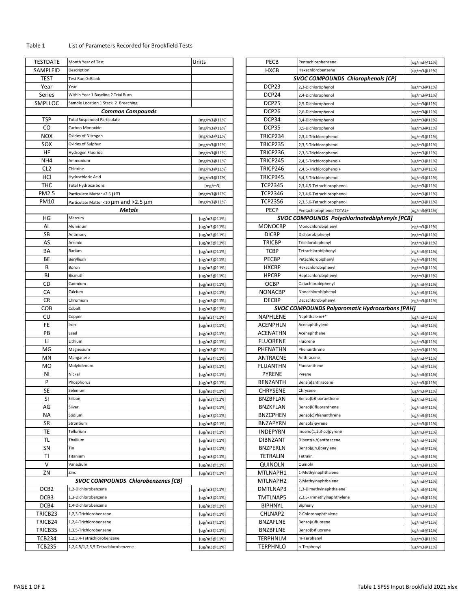#### Table 1 List of Parameters Recorded for Brookfield Tests

| <b>TESTDATE</b>                | Month Year of Test                                               | Units                      | PECB                        | Pentachlorobenzene                                    | [ug/m3@11%]                                                             |
|--------------------------------|------------------------------------------------------------------|----------------------------|-----------------------------|-------------------------------------------------------|-------------------------------------------------------------------------|
| SAMPLEID                       | Description                                                      |                            | <b>HXCB</b>                 | Hexachlorobenzene                                     | [ug/m3@11%]                                                             |
| <b>TEST</b>                    | Test Run 0=Blank                                                 |                            |                             | <b>SVOC COMPOUNDS Chlorophenols [CP]</b>              |                                                                         |
| Year                           | Year                                                             |                            | DCP <sub>23</sub>           | 2,3-Dichlorophenol                                    | [ug/m3@11%]                                                             |
| Series                         | Within Year 1 Baseline 2 Trial Burn                              |                            | DCP <sub>24</sub>           | 2,4-Dichlorophenol                                    | [ug/m3@11%]                                                             |
| SMPLLOC                        | Sample Location 1 Stack 2 Breeching                              |                            | DCP25                       | 2,5-Dichlorophenol                                    | [ug/m3@11%]                                                             |
|                                | <b>Common Compounds</b>                                          |                            | DCP <sub>26</sub>           |                                                       |                                                                         |
|                                |                                                                  |                            |                             | 2,6-Dichlorophenol                                    | [ug/m3@11%]                                                             |
| <b>TSP</b>                     | <b>Total Suspended Particulate</b>                               | [mg/m3@11%]                | DCP34                       | 3,4-Dichlorophenol                                    | [ug/m3@11%]                                                             |
| CO                             | Carbon Monoxide                                                  | [mg/m3@11%]                | DCP35                       | 3,5-Dichlorophenol                                    | [ug/m3@11%]                                                             |
| <b>NOX</b>                     | Oxides of Nitrogen                                               | [mg/m3@11%]                | TRICP234                    | 2,3,4-Trichlorophenol                                 | [ug/m3@11%]                                                             |
| SOX                            | Oxides of Sulphur                                                | [mg/m3@11%]                | TRICP235                    | 2,3,5-Trichlorophenol                                 | [ug/m3@11%]                                                             |
| HF                             | Hydrogen Fluoride                                                | [mg/m3@11%]                | TRICP236                    | 2,3,6-Trichlorophenol                                 | [ug/m3@11%]                                                             |
| NH4                            | Ammonium                                                         | [mg/m3@11%]                | TRICP245                    | 2,4,5-Trichlorophenol+                                | [ug/m3@11%]                                                             |
| CL <sub>2</sub>                | Chlorine                                                         | [mg/m3@11%]                | TRICP246                    | 2,4,6-Trichlorophenol+                                | [ug/m3@11%]                                                             |
| HCI                            | Hydrochloric Acid                                                | [ $mg/m3@11%$ ]            | TRICP345                    | 3,4,5-Trichlorophenol                                 | [ug/m3@11%]                                                             |
| THC                            | <b>Total Hydrocarbons</b>                                        | [mg/m3]                    | <b>TCP2345</b>              | 2,3,4,5-Tetrachlorophenol                             | [ug/m3@11%]                                                             |
| PM2.5                          |                                                                  |                            | <b>TCP2346</b>              | 2,3,4,6-Tetrachlorophenol                             |                                                                         |
|                                | Particulate Matter <2.5 µm                                       | [ $mg/m3@11%$ ]            |                             |                                                       | [ug/m3@11%]                                                             |
| <b>PM10</b>                    | Particulate Matter <10 µm and >2.5 µm                            | [mg/m3@11%]                | <b>TCP2356</b>              | 2,3,5,6-Tetrachlorophenol                             | [ug/m3@11%]                                                             |
|                                | Metals                                                           |                            | <b>PECP</b>                 | Pentachlorophenol TOTAL+                              | [ug/m3@11%]                                                             |
| HG                             | Mercury                                                          | [ug/m3@11%]                |                             | <b>SVOC COMPOUNDS Polychlorinatedbiphenyls [PCB]</b>  |                                                                         |
| AL                             | Aluminum                                                         | [ug/m3@11%]                | <b>MONOCBP</b>              | Monochlorobiphenyl                                    | [ng/m3@11%]                                                             |
| SB                             | Antimony                                                         | [ug/m3@11%]                | <b>DICBP</b>                | Dichlorobiphenyl                                      | [ng/m3@11%]                                                             |
| AS                             | Arsenic                                                          | [ug/m3@11%]                | <b>TRICBP</b>               | Trichlorobiphenyl                                     | [ng/m3@11%]                                                             |
| BA                             | Barium                                                           | [ug/m3@11%]                | <b>TCBP</b>                 | Tetrachlorobiphenyl                                   | [ng/m3@11%]                                                             |
| BE                             | Beryllium                                                        | [ug/m3@11%]                | PECBP                       | Petachlorobiphenyl                                    | [ng/m3@11%]                                                             |
| В                              | Boron                                                            | [ug/m3@11%]                | <b>HXCBP</b>                | Hexachlorobiphenyl                                    | [ng/m3@11%]                                                             |
| BI                             | Bismuth                                                          |                            | <b>HPCBP</b>                | Heptachlorobiphenyl                                   |                                                                         |
|                                |                                                                  | [ug/m3@11%]                |                             |                                                       | [ng/m3@11%]                                                             |
| CD                             | Cadmium                                                          | [ug/m3@11%]                | <b>OCBP</b>                 | Octachlorobiphenyl                                    | [ng/m3@11%]                                                             |
| CA                             | Calcium                                                          | [ug/m3@11%]                | <b>NONACBP</b>              | Nonachlorobiphenyl                                    | [ng/m3@11%]                                                             |
| <b>CR</b>                      | Chromium                                                         | [ug/m3@11%]                | <b>DECBP</b>                | Decachlorobiphenyl                                    | [ng/m3@11%]                                                             |
|                                |                                                                  |                            |                             |                                                       |                                                                         |
| <b>COB</b>                     | Cobalt                                                           | [ $ug/m3@11%$ ]            |                             | <b>SVOC COMPOUNDS Polyaromatic Hydrocarbons [PAH]</b> |                                                                         |
| CU                             | Copper                                                           | [ug/m3@11%]                | NAPHLENE                    | Naphthalene+*                                         | [ug/m3@11%]                                                             |
| FE                             | Iron                                                             | [ug/m3@11%]                | <b>ACENPHLN</b>             | Acenaphthylene                                        | [ug/m3@11%]                                                             |
| PB                             | Lead                                                             | [ug/m3@11%]                | <b>ACENATHN</b>             | Acenaphthene                                          | [ug/m3@11%]                                                             |
| П                              | Lithium                                                          |                            |                             | Fluorene                                              |                                                                         |
|                                |                                                                  | [ug/m3@11%]                | <b>FLUORENE</b>             |                                                       |                                                                         |
| MG                             | Magnesium                                                        | [ug/m3@11%]                | PHENATHN                    | Phenanthrene                                          | [ug/m3@11%]<br>[ug/m3@11%]                                              |
| MN                             | Manganese                                                        | [ug/m3@11%]                | <b>ANTRACNE</b>             | Anthracene                                            |                                                                         |
| MO                             | Molybdenum                                                       | [ug/m3@11%]                | <b>FLUANTHN</b>             | Fluoranthene                                          | [ug/m3@11%]<br>[ug/m3@11%]                                              |
| NI                             | Nickel                                                           | [ $ug/m3@11%$ ]            | <b>PYRENE</b>               | Pyrene                                                | [ug/m3@11%]                                                             |
| P                              | Phosphorus                                                       | [ $ug/m3@11%$ ]            | <b>BENZANTH</b>             | Benz(a)anthracene                                     | [ug/m3@11%]                                                             |
| SE                             | Selenium                                                         | [ug/m3@11%]                | <b>CHRYSENE</b>             | Chrysene                                              | [ug/m3@11%]                                                             |
| <b>SI</b>                      | Silicon                                                          | [ug/m3@11%]                | <b>BNZBFLAN</b>             | Benzo(b)fluoranthene                                  | [ug/m3@11%]                                                             |
| AG                             | Silver                                                           | [ug/m3@11%]                | <b>BNZKFLAN</b>             | Benzo(k)fluoranthene                                  | [ug/m3@11%]                                                             |
| ΝA                             | Sodium                                                           | [ug/m3@11%]                | <b>BNZCPHEN</b>             | Benzo(c)Phenanthrene                                  | [ug/m3@11%]                                                             |
| SR                             | Strontium                                                        |                            | <b>BNZAPYRN</b>             | Benzo(a)pyrene                                        |                                                                         |
|                                | Tellurium                                                        | [ug/m3@11%]                |                             |                                                       | [ug/m3@11%]                                                             |
| TE                             |                                                                  | [ug/m3@11%]                | <b>INDEPYRN</b>             | Indeno(1,2,3-cd)pyrene                                | [ug/m3@11%]                                                             |
| TL                             | Thallium                                                         | [ug/m3@11%]                | <b>DIBNZANT</b>             | Dibenz(a,h)anthracene                                 | [ug/m3@11%]                                                             |
| SN                             | Tin                                                              | [ug/m3@11%]                | <b>BNZPERLN</b>             | Benzo(g,h,i)perylene                                  | [ug/m3@11%]                                                             |
| TI                             | Titanium                                                         | [ug/m3@11%]                | TETRALIN                    | Tetralin                                              | [ug/m3@11%]                                                             |
| V                              | Vanadium                                                         | [ug/m3@11%]                | QUINOLN                     | Quinoln                                               | [ug/m3@11%]                                                             |
| ZN                             | Zinc                                                             | [ug/m3@11%]                | MTLNAPH1                    | 1-Methylnaphthalene                                   | [ug/m3@11%]                                                             |
|                                | <b>SVOC COMPOUNDS Chlorobenzenes [CB]</b>                        |                            | MTLNAPH2                    | 2-Methylnaphthalene                                   | [ug/m3@11%]                                                             |
| DCB <sub>2</sub>               | 1,2-Dichlorobenzene                                              | [ug/m3@11%]                | DMTLNAP3                    | 1,3-Dimethylnaphthalene                               |                                                                         |
| DCB3                           | 1,3-Dichlorobenzene                                              | [ug/m3@11%]                | TMTLNAP5                    | 2,3,5-Trimethylnaphthylene                            |                                                                         |
|                                | 1,4-Dichlorobenzene                                              |                            |                             | Biphenyl                                              |                                                                         |
| DCB4                           |                                                                  | [ug/m3@11%]                | <b>BIPHNYL</b>              |                                                       |                                                                         |
| TRICB23                        | 1,2,3-Trichlorobenzene                                           | [ug/m3@11%]                | CHLNAP2                     | 2-Chloronaphthalene                                   |                                                                         |
| TRICB24                        | 1,2,4-Trichlorobenzene                                           | [ug/m3@11%]                | <b>BNZAFLNE</b>             | Benzo(a)fluorene                                      | [ug/m3@11%]<br>[ug/m3@11%]<br>[ug/m3@11%]<br>[ug/m3@11%]<br>[ug/m3@11%] |
| TRICB35                        | 1,3,5-Trichlorobenzene                                           | [ug/m3@11%]                | <b>BNZBFLNE</b>             | Benzo(b)fluorene                                      | [ug/m3@11%]                                                             |
| <b>TCB234</b><br><b>TCB235</b> | 1,2,3,4-Tetrachlorobenzene<br>1,2,4,5/1,2,3,5-Tetrachlorobenzene | [ug/m3@11%]<br>[ug/m3@11%] | TERPHNLM<br><b>TERPHNLO</b> | m-Terphenyl<br>o-Terphenyl                            | [ug/m3@11%]<br>[ug/m3@11%]                                              |

| <b>HXCB</b><br>Description<br>Hexachlorobenzene<br>[ug/m3@11%]<br><b>SVOC COMPOUNDS Chlorophenols [CP]</b><br>Test Run 0=Blank<br>DCP23<br>Year<br>2,3-Dichlorophenol<br>[ug/m3@11%]<br>DCP24<br>Within Year 1 Baseline 2 Trial Burn<br>2,4-Dichlorophenol<br>[ug/m3@11%]<br>DCP <sub>25</sub><br>Sample Location 1 Stack 2 Breeching<br>2,5-Dichlorophenol<br>[ug/m3@11%]<br><b>Common Compounds</b><br>DCP <sub>26</sub><br>2,6-Dichlorophenol<br>[ug/m3@11%]<br>DCP34<br><b>Total Suspended Particulate</b><br>[mg/m3@11%]<br>3,4-Dichlorophenol<br>[ug/m3@11%]<br>DCP35<br>Carbon Monoxide<br>[mg/m3@11%]<br>3,5-Dichlorophenol<br>[ug/m3@11%]<br>IOX<br>TRICP234<br>Oxides of Nitrogen<br>[mg/m3@11%]<br>2,3,4-Trichlorophenol<br>[ug/m3@11%]<br>ЮX<br>TRICP235<br>Oxides of Sulphur<br>[mg/m3@11%]<br>2,3,5-Trichlorophenol<br>[ug/m3@11%]<br>ΗF<br>TRICP236<br>Hydrogen Fluoride<br>[mg/m3@11%]<br>2,3,6-Trichlorophenol<br>[ug/m3@11%]<br>JH4<br>TRICP245<br>Ammonium<br>[mg/m3@11%]<br>2,4,5-Trichlorophenol+<br>[ug/m3@11%]<br>2L2<br>TRICP246<br>Chlorine<br>2,4,6-Trichlorophenol+<br>[mg/m3@11%]<br>[ug/m3@11%]<br>ЧCІ<br>TRICP345<br>Hydrochloric Acid<br>[mg/m3@11%]<br>3,4,5-Trichlorophenol<br>[ug/m3@11%]<br>HC <sup>-</sup><br><b>TCP2345</b><br>Total Hydrocarbons<br>[mg/m3]<br>2,3,4,5-Tetrachlorophenol<br>[ug/m3@11%]<br>M2.5<br><b>TCP2346</b><br>Particulate Matter <2.5 µM<br>[mg/m3@11%]<br>2,3,4,6-Tetrachlorophenol<br>[ug/m3@11%]<br>M10<br><b>TCP2356</b><br>Particulate Matter <10 µm and >2.5 µm<br>[mg/m3@11%]<br>2,3,5,6-Tetrachlorophenol<br>[ug/m3@11%]<br><b>PECP</b><br><b>Metals</b><br>Pentachlorophenol TOTAL+<br>[ug/m3@11%]<br>HG<br><b>SVOC COMPOUNDS Polychlorinatedbiphenyls [PCB]</b><br>Mercury<br>[ug/m3@11%]<br>AL<br><b>MONOCBP</b><br>Aluminum<br>Monochlorobiphenyl<br>[ug/m3@11%]<br>[ng/m3@11%]<br>SB<br><b>DICBP</b><br>Dichlorobiphenyl<br>Antimony<br>[ug/m3@11%]<br>[ng/m3@11%]<br>AS<br><b>TRICBP</b><br>Arsenic<br>Trichlorobiphenyl<br>[ug/m3@11%]<br>[ng/m3@11%]<br>ΒА<br><b>TCBP</b><br>Barium<br>[ug/m3@11%]<br>Tetrachlorobiphenyl<br>[ng/m3@11%]<br>ВE<br>PECBP<br>Beryllium<br>Petachlorobiphenyl<br>[ug/m3@11%]<br>[ng/m3@11%]<br>В<br><b>HXCBP</b><br>Boron<br>Hexachlorobiphenyl<br>[ug/m3@11%]<br>[ng/m3@11%]<br><b>HPCBP</b><br>BI<br>Bismuth<br>Heptachlorobiphenyl<br>[ug/m3@11%]<br>[ng/m3@11%]<br><b>OCBP</b><br>CD<br>Cadmium<br>Octachlorobiphenyl<br>[ug/m3@11%]<br>[ng/m3@11%]<br>СA<br><b>NONACBP</b><br>Calcium<br>Nonachlorobiphenyl<br>[ug/m3@11%]<br>[ng/m3@11%]<br>CR<br><b>DECBP</b><br>Chromium<br>Decachlorobiphenyl<br>[ug/m3@11%]<br>[ng/m3@11%]<br>COB<br><b>SVOC COMPOUNDS Polyaromatic Hydrocarbons [PAH]</b><br>Cobalt<br>[ug/m3@11%]<br>NAPHLENE<br>Naphthalene+*<br>Copper<br>[ug/m3@11%]<br>[ug/m3@11%]<br><b>ACENPHLN</b><br>Acenaphthylene<br>Iron<br>[ug/m3@11%]<br>[ug/m3@11%]<br><b>ACENATHN</b><br>Lead<br>Acenaphthene<br>[ug/m3@11%]<br>[ug/m3@11%]<br><b>FLUORENE</b><br>Lithium<br>Fluorene<br>[ug/m3@11%]<br>[ug/m3@11%]<br>PHENATHN<br>Magnesium<br>Phenanthrene<br>[ug/m3@11%]<br>[ug/m3@11%]<br>ANTRACNE<br>Manganese<br>Anthracene<br>[ug/m3@11%]<br>[ug/m3@11%]<br>Molybdenum<br>FLUANTHN<br>Fluoranthene<br>[ug/m3@11%]<br>[ug/m3@11%]<br>Nickel<br>PYRENE<br>Pyrene<br>[ug/m3@11%]<br>[ug/m3@11%]<br><b>BENZANTH</b><br>Phosphorus<br>Benz(a)anthracene<br>[ug/m3@11%]<br>[ug/m3@11%]<br><b>CHRYSENE</b><br>Selenium<br>Chrysene<br>[ug/m3@11%]<br>[ug/m3@11%]<br><b>BNZBFLAN</b><br>Silicon<br>Benzo(b)fluoranthene<br>[ug/m3@11%]<br>[ug/m3@11%]<br><b>BNZKFLAN</b><br>Silver<br>Benzo(k)fluoranthene<br>[ug/m3@11%]<br>[ug/m3@11%]<br><b>BNZCPHEN</b><br>Benzo(c)Phenanthrene<br>Sodium<br>[ug/m3@11%]<br>[ug/m3@11%]<br><b>BNZAPYRN</b><br>Benzo(a)pyrene<br>Strontium<br>[ug/m3@11%]<br>[ug/m3@11%]<br><b>INDEPYRN</b><br>Indeno(1,2,3-cd)pyrene<br>Tellurium<br>[ug/m3@11%]<br>[ug/m3@11%]<br><b>DIBNZANT</b><br>Thallium<br>Dibenz(a,h)anthracene<br>[ug/m3@11%]<br>[ug/m3@11%]<br><b>BNZPERLN</b><br>Tin<br>Benzo(g,h,i)perylene<br>[ug/m3@11%]<br>[ug/m3@11%]<br>TETRALIN<br>Titanium<br>[ug/m3@11%]<br>Tetralin<br>[ug/m3@11%]<br>QUINOLN<br>Vanadium<br>Quinoln<br>[ug/m3@11%]<br>[ug/m3@11%]<br>MTLNAPH1<br>Zinc<br>1-Methylnaphthalene<br>[ug/m3@11%]<br>[ug/m3@11%]<br><b>SVOC COMPOUNDS Chlorobenzenes [CB]</b><br>MTLNAPH2<br>2-Methylnaphthalene<br>[ug/m3@11%]<br>DMTLNAP3<br>1,2-Dichlorobenzene<br>1,3-Dimethylnaphthalene<br>[ug/m3@11%]<br>[ug/m3@11%]<br>1.3-Dichlorobenzene<br>TMTLNAP5<br>2,3,5-Trimethylnaphthylene<br>[ug/m3@11%]<br>[ug/m3@11%]<br>BIPHNYL<br>1,4-Dichlorobenzene<br>Biphenyl<br>[ug/m3@11%]<br>[ug/m3@11%]<br>CHLNAP2<br>1,2,3-Trichlorobenzene<br>2-Chloronaphthalene<br>[ug/m3@11%]<br>[ug/m3@11%]<br><b>BNZAFLNE</b><br>1,2,4-Trichlorobenzene<br>Benzo(a)fluorene<br>[ug/m3@11%]<br>[ug/m3@11%]<br><b>BNZBFLNE</b><br>1,3,5-Trichlorobenzene<br>Benzo(b)fluorene<br>[ug/m3@11%]<br>[ug/m3@11%]<br>TERPHNLM<br>m-Terphenyl<br>1,2,3,4-Tetrachlorobenzene<br>[ug/m3@11%]<br>[ug/m3@11%]<br>B235<br><b>TERPHNLO</b><br>1,2,4,5/1,2,3,5-Tetrachlorobenzene<br>o-Terphenyl<br>[ug/m3@11%]<br>[ug/m3@11%] | TDATE                                       | Month Year of Test | Units | PECB | Pentachlorobenzene | [ug/m3@11%] |
|-----------------------------------------------------------------------------------------------------------------------------------------------------------------------------------------------------------------------------------------------------------------------------------------------------------------------------------------------------------------------------------------------------------------------------------------------------------------------------------------------------------------------------------------------------------------------------------------------------------------------------------------------------------------------------------------------------------------------------------------------------------------------------------------------------------------------------------------------------------------------------------------------------------------------------------------------------------------------------------------------------------------------------------------------------------------------------------------------------------------------------------------------------------------------------------------------------------------------------------------------------------------------------------------------------------------------------------------------------------------------------------------------------------------------------------------------------------------------------------------------------------------------------------------------------------------------------------------------------------------------------------------------------------------------------------------------------------------------------------------------------------------------------------------------------------------------------------------------------------------------------------------------------------------------------------------------------------------------------------------------------------------------------------------------------------------------------------------------------------------------------------------------------------------------------------------------------------------------------------------------------------------------------------------------------------------------------------------------------------------------------------------------------------------------------------------------------------------------------------------------------------------------------------------------------------------------------------------------------------------------------------------------------------------------------------------------------------------------------------------------------------------------------------------------------------------------------------------------------------------------------------------------------------------------------------------------------------------------------------------------------------------------------------------------------------------------------------------------------------------------------------------------------------------------------------------------------------------------------------------------------------------------------------------------------------------------------------------------------------------------------------------------------------------------------------------------------------------------------------------------------------------------------------------------------------------------------------------------------------------------------------------------------------------------------------------------------------------------------------------------------------------------------------------------------------------------------------------------------------------------------------------------------------------------------------------------------------------------------------------------------------------------------------------------------------------------------------------------------------------------------------------------------------------------------------------------------------------------------------------------------------------------------------------------------------------------------------------------------------------------------------------------------------------------------------------------------------------------------------------------------------------------------------------------------------------------------------------------------------------------------------------------------------------------------------------------------------------------------------------------------------------------------------------------------------------------------------------------------------------------------------------------------------------------------------------------------------------------------------------------------------------------------------------------------------------------------------------------------------------------------------------------------------------------------|---------------------------------------------|--------------------|-------|------|--------------------|-------------|
|                                                                                                                                                                                                                                                                                                                                                                                                                                                                                                                                                                                                                                                                                                                                                                                                                                                                                                                                                                                                                                                                                                                                                                                                                                                                                                                                                                                                                                                                                                                                                                                                                                                                                                                                                                                                                                                                                                                                                                                                                                                                                                                                                                                                                                                                                                                                                                                                                                                                                                                                                                                                                                                                                                                                                                                                                                                                                                                                                                                                                                                                                                                                                                                                                                                                                                                                                                                                                                                                                                                                                                                                                                                                                                                                                                                                                                                                                                                                                                                                                                                                                                                                                                                                                                                                                                                                                                                                                                                                                                                                                                                                                                                                                                                                                                                                                                                                                                                                                                                                                                                                                                                                                                             | 1PLEID                                      |                    |       |      |                    |             |
|                                                                                                                                                                                                                                                                                                                                                                                                                                                                                                                                                                                                                                                                                                                                                                                                                                                                                                                                                                                                                                                                                                                                                                                                                                                                                                                                                                                                                                                                                                                                                                                                                                                                                                                                                                                                                                                                                                                                                                                                                                                                                                                                                                                                                                                                                                                                                                                                                                                                                                                                                                                                                                                                                                                                                                                                                                                                                                                                                                                                                                                                                                                                                                                                                                                                                                                                                                                                                                                                                                                                                                                                                                                                                                                                                                                                                                                                                                                                                                                                                                                                                                                                                                                                                                                                                                                                                                                                                                                                                                                                                                                                                                                                                                                                                                                                                                                                                                                                                                                                                                                                                                                                                                             | EST                                         |                    |       |      |                    |             |
|                                                                                                                                                                                                                                                                                                                                                                                                                                                                                                                                                                                                                                                                                                                                                                                                                                                                                                                                                                                                                                                                                                                                                                                                                                                                                                                                                                                                                                                                                                                                                                                                                                                                                                                                                                                                                                                                                                                                                                                                                                                                                                                                                                                                                                                                                                                                                                                                                                                                                                                                                                                                                                                                                                                                                                                                                                                                                                                                                                                                                                                                                                                                                                                                                                                                                                                                                                                                                                                                                                                                                                                                                                                                                                                                                                                                                                                                                                                                                                                                                                                                                                                                                                                                                                                                                                                                                                                                                                                                                                                                                                                                                                                                                                                                                                                                                                                                                                                                                                                                                                                                                                                                                                             | 'ear                                        |                    |       |      |                    |             |
|                                                                                                                                                                                                                                                                                                                                                                                                                                                                                                                                                                                                                                                                                                                                                                                                                                                                                                                                                                                                                                                                                                                                                                                                                                                                                                                                                                                                                                                                                                                                                                                                                                                                                                                                                                                                                                                                                                                                                                                                                                                                                                                                                                                                                                                                                                                                                                                                                                                                                                                                                                                                                                                                                                                                                                                                                                                                                                                                                                                                                                                                                                                                                                                                                                                                                                                                                                                                                                                                                                                                                                                                                                                                                                                                                                                                                                                                                                                                                                                                                                                                                                                                                                                                                                                                                                                                                                                                                                                                                                                                                                                                                                                                                                                                                                                                                                                                                                                                                                                                                                                                                                                                                                             | eries                                       |                    |       |      |                    |             |
|                                                                                                                                                                                                                                                                                                                                                                                                                                                                                                                                                                                                                                                                                                                                                                                                                                                                                                                                                                                                                                                                                                                                                                                                                                                                                                                                                                                                                                                                                                                                                                                                                                                                                                                                                                                                                                                                                                                                                                                                                                                                                                                                                                                                                                                                                                                                                                                                                                                                                                                                                                                                                                                                                                                                                                                                                                                                                                                                                                                                                                                                                                                                                                                                                                                                                                                                                                                                                                                                                                                                                                                                                                                                                                                                                                                                                                                                                                                                                                                                                                                                                                                                                                                                                                                                                                                                                                                                                                                                                                                                                                                                                                                                                                                                                                                                                                                                                                                                                                                                                                                                                                                                                                             | PLLOC                                       |                    |       |      |                    |             |
|                                                                                                                                                                                                                                                                                                                                                                                                                                                                                                                                                                                                                                                                                                                                                                                                                                                                                                                                                                                                                                                                                                                                                                                                                                                                                                                                                                                                                                                                                                                                                                                                                                                                                                                                                                                                                                                                                                                                                                                                                                                                                                                                                                                                                                                                                                                                                                                                                                                                                                                                                                                                                                                                                                                                                                                                                                                                                                                                                                                                                                                                                                                                                                                                                                                                                                                                                                                                                                                                                                                                                                                                                                                                                                                                                                                                                                                                                                                                                                                                                                                                                                                                                                                                                                                                                                                                                                                                                                                                                                                                                                                                                                                                                                                                                                                                                                                                                                                                                                                                                                                                                                                                                                             |                                             |                    |       |      |                    |             |
|                                                                                                                                                                                                                                                                                                                                                                                                                                                                                                                                                                                                                                                                                                                                                                                                                                                                                                                                                                                                                                                                                                                                                                                                                                                                                                                                                                                                                                                                                                                                                                                                                                                                                                                                                                                                                                                                                                                                                                                                                                                                                                                                                                                                                                                                                                                                                                                                                                                                                                                                                                                                                                                                                                                                                                                                                                                                                                                                                                                                                                                                                                                                                                                                                                                                                                                                                                                                                                                                                                                                                                                                                                                                                                                                                                                                                                                                                                                                                                                                                                                                                                                                                                                                                                                                                                                                                                                                                                                                                                                                                                                                                                                                                                                                                                                                                                                                                                                                                                                                                                                                                                                                                                             | ГSР                                         |                    |       |      |                    |             |
|                                                                                                                                                                                                                                                                                                                                                                                                                                                                                                                                                                                                                                                                                                                                                                                                                                                                                                                                                                                                                                                                                                                                                                                                                                                                                                                                                                                                                                                                                                                                                                                                                                                                                                                                                                                                                                                                                                                                                                                                                                                                                                                                                                                                                                                                                                                                                                                                                                                                                                                                                                                                                                                                                                                                                                                                                                                                                                                                                                                                                                                                                                                                                                                                                                                                                                                                                                                                                                                                                                                                                                                                                                                                                                                                                                                                                                                                                                                                                                                                                                                                                                                                                                                                                                                                                                                                                                                                                                                                                                                                                                                                                                                                                                                                                                                                                                                                                                                                                                                                                                                                                                                                                                             | CO                                          |                    |       |      |                    |             |
|                                                                                                                                                                                                                                                                                                                                                                                                                                                                                                                                                                                                                                                                                                                                                                                                                                                                                                                                                                                                                                                                                                                                                                                                                                                                                                                                                                                                                                                                                                                                                                                                                                                                                                                                                                                                                                                                                                                                                                                                                                                                                                                                                                                                                                                                                                                                                                                                                                                                                                                                                                                                                                                                                                                                                                                                                                                                                                                                                                                                                                                                                                                                                                                                                                                                                                                                                                                                                                                                                                                                                                                                                                                                                                                                                                                                                                                                                                                                                                                                                                                                                                                                                                                                                                                                                                                                                                                                                                                                                                                                                                                                                                                                                                                                                                                                                                                                                                                                                                                                                                                                                                                                                                             |                                             |                    |       |      |                    |             |
|                                                                                                                                                                                                                                                                                                                                                                                                                                                                                                                                                                                                                                                                                                                                                                                                                                                                                                                                                                                                                                                                                                                                                                                                                                                                                                                                                                                                                                                                                                                                                                                                                                                                                                                                                                                                                                                                                                                                                                                                                                                                                                                                                                                                                                                                                                                                                                                                                                                                                                                                                                                                                                                                                                                                                                                                                                                                                                                                                                                                                                                                                                                                                                                                                                                                                                                                                                                                                                                                                                                                                                                                                                                                                                                                                                                                                                                                                                                                                                                                                                                                                                                                                                                                                                                                                                                                                                                                                                                                                                                                                                                                                                                                                                                                                                                                                                                                                                                                                                                                                                                                                                                                                                             |                                             |                    |       |      |                    |             |
|                                                                                                                                                                                                                                                                                                                                                                                                                                                                                                                                                                                                                                                                                                                                                                                                                                                                                                                                                                                                                                                                                                                                                                                                                                                                                                                                                                                                                                                                                                                                                                                                                                                                                                                                                                                                                                                                                                                                                                                                                                                                                                                                                                                                                                                                                                                                                                                                                                                                                                                                                                                                                                                                                                                                                                                                                                                                                                                                                                                                                                                                                                                                                                                                                                                                                                                                                                                                                                                                                                                                                                                                                                                                                                                                                                                                                                                                                                                                                                                                                                                                                                                                                                                                                                                                                                                                                                                                                                                                                                                                                                                                                                                                                                                                                                                                                                                                                                                                                                                                                                                                                                                                                                             |                                             |                    |       |      |                    |             |
|                                                                                                                                                                                                                                                                                                                                                                                                                                                                                                                                                                                                                                                                                                                                                                                                                                                                                                                                                                                                                                                                                                                                                                                                                                                                                                                                                                                                                                                                                                                                                                                                                                                                                                                                                                                                                                                                                                                                                                                                                                                                                                                                                                                                                                                                                                                                                                                                                                                                                                                                                                                                                                                                                                                                                                                                                                                                                                                                                                                                                                                                                                                                                                                                                                                                                                                                                                                                                                                                                                                                                                                                                                                                                                                                                                                                                                                                                                                                                                                                                                                                                                                                                                                                                                                                                                                                                                                                                                                                                                                                                                                                                                                                                                                                                                                                                                                                                                                                                                                                                                                                                                                                                                             |                                             |                    |       |      |                    |             |
|                                                                                                                                                                                                                                                                                                                                                                                                                                                                                                                                                                                                                                                                                                                                                                                                                                                                                                                                                                                                                                                                                                                                                                                                                                                                                                                                                                                                                                                                                                                                                                                                                                                                                                                                                                                                                                                                                                                                                                                                                                                                                                                                                                                                                                                                                                                                                                                                                                                                                                                                                                                                                                                                                                                                                                                                                                                                                                                                                                                                                                                                                                                                                                                                                                                                                                                                                                                                                                                                                                                                                                                                                                                                                                                                                                                                                                                                                                                                                                                                                                                                                                                                                                                                                                                                                                                                                                                                                                                                                                                                                                                                                                                                                                                                                                                                                                                                                                                                                                                                                                                                                                                                                                             |                                             |                    |       |      |                    |             |
|                                                                                                                                                                                                                                                                                                                                                                                                                                                                                                                                                                                                                                                                                                                                                                                                                                                                                                                                                                                                                                                                                                                                                                                                                                                                                                                                                                                                                                                                                                                                                                                                                                                                                                                                                                                                                                                                                                                                                                                                                                                                                                                                                                                                                                                                                                                                                                                                                                                                                                                                                                                                                                                                                                                                                                                                                                                                                                                                                                                                                                                                                                                                                                                                                                                                                                                                                                                                                                                                                                                                                                                                                                                                                                                                                                                                                                                                                                                                                                                                                                                                                                                                                                                                                                                                                                                                                                                                                                                                                                                                                                                                                                                                                                                                                                                                                                                                                                                                                                                                                                                                                                                                                                             |                                             |                    |       |      |                    |             |
|                                                                                                                                                                                                                                                                                                                                                                                                                                                                                                                                                                                                                                                                                                                                                                                                                                                                                                                                                                                                                                                                                                                                                                                                                                                                                                                                                                                                                                                                                                                                                                                                                                                                                                                                                                                                                                                                                                                                                                                                                                                                                                                                                                                                                                                                                                                                                                                                                                                                                                                                                                                                                                                                                                                                                                                                                                                                                                                                                                                                                                                                                                                                                                                                                                                                                                                                                                                                                                                                                                                                                                                                                                                                                                                                                                                                                                                                                                                                                                                                                                                                                                                                                                                                                                                                                                                                                                                                                                                                                                                                                                                                                                                                                                                                                                                                                                                                                                                                                                                                                                                                                                                                                                             |                                             |                    |       |      |                    |             |
|                                                                                                                                                                                                                                                                                                                                                                                                                                                                                                                                                                                                                                                                                                                                                                                                                                                                                                                                                                                                                                                                                                                                                                                                                                                                                                                                                                                                                                                                                                                                                                                                                                                                                                                                                                                                                                                                                                                                                                                                                                                                                                                                                                                                                                                                                                                                                                                                                                                                                                                                                                                                                                                                                                                                                                                                                                                                                                                                                                                                                                                                                                                                                                                                                                                                                                                                                                                                                                                                                                                                                                                                                                                                                                                                                                                                                                                                                                                                                                                                                                                                                                                                                                                                                                                                                                                                                                                                                                                                                                                                                                                                                                                                                                                                                                                                                                                                                                                                                                                                                                                                                                                                                                             |                                             |                    |       |      |                    |             |
|                                                                                                                                                                                                                                                                                                                                                                                                                                                                                                                                                                                                                                                                                                                                                                                                                                                                                                                                                                                                                                                                                                                                                                                                                                                                                                                                                                                                                                                                                                                                                                                                                                                                                                                                                                                                                                                                                                                                                                                                                                                                                                                                                                                                                                                                                                                                                                                                                                                                                                                                                                                                                                                                                                                                                                                                                                                                                                                                                                                                                                                                                                                                                                                                                                                                                                                                                                                                                                                                                                                                                                                                                                                                                                                                                                                                                                                                                                                                                                                                                                                                                                                                                                                                                                                                                                                                                                                                                                                                                                                                                                                                                                                                                                                                                                                                                                                                                                                                                                                                                                                                                                                                                                             |                                             |                    |       |      |                    |             |
|                                                                                                                                                                                                                                                                                                                                                                                                                                                                                                                                                                                                                                                                                                                                                                                                                                                                                                                                                                                                                                                                                                                                                                                                                                                                                                                                                                                                                                                                                                                                                                                                                                                                                                                                                                                                                                                                                                                                                                                                                                                                                                                                                                                                                                                                                                                                                                                                                                                                                                                                                                                                                                                                                                                                                                                                                                                                                                                                                                                                                                                                                                                                                                                                                                                                                                                                                                                                                                                                                                                                                                                                                                                                                                                                                                                                                                                                                                                                                                                                                                                                                                                                                                                                                                                                                                                                                                                                                                                                                                                                                                                                                                                                                                                                                                                                                                                                                                                                                                                                                                                                                                                                                                             |                                             |                    |       |      |                    |             |
|                                                                                                                                                                                                                                                                                                                                                                                                                                                                                                                                                                                                                                                                                                                                                                                                                                                                                                                                                                                                                                                                                                                                                                                                                                                                                                                                                                                                                                                                                                                                                                                                                                                                                                                                                                                                                                                                                                                                                                                                                                                                                                                                                                                                                                                                                                                                                                                                                                                                                                                                                                                                                                                                                                                                                                                                                                                                                                                                                                                                                                                                                                                                                                                                                                                                                                                                                                                                                                                                                                                                                                                                                                                                                                                                                                                                                                                                                                                                                                                                                                                                                                                                                                                                                                                                                                                                                                                                                                                                                                                                                                                                                                                                                                                                                                                                                                                                                                                                                                                                                                                                                                                                                                             |                                             |                    |       |      |                    |             |
|                                                                                                                                                                                                                                                                                                                                                                                                                                                                                                                                                                                                                                                                                                                                                                                                                                                                                                                                                                                                                                                                                                                                                                                                                                                                                                                                                                                                                                                                                                                                                                                                                                                                                                                                                                                                                                                                                                                                                                                                                                                                                                                                                                                                                                                                                                                                                                                                                                                                                                                                                                                                                                                                                                                                                                                                                                                                                                                                                                                                                                                                                                                                                                                                                                                                                                                                                                                                                                                                                                                                                                                                                                                                                                                                                                                                                                                                                                                                                                                                                                                                                                                                                                                                                                                                                                                                                                                                                                                                                                                                                                                                                                                                                                                                                                                                                                                                                                                                                                                                                                                                                                                                                                             |                                             |                    |       |      |                    |             |
|                                                                                                                                                                                                                                                                                                                                                                                                                                                                                                                                                                                                                                                                                                                                                                                                                                                                                                                                                                                                                                                                                                                                                                                                                                                                                                                                                                                                                                                                                                                                                                                                                                                                                                                                                                                                                                                                                                                                                                                                                                                                                                                                                                                                                                                                                                                                                                                                                                                                                                                                                                                                                                                                                                                                                                                                                                                                                                                                                                                                                                                                                                                                                                                                                                                                                                                                                                                                                                                                                                                                                                                                                                                                                                                                                                                                                                                                                                                                                                                                                                                                                                                                                                                                                                                                                                                                                                                                                                                                                                                                                                                                                                                                                                                                                                                                                                                                                                                                                                                                                                                                                                                                                                             |                                             |                    |       |      |                    |             |
|                                                                                                                                                                                                                                                                                                                                                                                                                                                                                                                                                                                                                                                                                                                                                                                                                                                                                                                                                                                                                                                                                                                                                                                                                                                                                                                                                                                                                                                                                                                                                                                                                                                                                                                                                                                                                                                                                                                                                                                                                                                                                                                                                                                                                                                                                                                                                                                                                                                                                                                                                                                                                                                                                                                                                                                                                                                                                                                                                                                                                                                                                                                                                                                                                                                                                                                                                                                                                                                                                                                                                                                                                                                                                                                                                                                                                                                                                                                                                                                                                                                                                                                                                                                                                                                                                                                                                                                                                                                                                                                                                                                                                                                                                                                                                                                                                                                                                                                                                                                                                                                                                                                                                                             |                                             |                    |       |      |                    |             |
|                                                                                                                                                                                                                                                                                                                                                                                                                                                                                                                                                                                                                                                                                                                                                                                                                                                                                                                                                                                                                                                                                                                                                                                                                                                                                                                                                                                                                                                                                                                                                                                                                                                                                                                                                                                                                                                                                                                                                                                                                                                                                                                                                                                                                                                                                                                                                                                                                                                                                                                                                                                                                                                                                                                                                                                                                                                                                                                                                                                                                                                                                                                                                                                                                                                                                                                                                                                                                                                                                                                                                                                                                                                                                                                                                                                                                                                                                                                                                                                                                                                                                                                                                                                                                                                                                                                                                                                                                                                                                                                                                                                                                                                                                                                                                                                                                                                                                                                                                                                                                                                                                                                                                                             |                                             |                    |       |      |                    |             |
|                                                                                                                                                                                                                                                                                                                                                                                                                                                                                                                                                                                                                                                                                                                                                                                                                                                                                                                                                                                                                                                                                                                                                                                                                                                                                                                                                                                                                                                                                                                                                                                                                                                                                                                                                                                                                                                                                                                                                                                                                                                                                                                                                                                                                                                                                                                                                                                                                                                                                                                                                                                                                                                                                                                                                                                                                                                                                                                                                                                                                                                                                                                                                                                                                                                                                                                                                                                                                                                                                                                                                                                                                                                                                                                                                                                                                                                                                                                                                                                                                                                                                                                                                                                                                                                                                                                                                                                                                                                                                                                                                                                                                                                                                                                                                                                                                                                                                                                                                                                                                                                                                                                                                                             |                                             |                    |       |      |                    |             |
|                                                                                                                                                                                                                                                                                                                                                                                                                                                                                                                                                                                                                                                                                                                                                                                                                                                                                                                                                                                                                                                                                                                                                                                                                                                                                                                                                                                                                                                                                                                                                                                                                                                                                                                                                                                                                                                                                                                                                                                                                                                                                                                                                                                                                                                                                                                                                                                                                                                                                                                                                                                                                                                                                                                                                                                                                                                                                                                                                                                                                                                                                                                                                                                                                                                                                                                                                                                                                                                                                                                                                                                                                                                                                                                                                                                                                                                                                                                                                                                                                                                                                                                                                                                                                                                                                                                                                                                                                                                                                                                                                                                                                                                                                                                                                                                                                                                                                                                                                                                                                                                                                                                                                                             |                                             |                    |       |      |                    |             |
|                                                                                                                                                                                                                                                                                                                                                                                                                                                                                                                                                                                                                                                                                                                                                                                                                                                                                                                                                                                                                                                                                                                                                                                                                                                                                                                                                                                                                                                                                                                                                                                                                                                                                                                                                                                                                                                                                                                                                                                                                                                                                                                                                                                                                                                                                                                                                                                                                                                                                                                                                                                                                                                                                                                                                                                                                                                                                                                                                                                                                                                                                                                                                                                                                                                                                                                                                                                                                                                                                                                                                                                                                                                                                                                                                                                                                                                                                                                                                                                                                                                                                                                                                                                                                                                                                                                                                                                                                                                                                                                                                                                                                                                                                                                                                                                                                                                                                                                                                                                                                                                                                                                                                                             |                                             |                    |       |      |                    |             |
|                                                                                                                                                                                                                                                                                                                                                                                                                                                                                                                                                                                                                                                                                                                                                                                                                                                                                                                                                                                                                                                                                                                                                                                                                                                                                                                                                                                                                                                                                                                                                                                                                                                                                                                                                                                                                                                                                                                                                                                                                                                                                                                                                                                                                                                                                                                                                                                                                                                                                                                                                                                                                                                                                                                                                                                                                                                                                                                                                                                                                                                                                                                                                                                                                                                                                                                                                                                                                                                                                                                                                                                                                                                                                                                                                                                                                                                                                                                                                                                                                                                                                                                                                                                                                                                                                                                                                                                                                                                                                                                                                                                                                                                                                                                                                                                                                                                                                                                                                                                                                                                                                                                                                                             |                                             |                    |       |      |                    |             |
|                                                                                                                                                                                                                                                                                                                                                                                                                                                                                                                                                                                                                                                                                                                                                                                                                                                                                                                                                                                                                                                                                                                                                                                                                                                                                                                                                                                                                                                                                                                                                                                                                                                                                                                                                                                                                                                                                                                                                                                                                                                                                                                                                                                                                                                                                                                                                                                                                                                                                                                                                                                                                                                                                                                                                                                                                                                                                                                                                                                                                                                                                                                                                                                                                                                                                                                                                                                                                                                                                                                                                                                                                                                                                                                                                                                                                                                                                                                                                                                                                                                                                                                                                                                                                                                                                                                                                                                                                                                                                                                                                                                                                                                                                                                                                                                                                                                                                                                                                                                                                                                                                                                                                                             |                                             |                    |       |      |                    |             |
|                                                                                                                                                                                                                                                                                                                                                                                                                                                                                                                                                                                                                                                                                                                                                                                                                                                                                                                                                                                                                                                                                                                                                                                                                                                                                                                                                                                                                                                                                                                                                                                                                                                                                                                                                                                                                                                                                                                                                                                                                                                                                                                                                                                                                                                                                                                                                                                                                                                                                                                                                                                                                                                                                                                                                                                                                                                                                                                                                                                                                                                                                                                                                                                                                                                                                                                                                                                                                                                                                                                                                                                                                                                                                                                                                                                                                                                                                                                                                                                                                                                                                                                                                                                                                                                                                                                                                                                                                                                                                                                                                                                                                                                                                                                                                                                                                                                                                                                                                                                                                                                                                                                                                                             |                                             |                    |       |      |                    |             |
|                                                                                                                                                                                                                                                                                                                                                                                                                                                                                                                                                                                                                                                                                                                                                                                                                                                                                                                                                                                                                                                                                                                                                                                                                                                                                                                                                                                                                                                                                                                                                                                                                                                                                                                                                                                                                                                                                                                                                                                                                                                                                                                                                                                                                                                                                                                                                                                                                                                                                                                                                                                                                                                                                                                                                                                                                                                                                                                                                                                                                                                                                                                                                                                                                                                                                                                                                                                                                                                                                                                                                                                                                                                                                                                                                                                                                                                                                                                                                                                                                                                                                                                                                                                                                                                                                                                                                                                                                                                                                                                                                                                                                                                                                                                                                                                                                                                                                                                                                                                                                                                                                                                                                                             |                                             |                    |       |      |                    |             |
|                                                                                                                                                                                                                                                                                                                                                                                                                                                                                                                                                                                                                                                                                                                                                                                                                                                                                                                                                                                                                                                                                                                                                                                                                                                                                                                                                                                                                                                                                                                                                                                                                                                                                                                                                                                                                                                                                                                                                                                                                                                                                                                                                                                                                                                                                                                                                                                                                                                                                                                                                                                                                                                                                                                                                                                                                                                                                                                                                                                                                                                                                                                                                                                                                                                                                                                                                                                                                                                                                                                                                                                                                                                                                                                                                                                                                                                                                                                                                                                                                                                                                                                                                                                                                                                                                                                                                                                                                                                                                                                                                                                                                                                                                                                                                                                                                                                                                                                                                                                                                                                                                                                                                                             |                                             |                    |       |      |                    |             |
|                                                                                                                                                                                                                                                                                                                                                                                                                                                                                                                                                                                                                                                                                                                                                                                                                                                                                                                                                                                                                                                                                                                                                                                                                                                                                                                                                                                                                                                                                                                                                                                                                                                                                                                                                                                                                                                                                                                                                                                                                                                                                                                                                                                                                                                                                                                                                                                                                                                                                                                                                                                                                                                                                                                                                                                                                                                                                                                                                                                                                                                                                                                                                                                                                                                                                                                                                                                                                                                                                                                                                                                                                                                                                                                                                                                                                                                                                                                                                                                                                                                                                                                                                                                                                                                                                                                                                                                                                                                                                                                                                                                                                                                                                                                                                                                                                                                                                                                                                                                                                                                                                                                                                                             |                                             |                    |       |      |                    |             |
|                                                                                                                                                                                                                                                                                                                                                                                                                                                                                                                                                                                                                                                                                                                                                                                                                                                                                                                                                                                                                                                                                                                                                                                                                                                                                                                                                                                                                                                                                                                                                                                                                                                                                                                                                                                                                                                                                                                                                                                                                                                                                                                                                                                                                                                                                                                                                                                                                                                                                                                                                                                                                                                                                                                                                                                                                                                                                                                                                                                                                                                                                                                                                                                                                                                                                                                                                                                                                                                                                                                                                                                                                                                                                                                                                                                                                                                                                                                                                                                                                                                                                                                                                                                                                                                                                                                                                                                                                                                                                                                                                                                                                                                                                                                                                                                                                                                                                                                                                                                                                                                                                                                                                                             | CU                                          |                    |       |      |                    |             |
|                                                                                                                                                                                                                                                                                                                                                                                                                                                                                                                                                                                                                                                                                                                                                                                                                                                                                                                                                                                                                                                                                                                                                                                                                                                                                                                                                                                                                                                                                                                                                                                                                                                                                                                                                                                                                                                                                                                                                                                                                                                                                                                                                                                                                                                                                                                                                                                                                                                                                                                                                                                                                                                                                                                                                                                                                                                                                                                                                                                                                                                                                                                                                                                                                                                                                                                                                                                                                                                                                                                                                                                                                                                                                                                                                                                                                                                                                                                                                                                                                                                                                                                                                                                                                                                                                                                                                                                                                                                                                                                                                                                                                                                                                                                                                                                                                                                                                                                                                                                                                                                                                                                                                                             | FE                                          |                    |       |      |                    |             |
|                                                                                                                                                                                                                                                                                                                                                                                                                                                                                                                                                                                                                                                                                                                                                                                                                                                                                                                                                                                                                                                                                                                                                                                                                                                                                                                                                                                                                                                                                                                                                                                                                                                                                                                                                                                                                                                                                                                                                                                                                                                                                                                                                                                                                                                                                                                                                                                                                                                                                                                                                                                                                                                                                                                                                                                                                                                                                                                                                                                                                                                                                                                                                                                                                                                                                                                                                                                                                                                                                                                                                                                                                                                                                                                                                                                                                                                                                                                                                                                                                                                                                                                                                                                                                                                                                                                                                                                                                                                                                                                                                                                                                                                                                                                                                                                                                                                                                                                                                                                                                                                                                                                                                                             | PB                                          |                    |       |      |                    |             |
|                                                                                                                                                                                                                                                                                                                                                                                                                                                                                                                                                                                                                                                                                                                                                                                                                                                                                                                                                                                                                                                                                                                                                                                                                                                                                                                                                                                                                                                                                                                                                                                                                                                                                                                                                                                                                                                                                                                                                                                                                                                                                                                                                                                                                                                                                                                                                                                                                                                                                                                                                                                                                                                                                                                                                                                                                                                                                                                                                                                                                                                                                                                                                                                                                                                                                                                                                                                                                                                                                                                                                                                                                                                                                                                                                                                                                                                                                                                                                                                                                                                                                                                                                                                                                                                                                                                                                                                                                                                                                                                                                                                                                                                                                                                                                                                                                                                                                                                                                                                                                                                                                                                                                                             | LI.                                         |                    |       |      |                    |             |
|                                                                                                                                                                                                                                                                                                                                                                                                                                                                                                                                                                                                                                                                                                                                                                                                                                                                                                                                                                                                                                                                                                                                                                                                                                                                                                                                                                                                                                                                                                                                                                                                                                                                                                                                                                                                                                                                                                                                                                                                                                                                                                                                                                                                                                                                                                                                                                                                                                                                                                                                                                                                                                                                                                                                                                                                                                                                                                                                                                                                                                                                                                                                                                                                                                                                                                                                                                                                                                                                                                                                                                                                                                                                                                                                                                                                                                                                                                                                                                                                                                                                                                                                                                                                                                                                                                                                                                                                                                                                                                                                                                                                                                                                                                                                                                                                                                                                                                                                                                                                                                                                                                                                                                             | VIG                                         |                    |       |      |                    |             |
|                                                                                                                                                                                                                                                                                                                                                                                                                                                                                                                                                                                                                                                                                                                                                                                                                                                                                                                                                                                                                                                                                                                                                                                                                                                                                                                                                                                                                                                                                                                                                                                                                                                                                                                                                                                                                                                                                                                                                                                                                                                                                                                                                                                                                                                                                                                                                                                                                                                                                                                                                                                                                                                                                                                                                                                                                                                                                                                                                                                                                                                                                                                                                                                                                                                                                                                                                                                                                                                                                                                                                                                                                                                                                                                                                                                                                                                                                                                                                                                                                                                                                                                                                                                                                                                                                                                                                                                                                                                                                                                                                                                                                                                                                                                                                                                                                                                                                                                                                                                                                                                                                                                                                                             | ИN                                          |                    |       |      |                    |             |
|                                                                                                                                                                                                                                                                                                                                                                                                                                                                                                                                                                                                                                                                                                                                                                                                                                                                                                                                                                                                                                                                                                                                                                                                                                                                                                                                                                                                                                                                                                                                                                                                                                                                                                                                                                                                                                                                                                                                                                                                                                                                                                                                                                                                                                                                                                                                                                                                                                                                                                                                                                                                                                                                                                                                                                                                                                                                                                                                                                                                                                                                                                                                                                                                                                                                                                                                                                                                                                                                                                                                                                                                                                                                                                                                                                                                                                                                                                                                                                                                                                                                                                                                                                                                                                                                                                                                                                                                                                                                                                                                                                                                                                                                                                                                                                                                                                                                                                                                                                                                                                                                                                                                                                             | ИO                                          |                    |       |      |                    |             |
|                                                                                                                                                                                                                                                                                                                                                                                                                                                                                                                                                                                                                                                                                                                                                                                                                                                                                                                                                                                                                                                                                                                                                                                                                                                                                                                                                                                                                                                                                                                                                                                                                                                                                                                                                                                                                                                                                                                                                                                                                                                                                                                                                                                                                                                                                                                                                                                                                                                                                                                                                                                                                                                                                                                                                                                                                                                                                                                                                                                                                                                                                                                                                                                                                                                                                                                                                                                                                                                                                                                                                                                                                                                                                                                                                                                                                                                                                                                                                                                                                                                                                                                                                                                                                                                                                                                                                                                                                                                                                                                                                                                                                                                                                                                                                                                                                                                                                                                                                                                                                                                                                                                                                                             | ΝI                                          |                    |       |      |                    |             |
|                                                                                                                                                                                                                                                                                                                                                                                                                                                                                                                                                                                                                                                                                                                                                                                                                                                                                                                                                                                                                                                                                                                                                                                                                                                                                                                                                                                                                                                                                                                                                                                                                                                                                                                                                                                                                                                                                                                                                                                                                                                                                                                                                                                                                                                                                                                                                                                                                                                                                                                                                                                                                                                                                                                                                                                                                                                                                                                                                                                                                                                                                                                                                                                                                                                                                                                                                                                                                                                                                                                                                                                                                                                                                                                                                                                                                                                                                                                                                                                                                                                                                                                                                                                                                                                                                                                                                                                                                                                                                                                                                                                                                                                                                                                                                                                                                                                                                                                                                                                                                                                                                                                                                                             | P                                           |                    |       |      |                    |             |
|                                                                                                                                                                                                                                                                                                                                                                                                                                                                                                                                                                                                                                                                                                                                                                                                                                                                                                                                                                                                                                                                                                                                                                                                                                                                                                                                                                                                                                                                                                                                                                                                                                                                                                                                                                                                                                                                                                                                                                                                                                                                                                                                                                                                                                                                                                                                                                                                                                                                                                                                                                                                                                                                                                                                                                                                                                                                                                                                                                                                                                                                                                                                                                                                                                                                                                                                                                                                                                                                                                                                                                                                                                                                                                                                                                                                                                                                                                                                                                                                                                                                                                                                                                                                                                                                                                                                                                                                                                                                                                                                                                                                                                                                                                                                                                                                                                                                                                                                                                                                                                                                                                                                                                             | SE                                          |                    |       |      |                    |             |
|                                                                                                                                                                                                                                                                                                                                                                                                                                                                                                                                                                                                                                                                                                                                                                                                                                                                                                                                                                                                                                                                                                                                                                                                                                                                                                                                                                                                                                                                                                                                                                                                                                                                                                                                                                                                                                                                                                                                                                                                                                                                                                                                                                                                                                                                                                                                                                                                                                                                                                                                                                                                                                                                                                                                                                                                                                                                                                                                                                                                                                                                                                                                                                                                                                                                                                                                                                                                                                                                                                                                                                                                                                                                                                                                                                                                                                                                                                                                                                                                                                                                                                                                                                                                                                                                                                                                                                                                                                                                                                                                                                                                                                                                                                                                                                                                                                                                                                                                                                                                                                                                                                                                                                             | SI                                          |                    |       |      |                    |             |
|                                                                                                                                                                                                                                                                                                                                                                                                                                                                                                                                                                                                                                                                                                                                                                                                                                                                                                                                                                                                                                                                                                                                                                                                                                                                                                                                                                                                                                                                                                                                                                                                                                                                                                                                                                                                                                                                                                                                                                                                                                                                                                                                                                                                                                                                                                                                                                                                                                                                                                                                                                                                                                                                                                                                                                                                                                                                                                                                                                                                                                                                                                                                                                                                                                                                                                                                                                                                                                                                                                                                                                                                                                                                                                                                                                                                                                                                                                                                                                                                                                                                                                                                                                                                                                                                                                                                                                                                                                                                                                                                                                                                                                                                                                                                                                                                                                                                                                                                                                                                                                                                                                                                                                             | AG                                          |                    |       |      |                    |             |
|                                                                                                                                                                                                                                                                                                                                                                                                                                                                                                                                                                                                                                                                                                                                                                                                                                                                                                                                                                                                                                                                                                                                                                                                                                                                                                                                                                                                                                                                                                                                                                                                                                                                                                                                                                                                                                                                                                                                                                                                                                                                                                                                                                                                                                                                                                                                                                                                                                                                                                                                                                                                                                                                                                                                                                                                                                                                                                                                                                                                                                                                                                                                                                                                                                                                                                                                                                                                                                                                                                                                                                                                                                                                                                                                                                                                                                                                                                                                                                                                                                                                                                                                                                                                                                                                                                                                                                                                                                                                                                                                                                                                                                                                                                                                                                                                                                                                                                                                                                                                                                                                                                                                                                             | NΑ                                          |                    |       |      |                    |             |
|                                                                                                                                                                                                                                                                                                                                                                                                                                                                                                                                                                                                                                                                                                                                                                                                                                                                                                                                                                                                                                                                                                                                                                                                                                                                                                                                                                                                                                                                                                                                                                                                                                                                                                                                                                                                                                                                                                                                                                                                                                                                                                                                                                                                                                                                                                                                                                                                                                                                                                                                                                                                                                                                                                                                                                                                                                                                                                                                                                                                                                                                                                                                                                                                                                                                                                                                                                                                                                                                                                                                                                                                                                                                                                                                                                                                                                                                                                                                                                                                                                                                                                                                                                                                                                                                                                                                                                                                                                                                                                                                                                                                                                                                                                                                                                                                                                                                                                                                                                                                                                                                                                                                                                             | SR                                          |                    |       |      |                    |             |
|                                                                                                                                                                                                                                                                                                                                                                                                                                                                                                                                                                                                                                                                                                                                                                                                                                                                                                                                                                                                                                                                                                                                                                                                                                                                                                                                                                                                                                                                                                                                                                                                                                                                                                                                                                                                                                                                                                                                                                                                                                                                                                                                                                                                                                                                                                                                                                                                                                                                                                                                                                                                                                                                                                                                                                                                                                                                                                                                                                                                                                                                                                                                                                                                                                                                                                                                                                                                                                                                                                                                                                                                                                                                                                                                                                                                                                                                                                                                                                                                                                                                                                                                                                                                                                                                                                                                                                                                                                                                                                                                                                                                                                                                                                                                                                                                                                                                                                                                                                                                                                                                                                                                                                             | TE                                          |                    |       |      |                    |             |
|                                                                                                                                                                                                                                                                                                                                                                                                                                                                                                                                                                                                                                                                                                                                                                                                                                                                                                                                                                                                                                                                                                                                                                                                                                                                                                                                                                                                                                                                                                                                                                                                                                                                                                                                                                                                                                                                                                                                                                                                                                                                                                                                                                                                                                                                                                                                                                                                                                                                                                                                                                                                                                                                                                                                                                                                                                                                                                                                                                                                                                                                                                                                                                                                                                                                                                                                                                                                                                                                                                                                                                                                                                                                                                                                                                                                                                                                                                                                                                                                                                                                                                                                                                                                                                                                                                                                                                                                                                                                                                                                                                                                                                                                                                                                                                                                                                                                                                                                                                                                                                                                                                                                                                             | TL                                          |                    |       |      |                    |             |
|                                                                                                                                                                                                                                                                                                                                                                                                                                                                                                                                                                                                                                                                                                                                                                                                                                                                                                                                                                                                                                                                                                                                                                                                                                                                                                                                                                                                                                                                                                                                                                                                                                                                                                                                                                                                                                                                                                                                                                                                                                                                                                                                                                                                                                                                                                                                                                                                                                                                                                                                                                                                                                                                                                                                                                                                                                                                                                                                                                                                                                                                                                                                                                                                                                                                                                                                                                                                                                                                                                                                                                                                                                                                                                                                                                                                                                                                                                                                                                                                                                                                                                                                                                                                                                                                                                                                                                                                                                                                                                                                                                                                                                                                                                                                                                                                                                                                                                                                                                                                                                                                                                                                                                             |                                             |                    |       |      |                    |             |
|                                                                                                                                                                                                                                                                                                                                                                                                                                                                                                                                                                                                                                                                                                                                                                                                                                                                                                                                                                                                                                                                                                                                                                                                                                                                                                                                                                                                                                                                                                                                                                                                                                                                                                                                                                                                                                                                                                                                                                                                                                                                                                                                                                                                                                                                                                                                                                                                                                                                                                                                                                                                                                                                                                                                                                                                                                                                                                                                                                                                                                                                                                                                                                                                                                                                                                                                                                                                                                                                                                                                                                                                                                                                                                                                                                                                                                                                                                                                                                                                                                                                                                                                                                                                                                                                                                                                                                                                                                                                                                                                                                                                                                                                                                                                                                                                                                                                                                                                                                                                                                                                                                                                                                             |                                             |                    |       |      |                    |             |
|                                                                                                                                                                                                                                                                                                                                                                                                                                                                                                                                                                                                                                                                                                                                                                                                                                                                                                                                                                                                                                                                                                                                                                                                                                                                                                                                                                                                                                                                                                                                                                                                                                                                                                                                                                                                                                                                                                                                                                                                                                                                                                                                                                                                                                                                                                                                                                                                                                                                                                                                                                                                                                                                                                                                                                                                                                                                                                                                                                                                                                                                                                                                                                                                                                                                                                                                                                                                                                                                                                                                                                                                                                                                                                                                                                                                                                                                                                                                                                                                                                                                                                                                                                                                                                                                                                                                                                                                                                                                                                                                                                                                                                                                                                                                                                                                                                                                                                                                                                                                                                                                                                                                                                             |                                             |                    |       |      |                    |             |
|                                                                                                                                                                                                                                                                                                                                                                                                                                                                                                                                                                                                                                                                                                                                                                                                                                                                                                                                                                                                                                                                                                                                                                                                                                                                                                                                                                                                                                                                                                                                                                                                                                                                                                                                                                                                                                                                                                                                                                                                                                                                                                                                                                                                                                                                                                                                                                                                                                                                                                                                                                                                                                                                                                                                                                                                                                                                                                                                                                                                                                                                                                                                                                                                                                                                                                                                                                                                                                                                                                                                                                                                                                                                                                                                                                                                                                                                                                                                                                                                                                                                                                                                                                                                                                                                                                                                                                                                                                                                                                                                                                                                                                                                                                                                                                                                                                                                                                                                                                                                                                                                                                                                                                             |                                             |                    |       |      |                    |             |
|                                                                                                                                                                                                                                                                                                                                                                                                                                                                                                                                                                                                                                                                                                                                                                                                                                                                                                                                                                                                                                                                                                                                                                                                                                                                                                                                                                                                                                                                                                                                                                                                                                                                                                                                                                                                                                                                                                                                                                                                                                                                                                                                                                                                                                                                                                                                                                                                                                                                                                                                                                                                                                                                                                                                                                                                                                                                                                                                                                                                                                                                                                                                                                                                                                                                                                                                                                                                                                                                                                                                                                                                                                                                                                                                                                                                                                                                                                                                                                                                                                                                                                                                                                                                                                                                                                                                                                                                                                                                                                                                                                                                                                                                                                                                                                                                                                                                                                                                                                                                                                                                                                                                                                             |                                             |                    |       |      |                    |             |
|                                                                                                                                                                                                                                                                                                                                                                                                                                                                                                                                                                                                                                                                                                                                                                                                                                                                                                                                                                                                                                                                                                                                                                                                                                                                                                                                                                                                                                                                                                                                                                                                                                                                                                                                                                                                                                                                                                                                                                                                                                                                                                                                                                                                                                                                                                                                                                                                                                                                                                                                                                                                                                                                                                                                                                                                                                                                                                                                                                                                                                                                                                                                                                                                                                                                                                                                                                                                                                                                                                                                                                                                                                                                                                                                                                                                                                                                                                                                                                                                                                                                                                                                                                                                                                                                                                                                                                                                                                                                                                                                                                                                                                                                                                                                                                                                                                                                                                                                                                                                                                                                                                                                                                             | SN<br>TI<br>$\vee$<br>ZN<br>CB <sub>2</sub> |                    |       |      |                    |             |
|                                                                                                                                                                                                                                                                                                                                                                                                                                                                                                                                                                                                                                                                                                                                                                                                                                                                                                                                                                                                                                                                                                                                                                                                                                                                                                                                                                                                                                                                                                                                                                                                                                                                                                                                                                                                                                                                                                                                                                                                                                                                                                                                                                                                                                                                                                                                                                                                                                                                                                                                                                                                                                                                                                                                                                                                                                                                                                                                                                                                                                                                                                                                                                                                                                                                                                                                                                                                                                                                                                                                                                                                                                                                                                                                                                                                                                                                                                                                                                                                                                                                                                                                                                                                                                                                                                                                                                                                                                                                                                                                                                                                                                                                                                                                                                                                                                                                                                                                                                                                                                                                                                                                                                             | CB3                                         |                    |       |      |                    |             |
|                                                                                                                                                                                                                                                                                                                                                                                                                                                                                                                                                                                                                                                                                                                                                                                                                                                                                                                                                                                                                                                                                                                                                                                                                                                                                                                                                                                                                                                                                                                                                                                                                                                                                                                                                                                                                                                                                                                                                                                                                                                                                                                                                                                                                                                                                                                                                                                                                                                                                                                                                                                                                                                                                                                                                                                                                                                                                                                                                                                                                                                                                                                                                                                                                                                                                                                                                                                                                                                                                                                                                                                                                                                                                                                                                                                                                                                                                                                                                                                                                                                                                                                                                                                                                                                                                                                                                                                                                                                                                                                                                                                                                                                                                                                                                                                                                                                                                                                                                                                                                                                                                                                                                                             | CB4                                         |                    |       |      |                    |             |
|                                                                                                                                                                                                                                                                                                                                                                                                                                                                                                                                                                                                                                                                                                                                                                                                                                                                                                                                                                                                                                                                                                                                                                                                                                                                                                                                                                                                                                                                                                                                                                                                                                                                                                                                                                                                                                                                                                                                                                                                                                                                                                                                                                                                                                                                                                                                                                                                                                                                                                                                                                                                                                                                                                                                                                                                                                                                                                                                                                                                                                                                                                                                                                                                                                                                                                                                                                                                                                                                                                                                                                                                                                                                                                                                                                                                                                                                                                                                                                                                                                                                                                                                                                                                                                                                                                                                                                                                                                                                                                                                                                                                                                                                                                                                                                                                                                                                                                                                                                                                                                                                                                                                                                             |                                             |                    |       |      |                    |             |
|                                                                                                                                                                                                                                                                                                                                                                                                                                                                                                                                                                                                                                                                                                                                                                                                                                                                                                                                                                                                                                                                                                                                                                                                                                                                                                                                                                                                                                                                                                                                                                                                                                                                                                                                                                                                                                                                                                                                                                                                                                                                                                                                                                                                                                                                                                                                                                                                                                                                                                                                                                                                                                                                                                                                                                                                                                                                                                                                                                                                                                                                                                                                                                                                                                                                                                                                                                                                                                                                                                                                                                                                                                                                                                                                                                                                                                                                                                                                                                                                                                                                                                                                                                                                                                                                                                                                                                                                                                                                                                                                                                                                                                                                                                                                                                                                                                                                                                                                                                                                                                                                                                                                                                             |                                             |                    |       |      |                    |             |
|                                                                                                                                                                                                                                                                                                                                                                                                                                                                                                                                                                                                                                                                                                                                                                                                                                                                                                                                                                                                                                                                                                                                                                                                                                                                                                                                                                                                                                                                                                                                                                                                                                                                                                                                                                                                                                                                                                                                                                                                                                                                                                                                                                                                                                                                                                                                                                                                                                                                                                                                                                                                                                                                                                                                                                                                                                                                                                                                                                                                                                                                                                                                                                                                                                                                                                                                                                                                                                                                                                                                                                                                                                                                                                                                                                                                                                                                                                                                                                                                                                                                                                                                                                                                                                                                                                                                                                                                                                                                                                                                                                                                                                                                                                                                                                                                                                                                                                                                                                                                                                                                                                                                                                             | ICB23<br>CB24<br>ICB35                      |                    |       |      |                    |             |
|                                                                                                                                                                                                                                                                                                                                                                                                                                                                                                                                                                                                                                                                                                                                                                                                                                                                                                                                                                                                                                                                                                                                                                                                                                                                                                                                                                                                                                                                                                                                                                                                                                                                                                                                                                                                                                                                                                                                                                                                                                                                                                                                                                                                                                                                                                                                                                                                                                                                                                                                                                                                                                                                                                                                                                                                                                                                                                                                                                                                                                                                                                                                                                                                                                                                                                                                                                                                                                                                                                                                                                                                                                                                                                                                                                                                                                                                                                                                                                                                                                                                                                                                                                                                                                                                                                                                                                                                                                                                                                                                                                                                                                                                                                                                                                                                                                                                                                                                                                                                                                                                                                                                                                             | B234                                        |                    |       |      |                    |             |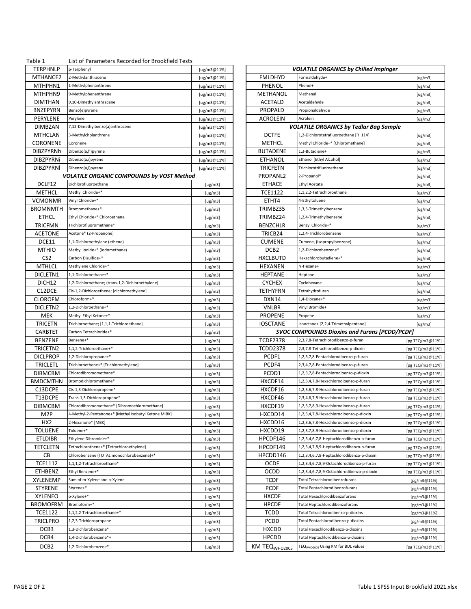| Table 1<br><b>TERPHNLP</b> | List of Parameters Recorded for Brookfield Tests<br>p-Terphenyl | [ug/m3@11%] |                           | <b>VOLATILE ORGANICS by Chilled Impinger</b>         |                 |
|----------------------------|-----------------------------------------------------------------|-------------|---------------------------|------------------------------------------------------|-----------------|
| MTHANCE2                   | 2-Methylanthracene                                              | [ug/m3@11%] | <b>FMLDHYD</b>            | Formaldehyde+                                        | [ug/m3]         |
| MTHPHN1                    | 1-Methylphenanthrene                                            | [ug/m3@11%] | PHENOL                    | Phenol+                                              | [ug/m3]         |
| MTHPHN9                    | 9-Methylphenanthrene                                            | [ug/m3@11%] | METHANOL                  | Methanal                                             | [ug/m3]         |
| <b>DIMTHAN</b>             | 9,10-Dimethylanthracene                                         | [ug/m3@11%] | <b>ACETALD</b>            | Acetaldehyde                                         | [ug/m3]         |
| <b>BNZEPYRN</b>            | Benzo(e)pyrene                                                  | [ug/m3@11%] | PROPALD                   | Propionaldehyde                                      | [ug/m3]         |
| PERYLENE                   | Perylene                                                        | [ug/m3@11%] | ACROLEIN                  | Acrolein                                             | [ug/m3]         |
| <b>DIMBZAN</b>             | 7,12-Dimethylbenzo(a)anthracene                                 | [ug/m3@11%] |                           | <b>VOLATILE ORGANICS by Tedlar Bag Sample</b>        |                 |
| <b>MTHCLAN</b>             | 3-Methylcholanthrene                                            | [ug/m3@11%] | <b>DCTFE</b>              | 1,2-Dichlorotetrafluoroethane [R 114]                | [ug/m3]         |
| <b>CORONENE</b>            | Coronene                                                        | [ug/m3@11%] | METHCL                    | Methyl Chloride+* [Chloromethane]                    | [ug/m3]         |
| <b>DIBZPYRNh</b>           | Dibenzo(a,h)pyrene                                              | [ug/m3@11%] | <b>BUTADENE</b>           | 1,3-Butadiene+                                       | [ug/m3]         |
| <b>DIBZPYRNi</b>           | Dibenzo(a,i)pyrene                                              | [ug/m3@11%] | <b>ETHANOL</b>            | Ethanol [Ethyl Alcohol]                              | [ug/m3]         |
| <b>DIBZPYRNI</b>           | Dibenzo(a,l)pyrene                                              | [ug/m3@11%] | <b>TRICFETN</b>           | Trichlorotrifluoroethane                             | [ug/m3]         |
|                            | <b>VOLATILE ORGANIC COMPOUNDS by VOST Method</b>                |             | PROPANL2                  | 2-Propanol*                                          | [ug/m3]         |
| DCLF12                     | Dichlorofluoroethane                                            | [ug/m3]     | <b>ETHACE</b>             | <b>Ethyl Acetate</b>                                 | [ug/m3]         |
| METHCL                     | Methyl Chloride+*                                               | [ug/m3]     | <b>TCE1122</b>            | 1,1,2,2-Tetrachloroethane                            | [ug/m3]         |
| <b>VCMONMR</b>             | Vinyl Chloride+*                                                | [ug/m3]     | ETHT4                     | 4-Ethyltoluene                                       | [ug/m3]         |
| <b>BROMNMTH</b>            | Bromomethane+*                                                  | [ug/m3]     | TRIMBZ35                  | 1,3,5-Trimethylbenzene                               | [ug/m3]         |
| <b>ETHCL</b>               | Ethyl Chloride+* Chloroethane                                   | [ug/m3]     | TRIMBZ24                  | 1,2,4-Trimethylbenzene                               | [ug/m3]         |
| <b>TRICFMN</b>             | Trichlorofluoromethane*                                         | [ug/m3]     | <b>BENZCHLR</b>           | Benzyl Chloride+*                                    | [ug/m3]         |
| <b>ACETONE</b>             | Acetone* (2-Propanone)                                          | [ug/m3]     | TRICB24                   | 1,2,4-Trichlorobenzene                               | [ug/m3]         |
| DCE11                      | 1,1-Dichloroethylene (ethene)                                   | [ug/m3]     | <b>CUMENE</b>             | Cumene, (Isopropylbenzene)                           | [ug/m3]         |
| <b>MTHIO</b>               | Methyl lodide+* (lodomethane)                                   | [ug/m3]     | DCB <sub>2</sub>          | 1,2-Dichlorobenzene*                                 | [ug/m3]         |
| CS <sub>2</sub>            | Carbon Disulfide+*                                              | [ug/m3]     | <b>HXCLBUTD</b>           | Hexachlorobutadiene+*                                | [ug/m3]         |
| <b>MTHLCL</b>              | Methylene Chloride+*                                            | [ug/m3]     | <b>HEXANEN</b>            | N-Hexane+                                            | [ug/m3]         |
| DICLETN1                   | 1,1-Dichloroethane+*                                            | [ug/m3]     | <b>HEPTANE</b>            | Heptane                                              | [ug/m3]         |
| DICH <sub>12</sub>         | 1,2-Dichloroethene; (trans-1,2-Dichloroethylene)                | [ug/m3]     | <b>CYCHEX</b>             | Cyclohexane                                          | [ug/m3]         |
| C12DCE                     | Cis-1,2-Dichloroethene; [dichloroethylene]                      | [ug/m3]     | <b>TETHYFRN</b>           | Tetrahydrofuran                                      | [ug/m3]         |
| <b>CLOROFM</b>             | Chloroform+*                                                    | [ug/m3]     | DXN14                     | 1,4-Dioxane+*                                        | [ug/m3]         |
| DICLETN2                   | 1,2-Dichloroethane+*                                            | [ug/m3]     | <b>VNLBR</b>              | Vinyl Bromide+                                       | [ug/m3]         |
| MEK                        | Methyl Ethyl Ketone+*                                           | [ug/m3]     | <b>PROPENE</b>            | Propene                                              | [ug/m3]         |
| <b>TRICETN</b>             | Trichloroethane; [1,1,1-Trichloroethane]                        | [ug/m3]     | <b>IOSCTANE</b>           | Isooctane+ [2,2,4-Trimethylpentane]                  | [ug/m3]         |
| <b>CARBTET</b>             | Carbon Tetrachloride+*                                          | [ug/m3]     |                           | <b>SVOC COMPOUNDS Dioxins and Furans [PCDD/PCDF]</b> |                 |
| <b>BENZENE</b>             | Benzene+*                                                       | [ug/m3]     | <b>TCDF2378</b>           | 2,3,7,8-Tetrachlorodibenzo-p-furan                   | [pg TEQ/m3@11%] |
| TRICETN2                   | 1,1,2-Trichloroethane+*                                         | [ug/m3]     | <b>TCDD2378</b>           | 2,3,7,8-Tetrachlorodibenzo-p-dioxin                  | [pg TEQ/m3@11%] |
| <b>DICLPROP</b>            | 1,2-Dichloropropane+*                                           | [ug/m3]     | PCDF1                     | 1,2,3,7,8-Pentachlorodibenzo-p-furan                 | [pg TEQ/m3@11%] |
| <b>TRICLETL</b>            | Trichloroethene+* [Trichloroethylene]                           | [ug/m3]     | PCDF4                     | 2,3,4,7,8-Pentachlorodibenzo-p-furan                 | [pg TEQ/m3@11%] |
| <b>DIBMCBM</b>             | Chlorodibromomethane*                                           | [ug/m3]     | PCDD1                     | 1,2,3,7,8-Pentachlorodibenzo-p-dioxin                | [pg TEQ/m3@11%] |
| <b>BMDCMTHN</b>            | Bromodichloromethane*                                           | [ug/m3]     | HXCDF14                   | 1,2,3,4,7,8-Hexachlorodibenzo-p-furan                | [pg TEQ/m3@11%] |
| C13DCPE                    | Cis-1,3-Dichloropropene*                                        | [ug/m3]     | HXCDF16                   | 1,2,3,6,7,8-Hexachlorodibenzo-p-furan                | [pg TEQ/m3@11%] |
| T13DCPE                    | Trans-1,3-Dichloropropene*                                      | [ug/m3]     | HXCDF46                   | 2,3,4,6,7,8-Hexachlorodibenzo-p-furan                | [pg TEQ/m3@11%] |
| <b>DIBMCBM</b>             | Chlorodibromomethane* [Dibromochloromethane]                    | [ug/m3]     | HXCDF19                   | 1,2,3,7,8,9-Hexachlorodibenzo-p-furan                | [pg TEQ/m3@11%] |
| M2P                        | 4-Methyl-2-Pentanone+* [Methyl Isobutyl Ketone MIBK]            | [ug/m3]     | HXCDD14                   | 1,2,3,4,7,8-Hexachlorodibenzo-p-dioxin               | [pg TEQ/m3@11%] |
| HX2                        | 2-Hexanone* [MBK]                                               | [ug/m3]     | HXCDD16                   | 1,2,3,6,7,8-Hexachlorodibenzo-p-dioxin               | [pg TEQ/m3@11%] |
| <b>TOLUENE</b>             | Toluene+*                                                       | [ug/m3]     | HXCDD19                   | 1,2,3,7,8,9-Hexachlorodibenzo-p-dioxin               | [pg TEQ/m3@11%] |
| <b>ETLDIBR</b>             | Ethylene Dibromide+*                                            | [ug/m3]     | HPCDF146                  | 1,2,3,4,6,7,8-Heptachlorodibenzo-p-furan             | [pg TEQ/m3@11%] |
| <b>TETCLETN</b>            | Tetrachlorothene+* [Tetrachloroethylene]                        | [ug/m3]     | HPCDF149                  | 1,2,3,4,7,8,9-Heptachlorodibenzo-p-furan             | [pg TEQ/m3@11%] |
| CВ                         | Chlorobenzene (TOTAL monochlorobenzene)+*                       | [ug/m3]     | HPCDD146                  | 1,2,3,4,6,7,8-Heptachlorodibenzo-p-dioxin            | [pg TEQ/m3@11%] |
| <b>TCE1112</b>             | 1,1,1,2-Tetrachloroethane*                                      | [ug/m3]     | <b>OCDF</b>               | 1,2,3,4,6,7,8,9-Octachlorodibenzo-p-furan            | [pg TEQ/m3@11%] |
| <b>ETHBENZ</b>             | Ethyl Benzene+*                                                 | [ug/m3]     | <b>OCDD</b>               | 1,2,3,4,6,7,8,9-Octachlorodibenzo-p-dioxin           | [pg TEQ/m3@11%] |
| XYLENEMP                   | Sum of m-Xylene and p-Xylene                                    | [ug/m3]     | <b>TCDF</b>               | Total Tetrachlorodibenzofurans                       | [pg/m3@11%]     |
| <b>STYRENE</b>             | Styrene+*                                                       | [ug/m3]     | <b>PCDF</b>               | Total Pentachlorodibenzofurans                       | [pg/m3@11%]     |
| XYLENEO                    | o-Xylene+*                                                      | [ug/m3]     | <b>HXCDF</b>              | Total Hexachlorodibenzofurans                        | [pg/m3@11%]     |
| <b>BROMOFRM</b>            | Bromoform+*                                                     | [ug/m3]     | <b>HPCDF</b>              | Total Heptachlorodibenzofurans                       | [pg/m3@11%]     |
| <b>TCE1122</b>             | 1,1,2,2-Tetrachloroethane+*                                     | [ug/m3]     | <b>TCDD</b>               | Total Tetrachlorodibenzo-p-dioxins                   | [pg/m3@11%]     |
| <b>TRICLPRO</b>            | 1,2,3-Trichloropropane                                          | [ug/m3]     | <b>PCDD</b>               | Total Pentachlorodibenzo-p-dioxins                   | [pg/m3@11%]     |
| DCB3                       | 1,3-Dichlorobenzene*                                            | [ug/m3]     | <b>HXCDD</b>              | Total Hexachlorodibenzo-p-dioxins                    | [pg/m3@11%]     |
| DCB4                       | 1,4-Dichlorobenzene*+                                           | [ug/m3]     | <b>HPCDD</b>              | Total Heptachlorodibenzo-p-dioxins                   | [pg/m3@11%]     |
|                            |                                                                 |             |                           |                                                      |                 |
| DCB <sub>2</sub>           | 1,2-Dichlorobenzene*                                            | [ug/m3]     | KM TEQ <sub>WHO2005</sub> | TEQ <sub>WHO2005</sub> Using KM for BDL values       | [pg TEQ/m3@11%] |

| PHNLP               | p-Terphenyl                                          | [ug/m3@11%] |                           | <b>VOLATILE ORGANICS by Chilled Impinger</b>         |                 |
|---------------------|------------------------------------------------------|-------------|---------------------------|------------------------------------------------------|-----------------|
| IANCE2              | 2-Methylanthracene                                   | [ug/m3@11%] | <b>FMLDHYD</b>            | Formaldehyde+                                        | [ug/m3]         |
| <b>IPHN1</b>        | I-Methylphenanthrene                                 | [ug/m3@11%] | PHENOL                    | Phenol+                                              | [ug/m3]         |
| HPHN9               | 9-Methylphenanthrene                                 | [ug/m3@11%] | METHANOL                  | Methanal                                             | [ug/m3]         |
| ITHAN               | 9,10-Dimethylanthracene                              | [ug/m3@11%] | <b>ACETALD</b>            | Acetaldehyde                                         | [ug/m3]         |
| EPYRN               | Benzo(e)pyrene                                       | [ug/m3@11%] | PROPALD                   | Propionaldehyde                                      | [ug/m3]         |
| YLENE               | Perylene                                             |             | <b>ACROLEIN</b>           | Acrolein                                             |                 |
|                     |                                                      | [ug/m3@11%] |                           |                                                      | [ug/m3]         |
| 1BZAN               | 7,12-Dimethylbenzo(a)anthracene                      | [ug/m3@11%] |                           | VOLATILE ORGANICS by Tedlar Bag Sample               |                 |
| HCLAN               | 3-Methylcholanthrene                                 | [ug/m3@11%] | <b>DCTFE</b>              | 1,2-Dichlorotetrafluoroethane [R 114]                | [ug/m3]         |
| ONENE               | Coronene                                             | [ug/m3@11%] | <b>METHCL</b>             | Methyl Chloride+* [Chloromethane]                    | [ug/m3]         |
| PYRNh!              | Dibenzo(a,h)pyrene                                   | [ug/m3@11%] | <b>BUTADENE</b>           | 1,3-Butadiene+                                       | [ug/m3]         |
| ZPYRNi              | Dibenzo(a,i)pyrene                                   | [ug/m3@11%] | <b>ETHANOL</b>            | Ethanol [Ethyl Alcohol]                              | [ug/m3]         |
| ZPYRNI              | Dibenzo(a,l)pyrene                                   | [ug/m3@11%] | <b>TRICFETN</b>           | Trichlorotrifluoroethane                             | [ug/m3]         |
|                     | <b>VOLATILE ORGANIC COMPOUNDS by VOST Method</b>     |             | PROPANL2                  | 2-Propanol*                                          | [ug/m3]         |
| LF12                | Dichlorofluoroethane                                 | [ug/m3]     | <b>ETHACE</b>             | <b>Ethyl Acetate</b>                                 | [ug/m3]         |
| :THCL               | Methyl Chloride+*                                    | [ug/m3]     | <b>TCE1122</b>            | 1,1,2,2-Tetrachloroethane                            | [ug/m3]         |
| ionmr               | Vinyl Chloride+*                                     | [ug/m3]     | ETHT4                     | 4-Ethyltoluene                                       | [ug/m3]         |
| лммтн               | Bromomethane+*                                       | [ug/m3]     | TRIMBZ35                  | 1,3,5-Trimethylbenzene                               | [ug/m3]         |
| THCL                | Ethyl Chloride+* Chloroethane                        | [ug/m3]     | TRIMBZ24                  | 1,2,4-Trimethylbenzene                               | [ug/m3]         |
| CFMN                | Trichlorofluoromethane*                              | [ug/m3]     | <b>BENZCHLR</b>           | Benzyl Chloride+*                                    | [ug/m3]         |
| :TONE               | Acetone* (2-Propanone)                               |             | TRICB24                   | 1,2,4-Trichlorobenzene                               |                 |
|                     |                                                      | [ug/m3]     |                           |                                                      | [ug/m3]         |
| CE11                | 1,1-Dichloroethylene (ethene)                        | [ug/m3]     | <b>CUMENE</b>             | Cumene, (Isopropylbenzene)                           | [ug/m3]         |
| THIO                | Methyl Iodide+* (Iodomethane)                        | [ug/m3]     | DCB <sub>2</sub>          | 1,2-Dichlorobenzene*                                 | [ug/m3]         |
| CS2                 | Carbon Disulfide+*                                   | [ug/m3]     | <b>HXCLBUTD</b>           | Hexachlorobutadiene+*                                | [ug/m3]         |
| `HLCL               | Methylene Chloride+*                                 | [ug/m3]     | HEXANEN                   | N-Hexane+                                            | [ug/m3]         |
| LETN1               | 1,1-Dichloroethane+*                                 | [ug/m3]     | <b>HEPTANE</b>            | Heptane                                              | [ug/m3]         |
| CH12                | 1,2-Dichloroethene; (trans-1,2-Dichloroethylene)     | [ug/m3]     | <b>CYCHEX</b>             | Cyclohexane                                          | [ug/m3]         |
| 2DCE                | Cis-1,2-Dichloroethene; [dichloroethylene]           | [ug/m3]     | <b>TETHYFRN</b>           | Tetrahydrofuran                                      | [ug/m3]         |
| ROFM                | Chloroform+*                                         | [ug/m3]     | DXN14                     | 1,4-Dioxane+*                                        | [ug/m3]         |
| LETN2               | 1,2-Dichloroethane+*                                 | [ug/m3]     | <b>VNLBR</b>              | Vinyl Bromide+                                       | [ug/m3]         |
| лек                 | Methyl Ethyl Ketone+*                                | [ug/m3]     | <b>PROPENE</b>            | Propene                                              | [ug/m3]         |
| <b>CETN</b>         | Trichloroethane; [1,1,1-Trichloroethane]             | [ug/m3]     | <b>IOSCTANE</b>           | Isooctane+ [2,2,4-Trimethylpentane]                  | [ug/m3]         |
| RBTET               | Carbon Tetrachloride+*                               | [ug/m3]     |                           | <b>SVOC COMPOUNDS Dioxins and Furans [PCDD/PCDF]</b> |                 |
| √ZENE               | Benzene+*                                            | [ug/m3]     | <b>TCDF2378</b>           | 2,3,7,8-Tetrachlorodibenzo-p-furan                   | [pg TEQ/m3@11%] |
| CETN2               | 1,1,2-Trichloroethane+*                              | [ug/m3]     | <b>TCDD2378</b>           | 2,3,7,8-Tetrachlorodibenzo-p-dioxin                  | [pg TEQ/m3@11%] |
| LPROP               | 1,2-Dichloropropane+*                                |             | PCDF1                     | 1,2,3,7,8-Pentachlorodibenzo-p-furan                 |                 |
|                     |                                                      | [ug/m3]     |                           | 2,3,4,7,8-Pentachlorodibenzo-p-furan                 | [pg TEQ/m3@11%] |
| CLETL               | Trichloroethene+* [Trichloroethylene]                | [ug/m3]     | PCDF4                     |                                                      | [pg TEQ/m3@11%] |
| мсвм                | Chlorodibromomethane*                                | [ug/m3]     | PCDD1                     | 1,2,3,7,8-Pentachlorodibenzo-p-dioxin                | [pg TEQ/m3@11%] |
| CMTHN               | Bromodichloromethane*                                | [ug/m3]     | HXCDF14                   | 1,2,3,4,7,8-Hexachlorodibenzo-p-furan                | [pg TEQ/m3@11%] |
| <b>SDCPE</b>        | Cis-1,3-Dichloropropene*                             | [ug/m3]     | HXCDF16                   | 1,2,3,6,7,8-Hexachlorodibenzo-p-furan                | [pg TEQ/m3@11%] |
| <b>SDCPE</b>        | Trans-1,3-Dichloropropene*                           | [ug/m3]     | HXCDF46                   | 2,3,4,6,7,8-Hexachlorodibenzo-p-furan                | [pg TEQ/m3@11%] |
| МСВМ                | Chlorodibromomethane* [Dibromochloromethane]         | [ug/m3]     | HXCDF19                   | 1,2,3,7,8,9-Hexachlorodibenzo-p-furan                | [pg TEQ/m3@11%] |
| 12 P                | 4-Methyl-2-Pentanone+* [Methyl Isobutyl Ketone MIBK] | [ug/m3]     | HXCDD14                   | 1,2,3,4,7,8-Hexachlorodibenzo-p-dioxin               | [pg TEQ/m3@11%] |
| IX2                 | 2-Hexanone* [MBK]                                    | [ug/m3]     | HXCDD16                   | 1,2,3,6,7,8-Hexachlorodibenzo-p-dioxin               | [pg TEQ/m3@11%] |
| UENE.               | Toluene+*                                            | [ug/m3]     | HXCDD19                   | 1,2,3,7,8,9-Hexachlorodibenzo-p-dioxin               | [pg TEQ/m3@11%] |
| DIBR.               | Ethylene Dibromide+*                                 | [ug/m3]     | HPCDF146                  | 1,2,3,4,6,7,8-Heptachlorodibenzo-p-furan             | [pg TEQ/m3@11%] |
| CLETN               | Tetrachlorothene+* [Tetrachloroethylene]             | [ug/m3]     | HPCDF149                  | 1,2,3,4,7,8,9-Heptachlorodibenzo-p-furan             | [pg TEQ/m3@11%] |
| CВ                  | Chlorobenzene (TOTAL monochlorobenzene)+*            | [ug/m3]     | HPCDD146                  | 1,2,3,4,6,7,8-Heptachlorodibenzo-p-dioxin            | [pg TEQ/m3@11%] |
| 1112                | 1,1,1,2-Tetrachloroethane*                           | [ug/m3]     | <b>OCDF</b>               | 1,2,3,4,6,7,8,9-Octachlorodibenzo-p-furan            | [pg TEQ/m3@11%] |
| IBENZ               | Ethyl Benzene+*                                      |             | OCDD                      | 1,2,3,4,6,7,8,9-Octachlorodibenzo-p-dioxin           |                 |
|                     |                                                      | [ug/m3]     |                           |                                                      | [pg TEQ/m3@11%] |
| NEMP:               | Sum of m-Xylene and p-Xylene                         | [ug/m3]     | <b>TCDF</b>               | Total Tetrachlorodibenzofurans                       | [pg/m3@11%]     |
| 'RENE               | Styrene+*                                            | [ug/m3]     | <b>PCDF</b>               | <b>Total Pentachlorodibenzofurans</b>                | [pg/m3@11%]     |
| ENEO.               | o-Xylene+*                                           | [ug/m3]     | <b>HXCDF</b>              | Total Hexachlorodibenzofurans                        | [pg/m3@11%]     |
| <i><b>MOFRM</b></i> | Bromoform+*                                          | [ug/m3]     | <b>HPCDF</b>              | Total Heptachlorodibenzofurans                       | [pg/m3@11%]     |
| 1122                | 1,1,2,2-Tetrachloroethane+*                          | [ug/m3]     | <b>TCDD</b>               | Total Tetrachlorodibenzo-p-dioxins                   | [pg/m3@11%]     |
| CLPRO               | 1,2,3-Trichloropropane                               | [ug/m3]     | <b>PCDD</b>               | Total Pentachlorodibenzo-p-dioxins                   | [pg/m3@11%]     |
| CB3                 | 1,3-Dichlorobenzene*                                 | [ug/m3]     | <b>HXCDD</b>              | Total Hexachlorodibenzo-p-dioxins                    | [pg/m3@11%]     |
| CB4                 | 1,4-Dichlorobenzene*+                                | [ug/m3]     | <b>HPCDD</b>              | Total Heptachlorodibenzo-p-dioxins                   | [pg/m3@11%]     |
| CB2                 | 1,2-Dichlorobenzene*                                 | [ug/m3]     | KM TEQ <sub>WHO2005</sub> | TEQ <sub>WHO2005</sub> Using KM for BDL values       | [pg TEQ/m3@11%] |
|                     |                                                      |             |                           |                                                      |                 |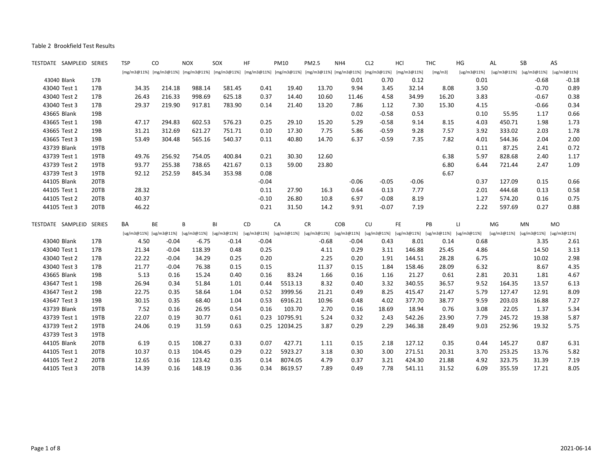| TESTDATE SAMPLEID SERIES |      | <b>TSP</b> | CO      | <b>NOX</b>                          | SOX                                                                                                         | HF          | <b>PM10</b> | <b>PM2.5</b> | NH4     | CL <sub>2</sub>                                                         | HCI         | <b>THC</b> | HG                     | AL          | SB                                  | AS          |
|--------------------------|------|------------|---------|-------------------------------------|-------------------------------------------------------------------------------------------------------------|-------------|-------------|--------------|---------|-------------------------------------------------------------------------|-------------|------------|------------------------|-------------|-------------------------------------|-------------|
|                          |      |            |         |                                     | [mg/m3@11%] [mg/m3@11%] [mg/m3@11%] [mg/m3@11%] [mg/m3@11%] [mg/m3@11%] [mg/m3@11%] [mg/m3@11%] [mg/m3@11%] |             |             |              |         |                                                                         | [mg/m3@11%] | [mg/m3]    | [ug/m3@11%]            | [ug/m3@11%] | [ug/m3@11%]                         | [ug/m3@11%] |
| 43040 Blank              | 17B  |            |         |                                     |                                                                                                             |             |             |              | 0.01    | 0.70                                                                    | 0.12        |            | 0.01                   |             | $-0.68$                             | $-0.18$     |
| 43040 Test 1             | 17B  | 34.35      | 214.18  | 988.14                              | 581.45                                                                                                      | 0.41        | 19.40       | 13.70        | 9.94    | 3.45                                                                    | 32.14       | 8.08       | 3.50                   |             | $-0.70$                             | 0.89        |
| 43040 Test 2             | 17B  | 26.43      | 216.33  | 998.69                              | 625.18                                                                                                      | 0.37        | 14.40       | 10.60        | 11.46   | 4.58                                                                    | 34.99       | 16.20      | 3.83                   |             | $-0.67$                             | 0.38        |
| 43040 Test 3             | 17B  | 29.37      | 219.90  | 917.81                              | 783.90                                                                                                      | 0.14        | 21.40       | 13.20        | 7.86    | 1.12                                                                    | 7.30        | 15.30      | 4.15                   |             | $-0.66$                             | 0.34        |
| 43665 Blank              | 19B  |            |         |                                     |                                                                                                             |             |             |              | 0.02    | $-0.58$                                                                 | 0.53        |            | 0.10                   | 55.95       | 1.17                                | 0.66        |
| 43665 Test 1             | 19B  | 47.17      | 294.83  | 602.53                              | 576.23                                                                                                      | 0.25        | 29.10       | 15.20        | 5.29    | $-0.58$                                                                 | 9.14        | 8.15       | 4.03                   | 450.71      | 1.98                                | 1.73        |
| 43665 Test 2             | 19B  | 31.21      | 312.69  | 621.27                              | 751.71                                                                                                      | 0.10        | 17.30       | 7.75         | 5.86    | $-0.59$                                                                 | 9.28        | 7.57       | 3.92                   | 333.02      | 2.03                                | 1.78        |
| 43665 Test 3             | 19B  | 53.49      | 304.48  | 565.16                              | 540.37                                                                                                      | 0.11        | 40.80       | 14.70        | 6.37    | $-0.59$                                                                 | 7.35        | 7.82       | 4.01                   | 544.36      | 2.04                                | 2.00        |
| 43739 Blank              | 19TB |            |         |                                     |                                                                                                             |             |             |              |         |                                                                         |             |            | 0.11                   | 87.25       | 2.41                                | 0.72        |
| 43739 Test 1             | 19TB | 49.76      | 256.92  | 754.05                              | 400.84                                                                                                      | 0.21        | 30.30       | 12.60        |         |                                                                         |             | 6.38       | 5.97                   | 828.68      | 2.40                                | 1.17        |
| 43739 Test 2             | 19TB | 93.77      | 255.38  | 738.65                              | 421.67                                                                                                      | 0.13        | 59.00       | 23.80        |         |                                                                         |             | 6.80       | 6.44                   | 721.44      | 2.47                                | 1.09        |
| 43739 Test 3             | 19TB | 92.12      | 252.59  | 845.34                              | 353.98                                                                                                      | 0.08        |             |              |         |                                                                         |             | 6.67       |                        |             |                                     |             |
| 44105 Blank              | 20TB |            |         |                                     |                                                                                                             | $-0.04$     |             |              | $-0.06$ | $-0.05$                                                                 | $-0.06$     |            | 0.37                   | 127.09      | 0.15                                | 0.66        |
| 44105 Test 1             | 20TB | 28.32      |         |                                     |                                                                                                             | 0.11        | 27.90       | 16.3         | 0.64    | 0.13                                                                    | 7.77        |            | 2.01                   | 444.68      | 0.13                                | 0.58        |
| 44105 Test 2             | 20TB | 40.37      |         |                                     |                                                                                                             | $-0.10$     | 26.80       | 10.8         | 6.97    | $-0.08$                                                                 | 8.19        |            | 1.27                   | 574.20      | 0.16                                | 0.75        |
| 44105 Test 3             | 20TB | 46.22      |         |                                     |                                                                                                             | 0.21        | 31.50       | 14.2         | 9.91    | $-0.07$                                                                 | 7.19        |            | 2.22                   | 597.69      | 0.27                                | 0.88        |
| TESTDATE SAMPLEID SERIES |      | <b>BA</b>  | BE      | B                                   | BI                                                                                                          | CD          | CA          | <b>CR</b>    | COB     | CU                                                                      | FE          | PB         | $\mathsf{L}\mathsf{L}$ | MG          | MN                                  | <b>MO</b>   |
|                          |      |            |         | [ug/m3@11%] [ug/m3@11%] [ug/m3@11%] | [ug/m3@11%]                                                                                                 | [ug/m3@11%] | [ug/m3@11%] |              |         | [ug/m3@11%] [ug/m3@11%] [ug/m3@11%] [ug/m3@11%] [ug/m3@11%] [ug/m3@11%] |             |            |                        |             | [ug/m3@11%] [ug/m3@11%] [ug/m3@11%] |             |
| 43040 Blank              | 17B  | 4.50       | $-0.04$ | $-6.75$                             | $-0.14$                                                                                                     | $-0.04$     |             | $-0.68$      | $-0.04$ | 0.43                                                                    | 8.01        | 0.14       | 0.68                   |             | 3.35                                | 2.61        |
| 43040 Test 1             | 17B  | 21.34      | $-0.04$ | 118.39                              | 0.48                                                                                                        | 0.25        |             | 4.11         | 0.29    | 3.11                                                                    | 146.88      | 25.45      | 4.86                   |             | 14.50                               | 3.13        |
| 43040 Test 2             | 17B  | 22.22      | $-0.04$ | 34.29                               | 0.25                                                                                                        | 0.20        |             | 2.25         | 0.20    | 1.91                                                                    | 144.51      | 28.28      | 6.75                   |             | 10.02                               | 2.98        |
| 43040 Test 3             | 17B  | 21.77      | $-0.04$ | 76.38                               | 0.15                                                                                                        | 0.15        |             | 11.37        | 0.15    | 1.84                                                                    | 158.46      | 28.09      | 6.32                   |             | 8.67                                | 4.35        |
| 43665 Blank              | 19B  | 5.13       | 0.16    | 15.24                               | 0.40                                                                                                        | 0.16        | 83.24       | 1.66         | 0.16    | 1.16                                                                    | 21.27       | 0.61       | 2.81                   | 20.31       | 1.81                                | 4.67        |
| 43647 Test 1             | 19B  | 26.94      | 0.34    | 51.84                               | 1.01                                                                                                        | 0.44        | 5513.13     | 8.32         | 0.40    | 3.32                                                                    | 340.55      | 36.57      | 9.52                   | 164.35      | 13.57                               | 6.13        |
| 43647 Test 2             | 19B  | 22.75      | 0.35    | 58.64                               | 1.04                                                                                                        | 0.52        | 3999.56     | 21.21        | 0.49    | 8.25                                                                    | 415.47      | 21.47      | 5.79                   | 127.47      | 12.91                               | 8.09        |
| 43647 Test 3             | 19B  | 30.15      | 0.35    | 68.40                               | 1.04                                                                                                        | 0.53        | 6916.21     | 10.96        | 0.48    | 4.02                                                                    | 377.70      | 38.77      | 9.59                   | 203.03      | 16.88                               | 7.27        |
| 43739 Blank              | 19TB | 7.52       | 0.16    | 26.95                               | 0.54                                                                                                        | 0.16        | 103.70      | 2.70         | 0.16    | 18.69                                                                   | 18.94       | 0.76       | 3.08                   | 22.05       | 1.37                                | 5.34        |
| 43739 Test 1             | 19TB | 22.07      | 0.19    | 30.77                               | 0.61                                                                                                        | 0.23        | 10795.91    | 5.24         | 0.32    | 2.43                                                                    | 542.26      | 23.90      | 7.79                   | 245.72      | 19.38                               | 5.87        |
| 43739 Test 2             | 19TB | 24.06      | 0.19    | 31.59                               | 0.63                                                                                                        | 0.25        | 12034.25    | 3.87         | 0.29    | 2.29                                                                    | 346.38      | 28.49      | 9.03                   | 252.96      | 19.32                               | 5.75        |
| 43739 Test 3             | 19TB |            |         |                                     |                                                                                                             |             |             |              |         |                                                                         |             |            |                        |             |                                     |             |
| 44105 Blank              | 20TB | 6.19       | 0.15    | 108.27                              | 0.33                                                                                                        | 0.07        | 427.71      | 1.11         | 0.15    | 2.18                                                                    | 127.12      | 0.35       | 0.44                   | 145.27      | 0.87                                | 6.31        |
| 44105 Test 1             | 20TB | 10.37      | 0.13    | 104.45                              | 0.29                                                                                                        | 0.22        | 5923.27     | 3.18         | 0.30    | 3.00                                                                    | 271.51      | 20.31      | 3.70                   | 253.25      | 13.76                               | 5.82        |
| 44105 Test 2             | 20TB | 12.65      | 0.16    | 123.42                              | 0.35                                                                                                        | 0.14        | 8074.05     | 4.79         | 0.37    | 3.21                                                                    | 424.30      | 21.88      | 4.92                   | 323.75      | 31.39                               | 7.19        |
| 44105 Test 3             | 20TB | 14.39      | 0.16    | 148.19                              | 0.36                                                                                                        | 0.34        | 8619.57     | 7.89         | 0.49    | 7.78                                                                    | 541.11      | 31.52      | 6.09                   | 355.59      | 17.21                               | 8.05        |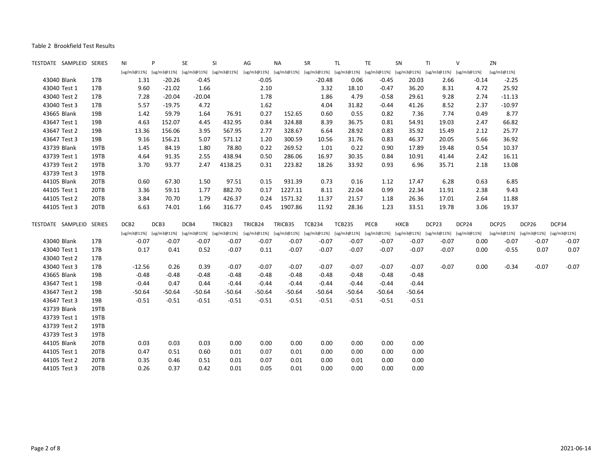| TESTDATE SAMPLEID SERIES |      | ΝI                                              | P        | SE       | <b>SI</b>   | AG                                                                                              | <b>NA</b> | SR            | TL            | TE       | SN          | TI      | $\mathsf{V}$ | ZN          |                                     |         |
|--------------------------|------|-------------------------------------------------|----------|----------|-------------|-------------------------------------------------------------------------------------------------|-----------|---------------|---------------|----------|-------------|---------|--------------|-------------|-------------------------------------|---------|
|                          |      | [ug/m3@11%] [ug/m3@11%] [ug/m3@11%] [ug/m3@11%] |          |          |             | [ug/m3@11%] [ug/m3@11%] [ug/m3@11%] [ug/m3@11%] [ug/m3@11%] [ug/m3@11%] [ug/m3@11%] [ug/m3@11%] |           |               |               |          |             |         |              | [ug/m3@11%] |                                     |         |
| 43040 Blank              | 17B  | 1.31                                            | $-20.26$ | $-0.45$  |             | $-0.05$                                                                                         |           | $-20.48$      | 0.06          | $-0.45$  | 20.03       | 2.66    | $-0.14$      | $-2.25$     |                                     |         |
| 43040 Test 1             | 17B  | 9.60                                            | $-21.02$ | 1.66     |             | 2.10                                                                                            |           | 3.32          | 18.10         | $-0.47$  | 36.20       | 8.31    | 4.72         | 25.92       |                                     |         |
| 43040 Test 2             | 17B  | 7.28                                            | $-20.04$ | $-20.04$ |             | 1.78                                                                                            |           | 1.86          | 4.79          | $-0.58$  | 29.61       | 9.28    | 2.74         | $-11.13$    |                                     |         |
| 43040 Test 3             | 17B  | 5.57                                            | $-19.75$ | 4.72     |             | 1.62                                                                                            |           | 4.04          | 31.82         | $-0.44$  | 41.26       | 8.52    | 2.37         | $-10.97$    |                                     |         |
| 43665 Blank              | 19B  | 1.42                                            | 59.79    | 1.64     | 76.91       | 0.27                                                                                            | 152.65    | 0.60          | 0.55          | 0.82     | 7.36        | 7.74    | 0.49         | 8.77        |                                     |         |
| 43647 Test 1             | 19B  | 4.63                                            | 152.07   | 4.45     | 432.95      | 0.84                                                                                            | 324.88    | 8.39          | 36.75         | 0.81     | 54.91       | 19.03   | 2.47         | 66.82       |                                     |         |
| 43647 Test 2             | 19B  | 13.36                                           | 156.06   | 3.95     | 567.95      | 2.77                                                                                            | 328.67    | 6.64          | 28.92         | 0.83     | 35.92       | 15.49   | 2.12         | 25.77       |                                     |         |
| 43647 Test 3             | 19B  | 9.16                                            | 156.21   | 5.07     | 571.12      | 1.20                                                                                            | 300.59    | 10.56         | 31.76         | 0.83     | 46.37       | 20.05   | 5.66         | 36.92       |                                     |         |
| 43739 Blank              | 19TB | 1.45                                            | 84.19    | 1.80     | 78.80       | 0.22                                                                                            | 269.52    | 1.01          | 0.22          | 0.90     | 17.89       | 19.48   | 0.54         | 10.37       |                                     |         |
| 43739 Test 1             | 19TB | 4.64                                            | 91.35    | 2.55     | 438.94      | 0.50                                                                                            | 286.06    | 16.97         | 30.35         | 0.84     | 10.91       | 41.44   | 2.42         | 16.11       |                                     |         |
| 43739 Test 2             | 19TB | 3.70                                            | 93.77    | 2.47     | 4138.25     | 0.31                                                                                            | 223.82    | 18.26         | 33.92         | 0.93     | 6.96        | 35.71   | 2.18         | 13.08       |                                     |         |
| 43739 Test 3             | 19TB |                                                 |          |          |             |                                                                                                 |           |               |               |          |             |         |              |             |                                     |         |
| 44105 Blank              | 20TB | 0.60                                            | 67.30    | 1.50     | 97.51       | 0.15                                                                                            | 931.39    | 0.73          | 0.16          | 1.12     | 17.47       | 6.28    | 0.63         | 6.85        |                                     |         |
| 44105 Test 1             | 20TB | 3.36                                            | 59.11    | 1.77     | 882.70      | 0.17                                                                                            | 1227.11   | 8.11          | 22.04         | 0.99     | 22.34       | 11.91   | 2.38         | 9.43        |                                     |         |
| 44105 Test 2             | 20TB | 3.84                                            | 70.70    | 1.79     | 426.37      | 0.24                                                                                            | 1571.32   | 11.37         | 21.57         | 1.18     | 26.36       | 17.01   | 2.64         | 11.88       |                                     |         |
| 44105 Test 3             | 20TB | 6.63                                            | 74.01    | 1.66     | 316.77      | 0.45                                                                                            | 1907.86   | 11.92         | 28.36         | 1.23     | 33.51       | 19.78   | 3.06         | 19.37       |                                     |         |
| TESTDATE SAMPLEID SERIES |      | DCB <sub>2</sub>                                | DCB3     | DCB4     | TRICB23     | TRICB24                                                                                         | TRICB35   | <b>TCB234</b> | <b>TCB235</b> | PECB     | <b>HXCB</b> | DCP23   | DCP24        | DCP25       | DCP26                               | DCP34   |
|                          |      | [ug/m3@11%] [ug/m3@11%] [ug/m3@11%]             |          |          | [ug/m3@11%] | [ug/m3@11%] [ug/m3@11%] [ug/m3@11%] [ug/m3@11%] [ug/m3@11%] [ug/m3@11%] [ug/m3@11%] [ug/m3@11%] |           |               |               |          |             |         |              |             | [ug/m3@11%] [ug/m3@11%] [ug/m3@11%] |         |
| 43040 Blank              | 17B  | $-0.07$                                         | $-0.07$  | $-0.07$  | $-0.07$     | $-0.07$                                                                                         | $-0.07$   | $-0.07$       | $-0.07$       | $-0.07$  | $-0.07$     | $-0.07$ | 0.00         | $-0.07$     | $-0.07$                             | $-0.07$ |
| 43040 Test 1             | 17B  | 0.17                                            | 0.41     | 0.52     | $-0.07$     | 0.11                                                                                            | $-0.07$   | $-0.07$       | $-0.07$       | $-0.07$  | $-0.07$     | $-0.07$ | 0.00         | $-0.55$     | 0.07                                | 0.07    |
| 43040 Test 2             | 17B  |                                                 |          |          |             |                                                                                                 |           |               |               |          |             |         |              |             |                                     |         |
| 43040 Test 3             | 17B  | $-12.56$                                        | 0.26     | 0.39     | $-0.07$     | $-0.07$                                                                                         | $-0.07$   | $-0.07$       | $-0.07$       | $-0.07$  | $-0.07$     | $-0.07$ | 0.00         | $-0.34$     | $-0.07$                             | $-0.07$ |
| 43665 Blank              | 19B  | $-0.48$                                         | $-0.48$  | $-0.48$  | $-0.48$     | $-0.48$                                                                                         | $-0.48$   | $-0.48$       | $-0.48$       | $-0.48$  | $-0.48$     |         |              |             |                                     |         |
| 43647 Test 1             | 19B  | $-0.44$                                         | 0.47     | 0.44     | $-0.44$     | $-0.44$                                                                                         | $-0.44$   | $-0.44$       | $-0.44$       | $-0.44$  | $-0.44$     |         |              |             |                                     |         |
| 43647 Test 2             | 19B  | $-50.64$                                        | $-50.64$ | $-50.64$ | $-50.64$    | $-50.64$                                                                                        | $-50.64$  | $-50.64$      | $-50.64$      | $-50.64$ | $-50.64$    |         |              |             |                                     |         |
| 43647 Test 3             | 19B  | $-0.51$                                         | $-0.51$  | $-0.51$  | $-0.51$     | $-0.51$                                                                                         | $-0.51$   | $-0.51$       | $-0.51$       | $-0.51$  | $-0.51$     |         |              |             |                                     |         |
| 43739 Blank              | 19TB |                                                 |          |          |             |                                                                                                 |           |               |               |          |             |         |              |             |                                     |         |
| 43739 Test 1             | 19TB |                                                 |          |          |             |                                                                                                 |           |               |               |          |             |         |              |             |                                     |         |
| 43739 Test 2             | 19TB |                                                 |          |          |             |                                                                                                 |           |               |               |          |             |         |              |             |                                     |         |
| 43739 Test 3             | 19TB |                                                 |          |          |             |                                                                                                 |           |               |               |          |             |         |              |             |                                     |         |
| 44105 Blank              | 20TB | 0.03                                            | 0.03     | 0.03     | 0.00        | 0.00                                                                                            | 0.00      | 0.00          | 0.00          | 0.00     | 0.00        |         |              |             |                                     |         |
| 44105 Test 1             | 20TB | 0.47                                            | 0.51     | 0.60     | 0.01        | 0.07                                                                                            | 0.01      | 0.00          | 0.00          | 0.00     | 0.00        |         |              |             |                                     |         |
| 44105 Test 2             | 20TB | 0.35                                            | 0.46     | 0.51     | 0.01        | 0.07                                                                                            | 0.01      | 0.00          | 0.01          | 0.00     | 0.00        |         |              |             |                                     |         |
| 44105 Test 3             | 20TB | 0.26                                            | 0.37     | 0.42     | 0.01        | 0.05                                                                                            | 0.01      | 0.00          | 0.00          | 0.00     | 0.00        |         |              |             |                                     |         |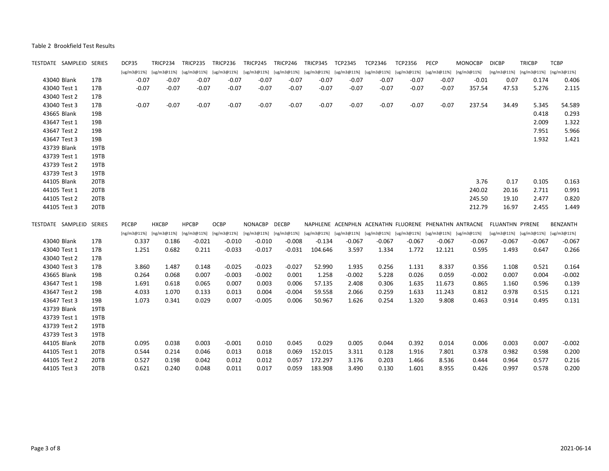| TESTDATE SAMPLEID SERIES |              |      | DCP35   | TRICP234                    | TRICP235     | TRICP236                                                                                                                | TRICP245                                                                                        | TRICP246 | TRICP345 | TCP2345  | <b>TCP2346</b> | <b>TCP2356</b> | <b>PECP</b> | <b>MONOCBP</b>                                                        | <b>DICBP</b>                | <b>TRICBP</b>                       | <b>TCBP</b>     |
|--------------------------|--------------|------|---------|-----------------------------|--------------|-------------------------------------------------------------------------------------------------------------------------|-------------------------------------------------------------------------------------------------|----------|----------|----------|----------------|----------------|-------------|-----------------------------------------------------------------------|-----------------------------|-------------------------------------|-----------------|
|                          |              |      |         | [ug/m3@11%] [ug/m3@11%]     |              | [ug/m3@11%] [ug/m3@11%] [ug/m3@11%] [ug/m3@11%] [ug/m3@11%] [ug/m3@11%] [ug/m3@11%] [ug/m3@11%] [ug/m3@11%] [ng/m3@11%] |                                                                                                 |          |          |          |                |                |             |                                                                       | $[ng/m3@11%]$ $[ng/m3@11%]$ |                                     | [ng/m3@11%]     |
| 43040 Blank              |              | 17B  | $-0.07$ | $-0.07$                     | $-0.07$      | $-0.07$                                                                                                                 | $-0.07$                                                                                         | $-0.07$  | $-0.07$  | $-0.07$  | $-0.07$        | $-0.07$        | $-0.07$     | $-0.01$                                                               | 0.07                        | 0.174                               | 0.406           |
| 43040 Test 1             |              | 17B  | $-0.07$ | $-0.07$                     | $-0.07$      | $-0.07$                                                                                                                 | $-0.07$                                                                                         | $-0.07$  | $-0.07$  | $-0.07$  | $-0.07$        | $-0.07$        | $-0.07$     | 357.54                                                                | 47.53                       | 5.276                               | 2.115           |
| 43040 Test 2             |              | 17B  |         |                             |              |                                                                                                                         |                                                                                                 |          |          |          |                |                |             |                                                                       |                             |                                     |                 |
| 43040 Test 3             |              | 17B  | $-0.07$ | $-0.07$                     | $-0.07$      | $-0.07$                                                                                                                 | $-0.07$                                                                                         | $-0.07$  | $-0.07$  | $-0.07$  | $-0.07$        | $-0.07$        | $-0.07$     | 237.54                                                                | 34.49                       | 5.345                               | 54.589          |
| 43665 Blank              |              | 19B  |         |                             |              |                                                                                                                         |                                                                                                 |          |          |          |                |                |             |                                                                       |                             | 0.418                               | 0.293           |
| 43647 Test 1             |              | 19B  |         |                             |              |                                                                                                                         |                                                                                                 |          |          |          |                |                |             |                                                                       |                             | 2.009                               | 1.322           |
| 43647 Test 2             |              | 19B  |         |                             |              |                                                                                                                         |                                                                                                 |          |          |          |                |                |             |                                                                       |                             | 7.951                               | 5.966           |
| 43647 Test 3             |              | 19B  |         |                             |              |                                                                                                                         |                                                                                                 |          |          |          |                |                |             |                                                                       |                             | 1.932                               | 1.421           |
| 43739 Blank              |              | 19TB |         |                             |              |                                                                                                                         |                                                                                                 |          |          |          |                |                |             |                                                                       |                             |                                     |                 |
| 43739 Test 1             |              | 19TB |         |                             |              |                                                                                                                         |                                                                                                 |          |          |          |                |                |             |                                                                       |                             |                                     |                 |
| 43739 Test 2             |              | 19TB |         |                             |              |                                                                                                                         |                                                                                                 |          |          |          |                |                |             |                                                                       |                             |                                     |                 |
| 43739 Test 3             |              | 19TB |         |                             |              |                                                                                                                         |                                                                                                 |          |          |          |                |                |             |                                                                       |                             |                                     |                 |
| 44105 Blank              |              | 20TB |         |                             |              |                                                                                                                         |                                                                                                 |          |          |          |                |                |             | 3.76                                                                  | 0.17                        | 0.105                               | 0.163           |
| 44105 Test 1             |              | 20TB |         |                             |              |                                                                                                                         |                                                                                                 |          |          |          |                |                |             | 240.02                                                                | 20.16                       | 2.711                               | 0.991           |
| 44105 Test 2             |              | 20TB |         |                             |              |                                                                                                                         |                                                                                                 |          |          |          |                |                |             | 245.50                                                                | 19.10                       | 2.477                               | 0.820           |
| 44105 Test 3             |              | 20TB |         |                             |              |                                                                                                                         |                                                                                                 |          |          |          |                |                |             | 212.79                                                                | 16.97                       | 2.455                               | 1.449           |
| TESTDATE SAMPLEID SERIES |              |      | PECBP   | <b>HXCBP</b>                | <b>HPCBP</b> | <b>OCBP</b>                                                                                                             | NONACBP DECBP                                                                                   |          |          |          |                |                |             | NAPHLENE ACENPHLN ACENATHN FLUORENE PHENATHN ANTRACNE FLUANTHN PYRENE |                             |                                     | <b>BENZANTH</b> |
|                          |              |      |         | $[ng/m3@11%]$ $[ng/m3@11%]$ | [ng/m3@11%]  | [ng/m3@11%]                                                                                                             | [ng/m3@11%] [ng/m3@11%] [ug/m3@11%] [ug/m3@11%] [ug/m3@11%] [ug/m3@11%] [ug/m3@11%] [ug/m3@11%] |          |          |          |                |                |             |                                                                       |                             | [ug/m3@11%] [ug/m3@11%] [ug/m3@11%] |                 |
| 43040 Blank              |              | 17B  | 0.337   | 0.186                       | $-0.021$     | $-0.010$                                                                                                                | $-0.010$                                                                                        | $-0.008$ | $-0.134$ | $-0.067$ | $-0.067$       | $-0.067$       | $-0.067$    | $-0.067$                                                              | $-0.067$                    | -0.067                              | $-0.067$        |
| 43040 Test 1             |              |      |         |                             |              |                                                                                                                         |                                                                                                 |          |          |          |                |                |             |                                                                       |                             |                                     |                 |
|                          |              | 17B  | 1.251   | 0.682                       | 0.211        | $-0.033$                                                                                                                | $-0.017$                                                                                        | $-0.031$ | 104.646  | 3.597    | 1.334          | 1.772          | 12.121      | 0.595                                                                 | 1.493                       | 0.647                               | 0.266           |
|                          | 43040 Test 2 | 17B  |         |                             |              |                                                                                                                         |                                                                                                 |          |          |          |                |                |             |                                                                       |                             |                                     |                 |
| 43040 Test 3             |              | 17B  | 3.860   | 1.487                       | 0.148        | $-0.025$                                                                                                                | $-0.023$                                                                                        | $-0.027$ | 52.990   | 1.935    | 0.256          | 1.131          | 8.337       | 0.356                                                                 | 1.108                       | 0.521                               | 0.164           |
| 43665 Blank              |              | 19B  | 0.264   | 0.068                       | 0.007        | $-0.003$                                                                                                                | $-0.002$                                                                                        | 0.001    | 1.258    | $-0.002$ | 5.228          | 0.026          | 0.059       | $-0.002$                                                              | 0.007                       | 0.004                               | $-0.002$        |
| 43647 Test 1             |              | 19B  | 1.691   | 0.618                       | 0.065        | 0.007                                                                                                                   | 0.003                                                                                           | 0.006    | 57.135   | 2.408    | 0.306          | 1.635          | 11.673      | 0.865                                                                 | 1.160                       | 0.596                               | 0.139           |
| 43647 Test 2             |              | 19B  | 4.033   | 1.070                       | 0.133        | 0.013                                                                                                                   | 0.004                                                                                           | $-0.004$ | 59.558   | 2.066    | 0.259          | 1.633          | 11.243      | 0.812                                                                 | 0.978                       | 0.515                               | 0.121           |
| 43647 Test 3             |              | 19B  | 1.073   | 0.341                       | 0.029        | 0.007                                                                                                                   | $-0.005$                                                                                        | 0.006    | 50.967   | 1.626    | 0.254          | 1.320          | 9.808       | 0.463                                                                 | 0.914                       | 0.495                               | 0.131           |
| 43739 Blank              |              | 19TB |         |                             |              |                                                                                                                         |                                                                                                 |          |          |          |                |                |             |                                                                       |                             |                                     |                 |
| 43739 Test 1             |              | 19TB |         |                             |              |                                                                                                                         |                                                                                                 |          |          |          |                |                |             |                                                                       |                             |                                     |                 |
| 43739 Test 2             |              | 19TB |         |                             |              |                                                                                                                         |                                                                                                 |          |          |          |                |                |             |                                                                       |                             |                                     |                 |
| 43739 Test 3             |              | 19TB |         |                             |              |                                                                                                                         |                                                                                                 |          |          |          |                |                |             |                                                                       |                             |                                     |                 |
| 44105 Blank              |              | 20TB | 0.095   | 0.038                       | 0.003        | $-0.001$                                                                                                                | 0.010                                                                                           | 0.045    | 0.029    | 0.005    | 0.044          | 0.392          | 0.014       | 0.006                                                                 | 0.003                       | 0.007                               | $-0.002$        |
| 44105 Test 1             |              | 20TB | 0.544   | 0.214                       | 0.046        | 0.013                                                                                                                   | 0.018                                                                                           | 0.069    | 152.015  | 3.311    | 0.128          | 1.916          | 7.801       | 0.378                                                                 | 0.982                       | 0.598                               | 0.200           |
| 44105 Test 2             |              | 20TB | 0.527   | 0.198                       | 0.042        | 0.012                                                                                                                   | 0.012                                                                                           | 0.057    | 172.297  | 3.176    | 0.203          | 1.466          | 8.536       | 0.444                                                                 | 0.964                       | 0.577                               | 0.216           |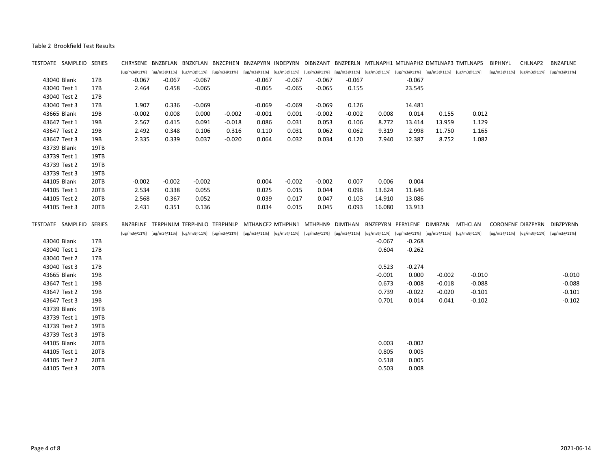| TESTDATE SAMPLEID SERIES |      |          |                                                 |          |          |                                                                                                                                                 |          |          |          |          |          |          | CHRYSENE BNZBFLAN BNZKFLAN BNZCPHEN BNZAPYRN INDEPYRN DIBNZANT BNZPERLN MTLNAPH1 MTLNAPH2 DMTLNAP3 TMTLNAP5 | BIPHNYL     | CHLNAP2                             | <b>BNZAFLNE</b> |
|--------------------------|------|----------|-------------------------------------------------|----------|----------|-------------------------------------------------------------------------------------------------------------------------------------------------|----------|----------|----------|----------|----------|----------|-------------------------------------------------------------------------------------------------------------|-------------|-------------------------------------|-----------------|
|                          |      |          |                                                 |          |          | [ug/m3@11%] [ug/m3@11%] [ug/m3@11%] [ug/m3@11%] [ug/m3@11%] [ug/m3@11%] [ug/m3@11%] [ug/m3@11%] [ug/m3@11%] [ug/m3@11%] [ug/m3@11%] [ug/m3@11%] |          |          |          |          |          |          |                                                                                                             | [ug/m3@11%] | [ug/m3@11%]                         | [ug/m3@11%]     |
| 43040 Blank              | 17B  | $-0.067$ | $-0.067$                                        | $-0.067$ |          | $-0.067$                                                                                                                                        | $-0.067$ | $-0.067$ | $-0.067$ |          | $-0.067$ |          |                                                                                                             |             |                                     |                 |
| 43040 Test 1             | 17B  | 2.464    | 0.458                                           | $-0.065$ |          | $-0.065$                                                                                                                                        | $-0.065$ | $-0.065$ | 0.155    |          | 23.545   |          |                                                                                                             |             |                                     |                 |
| 43040 Test 2             | 17B  |          |                                                 |          |          |                                                                                                                                                 |          |          |          |          |          |          |                                                                                                             |             |                                     |                 |
| 43040 Test 3             | 17B  | 1.907    | 0.336                                           | $-0.069$ |          | $-0.069$                                                                                                                                        | $-0.069$ | $-0.069$ | 0.126    |          | 14.481   |          |                                                                                                             |             |                                     |                 |
| 43665 Blank              | 19B  | $-0.002$ | 0.008                                           | 0.000    | $-0.002$ | $-0.001$                                                                                                                                        | 0.001    | $-0.002$ | $-0.002$ | 0.008    | 0.014    | 0.155    | 0.012                                                                                                       |             |                                     |                 |
| 43647 Test 1             | 19B  | 2.567    | 0.415                                           | 0.091    | $-0.018$ | 0.086                                                                                                                                           | 0.031    | 0.053    | 0.106    | 8.772    | 13.414   | 13.959   | 1.129                                                                                                       |             |                                     |                 |
| 43647 Test 2             | 19B  | 2.492    | 0.348                                           | 0.106    | 0.316    | 0.110                                                                                                                                           | 0.031    | 0.062    | 0.062    | 9.319    | 2.998    | 11.750   | 1.165                                                                                                       |             |                                     |                 |
| 43647 Test 3             | 19B  | 2.335    | 0.339                                           | 0.037    | $-0.020$ | 0.064                                                                                                                                           | 0.032    | 0.034    | 0.120    | 7.940    | 12.387   | 8.752    | 1.082                                                                                                       |             |                                     |                 |
| 43739 Blank              | 19TB |          |                                                 |          |          |                                                                                                                                                 |          |          |          |          |          |          |                                                                                                             |             |                                     |                 |
| 43739 Test 1             | 19TB |          |                                                 |          |          |                                                                                                                                                 |          |          |          |          |          |          |                                                                                                             |             |                                     |                 |
| 43739 Test 2             | 19TB |          |                                                 |          |          |                                                                                                                                                 |          |          |          |          |          |          |                                                                                                             |             |                                     |                 |
| 43739 Test 3             | 19TB |          |                                                 |          |          |                                                                                                                                                 |          |          |          |          |          |          |                                                                                                             |             |                                     |                 |
| 44105 Blank              | 20TB | $-0.002$ | $-0.002$                                        | $-0.002$ |          | 0.004                                                                                                                                           | $-0.002$ | $-0.002$ | 0.007    | 0.006    | 0.004    |          |                                                                                                             |             |                                     |                 |
| 44105 Test 1             | 20TB | 2.534    | 0.338                                           | 0.055    |          | 0.025                                                                                                                                           | 0.015    | 0.044    | 0.096    | 13.624   | 11.646   |          |                                                                                                             |             |                                     |                 |
| 44105 Test 2             | 20TB | 2.568    | 0.367                                           | 0.052    |          | 0.039                                                                                                                                           | 0.017    | 0.047    | 0.103    | 14.910   | 13.086   |          |                                                                                                             |             |                                     |                 |
| 44105 Test 3             | 20TB | 2.431    | 0.351                                           | 0.136    |          | 0.034                                                                                                                                           | 0.015    | 0.045    | 0.093    | 16.080   | 13.913   |          |                                                                                                             |             |                                     |                 |
| TESTDATE SAMPLEID SERIES |      |          | BNZBFLNE TERPHNLM TERPHNLO TERPHNLP             |          |          | MTHANCE2 MTHPHN1 MTHPHN9 DIMTHAN BNZEPYRN PERYLENE DIMBZAN                                                                                      |          |          |          |          |          |          | MTHCLAN                                                                                                     |             | <b>CORONENE DIBZPYRN</b>            | DIBZPYRNh       |
|                          |      |          | [ug/m3@11%] [ug/m3@11%] [ug/m3@11%] [ug/m3@11%] |          |          | [ug/m3@11%] [ug/m3@11%] [ug/m3@11%] [ug/m3@11%] [ug/m3@11%] [ug/m3@11%] [ug/m3@11%] [ug/m3@11%]                                                 |          |          |          |          |          |          |                                                                                                             |             | [ug/m3@11%] [ug/m3@11%] [ug/m3@11%] |                 |
| 43040 Blank              | 17B  |          |                                                 |          |          |                                                                                                                                                 |          |          |          |          |          |          |                                                                                                             |             |                                     |                 |
|                          |      |          |                                                 |          |          |                                                                                                                                                 |          |          |          | $-0.067$ | $-0.268$ |          |                                                                                                             |             |                                     |                 |
| 43040 Test 1             | 17B  |          |                                                 |          |          |                                                                                                                                                 |          |          |          | 0.604    | $-0.262$ |          |                                                                                                             |             |                                     |                 |
| 43040 Test 2             | 17B  |          |                                                 |          |          |                                                                                                                                                 |          |          |          |          |          |          |                                                                                                             |             |                                     |                 |
| 43040 Test 3             | 17B  |          |                                                 |          |          |                                                                                                                                                 |          |          |          | 0.523    | $-0.274$ |          |                                                                                                             |             |                                     |                 |
| 43665 Blank              | 19B  |          |                                                 |          |          |                                                                                                                                                 |          |          |          | $-0.001$ | 0.000    | $-0.002$ | $-0.010$                                                                                                    |             |                                     | $-0.010$        |
| 43647 Test 1             | 19B  |          |                                                 |          |          |                                                                                                                                                 |          |          |          | 0.673    | $-0.008$ | $-0.018$ | $-0.088$                                                                                                    |             |                                     | $-0.088$        |
| 43647 Test 2             | 19B  |          |                                                 |          |          |                                                                                                                                                 |          |          |          | 0.739    | $-0.022$ | $-0.020$ | $-0.101$                                                                                                    |             |                                     | $-0.101$        |
| 43647 Test 3             | 19B  |          |                                                 |          |          |                                                                                                                                                 |          |          |          | 0.701    | 0.014    | 0.041    | $-0.102$                                                                                                    |             |                                     | $-0.102$        |
| 43739 Blank              | 19TB |          |                                                 |          |          |                                                                                                                                                 |          |          |          |          |          |          |                                                                                                             |             |                                     |                 |
| 43739 Test 1             | 19TB |          |                                                 |          |          |                                                                                                                                                 |          |          |          |          |          |          |                                                                                                             |             |                                     |                 |
| 43739 Test 2             | 19TB |          |                                                 |          |          |                                                                                                                                                 |          |          |          |          |          |          |                                                                                                             |             |                                     |                 |
| 43739 Test 3             | 19TB |          |                                                 |          |          |                                                                                                                                                 |          |          |          |          |          |          |                                                                                                             |             |                                     |                 |
| 44105 Blank              | 20TB |          |                                                 |          |          |                                                                                                                                                 |          |          |          | 0.003    | $-0.002$ |          |                                                                                                             |             |                                     |                 |
| 44105 Test 1             | 20TB |          |                                                 |          |          |                                                                                                                                                 |          |          |          | 0.805    | 0.005    |          |                                                                                                             |             |                                     |                 |
| 44105 Test 2             | 20TB |          |                                                 |          |          |                                                                                                                                                 |          |          |          | 0.518    | 0.005    |          |                                                                                                             |             |                                     |                 |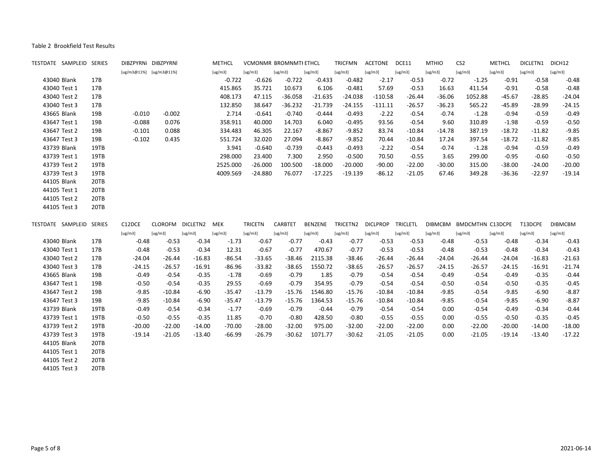| TESTDATE SAMPLEID SERIES |      | DIBZPYRNI DIBZPYRNI     |          |          | <b>METHCL</b> |                | VCMONMR BROMNMTI ETHCL |           | <b>TRICFMN</b> | <b>ACETONE</b>  | DCE11           | <b>MTHIO</b>   | CS <sub>2</sub>         | <b>METHCL</b> | DICLETN1 | DICH12         |
|--------------------------|------|-------------------------|----------|----------|---------------|----------------|------------------------|-----------|----------------|-----------------|-----------------|----------------|-------------------------|---------------|----------|----------------|
|                          |      | [ug/m3@11%] [ug/m3@11%] |          |          | [ug/m3]       | [ug/m3]        | [ug/m3]                | [ug/m3]   | [ug/m3]        | [ug/m3]         | [ug/m3]         | [ug/m3]        | [ug/m3]                 | [ug/m3]       | [ug/m3]  | [ug/m3]        |
| 43040 Blank              | 17B  |                         |          |          | $-0.722$      | $-0.626$       | $-0.722$               | $-0.433$  | $-0.482$       | $-2.17$         | $-0.53$         | $-0.72$        | $-1.25$                 | $-0.91$       | $-0.58$  | $-0.48$        |
| 43040 Test 1             | 17B  |                         |          |          | 415.865       | 35.721         | 10.673                 | 6.106     | $-0.481$       | 57.69           | $-0.53$         | 16.63          | 411.54                  | $-0.91$       | $-0.58$  | $-0.48$        |
| 43040 Test 2             | 17B  |                         |          |          | 408.173       | 47.115         | $-36.058$              | $-21.635$ | $-24.038$      | $-110.58$       | $-26.44$        | $-36.06$       | 1052.88                 | $-45.67$      | $-28.85$ | $-24.04$       |
| 43040 Test 3             | 17B  |                         |          |          | 132.850       | 38.647         | $-36.232$              | $-21.739$ | $-24.155$      | $-111.11$       | $-26.57$        | $-36.23$       | 565.22                  | $-45.89$      | $-28.99$ | $-24.15$       |
| 43665 Blank              | 19B  | $-0.010$                | $-0.002$ |          | 2.714         | $-0.641$       | $-0.740$               | $-0.444$  | $-0.493$       | $-2.22$         | $-0.54$         | $-0.74$        | $-1.28$                 | $-0.94$       | $-0.59$  | $-0.49$        |
| 43647 Test 1             | 19B  | $-0.088$                | 0.076    |          | 358.911       | 40.000         | 14.703                 | 6.040     | $-0.495$       | 93.56           | $-0.54$         | 9.60           | 310.89                  | $-1.98$       | $-0.59$  | $-0.50$        |
| 43647 Test 2             | 19B  | $-0.101$                | 0.088    |          | 334.483       | 46.305         | 22.167                 | $-8.867$  | $-9.852$       | 83.74           | $-10.84$        | $-14.78$       | 387.19                  | $-18.72$      | $-11.82$ | $-9.85$        |
| 43647 Test 3             | 19B  | $-0.102$                | 0.435    |          | 551.724       | 32.020         | 27.094                 | $-8.867$  | $-9.852$       | 70.44           | $-10.84$        | 17.24          | 397.54                  | $-18.72$      | $-11.82$ | $-9.85$        |
| 43739 Blank              | 19TB |                         |          |          | 3.941         | $-0.640$       | $-0.739$               | $-0.443$  | $-0.493$       | $-2.22$         | $-0.54$         | $-0.74$        | $-1.28$                 | $-0.94$       | $-0.59$  | $-0.49$        |
| 43739 Test 1             | 19TB |                         |          |          | 298.000       | 23.400         | 7.300                  | 2.950     | $-0.500$       | 70.50           | $-0.55$         | 3.65           | 299.00                  | $-0.95$       | $-0.60$  | $-0.50$        |
| 43739 Test 2             | 19TB |                         |          |          | 2525.000      | $-26.000$      | 100.500                | $-18.000$ | $-20.000$      | $-90.00$        | $-22.00$        | $-30.00$       | 315.00                  | $-38.00$      | $-24.00$ | $-20.00$       |
| 43739 Test 3             | 19TB |                         |          |          | 4009.569      | $-24.880$      | 76.077                 | $-17.225$ | $-19.139$      | $-86.12$        | $-21.05$        | 67.46          | 349.28                  | $-36.36$      | $-22.97$ | $-19.14$       |
| 44105 Blank              | 20TB |                         |          |          |               |                |                        |           |                |                 |                 |                |                         |               |          |                |
| 44105 Test 1             | 20TB |                         |          |          |               |                |                        |           |                |                 |                 |                |                         |               |          |                |
| 44105 Test 2             | 20TB |                         |          |          |               |                |                        |           |                |                 |                 |                |                         |               |          |                |
| 44105 Test 3             | 20TB |                         |          |          |               |                |                        |           |                |                 |                 |                |                         |               |          |                |
| TESTDATE SAMPLEID SERIES |      | C12DCE                  | CLOROFM  | DICLETN2 | MEK           | <b>TRICETN</b> | CARBTET                | BENZENE   | TRICETN2       | <b>DICLPROP</b> | <b>TRICLETL</b> | <b>DIBMCBM</b> | <b>BMDCMTHN C13DCPE</b> |               | T13DCPE  | <b>DIBMCBM</b> |
|                          |      | [ug/m3]                 | [ug/m3]  | [ug/m3]  | [ug/m3]       | [ug/m3]        | [ug/m3]                | [ug/m3]   | [ug/m3]        | [ug/m3]         | [ug/m3]         | [ug/m3]        | [ug/m3]                 | [ug/m3]       | [ug/m3]  | [ug/m3]        |
| 43040 Blank              | 17B  | $-0.48$                 | $-0.53$  | $-0.34$  | $-1.73$       | $-0.67$        | $-0.77$                | $-0.43$   | $-0.77$        | $-0.53$         | $-0.53$         | $-0.48$        | $-0.53$                 | $-0.48$       | $-0.34$  | $-0.43$        |
| 43040 Test 1             | 17B  | $-0.48$                 | $-0.53$  | $-0.34$  | 12.31         | $-0.67$        | $-0.77$                | 470.67    | $-0.77$        | $-0.53$         | $-0.53$         | $-0.48$        | $-0.53$                 | $-0.48$       | $-0.34$  | $-0.43$        |
| 43040 Test 2             | 17B  | $-24.04$                | $-26.44$ | $-16.83$ | $-86.54$      | $-33.65$       | $-38.46$               | 2115.38   | $-38.46$       | $-26.44$        | $-26.44$        | $-24.04$       | $-26.44$                | $-24.04$      | $-16.83$ | $-21.63$       |
| 43040 Test 3             | 17B  | $-24.15$                | $-26.57$ | $-16.91$ | $-86.96$      | $-33.82$       | $-38.65$               | 1550.72   | $-38.65$       | $-26.57$        | $-26.57$        | $-24.15$       | $-26.57$                | $-24.15$      | $-16.91$ | $-21.74$       |
| 43665 Blank              | 19B  | $-0.49$                 | $-0.54$  | $-0.35$  | $-1.78$       | $-0.69$        | $-0.79$                | 1.85      | $-0.79$        | $-0.54$         | $-0.54$         | $-0.49$        | $-0.54$                 | $-0.49$       | $-0.35$  | $-0.44$        |
| 43647 Test 1             | 19B  | $-0.50$                 | $-0.54$  | $-0.35$  | 29.55         | $-0.69$        | $-0.79$                | 354.95    | $-0.79$        | $-0.54$         | $-0.54$         | $-0.50$        | $-0.54$                 | $-0.50$       | $-0.35$  | $-0.45$        |
| 43647 Test 2             | 19B  | $-9.85$                 | $-10.84$ | $-6.90$  | $-35.47$      | $-13.79$       | $-15.76$               | 1546.80   | $-15.76$       | $-10.84$        | $-10.84$        | $-9.85$        | $-0.54$                 | $-9.85$       | $-6.90$  | $-8.87$        |
| 43647 Test 3             | 19B  | $-9.85$                 | $-10.84$ | $-6.90$  | $-35.47$      | $-13.79$       | $-15.76$               | 1364.53   | $-15.76$       | $-10.84$        | $-10.84$        | $-9.85$        | $-0.54$                 | $-9.85$       | $-6.90$  | $-8.87$        |
| 43739 Blank              | 19TB | $-0.49$                 | $-0.54$  | $-0.34$  | $-1.77$       | $-0.69$        | $-0.79$                | $-0.44$   | $-0.79$        | $-0.54$         | $-0.54$         | 0.00           | $-0.54$                 | $-0.49$       | $-0.34$  | $-0.44$        |
| 43739 Test 1             | 19TB | $-0.50$                 | $-0.55$  | $-0.35$  | 11.85         | $-0.70$        | $-0.80$                | 428.50    | $-0.80$        | $-0.55$         | $-0.55$         | 0.00           | $-0.55$                 | $-0.50$       | $-0.35$  | $-0.45$        |
| 43739 Test 2             | 19TB | $-20.00$                | $-22.00$ | $-14.00$ | $-70.00$      | $-28.00$       | $-32.00$               | 975.00    | $-32.00$       | $-22.00$        | $-22.00$        | 0.00           | $-22.00$                | $-20.00$      | $-14.00$ | $-18.00$       |
| 43739 Test 3             | 19TB | $-19.14$                | $-21.05$ | $-13.40$ | $-66.99$      | $-26.79$       | $-30.62$               | 1071.77   | $-30.62$       | $-21.05$        | $-21.05$        | 0.00           | $-21.05$                | $-19.14$      | $-13.40$ | $-17.22$       |
| 44105 Blank              | 20TB |                         |          |          |               |                |                        |           |                |                 |                 |                |                         |               |          |                |
| 44105 Test 1             | 20TB |                         |          |          |               |                |                        |           |                |                 |                 |                |                         |               |          |                |

Test 2 20TB

Test 3 20TB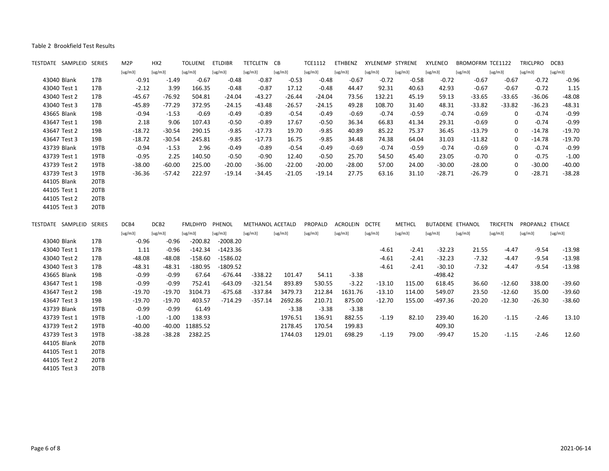| TESTDATE SAMPLEID SERIES |      | M <sub>2</sub> P | HX <sub>2</sub>  | <b>TOLUENE</b> | <b>ETLDIBR</b> | TETCLETN         | CB       | TCE1112        | ETHBENZ        | XYLENEMP STYRENE |               | XYLENEO                 | BROMOFRM TCE1122 |                 | <b>TRICLPRO</b> | DCB3     |
|--------------------------|------|------------------|------------------|----------------|----------------|------------------|----------|----------------|----------------|------------------|---------------|-------------------------|------------------|-----------------|-----------------|----------|
|                          |      | [ug/m3]          | [ug/m3]          | [ug/m3]        | [ug/m3]        | [ug/m3]          | [ug/m3]  | [ug/m3]        | [ug/m3]        | [ug/m3]          | [ug/m3]       | [ug/m3]                 | [ug/m3]          | [ug/m3]         | [ug/m3]         | [ug/m3]  |
| 43040 Blank              | 17B  | $-0.91$          | $-1.49$          | $-0.67$        | $-0.48$        | $-0.87$          | $-0.53$  | $-0.48$        | $-0.67$        | $-0.72$          | $-0.58$       | $-0.72$                 | $-0.67$          | $-0.67$         | $-0.72$         | $-0.96$  |
| 43040 Test 1             | 17B  | $-2.12$          | 3.99             | 166.35         | $-0.48$        | $-0.87$          | 17.12    | $-0.48$        | 44.47          | 92.31            | 40.63         | 42.93                   | $-0.67$          | $-0.67$         | $-0.72$         | 1.15     |
| 43040 Test 2             | 17B  | $-45.67$         | $-76.92$         | 504.81         | $-24.04$       | $-43.27$         | $-26.44$ | $-24.04$       | 73.56          | 132.21           | 45.19         | 59.13                   | $-33.65$         | $-33.65$        | $-36.06$        | $-48.08$ |
| 43040 Test 3             | 17B  | $-45.89$         | $-77.29$         | 372.95         | $-24.15$       | $-43.48$         | $-26.57$ | $-24.15$       | 49.28          | 108.70           | 31.40         | 48.31                   | $-33.82$         | $-33.82$        | $-36.23$        | $-48.31$ |
| 43665 Blank              | 19B  | $-0.94$          | $-1.53$          | $-0.69$        | $-0.49$        | $-0.89$          | $-0.54$  | $-0.49$        | $-0.69$        | $-0.74$          | $-0.59$       | $-0.74$                 | $-0.69$          | 0               | $-0.74$         | $-0.99$  |
| 43647 Test 1             | 19B  | 2.18             | 9.06             | 107.43         | $-0.50$        | $-0.89$          | 17.67    | $-0.50$        | 36.34          | 66.83            | 41.34         | 29.31                   | $-0.69$          | 0               | $-0.74$         | $-0.99$  |
| 43647 Test 2             | 19B  | $-18.72$         | $-30.54$         | 290.15         | $-9.85$        | $-17.73$         | 19.70    | $-9.85$        | 40.89          | 85.22            | 75.37         | 36.45                   | $-13.79$         | 0               | $-14.78$        | $-19.70$ |
| 43647 Test 3             | 19B  | $-18.72$         | $-30.54$         | 245.81         | $-9.85$        | $-17.73$         | 16.75    | $-9.85$        | 34.48          | 74.38            | 64.04         | 31.03                   | $-11.82$         | 0               | $-14.78$        | $-19.70$ |
| 43739 Blank              | 19TB | $-0.94$          | $-1.53$          | 2.96           | $-0.49$        | $-0.89$          | $-0.54$  | $-0.49$        | $-0.69$        | $-0.74$          | $-0.59$       | $-0.74$                 | $-0.69$          | 0               | $-0.74$         | $-0.99$  |
| 43739 Test 1             | 19TB | $-0.95$          | 2.25             | 140.50         | $-0.50$        | $-0.90$          | 12.40    | $-0.50$        | 25.70          | 54.50            | 45.40         | 23.05                   | $-0.70$          | 0               | $-0.75$         | $-1.00$  |
| 43739 Test 2             | 19TB | $-38.00$         | $-60.00$         | 225.00         | $-20.00$       | $-36.00$         | $-22.00$ | $-20.00$       | $-28.00$       | 57.00            | 24.00         | $-30.00$                | $-28.00$         | 0               | $-30.00$        | $-40.00$ |
| 43739 Test 3             | 19TB | $-36.36$         | $-57.42$         | 222.97         | $-19.14$       | $-34.45$         | $-21.05$ | $-19.14$       | 27.75          | 63.16            | 31.10         | $-28.71$                | $-26.79$         | 0               | $-28.71$        | $-38.28$ |
| 44105 Blank              | 20TB |                  |                  |                |                |                  |          |                |                |                  |               |                         |                  |                 |                 |          |
| 44105 Test 1             | 20TB |                  |                  |                |                |                  |          |                |                |                  |               |                         |                  |                 |                 |          |
| 44105 Test 2             | 20TB |                  |                  |                |                |                  |          |                |                |                  |               |                         |                  |                 |                 |          |
| 44105 Test 3             | 20TB |                  |                  |                |                |                  |          |                |                |                  |               |                         |                  |                 |                 |          |
| TESTDATE SAMPLEID SERIES |      | DCB4             | DCB <sub>2</sub> | <b>FMLDHYD</b> | PHENOL         | METHANOL ACETALD |          | <b>PROPALD</b> | ACROLEIN DCTFE |                  | <b>METHCL</b> | <b>BUTADENE ETHANOL</b> |                  | <b>TRICFETN</b> | PROPANL2 ETHACE |          |
|                          |      | [ug/m3]          | [ug/m3]          | [ug/m3]        | [ug/m3]        | [ug/m3]          | [ug/m3]  | [ug/m3]        | [ug/m3]        | [ug/m3]          | [ug/m3]       | [ug/m3]                 | [ug/m3]          | [ug/m3]         | [ug/m3]         | [ug/m3]  |
| 43040 Blank              | 17B  | $-0.96$          | $-0.96$          | $-200.82$      | $-2008.20$     |                  |          |                |                |                  |               |                         |                  |                 |                 |          |
| 43040 Test 1             | 17B  | 1.11             | $-0.96$          | $-142.34$      | $-1423.36$     |                  |          |                |                | $-4.61$          | $-2.41$       | $-32.23$                | 21.55            | $-4.47$         | $-9.54$         | $-13.98$ |
| 43040 Test 2             | 17B  | $-48.08$         | $-48.08$         | $-158.60$      | $-1586.02$     |                  |          |                |                | $-4.61$          | $-2.41$       | $-32.23$                | $-7.32$          | $-4.47$         | $-9.54$         | $-13.98$ |
| 43040 Test 3             | 17B  | $-48.31$         | $-48.31$         | $-180.95$      | $-1809.52$     |                  |          |                |                |                  |               |                         |                  |                 |                 |          |
| 43665 Blank              | 19B  | $-0.99$          |                  |                |                |                  |          |                |                | $-4.61$          | $-2.41$       | $-30.10$                | $-7.32$          | $-4.47$         | $-9.54$         | $-13.98$ |
| 43647 Test 1             | 19B  |                  | $-0.99$          | 67.64          | $-676.44$      | $-338.22$        | 101.47   | 54.11          | $-3.38$        |                  |               | -498.42                 |                  |                 |                 |          |
|                          |      | $-0.99$          | $-0.99$          | 752.41         | $-643.09$      | $-321.54$        | 893.89   | 530.55         | $-3.22$        | $-13.10$         | 115.00        | 618.45                  | 36.60            | $-12.60$        | 338.00          | $-39.60$ |
| 43647 Test 2             | 19B  | $-19.70$         | $-19.70$         | 3104.73        | $-675.68$      | $-337.84$        | 3479.73  | 212.84         | 1631.76        | $-13.10$         | 114.00        | 549.07                  | 23.50            | $-12.60$        | 35.00           | $-39.60$ |
| 43647 Test 3             | 19B  | $-19.70$         | $-19.70$         | 403.57         | $-714.29$      | $-357.14$        | 2692.86  | 210.71         | 875.00         | $-12.70$         | 155.00        | -497.36                 | $-20.20$         | $-12.30$        | $-26.30$        | $-38.60$ |
| 43739 Blank              | 19TB | $-0.99$          | $-0.99$          | 61.49          |                |                  | $-3.38$  | $-3.38$        | $-3.38$        |                  |               |                         |                  |                 |                 |          |
| 43739 Test 1             | 19TB | $-1.00$          | $-1.00$          | 138.93         |                |                  | 1976.51  | 136.91         | 882.55         | $-1.19$          | 82.10         | 239.40                  | 16.20            | $-1.15$         | $-2.46$         | 13.10    |
| 43739 Test 2             | 19TB | $-40.00$         | $-40.00$         | 11885.52       |                |                  | 2178.45  | 170.54         | 199.83         |                  |               | 409.30                  |                  |                 |                 |          |
| 43739 Test 3             | 19TB | $-38.28$         | $-38.28$         | 2382.25        |                |                  | 1744.03  | 129.01         | 698.29         | $-1.19$          | 79.00         | $-99.47$                | 15.20            | $-1.15$         | $-2.46$         | 12.60    |
| 44105 Blank              | 20TB |                  |                  |                |                |                  |          |                |                |                  |               |                         |                  |                 |                 |          |
| 44105 Test 1             | 20TB |                  |                  |                |                |                  |          |                |                |                  |               |                         |                  |                 |                 |          |
| 44105 Test 2             | 20TB |                  |                  |                |                |                  |          |                |                |                  |               |                         |                  |                 |                 |          |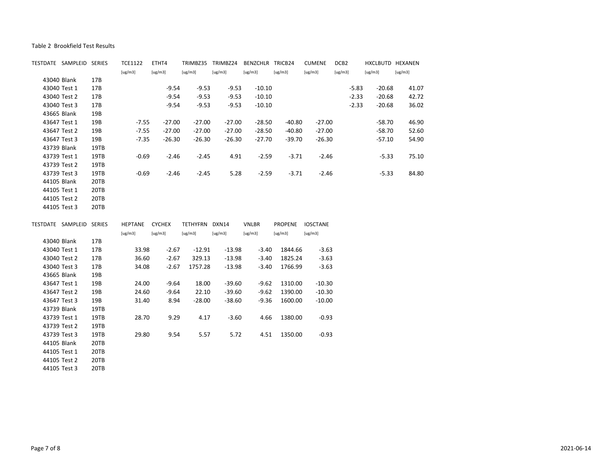| TESTDATE SAMPLEID SERIES     |              | TCE1122        | ETHT4    |                | TRIMBZ35 TRIMBZ24 | BENZCHLR TRICB24 |                | <b>CUMENE</b>   | DCB <sub>2</sub> | HXCLBUTD HEXANEN |         |
|------------------------------|--------------|----------------|----------|----------------|-------------------|------------------|----------------|-----------------|------------------|------------------|---------|
|                              |              | [ug/m3]        | [ug/m3]  | [ug/m3]        | [ug/m3]           | [ug/m3]          | [ug/m3]        | [ug/m3]         | [ug/m3]          | [ug/m3]          | [ug/m3] |
| 43040 Blank                  | 17B          |                |          |                |                   |                  |                |                 |                  |                  |         |
| 43040 Test 1                 | 17B          |                | $-9.54$  | $-9.53$        | $-9.53$           | $-10.10$         |                |                 | $-5.83$          | $-20.68$         | 41.07   |
| 43040 Test 2                 | 17B          |                | $-9.54$  | $-9.53$        | $-9.53$           | $-10.10$         |                |                 | $-2.33$          | $-20.68$         | 42.72   |
| 43040 Test 3                 | 17B          |                | $-9.54$  | $-9.53$        | $-9.53$           | $-10.10$         |                |                 | $-2.33$          | $-20.68$         | 36.02   |
| 43665 Blank                  | 19B          |                |          |                |                   |                  |                |                 |                  |                  |         |
| 43647 Test 1                 | 19B          | $-7.55$        | $-27.00$ | $-27.00$       | $-27.00$          | $-28.50$         | $-40.80$       | $-27.00$        |                  | $-58.70$         | 46.90   |
| 43647 Test 2                 | 19B          | $-7.55$        | $-27.00$ | $-27.00$       | $-27.00$          | $-28.50$         | $-40.80$       | $-27.00$        |                  | $-58.70$         | 52.60   |
| 43647 Test 3                 | 19B          | $-7.35$        | $-26.30$ | $-26.30$       | $-26.30$          | $-27.70$         | $-39.70$       | $-26.30$        |                  | $-57.10$         | 54.90   |
| 43739 Blank                  | 19TB         |                |          |                |                   |                  |                |                 |                  |                  |         |
| 43739 Test 1                 | 19TB         | $-0.69$        | $-2.46$  | $-2.45$        | 4.91              | $-2.59$          | $-3.71$        | $-2.46$         |                  | $-5.33$          | 75.10   |
| 43739 Test 2                 | 19TB         |                |          |                |                   |                  |                |                 |                  |                  |         |
| 43739 Test 3                 | 19TB         | $-0.69$        | $-2.46$  | $-2.45$        | 5.28              | $-2.59$          | $-3.71$        | $-2.46$         |                  | $-5.33$          | 84.80   |
| 44105 Blank                  | 20TB         |                |          |                |                   |                  |                |                 |                  |                  |         |
| 44105 Test 1                 | 20TB         |                |          |                |                   |                  |                |                 |                  |                  |         |
| 44105 Test 2                 | 20TB         |                |          |                |                   |                  |                |                 |                  |                  |         |
| 44105 Test 3                 | 20TB         |                |          |                |                   |                  |                |                 |                  |                  |         |
|                              |              |                |          |                |                   |                  |                |                 |                  |                  |         |
|                              |              |                |          |                |                   |                  |                |                 |                  |                  |         |
| TESTDATE SAMPLEID SERIES     |              | HEPTANE CYCHEX |          | TETHYFRN DXN14 |                   | <b>VNLBR</b>     | <b>PROPENE</b> | <b>IOSCTANE</b> |                  |                  |         |
|                              |              | [ug/m3]        | [ug/m3]  | [ug/m3]        | [ug/m3]           | [ug/m3]          | [ug/m3]        | [ug/m3]         |                  |                  |         |
| 43040 Blank                  | 17B          |                |          |                |                   |                  |                |                 |                  |                  |         |
| 43040 Test 1                 | 17B          | 33.98          | $-2.67$  | $-12.91$       | $-13.98$          | $-3.40$          | 1844.66        | $-3.63$         |                  |                  |         |
| 43040 Test 2                 | 17B          | 36.60          | $-2.67$  | 329.13         | $-13.98$          | $-3.40$          | 1825.24        | $-3.63$         |                  |                  |         |
| 43040 Test 3                 | 17B          | 34.08          | $-2.67$  | 1757.28        | $-13.98$          | $-3.40$          | 1766.99        | $-3.63$         |                  |                  |         |
| 43665 Blank                  | 19B          |                |          |                |                   |                  |                |                 |                  |                  |         |
| 43647 Test 1                 | 19B          | 24.00          | $-9.64$  | 18.00          | $-39.60$          | $-9.62$          | 1310.00        | $-10.30$        |                  |                  |         |
| 43647 Test 2                 | 19B          | 24.60          | $-9.64$  | 22.10          | $-39.60$          | $-9.62$          | 1390.00        | $-10.30$        |                  |                  |         |
| 43647 Test 3                 | 19B          | 31.40          | 8.94     | $-28.00$       | $-38.60$          | $-9.36$          | 1600.00        | $-10.00$        |                  |                  |         |
| 43739 Blank                  | 19TB         |                |          |                |                   |                  |                |                 |                  |                  |         |
| 43739 Test 1                 | 19TB         | 28.70          | 9.29     | 4.17           | $-3.60$           | 4.66             | 1380.00        | $-0.93$         |                  |                  |         |
| 43739 Test 2                 | 19TB         |                |          |                |                   |                  |                |                 |                  |                  |         |
| 43739 Test 3                 | 19TB         | 29.80          | 9.54     | 5.57           | 5.72              | 4.51             | 1350.00        | $-0.93$         |                  |                  |         |
| 44105 Blank                  | 20TB         |                |          |                |                   |                  |                |                 |                  |                  |         |
| 44105 Test 1                 | 20TB         |                |          |                |                   |                  |                |                 |                  |                  |         |
| 44105 Test 2<br>44105 Test 3 | 20TB<br>20TB |                |          |                |                   |                  |                |                 |                  |                  |         |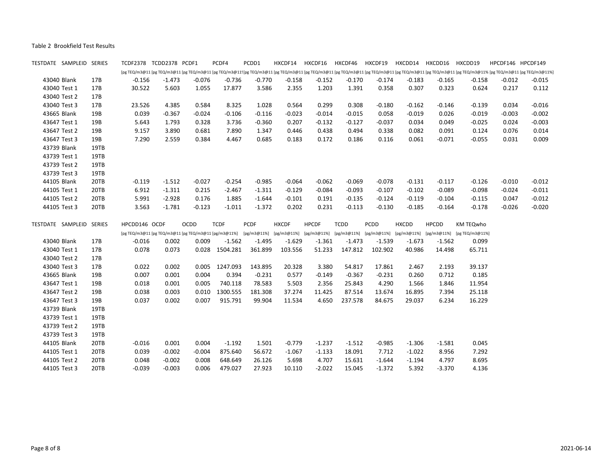| TESTDATE SAMPLEID SERIES |      |               | TCDF2378 TCDD2378 PCDF1 |                                                       | PCDF4          | PCDD1       |              | HXCDF14 HXCDF16 | HXCDF46     | HXCDF19  |              | HXCDD14 HXCDD16 HXCDD19 |                                                                                         |          | HPCDF146 HPCDF149                                                                                                                                                                                                              |
|--------------------------|------|---------------|-------------------------|-------------------------------------------------------|----------------|-------------|--------------|-----------------|-------------|----------|--------------|-------------------------|-----------------------------------------------------------------------------------------|----------|--------------------------------------------------------------------------------------------------------------------------------------------------------------------------------------------------------------------------------|
|                          |      |               |                         |                                                       |                |             |              |                 |             |          |              |                         |                                                                                         |          | [pg TEQ/m3@11 [pg TEQ/m3@11 [pg TEQ/m3@11 [pg TEQ/m3@11: [pg TEQ/m3@11 [pg TEQ/m3@11 [pg TEQ/m3@11 [pg TEQ/m3@11 [pg TEQ/m3@11 [pg TEQ/m3@11 [pg TEQ/m3@11 [pg TEQ/m3@11 [pg TEQ/m3@11] [pg TEQ/m3@11] [pg TEQ/m3@11] [pg TEQ/ |
| 43040 Blank              | 17B  | $-0.156$      | $-1.473$                | $-0.076$                                              | $-0.736$       | $-0.770$    | $-0.158$     | $-0.152$        | -0.170      | $-0.174$ | -0.183       | -0.165                  | $-0.158$                                                                                | $-0.012$ | -0.015                                                                                                                                                                                                                         |
| 43040 Test 1             | 17B  | 30.522        | 5.603                   | 1.055                                                 | 17.877         | 3.586       | 2.355        | 1.203           | 1.391       | 0.358    | 0.307        | 0.323                   | 0.624                                                                                   | 0.217    | 0.112                                                                                                                                                                                                                          |
| 43040 Test 2             | 17B  |               |                         |                                                       |                |             |              |                 |             |          |              |                         |                                                                                         |          |                                                                                                                                                                                                                                |
| 43040 Test 3             | 17B  | 23.526        | 4.385                   | 0.584                                                 | 8.325          | 1.028       | 0.564        | 0.299           | 0.308       | $-0.180$ | $-0.162$     | $-0.146$                | $-0.139$                                                                                | 0.034    | $-0.016$                                                                                                                                                                                                                       |
| 43665 Blank              | 19B  | 0.039         | $-0.367$                | $-0.024$                                              | $-0.106$       | $-0.116$    | $-0.023$     | $-0.014$        | $-0.015$    | 0.058    | $-0.019$     | 0.026                   | $-0.019$                                                                                | $-0.003$ | $-0.002$                                                                                                                                                                                                                       |
| 43647 Test 1             | 19B  | 5.643         | 1.793                   | 0.328                                                 | 3.736          | $-0.360$    | 0.207        | $-0.132$        | $-0.127$    | $-0.037$ | 0.034        | 0.049                   | $-0.025$                                                                                | 0.024    | $-0.003$                                                                                                                                                                                                                       |
| 43647 Test 2             | 19B  | 9.157         | 3.890                   | 0.681                                                 | 7.890          | 1.347       | 0.446        | 0.438           | 0.494       | 0.338    | 0.082        | 0.091                   | 0.124                                                                                   | 0.076    | 0.014                                                                                                                                                                                                                          |
| 43647 Test 3             | 19B  | 7.290         | 2.559                   | 0.384                                                 | 4.467          | 0.685       | 0.183        | 0.172           | 0.186       | 0.116    | 0.061        | $-0.071$                | $-0.055$                                                                                | 0.031    | 0.009                                                                                                                                                                                                                          |
| 43739 Blank              | 19TB |               |                         |                                                       |                |             |              |                 |             |          |              |                         |                                                                                         |          |                                                                                                                                                                                                                                |
| 43739 Test 1             | 19TB |               |                         |                                                       |                |             |              |                 |             |          |              |                         |                                                                                         |          |                                                                                                                                                                                                                                |
| 43739 Test 2             | 19TB |               |                         |                                                       |                |             |              |                 |             |          |              |                         |                                                                                         |          |                                                                                                                                                                                                                                |
| 43739 Test 3             | 19TB |               |                         |                                                       |                |             |              |                 |             |          |              |                         |                                                                                         |          |                                                                                                                                                                                                                                |
| 44105 Blank              | 20TB | $-0.119$      | $-1.512$                | $-0.027$                                              | $-0.254$       | $-0.985$    | $-0.064$     | $-0.062$        | $-0.069$    | $-0.078$ | $-0.131$     | $-0.117$                | $-0.126$                                                                                | $-0.010$ | $-0.012$                                                                                                                                                                                                                       |
| 44105 Test 1             | 20TB | 6.912         | $-1.311$                | 0.215                                                 | -2.467         | $-1.311$    | $-0.129$     | $-0.084$        | $-0.093$    | $-0.107$ | $-0.102$     | $-0.089$                | $-0.098$                                                                                | $-0.024$ | $-0.011$                                                                                                                                                                                                                       |
| 44105 Test 2             | 20TB | 5.991         | $-2.928$                | 0.176                                                 | 1.885          | $-1.644$    | $-0.101$     | 0.191           | $-0.135$    | $-0.124$ | $-0.119$     | $-0.104$                | $-0.115$                                                                                | 0.047    | $-0.012$                                                                                                                                                                                                                       |
| 44105 Test 3             | 20TB | 3.563         | $-1.781$                | $-0.123$                                              | $-1.011$       | $-1.372$    | 0.202        | 0.231           | $-0.113$    | $-0.130$ | $-0.185$     | $-0.164$                | $-0.178$                                                                                | $-0.026$ | $-0.020$                                                                                                                                                                                                                       |
| TESTDATE SAMPLEID SERIES |      | HPCDD146 OCDF |                         | <b>OCDD</b>                                           | <b>TCDF</b>    | PCDF        | <b>HXCDF</b> | <b>HPCDF</b>    | <b>TCDD</b> | PCDD     | <b>HXCDD</b> | <b>HPCDD</b>            | KM TEQwho                                                                               |          |                                                                                                                                                                                                                                |
|                          |      |               |                         | [pg TEQ/m3@11 [pg TEQ/m3@11 [pg TEQ/m3@11 [pg/m3@11%] |                | [pg/m3@11%] |              |                 |             |          |              |                         | [pg/m3@11%] [pg/m3@11%] [pg/m3@11%] [pg/m3@11%] [pg/m3@11%] [pg/m3@11%] [pg TEQ/m3@11%] |          |                                                                                                                                                                                                                                |
| 43040 Blank              | 17B  | $-0.016$      | 0.002                   | 0.009                                                 | $-1.562$       | $-1.495$    | $-1.629$     | $-1.361$        | $-1.473$    | $-1.539$ | $-1.673$     | $-1.562$                | 0.099                                                                                   |          |                                                                                                                                                                                                                                |
| 43040 Test 1             | 17B  | 0.078         | 0.073                   | 0.028                                                 | 1504.281       | 361.899     | 103.556      | 51.233          | 147.812     | 102.902  | 40.986       | 14.498                  | 65.711                                                                                  |          |                                                                                                                                                                                                                                |
| 43040 Test 2             | 17B  |               |                         |                                                       |                |             |              |                 |             |          |              |                         |                                                                                         |          |                                                                                                                                                                                                                                |
| 43040 Test 3             | 17B  | 0.022         | 0.002                   |                                                       | 0.005 1247.093 | 143.895     | 20.328       | 3.380           | 54.817      | 17.861   | 2.467        | 2.193                   | 39.137                                                                                  |          |                                                                                                                                                                                                                                |
| 43665 Blank              | 19B  | 0.007         | 0.001                   | 0.004                                                 | 0.394          | $-0.231$    | 0.577        | $-0.149$        | $-0.367$    | $-0.231$ | 0.260        | 0.712                   | 0.185                                                                                   |          |                                                                                                                                                                                                                                |
| 43647 Test 1             | 19B  | 0.018         | 0.001                   | 0.005                                                 | 740.118        | 78.583      | 5.503        | 2.356           | 25.843      | 4.290    | 1.566        | 1.846                   | 11.954                                                                                  |          |                                                                                                                                                                                                                                |
| 43647 Test 2             | 19B  | 0.038         | 0.003                   | 0.010                                                 | 1300.555       | 181.308     | 37.274       | 11.425          | 87.514      | 13.674   | 16.895       | 7.394                   | 25.118                                                                                  |          |                                                                                                                                                                                                                                |
| 43647 Test 3             | 19B  | 0.037         | 0.002                   | 0.007                                                 | 915.791        | 99.904      | 11.534       | 4.650           | 237.578     | 84.675   | 29.037       | 6.234                   | 16.229                                                                                  |          |                                                                                                                                                                                                                                |
| 43739 Blank              | 19TB |               |                         |                                                       |                |             |              |                 |             |          |              |                         |                                                                                         |          |                                                                                                                                                                                                                                |
| 43739 Test 1             | 19TB |               |                         |                                                       |                |             |              |                 |             |          |              |                         |                                                                                         |          |                                                                                                                                                                                                                                |
| 43739 Test 2             | 19TB |               |                         |                                                       |                |             |              |                 |             |          |              |                         |                                                                                         |          |                                                                                                                                                                                                                                |
| 43739 Test 3             | 19TB |               |                         |                                                       |                |             |              |                 |             |          |              |                         |                                                                                         |          |                                                                                                                                                                                                                                |
| 44105 Blank              | 20TB | $-0.016$      | 0.001                   | 0.004                                                 | $-1.192$       | 1.501       | $-0.779$     | $-1.237$        | $-1.512$    | $-0.985$ | $-1.306$     | $-1.581$                | 0.045                                                                                   |          |                                                                                                                                                                                                                                |
| 44105 Test 1             | 20TB | 0.039         | $-0.002$                | $-0.004$                                              | 875.640        | 56.672      | $-1.067$     | $-1.133$        | 18.091      | 7.712    | $-1.022$     | 8.956                   | 7.292                                                                                   |          |                                                                                                                                                                                                                                |
|                          |      |               |                         |                                                       |                |             |              |                 |             |          |              |                         |                                                                                         |          |                                                                                                                                                                                                                                |
| 44105 Test 2             | 20TB | 0.048         | $-0.002$                | 0.008                                                 | 648.649        | 26.126      | 5.698        | 4.707           | 15.631      | $-1.644$ | $-1.194$     | 4.797                   | 8.695                                                                                   |          |                                                                                                                                                                                                                                |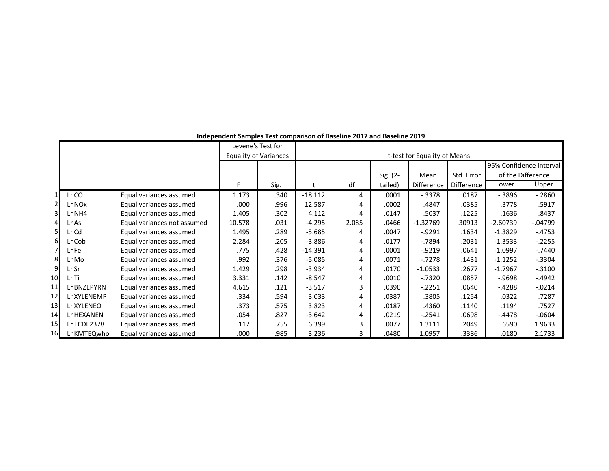|                |            |                             |        | Levene's Test for            |           |       |          |                              |                   |                         |           |
|----------------|------------|-----------------------------|--------|------------------------------|-----------|-------|----------|------------------------------|-------------------|-------------------------|-----------|
|                |            |                             |        | <b>Equality of Variances</b> |           |       |          | t-test for Equality of Means |                   |                         |           |
|                |            |                             |        |                              |           |       |          |                              |                   | 95% Confidence Interval |           |
|                |            |                             |        |                              |           |       | Sig. (2- | Mean                         | Std. Error        | of the Difference       |           |
|                |            |                             |        | Sig.                         |           | df    | tailed)  | Difference                   | <b>Difference</b> | Lower                   | Upper     |
|                | LnCO       | Equal variances assumed     | 1.173  | .340                         | $-18.112$ | 4     | .0001    | $-.3378$                     | .0187             | $-0.3896$               | $-2860$   |
| $\overline{2}$ | LnNOx      | Equal variances assumed     | .000   | .996                         | 12.587    | 4     | .0002    | .4847                        | .0385             | .3778                   | .5917     |
| 3              | LnNH4      | Equal variances assumed     | 1.405  | .302                         | 4.112     | 4     | .0147    | .5037                        | .1225             | .1636                   | .8437     |
| $\overline{4}$ | LnAs       | Equal variances not assumed | 10.578 | .031                         | $-4.295$  | 2.085 | .0466    | $-1.32769$                   | .30913            | $-2.60739$              | $-04799$  |
| 5              | LnCd       | Equal variances assumed     | 1.495  | .289                         | $-5.685$  | 4     | .0047    | $-0.9291$                    | .1634             | $-1.3829$               | $-.4753$  |
| 6              | LnCob      | Equal variances assumed     | 2.284  | .205                         | $-3.886$  | 4     | .0177    | $-7894$                      | .2031             | $-1.3533$               | $-.2255$  |
| $\overline{7}$ | LnFe       | Equal variances assumed     | .775   | .428                         | $-14.391$ | 4     | .0001    | $-0.9219$                    | .0641             | $-1.0997$               | $-.7440$  |
| 8              | LnMo       | Equal variances assumed     | .992   | .376                         | $-5.085$  | 4     | .0071    | $-0.7278$                    | .1431             | $-1.1252$               | $-.3304$  |
| 9              | LnSr       | Equal variances assumed     | 1.429  | .298                         | $-3.934$  | 4     | .0170    | $-1.0533$                    | .2677             | $-1.7967$               | $-.3100$  |
| 10             | LnTi       | Equal variances assumed     | 3.331  | .142                         | $-8.547$  | 4     | .0010    | $-.7320$                     | .0857             | $-0.9698$               | $-4942$   |
| 11             | LnBNZEPYRN | Equal variances assumed     | 4.615  | .121                         | $-3.517$  | 3     | .0390    | $-.2251$                     | .0640             | $-4288$                 | $-0.0214$ |
| 12             | LnXYLENEMP | Equal variances assumed     | .334   | .594                         | 3.033     | 4     | .0387    | .3805                        | .1254             | .0322                   | .7287     |
| 13             | LnXYLENEO  | Equal variances assumed     | .373   | .575                         | 3.823     | 4     | .0187    | .4360                        | .1140             | .1194                   | .7527     |
| 14             | LnHEXANEN  | Equal variances assumed     | .054   | .827                         | $-3.642$  | 4     | .0219    | $-.2541$                     | .0698             | $-4478$                 | $-0604$   |
| 15             | LnTCDF2378 | Equal variances assumed     | .117   | .755                         | 6.399     | 3     | .0077    | 1.3111                       | .2049             | .6590                   | 1.9633    |
| 16             | LnKMTEQwho | Equal variances assumed     | .000   | .985                         | 3.236     |       | .0480    | 1.0957                       | .3386             | .0180                   | 2.1733    |

**Independent Samples Test comparison of Baseline 2017 and Baseline 2019**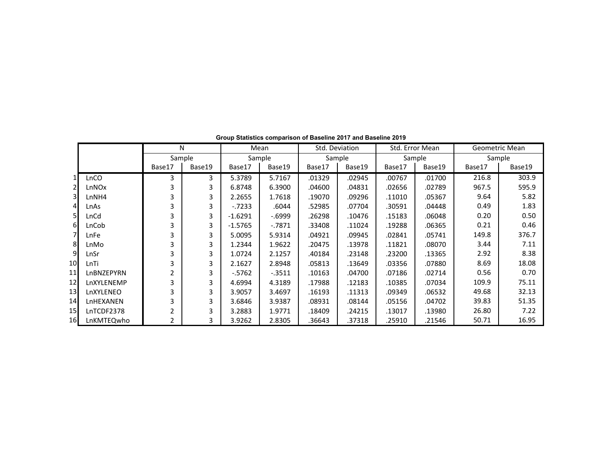|                 |            | $\mathsf{N}$ |        |           | Mean      |        | Std. Deviation | Std. Error Mean |        |        | Geometric Mean |
|-----------------|------------|--------------|--------|-----------|-----------|--------|----------------|-----------------|--------|--------|----------------|
|                 |            |              | Sample |           | Sample    |        | Sample         | Sample          |        |        | Sample         |
|                 |            | Base17       | Base19 | Base17    | Base19    | Base17 | Base19         | Base17          | Base19 | Base17 | Base19         |
| $1\vert$        | LnCO       | 3            | 3      | 5.3789    | 5.7167    | .01329 | .02945         | .00767          | .01700 | 216.8  | 303.9          |
| $\mathbf{2}$    | LnNOx      | 3            | 3      | 6.8748    | 6.3900    | .04600 | .04831         | .02656          | .02789 | 967.5  | 595.9          |
| 3 <sup>1</sup>  | LnNH4      | 3            | 3      | 2.2655    | 1.7618    | .19070 | .09296         | .11010          | .05367 | 9.64   | 5.82           |
| $\overline{4}$  | LnAs       | 3            | 3      | $-7233$   | .6044     | .52985 | .07704         | .30591          | .04448 | 0.49   | 1.83           |
| 51              | LnCd       | 3            | 3      | $-1.6291$ | $-0.6999$ | .26298 | .10476         | .15183          | .06048 | 0.20   | 0.50           |
| 6               | LnCob      | 3            | 3      | $-1.5765$ | $-7871$   | .33408 | .11024         | .19288          | .06365 | 0.21   | 0.46           |
|                 | LnFe       | 3            | 3      | 5.0095    | 5.9314    | .04921 | .09945         | .02841          | .05741 | 149.8  | 376.7          |
| 8 <sup>l</sup>  | LnMo       | 3            | 3      | 1.2344    | 1.9622    | .20475 | .13978         | .11821          | .08070 | 3.44   | 7.11           |
| 9               | LnSr       | 3            | 3      | 1.0724    | 2.1257    | .40184 | .23148         | .23200          | .13365 | 2.92   | 8.38           |
| 10              | LnTi       | 3            | 3      | 2.1627    | 2.8948    | .05813 | .13649         | .03356          | .07880 | 8.69   | 18.08          |
| 11              | LnBNZEPYRN | 2            | 3      | $-5762$   | $-0.3511$ | .10163 | .04700         | .07186          | .02714 | 0.56   | 0.70           |
| 12              | LnXYLENEMP | 3            | 3      | 4.6994    | 4.3189    | .17988 | .12183         | .10385          | .07034 | 109.9  | 75.11          |
| 13              | LnXYLENEO  | 3            | 3      | 3.9057    | 3.4697    | .16193 | .11313         | .09349          | .06532 | 49.68  | 32.13          |
| 14              | LnHEXANEN  | 3            | 3      | 3.6846    | 3.9387    | .08931 | .08144         | .05156          | .04702 | 39.83  | 51.35          |
| 15 <sub>l</sub> | LnTCDF2378 | 2            | 3      | 3.2883    | 1.9771    | .18409 | .24215         | .13017          | .13980 | 26.80  | 7.22           |
| 16              | LnKMTEQwho | 2            | 3      | 3.9262    | 2.8305    | .36643 | .37318         | .25910          | .21546 | 50.71  | 16.95          |

**Group Statistics comparison of Baseline 2017 and Baseline 2019**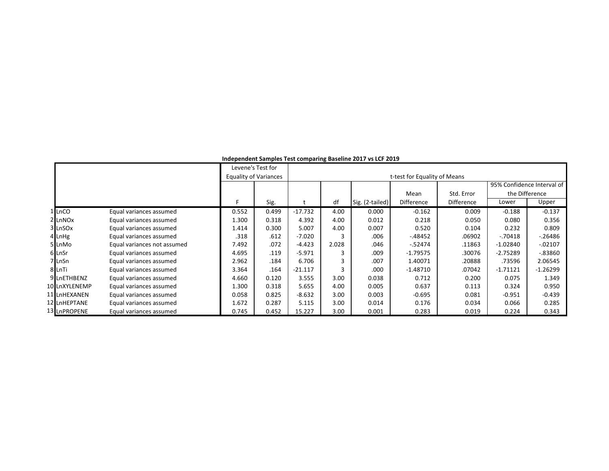|                     |                             |       | Levene's Test for            |           |       | pennem complex rest componing passing moder to me. He |                              |                   |                |                            |
|---------------------|-----------------------------|-------|------------------------------|-----------|-------|-------------------------------------------------------|------------------------------|-------------------|----------------|----------------------------|
|                     |                             |       | <b>Equality of Variances</b> |           |       |                                                       | t-test for Equality of Means |                   |                |                            |
|                     |                             |       |                              |           |       |                                                       | Mean                         | Std. Error        | the Difference | 95% Confidence Interval of |
|                     |                             | E     | Sig.                         |           | df    | Sig. (2-tailed)                                       | Difference                   | <b>Difference</b> | Lower          | Upper                      |
| LnCO                | Equal variances assumed     | 0.552 | 0.499                        | $-17.732$ | 4.00  | 0.000                                                 | $-0.162$                     | 0.009             | $-0.188$       | $-0.137$                   |
| 2 LnNO <sub>x</sub> | Equal variances assumed     | 1.300 | 0.318                        | 4.392     | 4.00  | 0.012                                                 | 0.218                        | 0.050             | 0.080          | 0.356                      |
| 3 LnSOx             | Equal variances assumed     | 1.414 | 0.300                        | 5.007     | 4.00  | 0.007                                                 | 0.520                        | 0.104             | 0.232          | 0.809                      |
| 4 LnHg              | Equal variances assumed     | .318  | .612                         | $-7.020$  |       | .006                                                  | -.48452                      | .06902            | $-.70418$      | $-0.26486$                 |
| 5 LnMo              | Equal variances not assumed | 7.492 | .072                         | $-4.423$  | 2.028 | .046                                                  | $-52474$                     | .11863            | $-1.02840$     | $-02107$                   |
| 6 LnSr              | Equal variances assumed     | 4.695 | .119                         | $-5.971$  |       | .009                                                  | $-1.79575$                   | .30076            | $-2.75289$     | $-0.83860$                 |
| 7 LnSn              | Equal variances assumed     | 2.962 | .184                         | 6.706     | 3     | .007                                                  | 1.40071                      | .20888            | .73596         | 2.06545                    |
| 8 LnTi              | Equal variances assumed     | 3.364 | .164                         | $-21.117$ | 3     | .000                                                  | $-1.48710$                   | .07042            | $-1.71121$     | $-1.26299$                 |
| 9 LnETHBENZ         | Equal variances assumed     | 4.660 | 0.120                        | 3.555     | 3.00  | 0.038                                                 | 0.712                        | 0.200             | 0.075          | 1.349                      |
| 10 LnXYLENEMP       | Equal variances assumed     | 1.300 | 0.318                        | 5.655     | 4.00  | 0.005                                                 | 0.637                        | 0.113             | 0.324          | 0.950                      |
| 11 LnHEXANEN        | Equal variances assumed     | 0.058 | 0.825                        | $-8.632$  | 3.00  | 0.003                                                 | $-0.695$                     | 0.081             | $-0.951$       | $-0.439$                   |
| 12 LnHEPTANE        | Equal variances assumed     | 1.672 | 0.287                        | 5.115     | 3.00  | 0.014                                                 | 0.176                        | 0.034             | 0.066          | 0.285                      |
| 13 LnPROPENE        | Equal variances assumed     | 0.745 | 0.452                        | 15.227    | 3.00  | 0.001                                                 | 0.283                        | 0.019             | 0.224          | 0.343                      |

**Independent Samples Test comparing Baseline 2017 vs LCF 2019**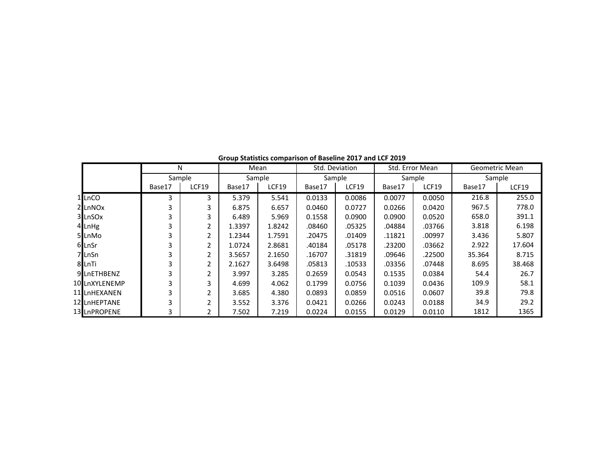|                    | N      |                | Mean   |        | Std. Deviation |        | Std. Error Mean |        |        | Geometric Mean |
|--------------------|--------|----------------|--------|--------|----------------|--------|-----------------|--------|--------|----------------|
|                    | Sample |                |        | Sample | Sample         |        |                 | Sample |        | Sample         |
|                    | Base17 | <b>LCF19</b>   | Base17 | LCF19  | Base17         | LCF19  | Base17          | LCF19  | Base17 | LCF19          |
| 1 LnCO             | 3      | 3              | 5.379  | 5.541  | 0.0133         | 0.0086 | 0.0077          | 0.0050 | 216.8  | 255.0          |
| 2LnNO <sub>x</sub> | 3      | 3              | 6.875  | 6.657  | 0.0460         | 0.0727 | 0.0266          | 0.0420 | 967.5  | 778.0          |
| 3 LnSOx            |        | 3              | 6.489  | 5.969  | 0.1558         | 0.0900 | 0.0900          | 0.0520 | 658.0  | 391.1          |
| 4 LnHg             |        | 2              | 1.3397 | 1.8242 | .08460         | .05325 | .04884          | .03766 | 3.818  | 6.198          |
| 5LnMo              | 3      | 2              | 1.2344 | 1.7591 | .20475         | .01409 | .11821          | .00997 | 3.436  | 5.807          |
| 6LnSr              |        |                | 1.0724 | 2.8681 | .40184         | .05178 | .23200          | .03662 | 2.922  | 17.604         |
| 7 LnSn             | 3      | 2              | 3.5657 | 2.1650 | .16707         | .31819 | .09646          | .22500 | 35.364 | 8.715          |
| 8 LnTi             | 3      | $\overline{2}$ | 2.1627 | 3.6498 | .05813         | .10533 | .03356          | .07448 | 8.695  | 38.468         |
| 9 LnETHBENZ        | 3      | $\mathfrak{p}$ | 3.997  | 3.285  | 0.2659         | 0.0543 | 0.1535          | 0.0384 | 54.4   | 26.7           |
| 10 LnXYLENEMP      | 3      | 3              | 4.699  | 4.062  | 0.1799         | 0.0756 | 0.1039          | 0.0436 | 109.9  | 58.1           |
| 11 LnHEXANEN       | 3      | 2              | 3.685  | 4.380  | 0.0893         | 0.0859 | 0.0516          | 0.0607 | 39.8   | 79.8           |
| 12 LnHEPTANE       | 3      | 2              | 3.552  | 3.376  | 0.0421         | 0.0266 | 0.0243          | 0.0188 | 34.9   | 29.2           |
| 13 LnPROPENE       | 3      |                | 7.502  | 7.219  | 0.0224         | 0.0155 | 0.0129          | 0.0110 | 1812   | 1365           |

**Group Statistics comparison of Baseline 2017 and LCF 2019**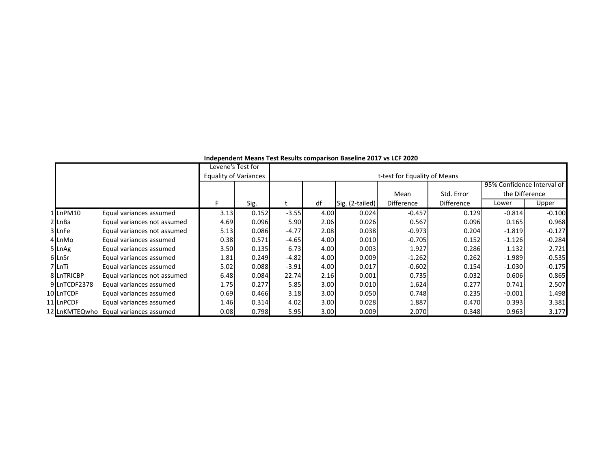|               |                             |                              |                   |         |      | <u>INGENCINGIN IVICANS TEST NESUNS COMPANSON DASCINIC ZUIT VS ECT ZUZU</u> |                              |                   |                |                            |
|---------------|-----------------------------|------------------------------|-------------------|---------|------|----------------------------------------------------------------------------|------------------------------|-------------------|----------------|----------------------------|
|               |                             |                              | Levene's Test for |         |      |                                                                            |                              |                   |                |                            |
|               |                             | <b>Equality of Variances</b> |                   |         |      |                                                                            | t-test for Equality of Means |                   |                |                            |
|               |                             |                              |                   |         |      |                                                                            |                              |                   |                | 95% Confidence Interval of |
|               |                             |                              |                   |         |      |                                                                            | Mean                         | Std. Error        | the Difference |                            |
|               |                             | F.                           | Sig.              |         | df   | Sig. (2-tailed)                                                            | Difference                   | <b>Difference</b> | Lower          | Upper                      |
| 1LnPM10       | Equal variances assumed     | 3.13                         | 0.152             | $-3.55$ | 4.00 | 0.024                                                                      | $-0.457$                     | 0.129             | $-0.814$       | $-0.100$                   |
| 2 LnBa        | Equal variances not assumed | 4.69                         | 0.096             | 5.90    | 2.06 | 0.026                                                                      | 0.567                        | 0.096             | 0.165          | 0.968                      |
| 3LnFe         | Equal variances not assumed | 5.13                         | 0.086             | $-4.77$ | 2.08 | 0.038                                                                      | $-0.973$                     | 0.204             | $-1.819$       | $-0.127$                   |
| 4 LnMo        | Equal variances assumed     | 0.38                         | 0.571             | $-4.65$ | 4.00 | 0.010                                                                      | $-0.705$                     | 0.152             | $-1.126$       | $-0.284$                   |
| 5 LnAg        | Equal variances assumed     | 3.50                         | 0.135             | 6.73    | 4.00 | 0.003                                                                      | 1.927                        | 0.286             | 1.132          | 2.721                      |
| 6 LnSr        | Equal variances assumed     | 1.81                         | 0.249             | $-4.82$ | 4.00 | 0.009                                                                      | $-1.262$                     | 0.262             | $-1.989$       | $-0.535$                   |
| 7 LnTi        | Equal variances assumed     | 5.02                         | 0.088             | $-3.91$ | 4.00 | 0.017                                                                      | $-0.602$                     | 0.154             | $-1.030$       | $-0.175$                   |
| 8 LnTRICBP    | Equal variances not assumed | 6.48                         | 0.084             | 22.74   | 2.16 | 0.001                                                                      | 0.735                        | 0.032             | 0.606          | 0.865                      |
| 9 LnTCDF2378  | Equal variances assumed     | 1.75                         | 0.277             | 5.85    | 3.00 | 0.010                                                                      | 1.624                        | 0.277             | 0.741          | 2.507                      |
| 10 LnTCDF     | Equal variances assumed     | 0.69                         | 0.466             | 3.18    | 3.00 | 0.050                                                                      | 0.748                        | 0.235             | $-0.001$       | 1.498                      |
| 11 LnPCDF     | Equal variances assumed     | 1.46                         | 0.314             | 4.02    | 3.00 | 0.028                                                                      | 1.887                        | 0.470             | 0.393          | 3.381                      |
| 12 LnKMTEQwho | Equal variances assumed     | 0.08                         | 0.798             | 5.95    | 3.00 | 0.009                                                                      | 2.070                        | 0.348             | 0.963          | 3.177                      |

**Independent Means Test Results comparison Baseline 2017 vs LCF 2020**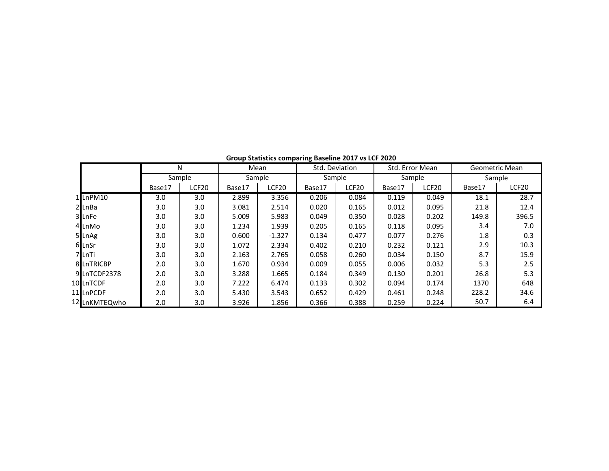|               | N      |                  | Mean   |                   | Std. Deviation |       | Std. Error Mean |        |        | Geometric Mean |
|---------------|--------|------------------|--------|-------------------|----------------|-------|-----------------|--------|--------|----------------|
|               | Sample |                  |        | Sample            | Sample         |       |                 | Sample |        | Sample         |
|               | Base17 | LCF20            | Base17 | LCF <sub>20</sub> | Base17         | LCF20 | Base17          | LCF20  | Base17 | LCF20          |
| 1LnPM10       | 3.0    | 3.0              | 2.899  | 3.356             | 0.206          | 0.084 | 0.119           | 0.049  | 18.1   | 28.7           |
| $2$ LnBa      | 3.0    | 3.0              | 3.081  | 2.514             | 0.020          | 0.165 | 0.012           | 0.095  | 21.8   | 12.4           |
| 3 LnFe        | 3.0    | 3.0              | 5.009  | 5.983             | 0.049          | 0.350 | 0.028           | 0.202  | 149.8  | 396.5          |
| 4 LnMo        | 3.0    | 3.0              | 1.234  | 1.939             | 0.205          | 0.165 | 0.118           | 0.095  | 3.4    | 7.0            |
| 5 LnAg        | 3.0    | 3.0              | 0.600  | $-1.327$          | 0.134          | 0.477 | 0.077           | 0.276  | 1.8    | 0.3            |
| 6 LnSr        | 3.0    | 3.0              | 1.072  | 2.334             | 0.402          | 0.210 | 0.232           | 0.121  | 2.9    | 10.3           |
| 7 LnTi        | 3.0    | 3.0 <sub>2</sub> | 2.163  | 2.765             | 0.058          | 0.260 | 0.034           | 0.150  | 8.7    | 15.9           |
| 8 LnTRICBP    | 2.0    | 3.0              | 1.670  | 0.934             | 0.009          | 0.055 | 0.006           | 0.032  | 5.3    | 2.5            |
| 9LnTCDF2378   | 2.0    | 3.0              | 3.288  | 1.665             | 0.184          | 0.349 | 0.130           | 0.201  | 26.8   | 5.3            |
| 10 LnTCDF     | 2.0    | 3.0              | 7.222  | 6.474             | 0.133          | 0.302 | 0.094           | 0.174  | 1370   | 648            |
| 11 LnPCDF     | 2.0    | 3.0              | 5.430  | 3.543             | 0.652          | 0.429 | 0.461           | 0.248  | 228.2  | 34.6           |
| 12 LnKMTEQwho | 2.0    | 3.0              | 3.926  | 1.856             | 0.366          | 0.388 | 0.259           | 0.224  | 50.7   | 6.4            |

**Group Statistics comparing Baseline 2017 vs LCF 2020**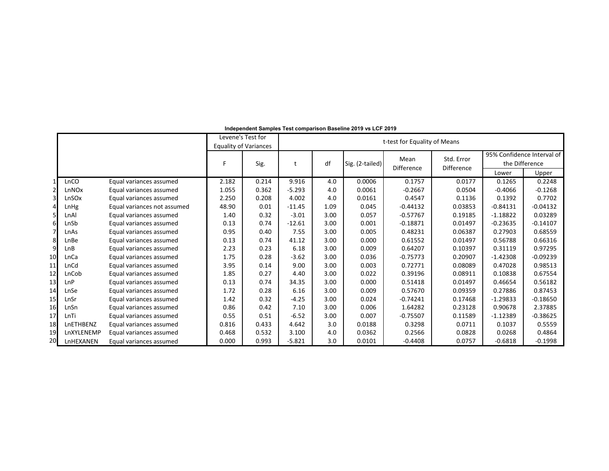|                |            |                             |       | Levene's Test for<br><b>Equality of Variances</b> | t-test for Equality of Means |      |                 |            |            |            |                                              |  |  |
|----------------|------------|-----------------------------|-------|---------------------------------------------------|------------------------------|------|-----------------|------------|------------|------------|----------------------------------------------|--|--|
|                |            |                             | F.    | Sig.                                              | t                            | df   | Sig. (2-tailed) | Mean       | Std. Error |            | 95% Confidence Interval of<br>the Difference |  |  |
|                |            |                             |       |                                                   |                              |      |                 | Difference | Difference | Lower      | Upper                                        |  |  |
|                | LnCO       | Equal variances assumed     | 2.182 | 0.214                                             | 9.916                        | 4.0  | 0.0006          | 0.1757     | 0.0177     | 0.1265     | 0.2248                                       |  |  |
| $\overline{2}$ | LnNOx      | Equal variances assumed     | 1.055 | 0.362                                             | $-5.293$                     | 4.0  | 0.0061          | $-0.2667$  | 0.0504     | $-0.4066$  | $-0.1268$                                    |  |  |
| 3              | LnSOx      | Equal variances assumed     | 2.250 | 0.208                                             | 4.002                        | 4.0  | 0.0161          | 0.4547     | 0.1136     | 0.1392     | 0.7702                                       |  |  |
| 4              | LnHg       | Equal variances not assumed | 48.90 | 0.01                                              | $-11.45$                     | 1.09 | 0.045           | $-0.44132$ | 0.03853    | $-0.84131$ | $-0.04132$                                   |  |  |
|                | LnAl       | Equal variances assumed     | 1.40  | 0.32                                              | $-3.01$                      | 3.00 | 0.057           | $-0.57767$ | 0.19185    | $-1.18822$ | 0.03289                                      |  |  |
| 6              | LnSb       | Equal variances assumed     | 0.13  | 0.74                                              | $-12.61$                     | 3.00 | 0.001           | $-0.18871$ | 0.01497    | $-0.23635$ | $-0.14107$                                   |  |  |
| $\overline{7}$ | LnAs       | Equal variances assumed     | 0.95  | 0.40                                              | 7.55                         | 3.00 | 0.005           | 0.48231    | 0.06387    | 0.27903    | 0.68559                                      |  |  |
| 8              | LnBe       | Equal variances assumed     | 0.13  | 0.74                                              | 41.12                        | 3.00 | 0.000           | 0.61552    | 0.01497    | 0.56788    | 0.66316                                      |  |  |
| 9              | LnB        | Equal variances assumed     | 2.23  | 0.23                                              | 6.18                         | 3.00 | 0.009           | 0.64207    | 0.10397    | 0.31119    | 0.97295                                      |  |  |
| 10             | LnCa       | Equal variances assumed     | 1.75  | 0.28                                              | $-3.62$                      | 3.00 | 0.036           | $-0.75773$ | 0.20907    | $-1.42308$ | $-0.09239$                                   |  |  |
| 11             | LnCd       | Equal variances assumed     | 3.95  | 0.14                                              | 9.00                         | 3.00 | 0.003           | 0.72771    | 0.08089    | 0.47028    | 0.98513                                      |  |  |
| 12             | LnCob      | Equal variances assumed     | 1.85  | 0.27                                              | 4.40                         | 3.00 | 0.022           | 0.39196    | 0.08911    | 0.10838    | 0.67554                                      |  |  |
| 13             | LnP        | Equal variances assumed     | 0.13  | 0.74                                              | 34.35                        | 3.00 | 0.000           | 0.51418    | 0.01497    | 0.46654    | 0.56182                                      |  |  |
| 14             | LnSe       | Equal variances assumed     | 1.72  | 0.28                                              | 6.16                         | 3.00 | 0.009           | 0.57670    | 0.09359    | 0.27886    | 0.87453                                      |  |  |
| 15             | LnSr       | Equal variances assumed     | 1.42  | 0.32                                              | $-4.25$                      | 3.00 | 0.024           | $-0.74241$ | 0.17468    | $-1.29833$ | $-0.18650$                                   |  |  |
| 16             | LnSn       | Equal variances assumed     | 0.86  | 0.42                                              | 7.10                         | 3.00 | 0.006           | 1.64282    | 0.23128    | 0.90678    | 2.37885                                      |  |  |
| 17             | LnTi       | Equal variances assumed     | 0.55  | 0.51                                              | $-6.52$                      | 3.00 | 0.007           | $-0.75507$ | 0.11589    | $-1.12389$ | $-0.38625$                                   |  |  |
| 18             | LnETHBENZ  | Equal variances assumed     | 0.816 | 0.433                                             | 4.642                        | 3.0  | 0.0188          | 0.3298     | 0.0711     | 0.1037     | 0.5559                                       |  |  |
| 19             | LnXYLENEMP | Equal variances assumed     | 0.468 | 0.532                                             | 3.100                        | 4.0  | 0.0362          | 0.2566     | 0.0828     | 0.0268     | 0.4864                                       |  |  |
| 20             | LnHEXANEN  | Equal variances assumed     | 0.000 | 0.993                                             | $-5.821$                     | 3.0  | 0.0101          | $-0.4408$  | 0.0757     | $-0.6818$  | $-0.1998$                                    |  |  |

**Independent Samples Test comparison Baseline 2019 vs LCF 2019**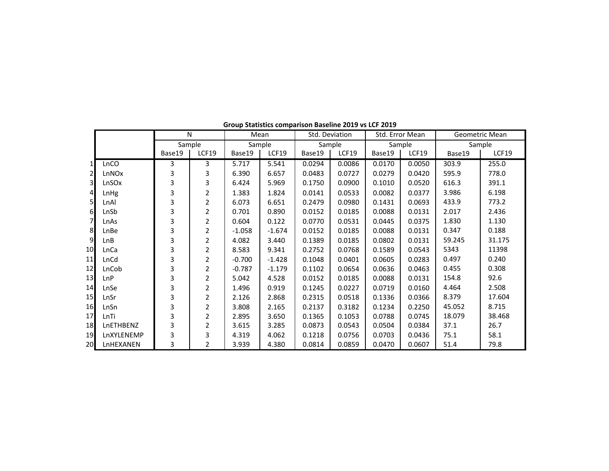|                |            |        | N              |          | Mean     | Std. Deviation |        | Std. Error Mean |        |        | Geometric Mean |
|----------------|------------|--------|----------------|----------|----------|----------------|--------|-----------------|--------|--------|----------------|
|                |            | Sample |                | Sample   |          | Sample         |        | Sample          |        |        | Sample         |
|                |            | Base19 | <b>LCF19</b>   | Base19   | LCF19    | Base19         | LCF19  | Base19          | LCF19  | Base19 | LCF19          |
| $\mathbf{1}$   | LnCO       | 3      | 3              | 5.717    | 5.541    | 0.0294         | 0.0086 | 0.0170          | 0.0050 | 303.9  | 255.0          |
| $\mathbf{2}$   | LnNOx      | 3      | 3              | 6.390    | 6.657    | 0.0483         | 0.0727 | 0.0279          | 0.0420 | 595.9  | 778.0          |
| 3 <sup>1</sup> | LnSOx      | 3      | 3              | 6.424    | 5.969    | 0.1750         | 0.0900 | 0.1010          | 0.0520 | 616.3  | 391.1          |
| $\overline{4}$ | LnHg       | 3      | 2              | 1.383    | 1.824    | 0.0141         | 0.0533 | 0.0082          | 0.0377 | 3.986  | 6.198          |
| 5 <sub>l</sub> | LnAl       | 3      | 2              | 6.073    | 6.651    | 0.2479         | 0.0980 | 0.1431          | 0.0693 | 433.9  | 773.2          |
| 6              | LnSb       | 3      | $\overline{2}$ | 0.701    | 0.890    | 0.0152         | 0.0185 | 0.0088          | 0.0131 | 2.017  | 2.436          |
| 7 <sup>1</sup> | LnAs       | 3      | 2              | 0.604    | 0.122    | 0.0770         | 0.0531 | 0.0445          | 0.0375 | 1.830  | 1.130          |
| 8              | LnBe       | 3      | 2              | $-1.058$ | $-1.674$ | 0.0152         | 0.0185 | 0.0088          | 0.0131 | 0.347  | 0.188          |
| $\overline{9}$ | LnB        | 3      | 2              | 4.082    | 3.440    | 0.1389         | 0.0185 | 0.0802          | 0.0131 | 59.245 | 31.175         |
| 10             | LnCa       | 3      | 2              | 8.583    | 9.341    | 0.2752         | 0.0768 | 0.1589          | 0.0543 | 5343   | 11398          |
| 11             | LnCd       | 3      | 2              | $-0.700$ | $-1.428$ | 0.1048         | 0.0401 | 0.0605          | 0.0283 | 0.497  | 0.240          |
| 12             | LnCob      | 3      | $\overline{2}$ | $-0.787$ | $-1.179$ | 0.1102         | 0.0654 | 0.0636          | 0.0463 | 0.455  | 0.308          |
| 13             | LnP        | 3      | 2              | 5.042    | 4.528    | 0.0152         | 0.0185 | 0.0088          | 0.0131 | 154.8  | 92.6           |
| 14             | LnSe       | 3      | 2              | 1.496    | 0.919    | 0.1245         | 0.0227 | 0.0719          | 0.0160 | 4.464  | 2.508          |
| 15             | LnSr       | 3      | 2              | 2.126    | 2.868    | 0.2315         | 0.0518 | 0.1336          | 0.0366 | 8.379  | 17.604         |
| 16             | LnSn       | 3      | 2              | 3.808    | 2.165    | 0.2137         | 0.3182 | 0.1234          | 0.2250 | 45.052 | 8.715          |
| 17             | LnTi       | 3      | 2              | 2.895    | 3.650    | 0.1365         | 0.1053 | 0.0788          | 0.0745 | 18.079 | 38.468         |
| 18             | LnETHBENZ  | 3      | 2              | 3.615    | 3.285    | 0.0873         | 0.0543 | 0.0504          | 0.0384 | 37.1   | 26.7           |
| 19             | LnXYLENEMP | 3      | 3              | 4.319    | 4.062    | 0.1218         | 0.0756 | 0.0703          | 0.0436 | 75.1   | 58.1           |
| 20             | LnHEXANEN  | 3      | 2              | 3.939    | 4.380    | 0.0814         | 0.0859 | 0.0470          | 0.0607 | 51.4   | 79.8           |

**Group Statistics comparison Baseline 2019 vs LCF 2019**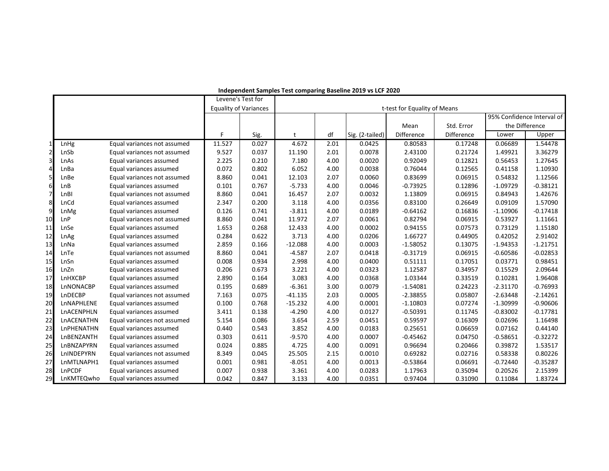|                |            |                             | Levene's Test for            |       |           |      |                 |                              |            |                |                            |  |
|----------------|------------|-----------------------------|------------------------------|-------|-----------|------|-----------------|------------------------------|------------|----------------|----------------------------|--|
|                |            |                             | <b>Equality of Variances</b> |       |           |      |                 | t-test for Equality of Means |            |                |                            |  |
|                |            |                             |                              |       |           |      |                 |                              |            |                | 95% Confidence Interval of |  |
|                |            |                             |                              |       |           |      |                 | Mean                         | Std. Error | the Difference |                            |  |
|                |            |                             | F                            | Sig.  | t         | df   | Sig. (2-tailed) | Difference                   | Difference | Lower          | Upper                      |  |
| 1              | LnHg       | Equal variances not assumed | 11.527                       | 0.027 | 4.672     | 2.01 | 0.0425          | 0.80583                      | 0.17248    | 0.06689        | 1.54478                    |  |
| $\overline{2}$ | LnSb       | Equal variances not assumed | 9.527                        | 0.037 | 11.190    | 2.01 | 0.0078          | 2.43100                      | 0.21724    | 1.49921        | 3.36279                    |  |
| 3              | LnAs       | Equal variances assumed     | 2.225                        | 0.210 | 7.180     | 4.00 | 0.0020          | 0.92049                      | 0.12821    | 0.56453        | 1.27645                    |  |
| 4              | LnBa       | Equal variances assumed     | 0.072                        | 0.802 | 6.052     | 4.00 | 0.0038          | 0.76044                      | 0.12565    | 0.41158        | 1.10930                    |  |
| 5              | LnBe       | Equal variances not assumed | 8.860                        | 0.041 | 12.103    | 2.07 | 0.0060          | 0.83699                      | 0.06915    | 0.54832        | 1.12566                    |  |
| 6              | LnB        | Equal variances assumed     | 0.101                        | 0.767 | $-5.733$  | 4.00 | 0.0046          | $-0.73925$                   | 0.12896    | $-1.09729$     | $-0.38121$                 |  |
| $\overline{7}$ | LnBI       | Equal variances not assumed | 8.860                        | 0.041 | 16.457    | 2.07 | 0.0032          | 1.13809                      | 0.06915    | 0.84943        | 1.42676                    |  |
| 8              | LnCd       | Equal variances assumed     | 2.347                        | 0.200 | 3.118     | 4.00 | 0.0356          | 0.83100                      | 0.26649    | 0.09109        | 1.57090                    |  |
| 9              | LnMg       | Equal variances assumed     | 0.126                        | 0.741 | $-3.811$  | 4.00 | 0.0189          | $-0.64162$                   | 0.16836    | $-1.10906$     | $-0.17418$                 |  |
| 10             | LnP        | Equal variances not assumed | 8.860                        | 0.041 | 11.972    | 2.07 | 0.0061          | 0.82794                      | 0.06915    | 0.53927        | 1.11661                    |  |
| 11             | LnSe       | Equal variances assumed     | 1.653                        | 0.268 | 12.433    | 4.00 | 0.0002          | 0.94155                      | 0.07573    | 0.73129        | 1.15180                    |  |
| 12             | LnAg       | Equal variances assumed     | 0.284                        | 0.622 | 3.713     | 4.00 | 0.0206          | 1.66727                      | 0.44905    | 0.42052        | 2.91402                    |  |
| 13             | LnNa       | Equal variances assumed     | 2.859                        | 0.166 | $-12.088$ | 4.00 | 0.0003          | $-1.58052$                   | 0.13075    | $-1.94353$     | $-1.21751$                 |  |
| 14             | LnTe       | Equal variances not assumed | 8.860                        | 0.041 | $-4.587$  | 2.07 | 0.0418          | $-0.31719$                   | 0.06915    | $-0.60586$     | $-0.02853$                 |  |
| 15             | LnSn       | Equal variances assumed     | 0.008                        | 0.934 | 2.998     | 4.00 | 0.0400          | 0.51111                      | 0.17051    | 0.03771        | 0.98451                    |  |
| 16             | LnZn       | Equal variances assumed     | 0.206                        | 0.673 | 3.221     | 4.00 | 0.0323          | 1.12587                      | 0.34957    | 0.15529        | 2.09644                    |  |
| 17             | LnHXCBP    | Equal variances assumed     | 2.890                        | 0.164 | 3.083     | 4.00 | 0.0368          | 1.03344                      | 0.33519    | 0.10281        | 1.96408                    |  |
| 18             | LnNONACBP  | Equal variances assumed     | 0.195                        | 0.689 | $-6.361$  | 3.00 | 0.0079          | $-1.54081$                   | 0.24223    | $-2.31170$     | $-0.76993$                 |  |
| 19             | LnDECBP    | Equal variances not assumed | 7.163                        | 0.075 | $-41.135$ | 2.03 | 0.0005          | $-2.38855$                   | 0.05807    | $-2.63448$     | $-2.14261$                 |  |
| 20             | LnNAPHLENE | Equal variances assumed     | 0.100                        | 0.768 | $-15.232$ | 4.00 | 0.0001          | $-1.10803$                   | 0.07274    | $-1.30999$     | $-0.90606$                 |  |
| 21             | LnACENPHLN | Equal variances assumed     | 3.411                        | 0.138 | $-4.290$  | 4.00 | 0.0127          | $-0.50391$                   | 0.11745    | $-0.83002$     | $-0.17781$                 |  |
| 22             | LnACENATHN | Equal variances not assumed | 5.154                        | 0.086 | 3.654     | 2.59 | 0.0451          | 0.59597                      | 0.16309    | 0.02696        | 1.16498                    |  |
| 23             | LnPHENATHN | Equal variances assumed     | 0.440                        | 0.543 | 3.852     | 4.00 | 0.0183          | 0.25651                      | 0.06659    | 0.07162        | 0.44140                    |  |
| 24             | LnBENZANTH | Equal variances assumed     | 0.303                        | 0.611 | $-9.570$  | 4.00 | 0.0007          | $-0.45462$                   | 0.04750    | $-0.58651$     | $-0.32272$                 |  |
| 25             | LnBNZAPYRN | Equal variances assumed     | 0.024                        | 0.885 | 4.725     | 4.00 | 0.0091          | 0.96694                      | 0.20466    | 0.39872        | 1.53517                    |  |
| 26             | LnINDEPYRN | Equal variances not assumed | 8.349                        | 0.045 | 25.505    | 2.15 | 0.0010          | 0.69282                      | 0.02716    | 0.58338        | 0.80226                    |  |
| 27             | LnMTLNAPH1 | Equal variances assumed     | 0.001                        | 0.981 | $-8.051$  | 4.00 | 0.0013          | $-0.53864$                   | 0.06691    | $-0.72440$     | $-0.35287$                 |  |
| 28             | LnPCDF     | Equal variances assumed     | 0.007                        | 0.938 | 3.361     | 4.00 | 0.0283          | 1.17963                      | 0.35094    | 0.20526        | 2.15399                    |  |
| 29             | LnKMTEQwho | Equal variances assumed     | 0.042                        | 0.847 | 3.133     | 4.00 | 0.0351          | 0.97404                      | 0.31090    | 0.11084        | 1.83724                    |  |

#### **Independent Samples Test comparing Baseline 2019 vs LCF 2020**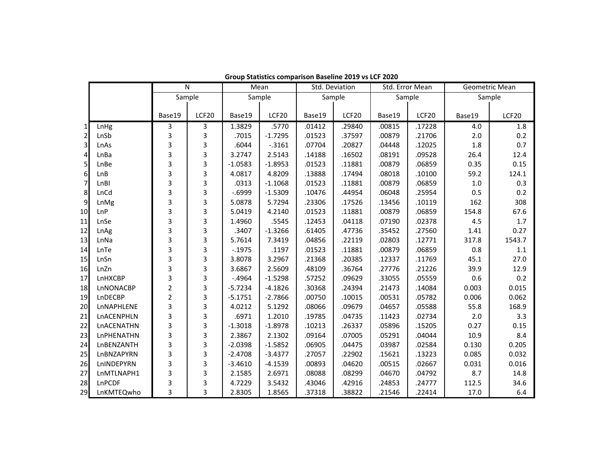|                  |            | N              |       | Mean      |           | Std. Deviation |        | Std. Error Mean |        | Geometric Mean |        |  |
|------------------|------------|----------------|-------|-----------|-----------|----------------|--------|-----------------|--------|----------------|--------|--|
|                  |            | Sample         |       |           | Sample    | Sample         |        | Sample          |        | Sample         |        |  |
|                  |            |                |       |           |           |                |        |                 |        |                |        |  |
|                  |            | Base19         | LCF20 | Base19    | LCF20     | Base19         | LCF20  | Base19          | LCF20  | Base19         | LCF20  |  |
| 1                | LnHg       | 3              | 3     | 1.3829    | .5770     | .01412         | .29840 | .00815          | .17228 | 4.0            | 1.8    |  |
| $\overline{2}$   | LnSb       | 3              | 3     | .7015     | $-1.7295$ | .01523         | .37597 | .00879          | .21706 | 2.0            | 0.2    |  |
| $\overline{3}$   | LnAs       | 3              | 3     | .6044     | $-0.3161$ | .07704         | .20827 | .04448          | .12025 | $1.8\,$        | 0.7    |  |
| $\overline{4}$   | LnBa       | 3              | 3     | 3.2747    | 2.5143    | .14188         | .16502 | .08191          | .09528 | 26.4           | 12.4   |  |
| 5 <sub>l</sub>   | LnBe       | 3              | 3     | $-1.0583$ | $-1.8953$ | .01523         | .11881 | .00879          | .06859 | 0.35           | 0.15   |  |
| $6 \overline{6}$ | LnB        | 3              | 3     | 4.0817    | 4.8209    | .13888         | .17494 | .08018          | .10100 | 59.2           | 124.1  |  |
| $\overline{7}$   | LnBI       | 3              | 3     | .0313     | $-1.1068$ | .01523         | .11881 | .00879          | .06859 | 1.0            | 0.3    |  |
| 8                | LnCd       | 3              | 3     | $-0.6999$ | $-1.5309$ | .10476         | .44954 | .06048          | .25954 | 0.5            | 0.2    |  |
| $\mathbf{9}$     | LnMg       | 3              | 3     | 5.0878    | 5.7294    | .23306         | .17526 | .13456          | .10119 | 162            | 308    |  |
| 10               | LnP        | 3              | 3     | 5.0419    | 4.2140    | .01523         | .11881 | .00879          | .06859 | 154.8          | 67.6   |  |
| 11               | LnSe       | 3              | 3     | 1.4960    | .5545     | .12453         | .04118 | .07190          | .02378 | 4.5            | 1.7    |  |
| 12               | LnAg       | 3              | 3     | .3407     | $-1.3266$ | .61405         | .47736 | .35452          | .27560 | 1.41           | 0.27   |  |
| 13               | LnNa       | 3              | 3     | 5.7614    | 7.3419    | .04856         | .22119 | .02803          | .12771 | 317.8          | 1543.7 |  |
| 14               | LnTe       | 3              | 3     | $-0.1975$ | .1197     | .01523         | .11881 | .00879          | .06859 | 0.8            | 1.1    |  |
| 15               | LnSn       | 3              | 3     | 3.8078    | 3.2967    | .21368         | .20385 | .12337          | .11769 | 45.1           | 27.0   |  |
| 16               | LnZn       | 3              | 3     | 3.6867    | 2.5609    | .48109         | .36764 | .27776          | .21226 | 39.9           | 12.9   |  |
| 17               | LnHXCBP    | 3              | 3     | $-0.4964$ | $-1.5298$ | .57252         | .09629 | .33055          | .05559 | 0.6            | 0.2    |  |
| 18               | LnNONACBP  | $\overline{2}$ | 3     | $-5.7234$ | $-4.1826$ | .30368         | .24394 | .21473          | .14084 | 0.003          | 0.015  |  |
| 19               | LnDECBP    | $\overline{2}$ | 3     | $-5.1751$ | $-2.7866$ | .00750         | .10015 | .00531          | .05782 | 0.006          | 0.062  |  |
| 20               | LnNAPHLENE | 3              | 3     | 4.0212    | 5.1292    | .08066         | .09679 | .04657          | .05588 | 55.8           | 168.9  |  |
| 21               | LnACENPHLN | 3              | 3     | .6971     | 1.2010    | .19785         | .04735 | .11423          | .02734 | 2.0            | 3.3    |  |
| 22               | LnACENATHN | 3              | 3     | $-1.3018$ | $-1.8978$ | .10213         | .26337 | .05896          | .15205 | 0.27           | 0.15   |  |
| 23               | LnPHENATHN | 3              | 3     | 2.3867    | 2.1302    | .09164         | .07005 | .05291          | .04044 | 10.9           | 8.4    |  |
| 24               | LnBENZANTH | 3              | 3     | $-2.0398$ | $-1.5852$ | .06905         | .04475 | .03987          | .02584 | 0.130          | 0.205  |  |
| 25               | LnBNZAPYRN | 3              | 3     | $-2.4708$ | $-3.4377$ | .27057         | .22902 | .15621          | .13223 | 0.085          | 0.032  |  |
| 26               | LnINDEPYRN | 3              | 3     | $-3.4610$ | $-4.1539$ | .00893         | .04620 | .00515          | .02667 | 0.031          | 0.016  |  |
| 27               | LnMTLNAPH1 | 3              | 3     | 2.1585    | 2.6971    | .08088         | .08299 | .04670          | .04792 | 8.7            | 14.8   |  |
| 28               | LnPCDF     | 3              | 3     | 4.7229    | 3.5432    | .43046         | .42916 | .24853          | .24777 | 112.5          | 34.6   |  |
| 29               | LnKMTEQwho | 3              | 3     | 2.8305    | 1.8565    | .37318         | .38822 | .21546          | .22414 | 17.0           | 6.4    |  |

**Group Statistics comparison Baseline 2019 vs LCF 2020**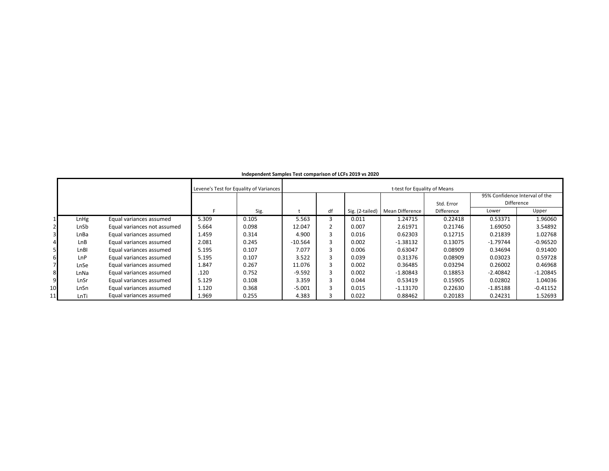|    |            |                             |       | Levene's Test for Equality of Variances |           | t-test for Equality of Means |                 |                 |            |            |                                |  |  |  |
|----|------------|-----------------------------|-------|-----------------------------------------|-----------|------------------------------|-----------------|-----------------|------------|------------|--------------------------------|--|--|--|
|    |            |                             |       |                                         |           |                              |                 |                 |            |            | 95% Confidence Interval of the |  |  |  |
|    |            |                             |       |                                         |           |                              |                 |                 | Std. Error |            | Difference                     |  |  |  |
|    |            |                             |       | Sig.                                    |           | df                           | Sig. (2-tailed) | Mean Difference | Difference | Lower      | Upper                          |  |  |  |
|    | LnHg       | Equal variances assumed     | 5.309 | 0.105                                   | 5.563     |                              | 0.011           | 1.24715         | 0.22418    | 0.53371    | 1.96060                        |  |  |  |
|    | LnSb       | Equal variances not assumed | 5.664 | 0.098                                   | 12.047    |                              | 0.007           | 2.61971         | 0.21746    | 1.69050    | 3.54892                        |  |  |  |
|    | LnBa       | Equal variances assumed     | 1.459 | 0.314                                   | 4.900     |                              | 0.016           | 0.62303         | 0.12715    | 0.21839    | 1.02768                        |  |  |  |
|    | <b>LnB</b> | Equal variances assumed     | 2.081 | 0.245                                   | $-10.564$ |                              | 0.002           | $-1.38132$      | 0.13075    | $-1.79744$ | $-0.96520$                     |  |  |  |
|    | LnBI       | Equal variances assumed     | 5.195 | 0.107                                   | 7.077     |                              | 0.006           | 0.63047         | 0.08909    | 0.34694    | 0.91400                        |  |  |  |
| 6  | LnP        | Equal variances assumed     | 5.195 | 0.107                                   | 3.522     |                              | 0.039           | 0.31376         | 0.08909    | 0.03023    | 0.59728                        |  |  |  |
|    | LnSe       | Equal variances assumed     | 1.847 | 0.267                                   | 11.076    |                              | 0.002           | 0.36485         | 0.03294    | 0.26002    | 0.46968                        |  |  |  |
|    | LnNa       | Equal variances assumed     | .120  | 0.752                                   | $-9.592$  |                              | 0.002           | $-1.80843$      | 0.18853    | $-2.40842$ | $-1.20845$                     |  |  |  |
| 9  | LnSr       | Equal variances assumed     | 5.129 | 0.108                                   | 3.359     |                              | 0.044           | 0.53419         | 0.15905    | 0.02802    | 1.04036                        |  |  |  |
| 10 | LnSn       | Equal variances assumed     | 1.120 | 0.368                                   | $-5.001$  |                              | 0.015           | $-1.13170$      | 0.22630    | $-1.85188$ | $-0.41152$                     |  |  |  |
| 11 | LnTi       | Equal variances assumed     | 1.969 | 0.255                                   | 4.383     |                              | 0.022           | 0.88462         | 0.20183    | 0.24231    | 1.52693                        |  |  |  |

#### **Independent Samples Test comparison of LCFs 2019 vs 2020**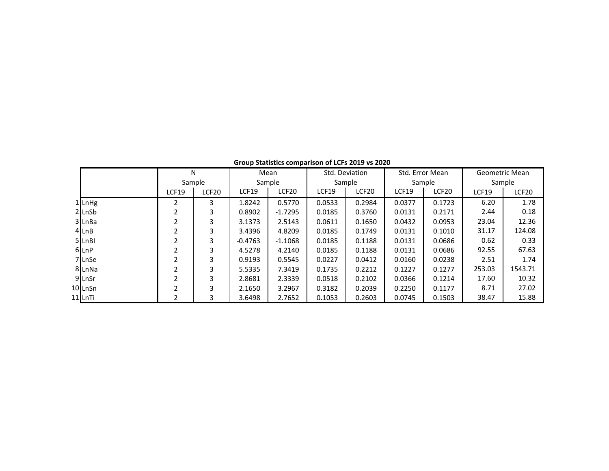|                  |              | N      |                                   | Mean      |              | Std. Deviation    |        | Std. Error Mean   |              | Geometric Mean    |
|------------------|--------------|--------|-----------------------------------|-----------|--------------|-------------------|--------|-------------------|--------------|-------------------|
|                  |              | Sample |                                   | Sample    |              | Sample            | Sample |                   | Sample       |                   |
|                  | <b>LCF19</b> | LCF20  | LCF <sub>20</sub><br><b>LCF19</b> |           | <b>LCF19</b> | LCF <sub>20</sub> | LCF19  | LCF <sub>20</sub> | <b>LCF19</b> | LCF <sub>20</sub> |
| $1$ LnHg         |              | 3      | 1.8242                            | 0.5770    | 0.0533       | 0.2984            | 0.0377 | 0.1723            | 6.20         | 1.78              |
| $2$ LnSb         |              | 3      | 0.8902                            | $-1.7295$ | 0.0185       | 0.3760            | 0.0131 | 0.2171            | 2.44         | 0.18              |
| 3 LnBa           |              | 3      | 3.1373                            | 2.5143    | 0.0611       | 0.1650            | 0.0432 | 0.0953            | 23.04        | 12.36             |
| 4 LnB            |              | 3      | 3.4396                            | 4.8209    | 0.0185       | 0.1749            | 0.0131 | 0.1010            | 31.17        | 124.08            |
| 5 LnBI           | ∍            | 3      | $-0.4763$                         | $-1.1068$ | 0.0185       | 0.1188            | 0.0131 | 0.0686            | 0.62         | 0.33              |
| 6 LnP            |              | 3      | 4.5278                            | 4.2140    | 0.0185       | 0.1188            | 0.0131 | 0.0686            | 92.55        | 67.63             |
| 7 LnSe           |              | 3      | 0.9193                            | 0.5545    | 0.0227       | 0.0412            | 0.0160 | 0.0238            | 2.51         | 1.74              |
| 8 LnNa           |              | 3      | 5.5335                            | 7.3419    | 0.1735       | 0.2212            | 0.1227 | 0.1277            | 253.03       | 1543.71           |
| 9 LnSr           | 2            | 3      | 2.8681                            | 2.3339    | 0.0518       | 0.2102            | 0.0366 | 0.1214            | 17.60        | 10.32             |
| 10 LnSn          |              | 3      | 2.1650                            | 3.2967    | 0.3182       | 0.2039            | 0.2250 | 0.1177            | 8.71         | 27.02             |
| 11 <b>I</b> LnTi |              | 3      | 3.6498                            | 2.7652    | 0.1053       | 0.2603            | 0.0745 | 0.1503            | 38.47        | 15.88             |

**Group Statistics comparison of LCFs 2019 vs 2020**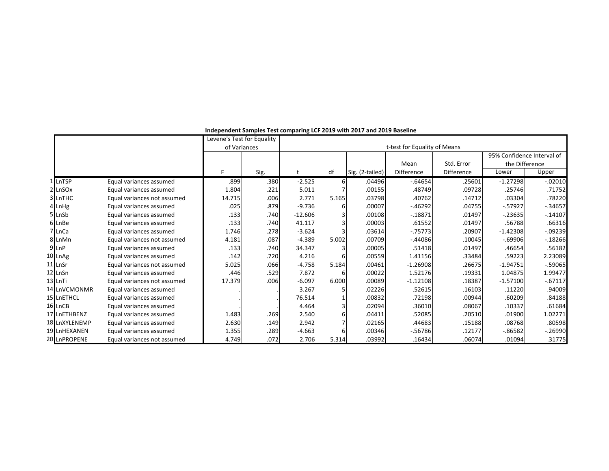|                     |                             | Levene's Test for Equality |      |           |       |                 |                              |            |                            |            |
|---------------------|-----------------------------|----------------------------|------|-----------|-------|-----------------|------------------------------|------------|----------------------------|------------|
|                     |                             | of Variances               |      |           |       |                 | t-test for Equality of Means |            |                            |            |
|                     |                             |                            |      |           |       |                 |                              |            | 95% Confidence Interval of |            |
|                     |                             |                            |      |           |       |                 | Mean                         | Std. Error | the Difference             |            |
|                     |                             | F.                         | Sig. |           | df    | Sig. (2-tailed) | Difference                   | Difference | Lower                      | Upper      |
| 1 LnTSP             | Equal variances assumed     | .899                       | .380 | $-2.525$  | 61    | .04496          | $-0.64654$                   | .25601     | $-1.27298$                 | $-.02010$  |
| 2 LnSOx             | Equal variances assumed     | 1.804                      | .221 | 5.011     |       | .00155          | .48749                       | .09728     | .25746                     | .71752     |
| 3 LnTHC             | Equal variances not assumed | 14.715                     | .006 | 2.771     | 5.165 | .03798          | .40762                       | .14712     | .03304                     | .78220     |
| 4 LnHg              | Equal variances assumed     | .025                       | .879 | $-9.736$  |       | .00007          | $-46292$                     | .04755     | $-0.57927$                 | $-.34657$  |
| 5 LnSb              | Equal variances assumed     | .133                       | .740 | $-12.606$ |       | .00108          | $-18871$                     | .01497     | $-.23635$                  | $-14107$   |
| 6 LnBe              | Equal variances assumed     | .133                       | .740 | 41.117    |       | .00003          | .61552                       | .01497     | .56788                     | .66316     |
| 7 LnCa              | Equal variances assumed     | 1.746                      | .278 | $-3.624$  |       | .03614          | $-0.75773$                   | .20907     | $-1.42308$                 | $-.09239$  |
| 8 LnMn              | Equal variances not assumed | 4.181                      | .087 | $-4.389$  | 5.002 | .00709          | $-44086$                     | .10045     | $-69906$                   | $-18266$   |
| 9 LnP               | Equal variances assumed     | .133                       | .740 | 34.347    |       | .00005          | .51418                       | .01497     | .46654                     | .56182     |
| 10 LnAg             | Equal variances assumed     | .142                       | .720 | 4.216     |       | .00559          | 1.41156                      | .33484     | .59223                     | 2.23089    |
| 11 LnSr             | Equal variances not assumed | 5.025                      | .066 | $-4.758$  | 5.184 | .00461          | $-1.26908$                   | .26675     | $-1.94751$                 | $-59065$   |
| 12 LnSn             | Equal variances assumed     | .446                       | .529 | 7.872     |       | .00022          | 1.52176                      | .19331     | 1.04875                    | 1.99477    |
| 13 LnTi             | Equal variances not assumed | 17.379                     | .006 | $-6.097$  | 6.000 | .00089          | $-1.12108$                   | .18387     | $-1.57100$                 | $-0.67117$ |
| 14 LnVCMONMR        | Equal variances assumed     |                            |      | 3.267     |       | .02226          | .52615                       | .16103     | .11220                     | .94009     |
| 15 LnETHCL          | Equal variances assumed     |                            |      | 76.514    |       | .00832          | .72198                       | .00944     | .60209                     | .84188     |
| 16LnCB              | Equal variances assumed     |                            |      | 4.464     |       | .02094          | .36010                       | .08067     | .10337                     | .61684     |
| 17 LnETHBENZ        | Equal variances assumed     | 1.483                      | .269 | 2.540     |       | .04411          | .52085                       | .20510     | .01900                     | 1.02271    |
| 18 LnXYLENEMP       | Equal variances assumed     | 2.630                      | .149 | 2.942     |       | .02165          | .44683                       | .15188     | .08768                     | .80598     |
| <b>19 LnHEXANEN</b> | Equal variances assumed     | 1.355                      | .289 | $-4.663$  |       | .00346          | $-56786$                     | .12177     | $-0.86582$                 | $-.26990$  |
| 20 LnPROPENE        | Equal variances not assumed | 4.749                      | .072 | 2.706     | 5.314 | .03992          | .16434                       | .06074     | .01094                     | .31775     |

**Independent Samples Test comparing LCF 2019 with 2017 and 2019 Baseline**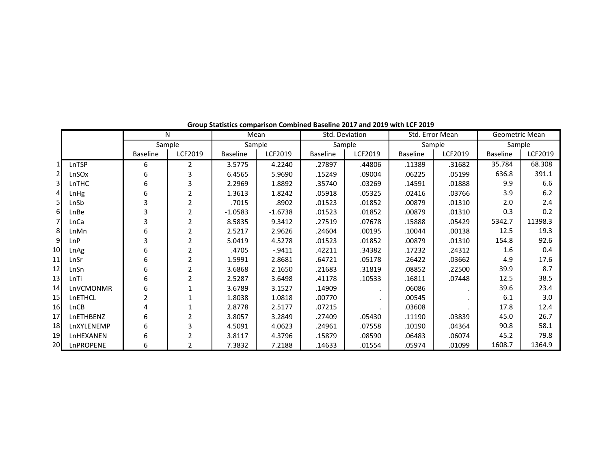|                       |            | $\mathsf{N}$    |                |                 | Mean      | Std. Deviation  |         |                 | Std. Error Mean | Geometric Mean  |         |
|-----------------------|------------|-----------------|----------------|-----------------|-----------|-----------------|---------|-----------------|-----------------|-----------------|---------|
|                       |            | Sample          |                | Sample          |           | Sample          |         |                 | Sample          | Sample          |         |
|                       |            | <b>Baseline</b> | LCF2019        | <b>Baseline</b> | LCF2019   | <b>Baseline</b> | LCF2019 | <b>Baseline</b> | LCF2019         | <b>Baseline</b> | LCF2019 |
|                       | LnTSP      | 6               | 2              | 3.5775          | 4.2240    | .27897          | .44806  | .11389          | .31682          | 35.784          | 68.308  |
| $\mathbf 2$           | LnSOx      | 6               | 3              | 6.4565          | 5.9690    | .15249          | .09004  | .06225          | .05199          | 636.8           | 391.1   |
| 3                     | LnTHC      | 6               | 3              | 2.2969          | 1.8892    | .35740          | .03269  | .14591          | .01888          | 9.9             | 6.6     |
| $\boldsymbol{\Delta}$ | LnHg       | 6               | 2              | 1.3613          | 1.8242    | .05918          | .05325  | .02416          | .03766          | 3.9             | 6.2     |
| $\overline{5}$        | LnSb       | 3               | 2              | .7015           | .8902     | .01523          | .01852  | .00879          | .01310          | 2.0             | 2.4     |
| 6                     | LnBe       | 3               | 2              | $-1.0583$       | $-1.6738$ | .01523          | .01852  | .00879          | .01310          | 0.3             | 0.2     |
| $\overline{7}$        | LnCa       | 3               | 2              | 8.5835          | 9.3412    | .27519          | .07678  | .15888          | .05429          | 5342.7          | 11398.3 |
| 8                     | LnMn       | 6               | $\overline{2}$ | 2.5217          | 2.9626    | .24604          | .00195  | .10044          | .00138          | 12.5            | 19.3    |
| $\overline{9}$        | LnP        | 3               | 2              | 5.0419          | 4.5278    | .01523          | .01852  | .00879          | .01310          | 154.8           | 92.6    |
| 10                    | LnAg       | 6               | $\overline{2}$ | .4705           | $-.9411$  | .42211          | .34382  | .17232          | .24312          | 1.6             | 0.4     |
| 11                    | LnSr       | 6               | $\overline{2}$ | 1.5991          | 2.8681    | .64721          | .05178  | .26422          | .03662          | 4.9             | 17.6    |
| 12                    | LnSn       | 6               | 2              | 3.6868          | 2.1650    | .21683          | .31819  | .08852          | .22500          | 39.9            | 8.7     |
| 13                    | LnTi       | 6               | 2              | 2.5287          | 3.6498    | .41178          | .10533  | .16811          | .07448          | 12.5            | 38.5    |
| 14                    | LnVCMONMR  | 6               |                | 3.6789          | 3.1527    | .14909          |         | .06086          |                 | 39.6            | 23.4    |
| 15                    | LnETHCL    | $\overline{2}$  |                | 1.8038          | 1.0818    | .00770          |         | .00545          |                 | 6.1             | 3.0     |
| 16                    | LnCB       |                 |                | 2.8778          | 2.5177    | .07215          |         | .03608          |                 | 17.8            | 12.4    |
| 17                    | LnETHBENZ  | 6               | 2              | 3.8057          | 3.2849    | .27409          | .05430  | .11190          | .03839          | 45.0            | 26.7    |
| 18                    | LnXYLENEMP | 6               | 3              | 4.5091          | 4.0623    | .24961          | .07558  | .10190          | .04364          | 90.8            | 58.1    |
| 19                    | LnHEXANEN  | 6               |                | 3.8117          | 4.3796    | .15879          | .08590  | .06483          | .06074          | 45.2            | 79.8    |
| 20                    | LnPROPENE  | 6               |                | 7.3832          | 7.2188    | .14633          | .01554  | .05974          | .01099          | 1608.7          | 1364.9  |

**Group Statistics comparison Combined Baseline 2017 and 2019 with LCF 2019**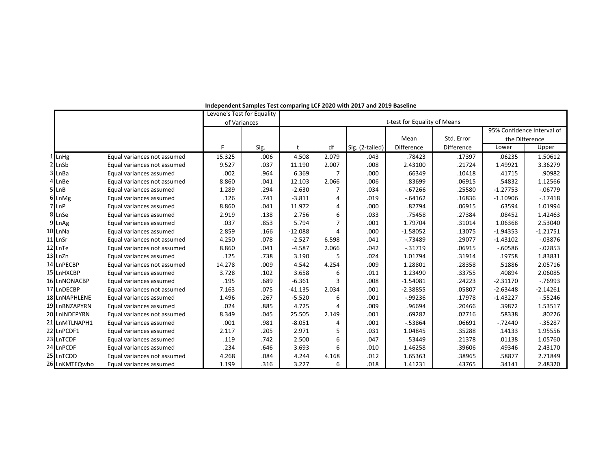|               |                             | Levene's Test for Equality |      |                              |       |                 |                   |            |                |                            |
|---------------|-----------------------------|----------------------------|------|------------------------------|-------|-----------------|-------------------|------------|----------------|----------------------------|
|               |                             | of Variances               |      | t-test for Equality of Means |       |                 |                   |            |                |                            |
|               |                             |                            |      |                              |       |                 |                   |            |                | 95% Confidence Interval of |
|               |                             |                            |      |                              |       |                 | Mean              | Std. Error | the Difference |                            |
|               |                             | F                          | Sig. |                              | df    | Sig. (2-tailed) | <b>Difference</b> | Difference | Lower          | Upper                      |
| 1 LnHg        | Equal variances not assumed | 15.325                     | .006 | 4.508                        | 2.079 | .043            | .78423            | .17397     | .06235         | 1.50612                    |
| 2 LnSb        | Equal variances not assumed | 9.527                      | .037 | 11.190                       | 2.007 | .008            | 2.43100           | .21724     | 1.49921        | 3.36279                    |
| 3 LnBa        | Equal variances assumed     | .002                       | .964 | 6.369                        |       | .000            | .66349            | .10418     | .41715         | .90982                     |
| 4 LnBe        | Equal variances not assumed | 8.860                      | .041 | 12.103                       | 2.066 | .006            | .83699            | .06915     | .54832         | 1.12566                    |
| 5 LnB         | Equal variances assumed     | 1.289                      | .294 | $-2.630$                     |       | .034            | $-0.67266$        | .25580     | $-1.27753$     | $-06779$                   |
| 6 LnMg        | Equal variances assumed     | .126                       | .741 | $-3.811$                     | 4     | .019            | $-0.64162$        | .16836     | $-1.10906$     | $-17418$                   |
| 7 LnP         | Equal variances assumed     | 8.860                      | .041 | 11.972                       | 4     | .000            | .82794            | .06915     | .63594         | 1.01994                    |
| 8 LnSe        | Equal variances assumed     | 2.919                      | .138 | 2.756                        | 6     | .033            | .75458            | .27384     | .08452         | 1.42463                    |
| 9 LnAg        | Equal variances assumed     | .037                       | .853 | 5.794                        |       | .001            | 1.79704           | .31014     | 1.06368        | 2.53040                    |
| 10 LnNa       | Equal variances assumed     | 2.859                      | .166 | $-12.088$                    | 4     | .000            | $-1.58052$        | .13075     | $-1.94353$     | $-1.21751$                 |
| 11 LnSr       | Equal variances not assumed | 4.250                      | .078 | $-2.527$                     | 6.598 | .041            | $-0.73489$        | .29077     | $-1.43102$     | $-0.03876$                 |
| 12 LnTe       | Equal variances not assumed | 8.860                      | .041 | $-4.587$                     | 2.066 | .042            | $-0.31719$        | .06915     | $-0.60586$     | $-0.02853$                 |
| 13 LnZn       | Equal variances assumed     | .125                       | .738 | 3.190                        | 5     | .024            | 1.01794           | .31914     | .19758         | 1.83831                    |
| 14 LnPECBP    | Equal variances not assumed | 14.278                     | .009 | 4.542                        | 4.254 | .009            | 1.28801           | .28358     | .51886         | 2.05716                    |
| 15 LnHXCBP    | Equal variances assumed     | 3.728                      | .102 | 3.658                        |       | .011            | 1.23490           | .33755     | .40894         | 2.06085                    |
| 16 LnNONACBP  | Equal variances assumed     | .195                       | .689 | $-6.361$                     | 3     | .008            | $-1.54081$        | .24223     | $-2.31170$     | $-0.76993$                 |
| 17 LnDECBP    | Equal variances not assumed | 7.163                      | .075 | $-41.135$                    | 2.034 | .001            | $-2.38855$        | .05807     | $-2.63448$     | $-2.14261$                 |
| 18 LnNAPHLENE | Equal variances assumed     | 1.496                      | .267 | $-5.520$                     | 6     | .001            | $-0.99236$        | .17978     | $-1.43227$     | $-55246$                   |
| 19 LnBNZAPYRN | Equal variances assumed     | .024                       | .885 | 4.725                        |       | .009            | .96694            | .20466     | .39872         | 1.53517                    |
| 20 LnINDEPYRN | Equal variances not assumed | 8.349                      | .045 | 25.505                       | 2.149 | .001            | .69282            | .02716     | .58338         | .80226                     |
| 21 LnMTLNAPH1 | Equal variances assumed     | .001                       | .981 | $-8.051$                     | 4     | .001            | $-53864$          | .06691     | $-.72440$      | $-0.35287$                 |
| 22 LnPCDF1    | Equal variances assumed     | 2.117                      | .205 | 2.971                        | 5     | .031            | 1.04845           | .35288     | .14133         | 1.95556                    |
| 23 LnTCDF     | Equal variances assumed     | .119                       | .742 | 2.500                        | 6     | .047            | .53449            | .21378     | .01138         | 1.05760                    |
| 24 LnPCDF     | Equal variances assumed     | .234                       | .646 | 3.693                        | 6     | .010            | 1.46258           | .39606     | .49346         | 2.43170                    |
| 25 LnTCDD     | Equal variances not assumed | 4.268                      | .084 | 4.244                        | 4.168 | .012            | 1.65363           | .38965     | .58877         | 2.71849                    |
| 26 LnKMTEQwho | Equal variances assumed     | 1.199                      | .316 | 3.227                        | 6     | .018            | 1.41231           | .43765     | .34141         | 2.48320                    |

#### **Independent Samples Test comparing LCF 2020 with 2017 and 2019 Baseline**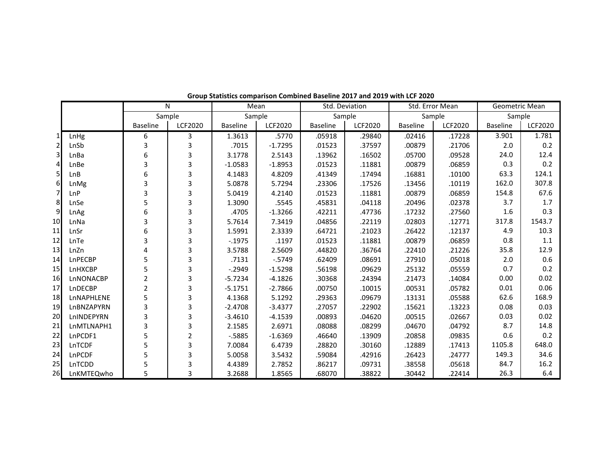|                |            |                 | N              | Mean            |                | Std. Deviation  |                | Std. Error Mean |                | Geometric Mean  |                |
|----------------|------------|-----------------|----------------|-----------------|----------------|-----------------|----------------|-----------------|----------------|-----------------|----------------|
|                |            | Sample          |                | Sample          |                | Sample          |                | Sample          |                | Sample          |                |
|                |            | <b>Baseline</b> | <b>LCF2020</b> | <b>Baseline</b> | <b>LCF2020</b> | <b>Baseline</b> | <b>LCF2020</b> | <b>Baseline</b> | <b>LCF2020</b> | <b>Baseline</b> | <b>LCF2020</b> |
|                | LnHg       | 6               | 3              | 1.3613          | .5770          | .05918          | .29840         | .02416          | .17228         | 3.901           | 1.781          |
| $\overline{2}$ | LnSb       | 3               | 3              | .7015           | $-1.7295$      | .01523          | .37597         | .00879          | .21706         | 2.0             | 0.2            |
| $\overline{3}$ | LnBa       | 6               | 3              | 3.1778          | 2.5143         | .13962          | .16502         | .05700          | .09528         | 24.0            | 12.4           |
| $\overline{4}$ | LnBe       | 3               | 3              | $-1.0583$       | $-1.8953$      | .01523          | .11881         | .00879          | .06859         | 0.3             | 0.2            |
| 5 <sub>l</sub> | LnB        | 6               | 3              | 4.1483          | 4.8209         | .41349          | .17494         | .16881          | .10100         | 63.3            | 124.1          |
| 6              | LnMg       | 3               | 3              | 5.0878          | 5.7294         | .23306          | .17526         | .13456          | .10119         | 162.0           | 307.8          |
| $\overline{7}$ | LnP        | 3               | 3              | 5.0419          | 4.2140         | .01523          | .11881         | .00879          | .06859         | 154.8           | 67.6           |
| 8              | LnSe       | 5               | 3              | 1.3090          | .5545          | .45831          | .04118         | .20496          | .02378         | 3.7             | 1.7            |
| $\overline{9}$ | LnAg       | 6               | 3              | .4705           | $-1.3266$      | .42211          | .47736         | .17232          | .27560         | 1.6             | 0.3            |
| 10             | LnNa       | 3               | 3              | 5.7614          | 7.3419         | .04856          | .22119         | .02803          | .12771         | 317.8           | 1543.7         |
| 11             | LnSr       | 6               | 3              | 1.5991          | 2.3339         | .64721          | .21023         | .26422          | .12137         | 4.9             | 10.3           |
| 12             | LnTe       | 3               | 3              | $-0.1975$       | .1197          | .01523          | .11881         | .00879          | .06859         | 0.8             | 1.1            |
| 13             | LnZn       | 4               | 3              | 3.5788          | 2.5609         | .44820          | .36764         | .22410          | .21226         | 35.8            | 12.9           |
| 14             | LnPECBP    | 5               | 3              | .7131           | $-0.5749$      | .62409          | .08691         | .27910          | .05018         | 2.0             | 0.6            |
| 15             | LnHXCBP    | 5               | 3              | $-0.2949$       | $-1.5298$      | .56198          | .09629         | .25132          | .05559         | 0.7             | 0.2            |
| 16             | LnNONACBP  | $\overline{2}$  | 3              | $-5.7234$       | $-4.1826$      | .30368          | .24394         | .21473          | .14084         | 0.00            | 0.02           |
| 17             | LnDECBP    | $\overline{2}$  | 3              | $-5.1751$       | $-2.7866$      | .00750          | .10015         | .00531          | .05782         | 0.01            | 0.06           |
| 18             | LnNAPHLENE | 5               | 3              | 4.1368          | 5.1292         | .29363          | .09679         | .13131          | .05588         | 62.6            | 168.9          |
| 19             | LnBNZAPYRN | 3               | 3              | $-2.4708$       | $-3.4377$      | .27057          | .22902         | .15621          | .13223         | 0.08            | 0.03           |
| 20             | LnINDEPYRN | 3               | 3              | $-3.4610$       | $-4.1539$      | .00893          | .04620         | .00515          | .02667         | 0.03            | 0.02           |
| 21             | LnMTLNAPH1 | 3               | 3              | 2.1585          | 2.6971         | .08088          | .08299         | .04670          | .04792         | 8.7             | 14.8           |
| 22             | LnPCDF1    | 5               | $\overline{2}$ | $-5885$         | $-1.6369$      | .46640          | .13909         | .20858          | .09835         | 0.6             | 0.2            |
| 23             | LnTCDF     | 5               | 3              | 7.0084          | 6.4739         | .28820          | .30160         | .12889          | .17413         | 1105.8          | 648.0          |
| 24             | LnPCDF     | 5               | 3              | 5.0058          | 3.5432         | .59084          | .42916         | .26423          | .24777         | 149.3           | 34.6           |
| 25             | LnTCDD     | 5               | 3              | 4.4389          | 2.7852         | .86217          | .09731         | .38558          | .05618         | 84.7            | 16.2           |
| 26             | LnKMTEQwho | 5               | 3              | 3.2688          | 1.8565         | .68070          | .38822         | .30442          | .22414         | 26.3            | 6.4            |

**Group Statistics comparison Combined Baseline 2017 and 2019 with LCF 2020**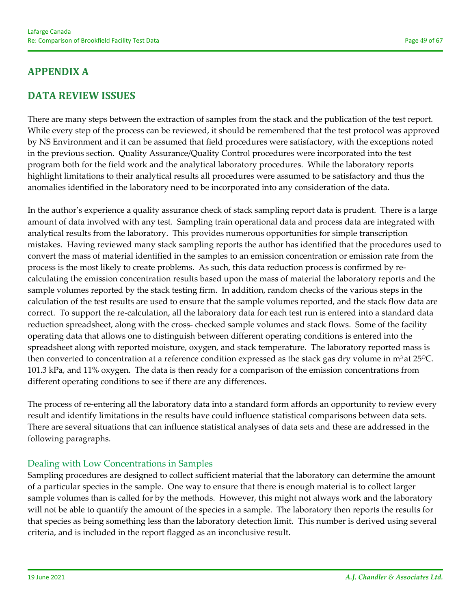# **APPENDIX A**

### **DATA REVIEW ISSUES**

There are many steps between the extraction of samples from the stack and the publication of the test report. While every step of the process can be reviewed, it should be remembered that the test protocol was approved by NS Environment and it can be assumed that field procedures were satisfactory, with the exceptions noted in the previous section. Quality Assurance/Quality Control procedures were incorporated into the test program both for the field work and the analytical laboratory procedures. While the laboratory reports highlight limitations to their analytical results all procedures were assumed to be satisfactory and thus the anomalies identified in the laboratory need to be incorporated into any consideration of the data.

In the author's experience a quality assurance check of stack sampling report data is prudent. There is a large amount of data involved with any test. Sampling train operational data and process data are integrated with analytical results from the laboratory. This provides numerous opportunities for simple transcription mistakes. Having reviewed many stack sampling reports the author has identified that the procedures used to convert the mass of material identified in the samples to an emission concentration or emission rate from the process is the most likely to create problems. As such, this data reduction process is confirmed by re‐ calculating the emission concentration results based upon the mass of material the laboratory reports and the sample volumes reported by the stack testing firm. In addition, random checks of the various steps in the calculation of the test results are used to ensure that the sample volumes reported, and the stack flow data are correct. To support the re‐calculation, all the laboratory data for each test run is entered into a standard data reduction spreadsheet, along with the cross-checked sample volumes and stack flows. Some of the facility operating data that allows one to distinguish between different operating conditions is entered into the spreadsheet along with reported moisture, oxygen, and stack temperature. The laboratory reported mass is then converted to concentration at a reference condition expressed as the stack gas dry volume in  $m^3$  at 25 $^{\circ}$ C. 101.3 kPa, and 11% oxygen. The data is then ready for a comparison of the emission concentrations from different operating conditions to see if there are any differences.

The process of re-entering all the laboratory data into a standard form affords an opportunity to review every result and identify limitations in the results have could influence statistical comparisons between data sets. There are several situations that can influence statistical analyses of data sets and these are addressed in the following paragraphs.

### Dealing with Low Concentrations in Samples

Sampling procedures are designed to collect sufficient material that the laboratory can determine the amount of a particular species in the sample. One way to ensure that there is enough material is to collect larger sample volumes than is called for by the methods. However, this might not always work and the laboratory will not be able to quantify the amount of the species in a sample. The laboratory then reports the results for that species as being something less than the laboratory detection limit. This number is derived using several criteria, and is included in the report flagged as an inconclusive result.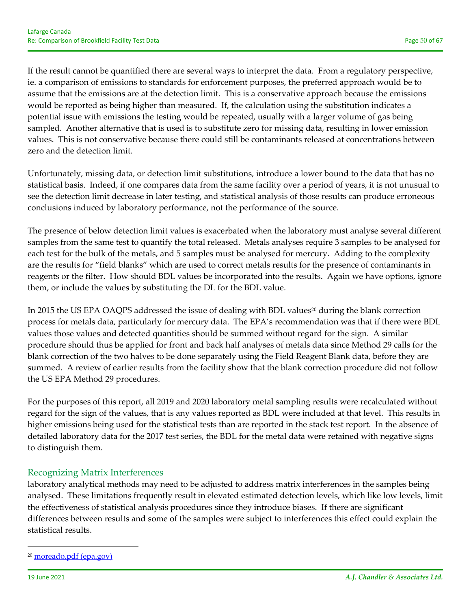If the result cannot be quantified there are several ways to interpret the data. From a regulatory perspective, ie. a comparison of emissions to standards for enforcement purposes, the preferred approach would be to assume that the emissions are at the detection limit. This is a conservative approach because the emissions would be reported as being higher than measured. If, the calculation using the substitution indicates a potential issue with emissions the testing would be repeated, usually with a larger volume of gas being sampled. Another alternative that is used is to substitute zero for missing data, resulting in lower emission values. This is not conservative because there could still be contaminants released at concentrations between zero and the detection limit.

Unfortunately, missing data, or detection limit substitutions, introduce a lower bound to the data that has no statistical basis. Indeed, if one compares data from the same facility over a period of years, it is not unusual to see the detection limit decrease in later testing, and statistical analysis of those results can produce erroneous conclusions induced by laboratory performance, not the performance of the source.

The presence of below detection limit values is exacerbated when the laboratory must analyse several different samples from the same test to quantify the total released. Metals analyses require 3 samples to be analysed for each test for the bulk of the metals, and 5 samples must be analysed for mercury. Adding to the complexity are the results for "field blanks" which are used to correct metals results for the presence of contaminants in reagents or the filter. How should BDL values be incorporated into the results. Again we have options, ignore them, or include the values by substituting the DL for the BDL value.

In 2015 the US EPA OAQPS addressed the issue of dealing with BDL values<sup>20</sup> during the blank correction process for metals data, particularly for mercury data. The EPA's recommendation was that if there were BDL values those values and detected quantities should be summed without regard for the sign. A similar procedure should thus be applied for front and back half analyses of metals data since Method 29 calls for the blank correction of the two halves to be done separately using the Field Reagent Blank data, before they are summed. A review of earlier results from the facility show that the blank correction procedure did not follow the US EPA Method 29 procedures.

For the purposes of this report, all 2019 and 2020 laboratory metal sampling results were recalculated without regard for the sign of the values, that is any values reported as BDL were included at that level. This results in higher emissions being used for the statistical tests than are reported in the stack test report. In the absence of detailed laboratory data for the 2017 test series, the BDL for the metal data were retained with negative signs to distinguish them.

### Recognizing Matrix Interferences

laboratory analytical methods may need to be adjusted to address matrix interferences in the samples being analysed. These limitations frequently result in elevated estimated detection levels, which like low levels, limit the effectiveness of statistical analysis procedures since they introduce biases. If there are significant differences between results and some of the samples were subject to interferences this effect could explain the statistical results.

<sup>20</sup> moreado.pdf (epa.gov)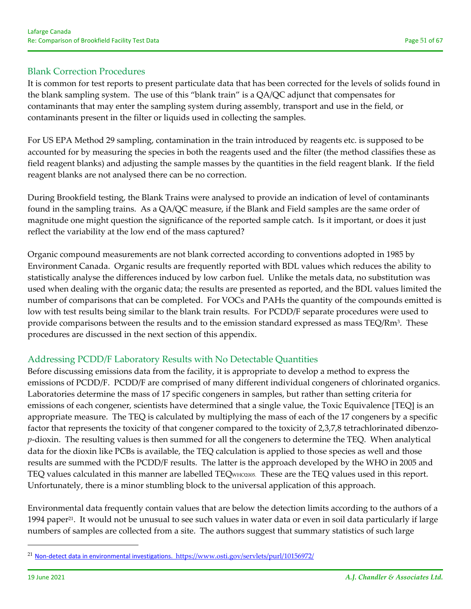It is common for test reports to present particulate data that has been corrected for the levels of solids found in the blank sampling system. The use of this "blank train" is a QA/QC adjunct that compensates for contaminants that may enter the sampling system during assembly, transport and use in the field, or contaminants present in the filter or liquids used in collecting the samples.

For US EPA Method 29 sampling, contamination in the train introduced by reagents etc. is supposed to be accounted for by measuring the species in both the reagents used and the filter (the method classifies these as field reagent blanks) and adjusting the sample masses by the quantities in the field reagent blank. If the field reagent blanks are not analysed there can be no correction.

During Brookfield testing, the Blank Trains were analysed to provide an indication of level of contaminants found in the sampling trains. As a QA/QC measure, if the Blank and Field samples are the same order of magnitude one might question the significance of the reported sample catch. Is it important, or does it just reflect the variability at the low end of the mass captured?

Organic compound measurements are not blank corrected according to conventions adopted in 1985 by Environment Canada. Organic results are frequently reported with BDL values which reduces the ability to statistically analyse the differences induced by low carbon fuel. Unlike the metals data, no substitution was used when dealing with the organic data; the results are presented as reported, and the BDL values limited the number of comparisons that can be completed. For VOCs and PAHs the quantity of the compounds emitted is low with test results being similar to the blank train results. For PCDD/F separate procedures were used to provide comparisons between the results and to the emission standard expressed as mass TEQ/Rm<sup>3</sup>. These procedures are discussed in the next section of this appendix.

### Addressing PCDD/F Laboratory Results with No Detectable Quantities

Before discussing emissions data from the facility, it is appropriate to develop a method to express the emissions of PCDD/F. PCDD/F are comprised of many different individual congeners of chlorinated organics. Laboratories determine the mass of 17 specific congeners in samples, but rather than setting criteria for emissions of each congener, scientists have determined that a single value, the Toxic Equivalence [TEQ] is an appropriate measure. The TEQ is calculated by multiplying the mass of each of the 17 congeners by a specific factor that represents the toxicity of that congener compared to the toxicity of 2,3,7,8 tetrachlorinated dibenzo*p*-dioxin. The resulting values is then summed for all the congeners to determine the TEQ. When analytical data for the dioxin like PCBs is available, the TEQ calculation is applied to those species as well and those results are summed with the PCDD/F results. The latter is the approach developed by the WHO in 2005 and TEQ values calculated in this manner are labelled TEQWHO2005. These are the TEQ values used in this report. Unfortunately, there is a minor stumbling block to the universal application of this approach.

Environmental data frequently contain values that are below the detection limits according to the authors of a 1994 paper<sup>21</sup>. It would not be unusual to see such values in water data or even in soil data particularly if large numbers of samples are collected from a site. The authors suggest that summary statistics of such large

<sup>&</sup>lt;sup>21</sup> Non-detect data in environmental investigations. https://www.osti.gov/servlets/purl/10156972/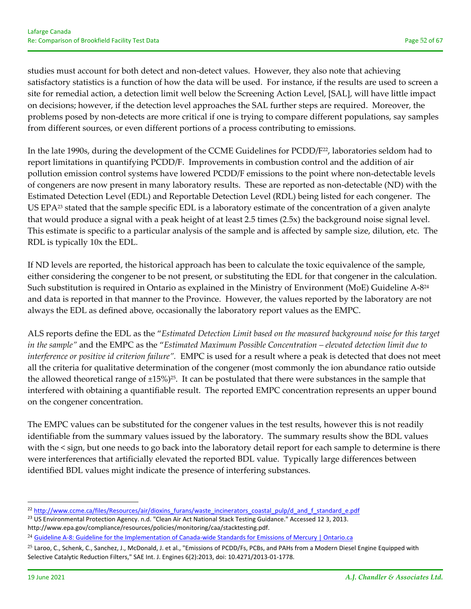studies must account for both detect and non-detect values. However, they also note that achieving satisfactory statistics is a function of how the data will be used. For instance, if the results are used to screen a site for remedial action, a detection limit well below the Screening Action Level, [SAL], will have little impact on decisions; however, if the detection level approaches the SAL further steps are required. Moreover, the problems posed by non‐detects are more critical if one is trying to compare different populations, say samples from different sources, or even different portions of a process contributing to emissions.

In the late 1990s, during the development of the CCME Guidelines for PCDD/F<sup>22</sup>, laboratories seldom had to report limitations in quantifying PCDD/F. Improvements in combustion control and the addition of air pollution emission control systems have lowered PCDD/F emissions to the point where non-detectable levels of congeners are now present in many laboratory results. These are reported as non‐detectable (ND) with the Estimated Detection Level (EDL) and Reportable Detection Level (RDL) being listed for each congener. The US EPA<sup>23</sup> stated that the sample specific EDL is a laboratory estimate of the concentration of a given analyte that would produce a signal with a peak height of at least 2.5 times (2.5x) the background noise signal level. This estimate is specific to a particular analysis of the sample and is affected by sample size, dilution, etc. The RDL is typically 10x the EDL.

If ND levels are reported, the historical approach has been to calculate the toxic equivalence of the sample, either considering the congener to be not present, or substituting the EDL for that congener in the calculation. Such substitution is required in Ontario as explained in the Ministry of Environment (MoE) Guideline A‐824 and data is reported in that manner to the Province. However, the values reported by the laboratory are not always the EDL as defined above, occasionally the laboratory report values as the EMPC.

ALS reports define the EDL as the "*Estimated Detection Limit based on the measured background noise for this target in the sample"* and the EMPC as the "*Estimated Maximum Possible Concentration – elevated detection limit due to interference or positive id criterion failure".* EMPC is used for a result where a peak is detected that does not meet all the criteria for qualitative determination of the congener (most commonly the ion abundance ratio outside the allowed theoretical range of  $\pm 15\%$ <sup>25</sup>. It can be postulated that there were substances in the sample that interfered with obtaining a quantifiable result. The reported EMPC concentration represents an upper bound on the congener concentration.

The EMPC values can be substituted for the congener values in the test results, however this is not readily identifiable from the summary values issued by the laboratory. The summary results show the BDL values with the < sign, but one needs to go back into the laboratory detail report for each sample to determine is there were interferences that artificially elevated the reported BDL value. Typically large differences between identified BDL values might indicate the presence of interfering substances.

<sup>&</sup>lt;sup>22</sup> http://www.ccme.ca/files/Resources/air/dioxins\_furans/waste\_incinerators\_coastal\_pulp/d\_and\_f\_standard\_e.pdf

<sup>&</sup>lt;sup>23</sup> US Environmental Protection Agency. n.d. "Clean Air Act National Stack Testing Guidance." Accessed 12 3, 2013. http://www.epa.gov/compliance/resources/policies/monitoring/caa/stacktesting.pdf.

<sup>&</sup>lt;sup>24</sup> Guideline A-8: Guideline for the Implementation of Canada-wide Standards for Emissions of Mercury | Ontario.ca

<sup>&</sup>lt;sup>25</sup> Laroo, C., Schenk, C., Sanchez, J., McDonald, J. et al., "Emissions of PCDD/Fs, PCBs, and PAHs from a Modern Diesel Engine Equipped with Selective Catalytic Reduction Filters," SAE Int. J. Engines 6(2):2013, doi: 10.4271/2013‐01‐1778.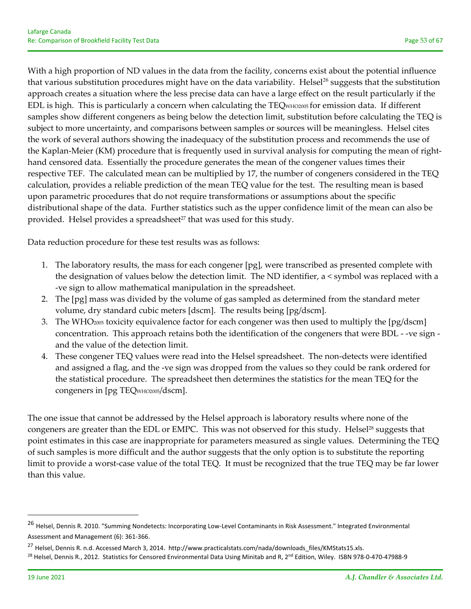With a high proportion of ND values in the data from the facility, concerns exist about the potential influence that various substitution procedures might have on the data variability. Helsel<sup>26</sup> suggests that the substitution approach creates a situation where the less precise data can have a large effect on the result particularly if the EDL is high. This is particularly a concern when calculating the TEQWHO2005 for emission data. If different samples show different congeners as being below the detection limit, substitution before calculating the TEQ is subject to more uncertainty, and comparisons between samples or sources will be meaningless. Helsel cites the work of several authors showing the inadequacy of the substitution process and recommends the use of the Kaplan‐Meier (KM) procedure that is frequently used in survival analysis for computing the mean of right‐ hand censored data. Essentially the procedure generates the mean of the congener values times their respective TEF. The calculated mean can be multiplied by 17, the number of congeners considered in the TEQ calculation, provides a reliable prediction of the mean TEQ value for the test. The resulting mean is based upon parametric procedures that do not require transformations or assumptions about the specific distributional shape of the data. Further statistics such as the upper confidence limit of the mean can also be provided. Helsel provides a spreadsheet<sup>27</sup> that was used for this study.

Data reduction procedure for these test results was as follows:

- 1. The laboratory results, the mass for each congener [pg], were transcribed as presented complete with the designation of values below the detection limit. The ND identifier, a < symbol was replaced with a ‐ve sign to allow mathematical manipulation in the spreadsheet.
- 2. The [pg] mass was divided by the volume of gas sampled as determined from the standard meter volume, dry standard cubic meters [dscm]. The results being [pg/dscm].
- 3. The WHO2005 toxicity equivalence factor for each congener was then used to multiply the [pg/dscm] concentration. This approach retains both the identification of the congeners that were BDL ‐ ‐ve sign ‐ and the value of the detection limit.
- 4. These congener TEQ values were read into the Helsel spreadsheet. The non-detects were identified and assigned a flag, and the ‐ve sign was dropped from the values so they could be rank ordered for the statistical procedure. The spreadsheet then determines the statistics for the mean TEQ for the congeners in [pg TEQWHO2005/dscm].

The one issue that cannot be addressed by the Helsel approach is laboratory results where none of the congeners are greater than the EDL or EMPC. This was not observed for this study. Helsel<sup>28</sup> suggests that point estimates in this case are inappropriate for parameters measured as single values. Determining the TEQ of such samples is more difficult and the author suggests that the only option is to substitute the reporting limit to provide a worst‐case value of the total TEQ. It must be recognized that the true TEQ may be far lower than this value.

<sup>&</sup>lt;sup>26</sup> Helsel, Dennis R. 2010. "Summing Nondetects: Incorporating Low-Level Contaminants in Risk Assessment." Integrated Environmental Assessment and Management (6): 361‐366.

<sup>&</sup>lt;sup>27</sup> Helsel, Dennis R. n.d. Accessed March 3, 2014. http://www.practicalstats.com/nada/downloads\_files/KMStats15.xls.

<sup>&</sup>lt;sup>28</sup> Helsel, Dennis R., 2012. Statistics for Censored Environmental Data Using Minitab and R, 2<sup>nd</sup> Edition, Wiley. ISBN 978-0-470-47988-9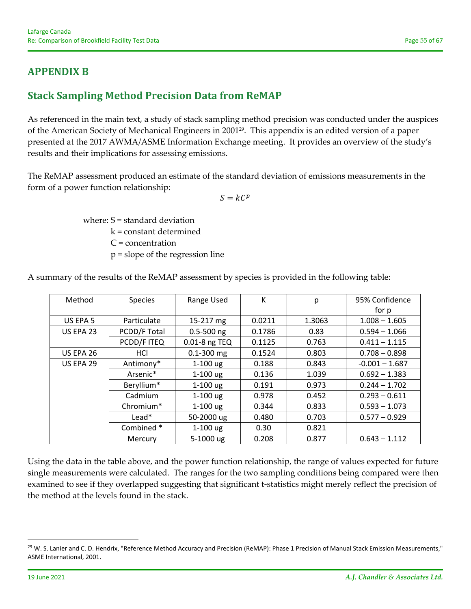# **APPENDIX B**

# **Stack Sampling Method Precision Data from ReMAP**

As referenced in the main text, a study of stack sampling method precision was conducted under the auspices of the American Society of Mechanical Engineers in 200129. This appendix is an edited version of a paper presented at the 2017 AWMA/ASME Information Exchange meeting. It provides an overview of the study's results and their implications for assessing emissions.

The ReMAP assessment produced an estimate of the standard deviation of emissions measurements in the form of a power function relationship:

 $S = kC^p$ 

where: S = standard deviation

k = constant determined

C = concentration

p = slope of the regression line

| Method                    | <b>Species</b> |                | K      | p      | 95% Confidence   |  |
|---------------------------|----------------|----------------|--------|--------|------------------|--|
|                           |                |                |        |        | for p            |  |
| US EPA 5                  | Particulate    | 15-217 mg      | 0.0211 | 1.3063 | $1.008 - 1.605$  |  |
| PCDD/F Total<br>US EPA 23 |                | $0.5 - 500$ ng | 0.1786 | 0.83   | $0.594 - 1.066$  |  |
|                           | PCDD/F ITEQ    | 0.01-8 ng TEQ  | 0.1125 | 0.763  | $0.411 - 1.115$  |  |
| US EPA 26                 | HCI            | $0.1 - 300$ mg | 0.1524 | 0.803  | $0.708 - 0.898$  |  |
| <b>US EPA 29</b>          | Antimony*      | $1-100$ ug     | 0.188  | 0.843  | $-0.001 - 1.687$ |  |
|                           | Arsenic*       | $1-100$ ug     | 0.136  | 1.039  | $0.692 - 1.383$  |  |
|                           | Beryllium*     | $1-100$ ug     | 0.191  | 0.973  | $0.244 - 1.702$  |  |
|                           | Cadmium        | $1-100$ ug     | 0.978  | 0.452  | $0.293 - 0.611$  |  |
|                           | Chromium*      | $1-100$ ug     | 0.344  | 0.833  | $0.593 - 1.073$  |  |
|                           | $Lead*$        | 50-2000 ug     | 0.480  | 0.703  | $0.577 - 0.929$  |  |
|                           | Combined*      | $1-100$ ug     | 0.30   | 0.821  |                  |  |
|                           | Mercury        | 5-1000 ug      | 0.208  | 0.877  | $0.643 - 1.112$  |  |

A summary of the results of the ReMAP assessment by species is provided in the following table:

Using the data in the table above, and the power function relationship, the range of values expected for future single measurements were calculated. The ranges for the two sampling conditions being compared were then examined to see if they overlapped suggesting that significant t‐statistics might merely reflect the precision of the method at the levels found in the stack.

<sup>&</sup>lt;sup>29</sup> W. S. Lanier and C. D. Hendrix, "Reference Method Accuracy and Precision (ReMAP): Phase 1 Precision of Manual Stack Emission Measurements," ASME International, 2001.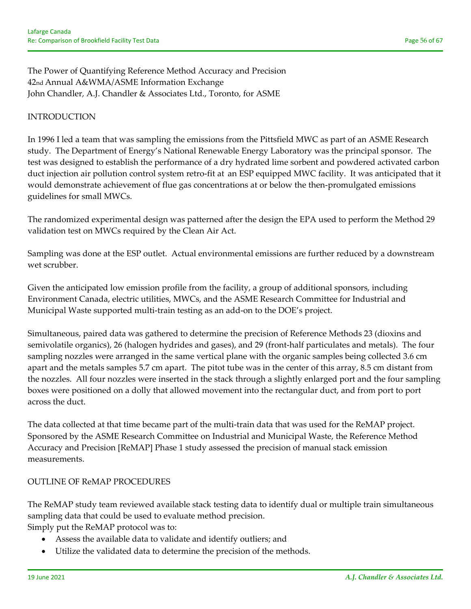The Power of Quantifying Reference Method Accuracy and Precision 42nd Annual A&WMA/ASME Information Exchange John Chandler, A.J. Chandler & Associates Ltd., Toronto, for ASME

### INTRODUCTION

In 1996 I led a team that was sampling the emissions from the Pittsfield MWC as part of an ASME Research study. The Department of Energy's National Renewable Energy Laboratory was the principal sponsor. The test was designed to establish the performance of a dry hydrated lime sorbent and powdered activated carbon duct injection air pollution control system retro‐fit at an ESP equipped MWC facility. It was anticipated that it would demonstrate achievement of flue gas concentrations at or below the then-promulgated emissions guidelines for small MWCs.

The randomized experimental design was patterned after the design the EPA used to perform the Method 29 validation test on MWCs required by the Clean Air Act.

Sampling was done at the ESP outlet. Actual environmental emissions are further reduced by a downstream wet scrubber.

Given the anticipated low emission profile from the facility, a group of additional sponsors, including Environment Canada, electric utilities, MWCs, and the ASME Research Committee for Industrial and Municipal Waste supported multi‐train testing as an add‐on to the DOE's project.

Simultaneous, paired data was gathered to determine the precision of Reference Methods 23 (dioxins and semivolatile organics), 26 (halogen hydrides and gases), and 29 (front-half particulates and metals). The four sampling nozzles were arranged in the same vertical plane with the organic samples being collected 3.6 cm apart and the metals samples 5.7 cm apart. The pitot tube was in the center of this array, 8.5 cm distant from the nozzles. All four nozzles were inserted in the stack through a slightly enlarged port and the four sampling boxes were positioned on a dolly that allowed movement into the rectangular duct, and from port to port across the duct.

The data collected at that time became part of the multi-train data that was used for the ReMAP project. Sponsored by the ASME Research Committee on Industrial and Municipal Waste, the Reference Method Accuracy and Precision [ReMAP] Phase 1 study assessed the precision of manual stack emission measurements.

#### OUTLINE OF ReMAP PROCEDURES

The ReMAP study team reviewed available stack testing data to identify dual or multiple train simultaneous sampling data that could be used to evaluate method precision. Simply put the ReMAP protocol was to:

- Assess the available data to validate and identify outliers; and
- Utilize the validated data to determine the precision of the methods.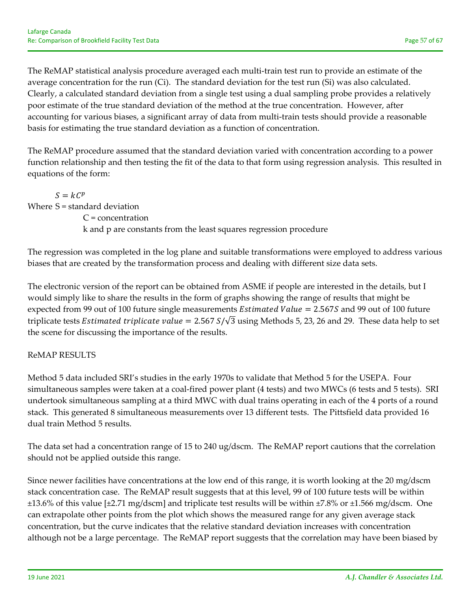The ReMAP statistical analysis procedure averaged each multi-train test run to provide an estimate of the average concentration for the run (Ci). The standard deviation for the test run (Si) was also calculated. Clearly, a calculated standard deviation from a single test using a dual sampling probe provides a relatively poor estimate of the true standard deviation of the method at the true concentration. However, after accounting for various biases, a significant array of data from multi‐train tests should provide a reasonable basis for estimating the true standard deviation as a function of concentration.

The ReMAP procedure assumed that the standard deviation varied with concentration according to a power function relationship and then testing the fit of the data to that form using regression analysis. This resulted in equations of the form:

 $S = kC^p$ Where S = standard deviation C = concentration k and p are constants from the least squares regression procedure

The regression was completed in the log plane and suitable transformations were employed to address various biases that are created by the transformation process and dealing with different size data sets.

The electronic version of the report can be obtained from ASME if people are interested in the details, but I would simply like to share the results in the form of graphs showing the range of results that might be expected from 99 out of 100 future single measurements *Estimated Value* = 2.567S and 99 out of 100 future triplicate tests *Estimated triplicate value* = 2.567  $S/\sqrt{3}$  using Methods 5, 23, 26 and 29. These data help to set the scene for discussing the importance of the results.

### ReMAP RESULTS

Method 5 data included SRI's studies in the early 1970s to validate that Method 5 for the USEPA. Four simultaneous samples were taken at a coal-fired power plant (4 tests) and two MWCs (6 tests and 5 tests). SRI undertook simultaneous sampling at a third MWC with dual trains operating in each of the 4 ports of a round stack. This generated 8 simultaneous measurements over 13 different tests. The Pittsfield data provided 16 dual train Method 5 results.

The data set had a concentration range of 15 to 240 ug/dscm. The ReMAP report cautions that the correlation should not be applied outside this range.

Since newer facilities have concentrations at the low end of this range, it is worth looking at the 20 mg/dscm stack concentration case. The ReMAP result suggests that at this level, 99 of 100 future tests will be within  $\pm$ 13.6% of this value [ $\pm$ 2.71 mg/dscm] and triplicate test results will be within  $\pm$ 7.8% or  $\pm$ 1.566 mg/dscm. One can extrapolate other points from the plot which shows the measured range for any given average stack concentration, but the curve indicates that the relative standard deviation increases with concentration although not be a large percentage. The ReMAP report suggests that the correlation may have been biased by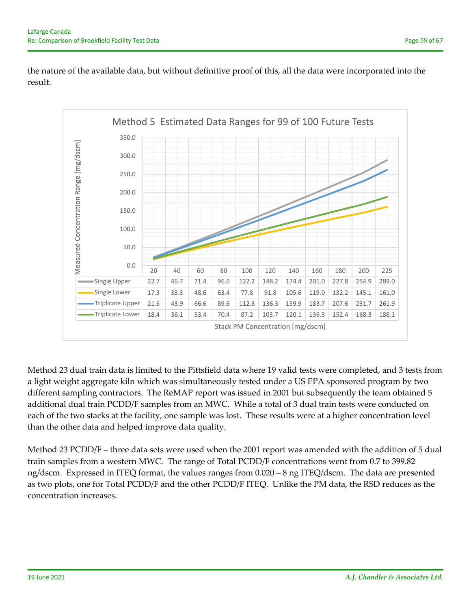the nature of the available data, but without definitive proof of this, all the data were incorporated into the result.



Method 23 dual train data is limited to the Pittsfield data where 19 valid tests were completed, and 3 tests from a light weight aggregate kiln which was simultaneously tested under a US EPA sponsored program by two different sampling contractors. The ReMAP report was issued in 2001 but subsequently the team obtained 5 additional dual train PCDD/F samples from an MWC. While a total of 3 dual train tests were conducted on each of the two stacks at the facility, one sample was lost. These results were at a higher concentration level than the other data and helped improve data quality.

Method 23 PCDD/F – three data sets were used when the 2001 report was amended with the addition of 5 dual train samples from a western MWC. The range of Total PCDD/F concentrations went from 0.7 to 399.82 ng/dscm. Expressed in ITEQ format, the values ranges from 0.020 – 8 ng ITEQ/dscm. The data are presented as two plots, one for Total PCDD/F and the other PCDD/F ITEQ. Unlike the PM data, the RSD reduces as the concentration increases.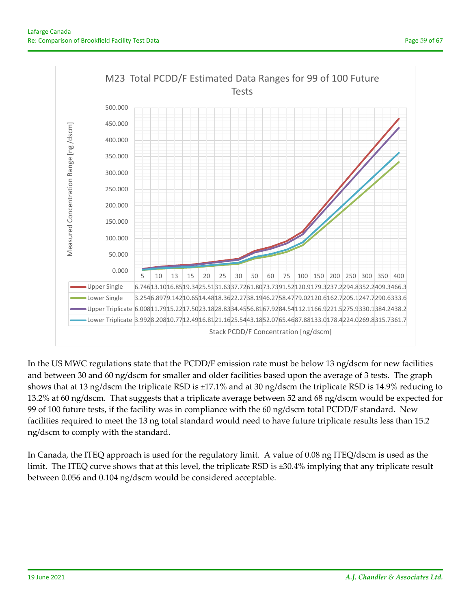

In the US MWC regulations state that the PCDD/F emission rate must be below 13 ng/dscm for new facilities and between 30 and 60 ng/dscm for smaller and older facilities based upon the average of 3 tests. The graph shows that at 13 ng/dscm the triplicate RSD is ±17.1% and at 30 ng/dscm the triplicate RSD is 14.9% reducing to 13.2% at 60 ng/dscm. That suggests that a triplicate average between 52 and 68 ng/dscm would be expected for 99 of 100 future tests, if the facility was in compliance with the 60 ng/dscm total PCDD/F standard. New facilities required to meet the 13 ng total standard would need to have future triplicate results less than 15.2 ng/dscm to comply with the standard.

In Canada, the ITEQ approach is used for the regulatory limit. A value of 0.08 ng ITEQ/dscm is used as the limit. The ITEQ curve shows that at this level, the triplicate RSD is ±30.4% implying that any triplicate result between 0.056 and 0.104 ng/dscm would be considered acceptable.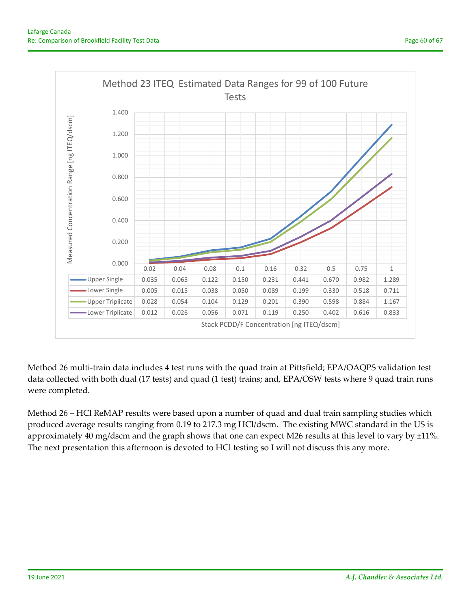

Method 26 multi‐train data includes 4 test runs with the quad train at Pittsfield; EPA/OAQPS validation test data collected with both dual (17 tests) and quad (1 test) trains; and, EPA/OSW tests where 9 quad train runs were completed.

Method 26 – HCl ReMAP results were based upon a number of quad and dual train sampling studies which produced average results ranging from 0.19 to 217.3 mg HCl/dscm. The existing MWC standard in the US is approximately 40 mg/dscm and the graph shows that one can expect M26 results at this level to vary by ±11%. The next presentation this afternoon is devoted to HCl testing so I will not discuss this any more.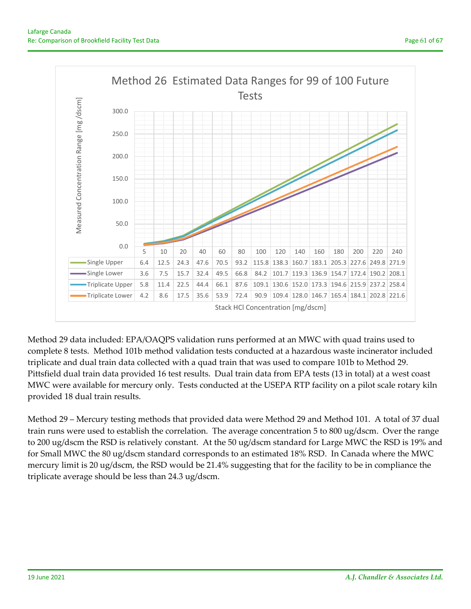

Method 29 data included: EPA/OAQPS validation runs performed at an MWC with quad trains used to complete 8 tests. Method 101b method validation tests conducted at a hazardous waste incinerator included triplicate and dual train data collected with a quad train that was used to compare 101b to Method 29. Pittsfield dual train data provided 16 test results. Dual train data from EPA tests (13 in total) at a west coast MWC were available for mercury only. Tests conducted at the USEPA RTP facility on a pilot scale rotary kiln provided 18 dual train results.

Method 29 – Mercury testing methods that provided data were Method 29 and Method 101. A total of 37 dual train runs were used to establish the correlation. The average concentration 5 to 800 ug/dscm. Over the range to 200 ug/dscm the RSD is relatively constant. At the 50 ug/dscm standard for Large MWC the RSD is 19% and for Small MWC the 80 ug/dscm standard corresponds to an estimated 18% RSD. In Canada where the MWC mercury limit is 20 ug/dscm, the RSD would be 21.4% suggesting that for the facility to be in compliance the triplicate average should be less than 24.3 ug/dscm.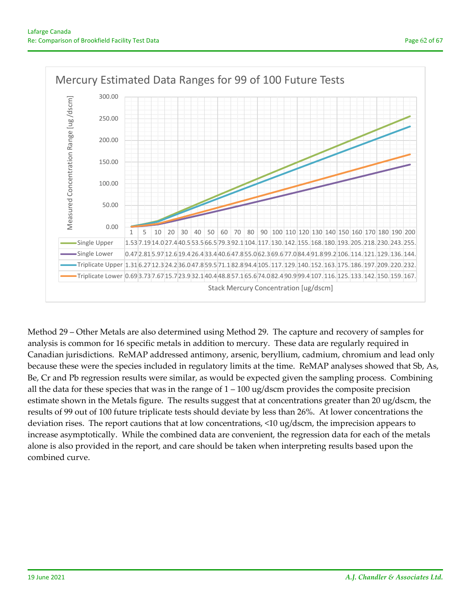

Method 29 – Other Metals are also determined using Method 29. The capture and recovery of samples for analysis is common for 16 specific metals in addition to mercury. These data are regularly required in Canadian jurisdictions. ReMAP addressed antimony, arsenic, beryllium, cadmium, chromium and lead only because these were the species included in regulatory limits at the time. ReMAP analyses showed that Sb, As, Be, Cr and Pb regression results were similar, as would be expected given the sampling process. Combining all the data for these species that was in the range of  $1 - 100$  ug/dscm provides the composite precision estimate shown in the Metals figure. The results suggest that at concentrations greater than 20 ug/dscm, the results of 99 out of 100 future triplicate tests should deviate by less than 26%. At lower concentrations the deviation rises. The report cautions that at low concentrations, <10 ug/dscm, the imprecision appears to increase asymptotically. While the combined data are convenient, the regression data for each of the metals alone is also provided in the report, and care should be taken when interpreting results based upon the combined curve.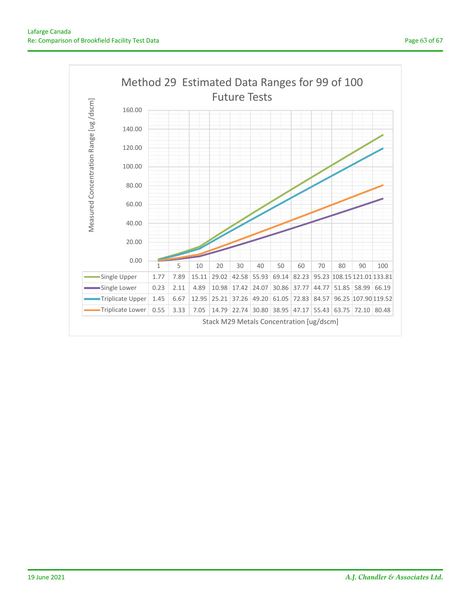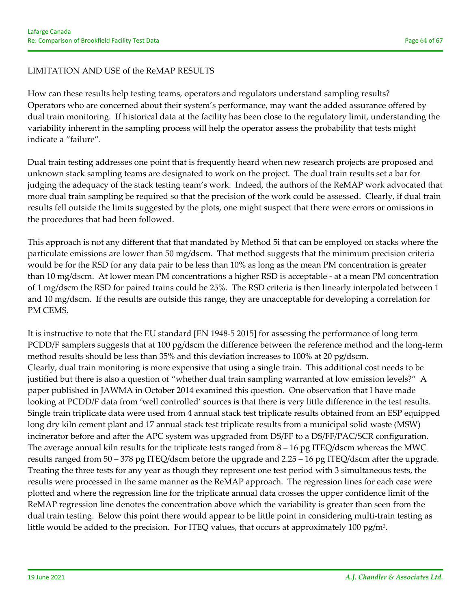#### LIMITATION AND USE of the ReMAP RESULTS

How can these results help testing teams, operators and regulators understand sampling results? Operators who are concerned about their system's performance, may want the added assurance offered by dual train monitoring. If historical data at the facility has been close to the regulatory limit, understanding the variability inherent in the sampling process will help the operator assess the probability that tests might indicate a "failure".

Dual train testing addresses one point that is frequently heard when new research projects are proposed and unknown stack sampling teams are designated to work on the project. The dual train results set a bar for judging the adequacy of the stack testing team's work. Indeed, the authors of the ReMAP work advocated that more dual train sampling be required so that the precision of the work could be assessed. Clearly, if dual train results fell outside the limits suggested by the plots, one might suspect that there were errors or omissions in the procedures that had been followed.

This approach is not any different that that mandated by Method 5i that can be employed on stacks where the particulate emissions are lower than 50 mg/dscm. That method suggests that the minimum precision criteria would be for the RSD for any data pair to be less than 10% as long as the mean PM concentration is greater than 10 mg/dscm. At lower mean PM concentrations a higher RSD is acceptable ‐ at a mean PM concentration of 1 mg/dscm the RSD for paired trains could be 25%. The RSD criteria is then linearly interpolated between 1 and 10 mg/dscm. If the results are outside this range, they are unacceptable for developing a correlation for PM CEMS.

It is instructive to note that the EU standard [EN 1948‐5 2015] for assessing the performance of long term PCDD/F samplers suggests that at 100 pg/dscm the difference between the reference method and the long-term method results should be less than 35% and this deviation increases to 100% at 20 pg/dscm. Clearly, dual train monitoring is more expensive that using a single train. This additional cost needs to be justified but there is also a question of "whether dual train sampling warranted at low emission levels?" A paper published in JAWMA in October 2014 examined this question. One observation that I have made looking at PCDD/F data from 'well controlled' sources is that there is very little difference in the test results. Single train triplicate data were used from 4 annual stack test triplicate results obtained from an ESP equipped long dry kiln cement plant and 17 annual stack test triplicate results from a municipal solid waste (MSW) incinerator before and after the APC system was upgraded from DS/FF to a DS/FF/PAC/SCR configuration. The average annual kiln results for the triplicate tests ranged from 8 – 16 pg ITEQ/dscm whereas the MWC results ranged from 50 – 378 pg ITEQ/dscm before the upgrade and 2.25 – 16 pg ITEQ/dscm after the upgrade. Treating the three tests for any year as though they represent one test period with 3 simultaneous tests, the results were processed in the same manner as the ReMAP approach. The regression lines for each case were plotted and where the regression line for the triplicate annual data crosses the upper confidence limit of the ReMAP regression line denotes the concentration above which the variability is greater than seen from the dual train testing. Below this point there would appear to be little point in considering multi‐train testing as little would be added to the precision. For ITEQ values, that occurs at approximately 100 pg/m<sup>3</sup>.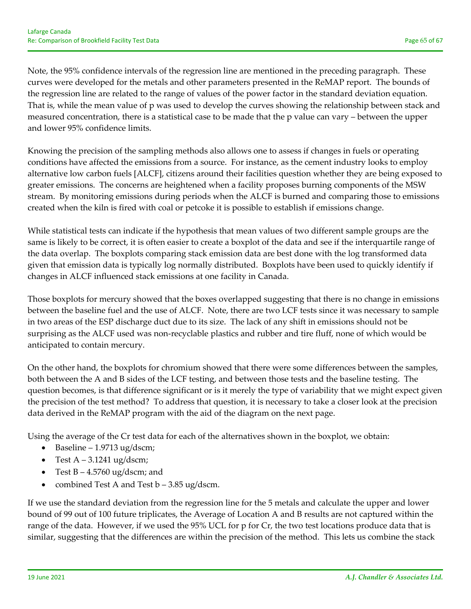Note, the 95% confidence intervals of the regression line are mentioned in the preceding paragraph. These curves were developed for the metals and other parameters presented in the ReMAP report. The bounds of the regression line are related to the range of values of the power factor in the standard deviation equation. That is, while the mean value of p was used to develop the curves showing the relationship between stack and measured concentration, there is a statistical case to be made that the p value can vary – between the upper and lower 95% confidence limits.

Knowing the precision of the sampling methods also allows one to assess if changes in fuels or operating conditions have affected the emissions from a source. For instance, as the cement industry looks to employ alternative low carbon fuels [ALCF], citizens around their facilities question whether they are being exposed to greater emissions. The concerns are heightened when a facility proposes burning components of the MSW stream. By monitoring emissions during periods when the ALCF is burned and comparing those to emissions created when the kiln is fired with coal or petcoke it is possible to establish if emissions change.

While statistical tests can indicate if the hypothesis that mean values of two different sample groups are the same is likely to be correct, it is often easier to create a boxplot of the data and see if the interquartile range of the data overlap. The boxplots comparing stack emission data are best done with the log transformed data given that emission data is typically log normally distributed. Boxplots have been used to quickly identify if changes in ALCF influenced stack emissions at one facility in Canada.

Those boxplots for mercury showed that the boxes overlapped suggesting that there is no change in emissions between the baseline fuel and the use of ALCF. Note, there are two LCF tests since it was necessary to sample in two areas of the ESP discharge duct due to its size. The lack of any shift in emissions should not be surprising as the ALCF used was non-recyclable plastics and rubber and tire fluff, none of which would be anticipated to contain mercury.

On the other hand, the boxplots for chromium showed that there were some differences between the samples, both between the A and B sides of the LCF testing, and between those tests and the baseline testing. The question becomes, is that difference significant or is it merely the type of variability that we might expect given the precision of the test method? To address that question, it is necessary to take a closer look at the precision data derived in the ReMAP program with the aid of the diagram on the next page.

Using the average of the Cr test data for each of the alternatives shown in the boxplot, we obtain:

- $\bullet$  Baseline 1.9713 ug/dscm;
- Test  $A 3.1241$  ug/dscm;
- Test B 4.5760 ug/dscm; and
- combined Test A and Test b 3.85 ug/dscm.

If we use the standard deviation from the regression line for the 5 metals and calculate the upper and lower bound of 99 out of 100 future triplicates, the Average of Location A and B results are not captured within the range of the data. However, if we used the 95% UCL for p for Cr, the two test locations produce data that is similar, suggesting that the differences are within the precision of the method. This lets us combine the stack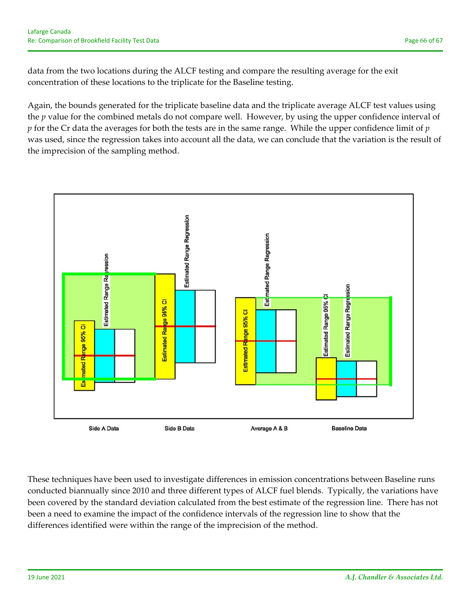data from the two locations during the ALCF testing and compare the resulting average for the exit concentration of these locations to the triplicate for the Baseline testing.

Again, the bounds generated for the triplicate baseline data and the triplicate average ALCF test values using the *p* value for the combined metals do not compare well. However, by using the upper confidence interval of *p* for the Cr data the averages for both the tests are in the same range. While the upper confidence limit of *p* was used, since the regression takes into account all the data, we can conclude that the variation is the result of the imprecision of the sampling method.



These techniques have been used to investigate differences in emission concentrations between Baseline runs conducted biannually since 2010 and three different types of ALCF fuel blends. Typically, the variations have been covered by the standard deviation calculated from the best estimate of the regression line. There has not been a need to examine the impact of the confidence intervals of the regression line to show that the differences identified were within the range of the imprecision of the method.